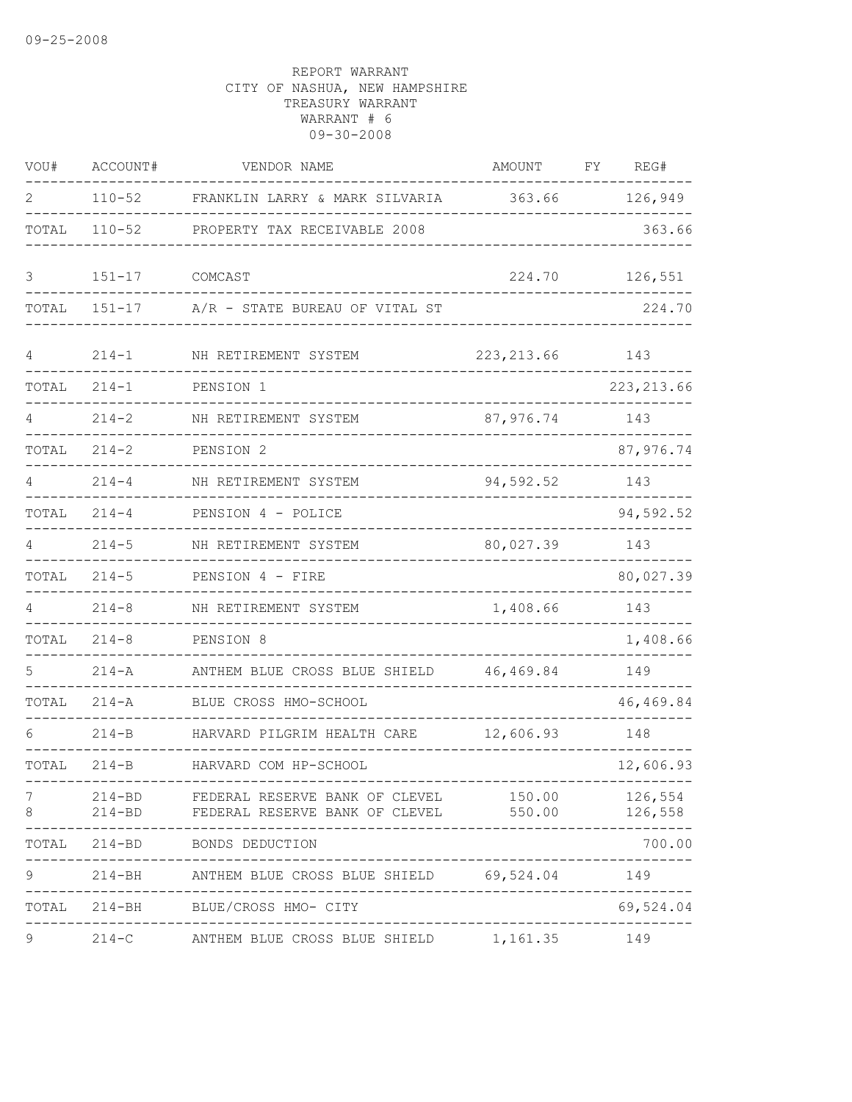| VOU#           | ACCOUNT#   | VENDOR NAME                                                                    | AMOUNT                 | FΥ | REG#                  |
|----------------|------------|--------------------------------------------------------------------------------|------------------------|----|-----------------------|
| $\mathfrak{D}$ | $110 - 52$ | FRANKLIN LARRY & MARK SILVARIA                                                 | 363.66                 |    | 126,949               |
| TOTAL          | $110 - 52$ | PROPERTY TAX RECEIVABLE 2008                                                   |                        |    | 363.66                |
| 3              | $151 - 17$ | COMCAST                                                                        | 224.70                 |    | 126,551               |
| TOTAL          | $151 - 17$ | A/R - STATE BUREAU OF VITAL ST                                                 |                        |    | 224.70                |
| 4              | $214 - 1$  | NH RETIREMENT SYSTEM                                                           | 223, 213.66            |    | 143                   |
| TOTAL          | $214 - 1$  | PENSION 1                                                                      |                        |    | 223, 213.66           |
|                | $214 - 2$  | NH RETIREMENT SYSTEM                                                           | 87,976.74              |    | 143                   |
| TOTAL          | $214 - 2$  | PENSION 2                                                                      |                        |    | 87,976.74             |
| 4              | $214 - 4$  | NH RETIREMENT SYSTEM                                                           | 94,592.52              |    | 143                   |
| TOTAL          | $214 - 4$  | PENSION 4 - POLICE                                                             |                        |    | 94,592.52             |
| 4              | $214 - 5$  | NH RETIREMENT SYSTEM                                                           | 80,027.39              |    | 143                   |
| TOTAL          | $214 - 5$  | PENSION 4 - FIRE                                                               |                        |    | 80,027.39             |
| 4              | $214 - 8$  | NH RETIREMENT SYSTEM                                                           | 1,408.66               |    | 143                   |
| TOTAL          | $214 - 8$  | PENSION 8                                                                      |                        |    | 1,408.66              |
|                | $214 - A$  | ANTHEM BLUE CROSS BLUE SHIELD                                                  | 46,469.84              |    | 149                   |
| TOTAL          | $214 - A$  | BLUE CROSS HMO-SCHOOL                                                          |                        |    | 46,469.84             |
| 6              | $214 - B$  | HARVARD PILGRIM HEALTH CARE                                                    | 12,606.93              |    | 148                   |
| TOTAL          | $214-B$    | HARVARD COM HP-SCHOOL                                                          |                        |    | 12,606.93             |
| 7<br>8         |            | 214-BD FEDERAL RESERVE BANK OF CLEVEL<br>214-BD FEDERAL RESERVE BANK OF CLEVEL | 150.00<br>550.00       |    | 126,554<br>126,558    |
|                |            | TOTAL 214-BD BONDS DEDUCTION                                                   |                        |    | 700.00                |
| 9              |            | 214-BH ANTHEM BLUE CROSS BLUE SHIELD 69,524.04 149                             |                        |    | . _ _ _ _ _ _ _ _ _ _ |
|                |            | TOTAL 214-BH BLUE/CROSS HMO- CITY                                              | ---------------------- |    | 69,524.04             |
| 9              |            | 214-C ANTHEM BLUE CROSS BLUE SHIELD 1,161.35                                   |                        |    | 149                   |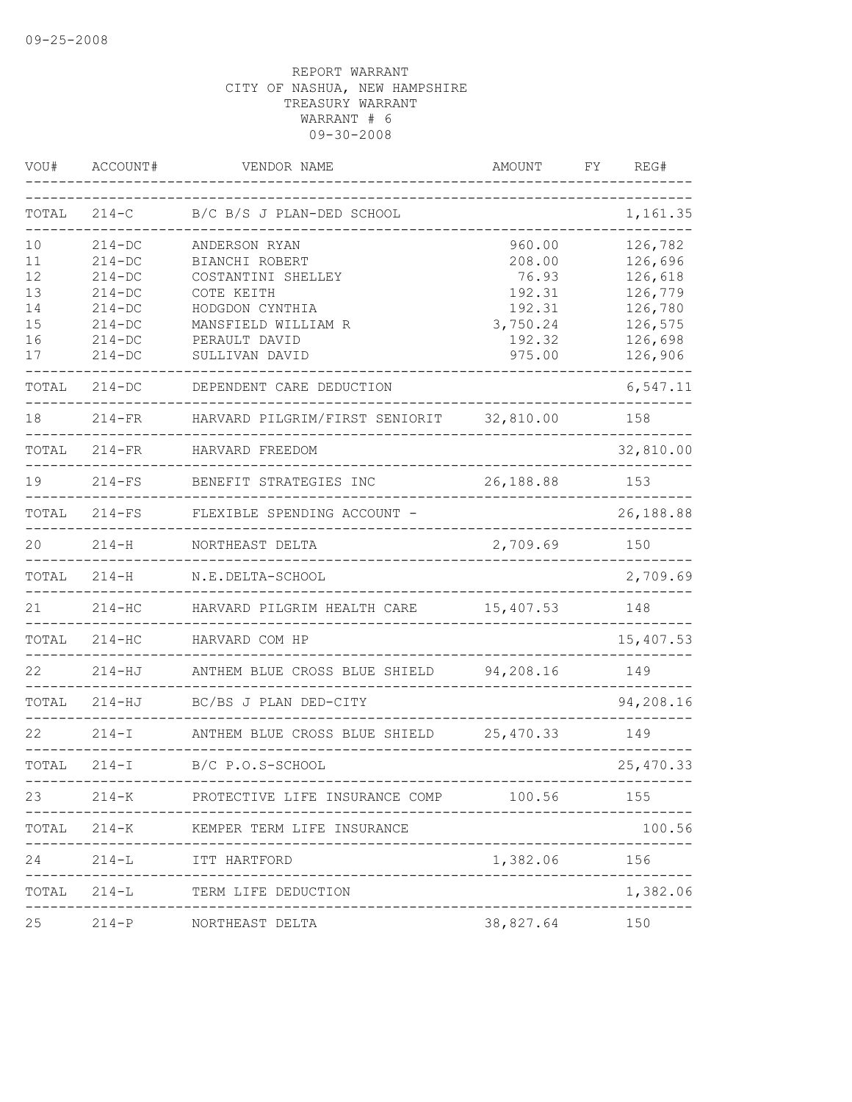| VOU#  | ACCOUNT#    | VENDOR NAME                          | AMOUNT    | FY | REG#       |
|-------|-------------|--------------------------------------|-----------|----|------------|
| TOTAL | $214-C$     | B/C B/S J PLAN-DED SCHOOL            |           |    | 1,161.35   |
| 10    | $214 - DC$  | ANDERSON RYAN                        | 960.00    |    | 126,782    |
| 11    | $214 - DC$  | BIANCHI ROBERT                       | 208.00    |    | 126,696    |
| 12    | $214 - DC$  | COSTANTINI SHELLEY                   | 76.93     |    | 126,618    |
| 13    | $214 - DC$  | COTE KEITH                           | 192.31    |    | 126,779    |
| 14    | $214-DC$    | HODGDON CYNTHIA                      | 192.31    |    | 126,780    |
| 15    | $214-DC$    | MANSFIELD WILLIAM R                  | 3,750.24  |    | 126,575    |
| 16    | $214-DC$    | PERAULT DAVID                        | 192.32    |    | 126,698    |
| 17    | $214 - DC$  | SULLIVAN DAVID                       | 975.00    |    | 126,906    |
| TOTAL | $214 - DC$  | DEPENDENT CARE DEDUCTION             |           |    | 6,547.11   |
| 18    | $214 - FR$  | HARVARD PILGRIM/FIRST SENIORIT       | 32,810.00 |    | 158        |
| TOTAL | $214-FR$    | HARVARD FREEDOM                      |           |    | 32,810.00  |
| 19    | $214-FS$    | BENEFIT STRATEGIES INC               | 26,188.88 |    | 153        |
| TOTAL | $214-FS$    | FLEXIBLE SPENDING ACCOUNT -          |           |    | 26,188.88  |
| 20    | $214 - H$   | NORTHEAST DELTA                      | 2,709.69  |    | 150        |
| TOTAL | $214 - H$   | N.E.DELTA-SCHOOL                     |           |    | 2,709.69   |
| 21    | $214 - HC$  | HARVARD PILGRIM HEALTH CARE          | 15,407.53 |    | 148        |
| TOTAL | $214 - HC$  | HARVARD COM HP                       |           |    | 15,407.53  |
| 22    | $214 - HJ$  | ANTHEM BLUE CROSS BLUE SHIELD        | 94,208.16 |    | 149        |
| TOTAL | $214 - HJ$  | BC/BS J PLAN DED-CITY                |           |    | 94,208.16  |
| 22    | $214-I$     | ANTHEM BLUE CROSS BLUE SHIELD        | 25,470.33 |    | 149        |
| TOTAL | $214 - I$   | B/C P.O.S-SCHOOL                     |           |    | 25, 470.33 |
| 23    |             | 214-K PROTECTIVE LIFE INSURANCE COMP | 100.56    |    | 155        |
|       | TOTAL 214-K | KEMPER TERM LIFE INSURANCE           |           |    | 100.56     |
| 24    |             | 214-L ITT HARTFORD                   | 1,382.06  |    | 156        |
|       | TOTAL 214-L | TERM LIFE DEDUCTION                  |           |    | 1,382.06   |
| 25    |             | 214-P NORTHEAST DELTA                | 38,827.64 |    | 150        |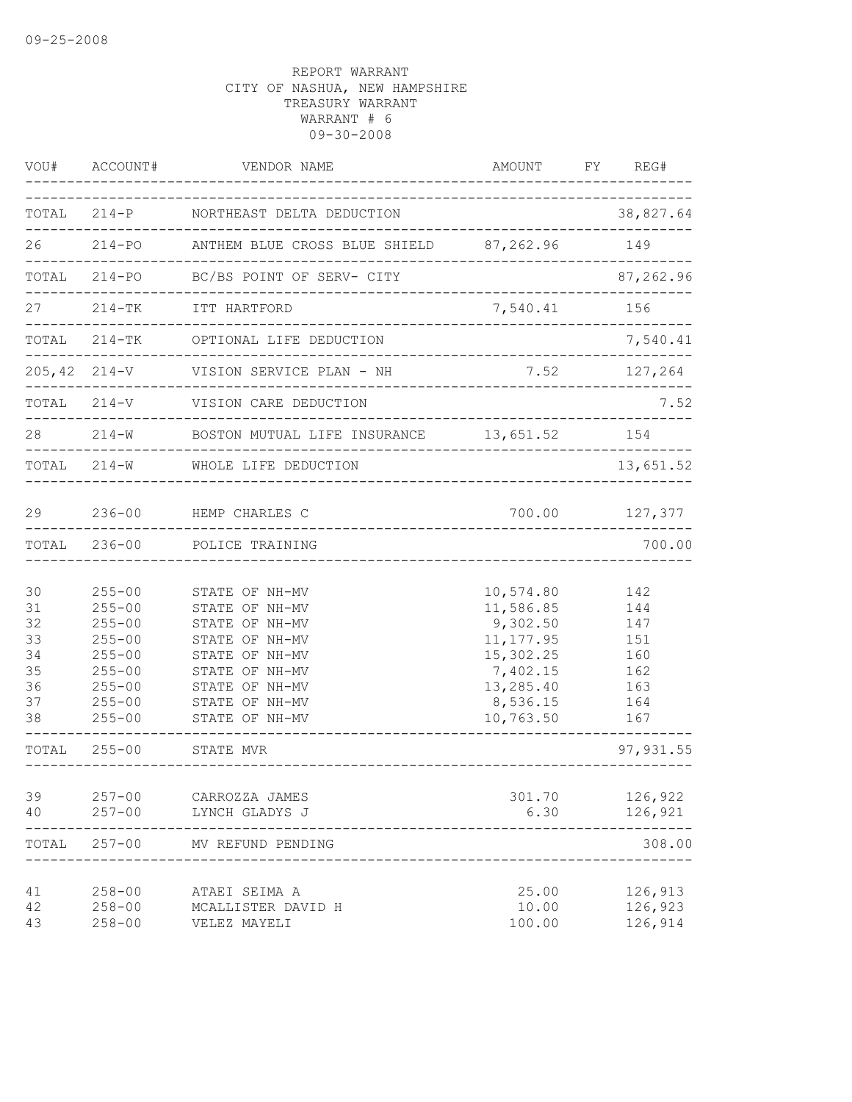| VOU#                                               | ACCOUNT#                                                                                                                   | VENDOR NAME                                                                                                                                                    | AMOUNT FY                                                                                                       | REG#                                                        |
|----------------------------------------------------|----------------------------------------------------------------------------------------------------------------------------|----------------------------------------------------------------------------------------------------------------------------------------------------------------|-----------------------------------------------------------------------------------------------------------------|-------------------------------------------------------------|
|                                                    |                                                                                                                            | TOTAL 214-P NORTHEAST DELTA DEDUCTION                                                                                                                          |                                                                                                                 | 38,827.64                                                   |
|                                                    |                                                                                                                            | 26 214-PO ANTHEM BLUE CROSS BLUE SHIELD 87,262.96                                                                                                              |                                                                                                                 | 149                                                         |
|                                                    |                                                                                                                            | TOTAL 214-PO BC/BS POINT OF SERV- CITY                                                                                                                         |                                                                                                                 | 87,262.96                                                   |
|                                                    |                                                                                                                            | 214-TK ITT HARTFORD<br><i></i><br>--------------------------------                                                                                             | 7,540.41                                                                                                        | 156                                                         |
|                                                    | TOTAL 214-TK                                                                                                               | OPTIONAL LIFE DEDUCTION                                                                                                                                        |                                                                                                                 | 7,540.41                                                    |
|                                                    | $205, 42$ $214-V$                                                                                                          | VISION SERVICE PLAN - NH                                                                                                                                       | ------------------------------------                                                                            | 7.52 127,264                                                |
|                                                    | TOTAL 214-V                                                                                                                | VISION CARE DEDUCTION                                                                                                                                          | ------------------------------------                                                                            | 7.52                                                        |
| 28                                                 |                                                                                                                            | 214-W BOSTON MUTUAL LIFE INSURANCE 13,651.52 154                                                                                                               |                                                                                                                 |                                                             |
|                                                    | TOTAL 214-W                                                                                                                | WHOLE LIFE DEDUCTION<br>_______________________                                                                                                                |                                                                                                                 | 13,651.52                                                   |
| 29                                                 |                                                                                                                            | 236-00 HEMP CHARLES C                                                                                                                                          | 700.00                                                                                                          | 127,377                                                     |
| TOTAL                                              | $236 - 00$                                                                                                                 | POLICE TRAINING<br>___________________                                                                                                                         |                                                                                                                 | 700.00                                                      |
| 30<br>31<br>32<br>33<br>34<br>35<br>36<br>37<br>38 | $255 - 00$<br>$255 - 00$<br>$255 - 00$<br>$255 - 00$<br>$255 - 00$<br>$255 - 00$<br>$255 - 00$<br>$255 - 00$<br>$255 - 00$ | STATE OF NH-MV<br>STATE OF NH-MV<br>STATE OF NH-MV<br>STATE OF NH-MV<br>STATE OF NH-MV<br>STATE OF NH-MV<br>STATE OF NH-MV<br>STATE OF NH-MV<br>STATE OF NH-MV | 10,574.80<br>11,586.85<br>9,302.50<br>11, 177.95<br>15,302.25<br>7,402.15<br>13,285.40<br>8,536.15<br>10,763.50 | 142<br>144<br>147<br>151<br>160<br>162<br>163<br>164<br>167 |
| TOTAL                                              | $255 - 00$                                                                                                                 | STATE MVR<br>__________________________                                                                                                                        |                                                                                                                 | 97, 931.55                                                  |
| 39<br>40                                           | $257 - 00$<br>$257 - 00$                                                                                                   | CARROZZA JAMES<br>LYNCH GLADYS J                                                                                                                               | 301.70<br>6.30                                                                                                  | 126,922<br>126,921                                          |
| TOTAL                                              | $257 - 00$                                                                                                                 | MV REFUND PENDING                                                                                                                                              |                                                                                                                 | 308.00                                                      |
| 41<br>42<br>43                                     | $258 - 00$<br>$258 - 00$<br>$258 - 00$                                                                                     | ATAEI SEIMA A<br>MCALLISTER DAVID H<br>VELEZ MAYELI                                                                                                            | 25.00<br>10.00<br>100.00                                                                                        | 126,913<br>126,923<br>126,914                               |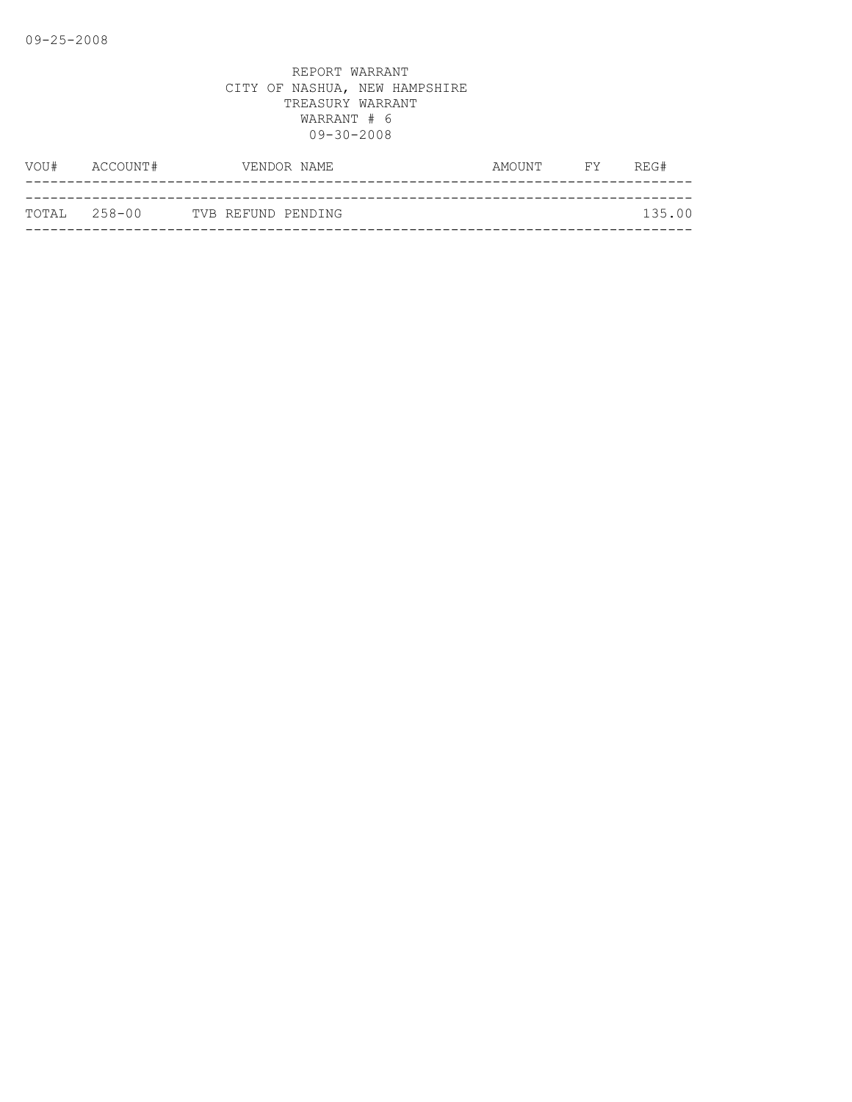|              | VOU# ACCOUNT# |                    | VENDOR NAME | AMOUNT | <b>EXECUTE</b> | REG#   |
|--------------|---------------|--------------------|-------------|--------|----------------|--------|
|              |               |                    |             |        |                |        |
| TOTAL 258-00 |               | TVB REFUND PENDING |             |        |                | 135.00 |
|              |               |                    |             |        |                |        |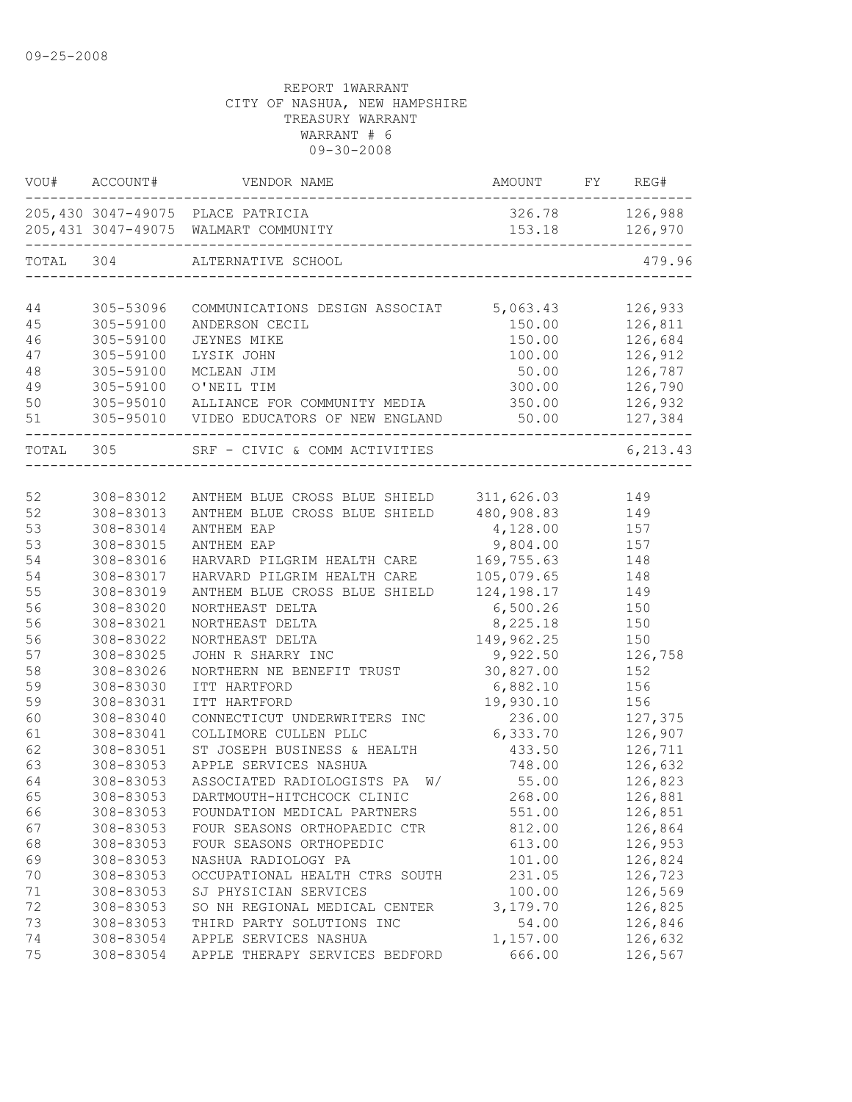| VOU#      | ACCOUNT#               | VENDOR NAME                                                               | AMOUNT           | FY | REG#               |
|-----------|------------------------|---------------------------------------------------------------------------|------------------|----|--------------------|
|           |                        | 205,430 3047-49075 PLACE PATRICIA<br>205,431 3047-49075 WALMART COMMUNITY | 153.18 126,970   |    | 326.78 126,988     |
| TOTAL     | 304                    | ALTERNATIVE SCHOOL                                                        |                  |    | 479.96             |
|           |                        |                                                                           |                  |    |                    |
| 44        | 305-53096              | COMMUNICATIONS DESIGN ASSOCIAT                                            | 5,063.43         |    | 126,933            |
| 45        | 305-59100<br>305-59100 | ANDERSON CECIL                                                            | 150.00           |    | 126,811            |
| 46<br>47  | 305-59100              | <b>JEYNES MIKE</b><br>LYSIK JOHN                                          | 150.00<br>100.00 |    | 126,684<br>126,912 |
| 48        | 305-59100              | MCLEAN JIM                                                                | 50.00            |    | 126,787            |
| 49        | 305-59100              | O'NEIL TIM                                                                | 300.00           |    | 126,790            |
| 50        | 305-95010              | ALLIANCE FOR COMMUNITY MEDIA                                              | 350.00           |    | 126,932            |
| 51        |                        | 305-95010 VIDEO EDUCATORS OF NEW ENGLAND                                  | 50.00            |    | 127,384            |
| TOTAL 305 |                        | SRF - CIVIC & COMM ACTIVITIES                                             |                  |    | 6, 213.43          |
|           |                        |                                                                           |                  |    |                    |
| 52        | 308-83012              | ANTHEM BLUE CROSS BLUE SHIELD                                             | 311,626.03       |    | 149                |
| 52        | 308-83013              | ANTHEM BLUE CROSS BLUE SHIELD                                             | 480,908.83       |    | 149                |
| 53        | 308-83014              | ANTHEM EAP                                                                | 4,128.00         |    | 157                |
| 53        | 308-83015              | ANTHEM EAP                                                                | 9,804.00         |    | 157                |
| 54        | 308-83016              | HARVARD PILGRIM HEALTH CARE                                               | 169,755.63       |    | 148                |
| 54        | 308-83017              | HARVARD PILGRIM HEALTH CARE                                               | 105,079.65       |    | 148                |
| 55        | 308-83019              | ANTHEM BLUE CROSS BLUE SHIELD                                             | 124, 198. 17     |    | 149                |
| 56        | 308-83020              | NORTHEAST DELTA                                                           | 6,500.26         |    | 150                |
| 56        | 308-83021              | NORTHEAST DELTA                                                           | 8,225.18         |    | 150                |
| 56        | 308-83022              | NORTHEAST DELTA                                                           | 149,962.25       |    | 150                |
| 57        | 308-83025              | JOHN R SHARRY INC                                                         | 9,922.50         |    | 126,758            |
| 58        | 308-83026              | NORTHERN NE BENEFIT TRUST                                                 | 30,827.00        |    | 152                |
| 59        | 308-83030              | ITT HARTFORD                                                              | 6,882.10         |    | 156                |
| 59        | 308-83031              | ITT HARTFORD                                                              | 19,930.10        |    | 156                |
| 60        | 308-83040              | CONNECTICUT UNDERWRITERS INC                                              | 236.00           |    | 127,375            |
| 61        | 308-83041              | COLLIMORE CULLEN PLLC                                                     | 6,333.70         |    | 126,907            |
| 62        | 308-83051              | ST JOSEPH BUSINESS & HEALTH                                               | 433.50           |    | 126,711            |
| 63        | 308-83053              | APPLE SERVICES NASHUA                                                     | 748.00           |    | 126,632            |
| 64        | 308-83053              | ASSOCIATED RADIOLOGISTS PA<br>W/                                          | 55.00            |    | 126,823            |
| 65        | 308-83053              | DARTMOUTH-HITCHCOCK CLINIC                                                | 268.00           |    | 126,881            |
| 66        | 308-83053              | FOUNDATION MEDICAL PARTNERS                                               | 551.00           |    | 126,851            |
| 67        | 308-83053              | FOUR SEASONS ORTHOPAEDIC CTR                                              | 812.00           |    | 126,864            |
| 68        | 308-83053              | FOUR SEASONS ORTHOPEDIC                                                   | 613.00           |    | 126,953            |
| 69        | 308-83053              | NASHUA RADIOLOGY PA                                                       | 101.00           |    | 126,824            |
| 70        | 308-83053              | OCCUPATIONAL HEALTH CTRS SOUTH                                            | 231.05           |    | 126,723            |
| 71        | 308-83053              | SJ PHYSICIAN SERVICES                                                     | 100.00           |    | 126,569            |
| 72        | 308-83053              | SO NH REGIONAL MEDICAL CENTER                                             | 3,179.70         |    | 126,825            |
| 73        | 308-83053              | THIRD PARTY SOLUTIONS INC                                                 | 54.00            |    | 126,846            |
| 74        | 308-83054              | APPLE SERVICES NASHUA                                                     | 1,157.00         |    | 126,632            |
| 75        | 308-83054              | APPLE THERAPY SERVICES BEDFORD                                            | 666.00           |    | 126,567            |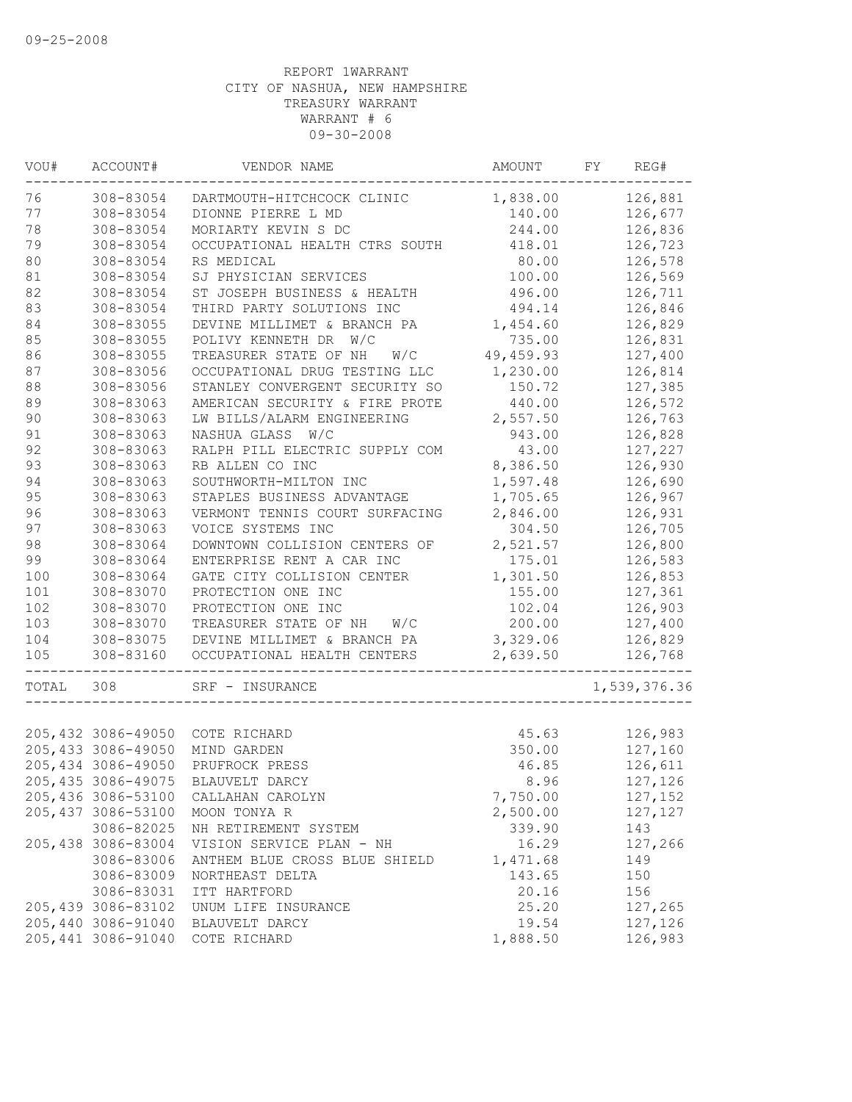| VOU#  | ACCOUNT#            | VENDOR NAME                    | AMOUNT     | FY | REG#         |
|-------|---------------------|--------------------------------|------------|----|--------------|
| 76    | 308-83054           | DARTMOUTH-HITCHCOCK CLINIC     | 1,838.00   |    | 126,881      |
| 77    | 308-83054           | DIONNE PIERRE L MD             | 140.00     |    | 126,677      |
| 78    | 308-83054           | MORIARTY KEVIN S DC            | 244.00     |    | 126,836      |
| 79    | 308-83054           | OCCUPATIONAL HEALTH CTRS SOUTH | 418.01     |    | 126,723      |
| 80    | 308-83054           | RS MEDICAL                     | 80.00      |    | 126,578      |
| 81    | 308-83054           | SJ PHYSICIAN SERVICES          | 100.00     |    | 126,569      |
| 82    | 308-83054           | ST JOSEPH BUSINESS & HEALTH    | 496.00     |    | 126,711      |
| 83    | 308-83054           | THIRD PARTY SOLUTIONS INC      | 494.14     |    | 126,846      |
| 84    | 308-83055           | DEVINE MILLIMET & BRANCH PA    | 1,454.60   |    | 126,829      |
| 85    | 308-83055           | POLIVY KENNETH DR<br>W/C       | 735.00     |    | 126,831      |
| 86    | 308-83055           | TREASURER STATE OF NH<br>W/C   | 49, 459.93 |    | 127,400      |
| 87    | 308-83056           | OCCUPATIONAL DRUG TESTING LLC  | 1,230.00   |    | 126,814      |
| 88    | 308-83056           | STANLEY CONVERGENT SECURITY SO | 150.72     |    | 127,385      |
| 89    | 308-83063           | AMERICAN SECURITY & FIRE PROTE | 440.00     |    | 126,572      |
| 90    | 308-83063           | LW BILLS/ALARM ENGINEERING     | 2,557.50   |    | 126,763      |
| 91    | 308-83063           | NASHUA GLASS W/C               | 943.00     |    | 126,828      |
| 92    | 308-83063           | RALPH PILL ELECTRIC SUPPLY COM | 43.00      |    | 127,227      |
| 93    | 308-83063           | RB ALLEN CO INC                | 8,386.50   |    | 126,930      |
| 94    | 308-83063           | SOUTHWORTH-MILTON INC          | 1,597.48   |    | 126,690      |
| 95    | 308-83063           | STAPLES BUSINESS ADVANTAGE     | 1,705.65   |    | 126,967      |
| 96    | 308-83063           | VERMONT TENNIS COURT SURFACING | 2,846.00   |    | 126,931      |
| 97    | 308-83063           | VOICE SYSTEMS INC              | 304.50     |    | 126,705      |
| 98    | 308-83064           | DOWNTOWN COLLISION CENTERS OF  | 2,521.57   |    | 126,800      |
| 99    | 308-83064           | ENTERPRISE RENT A CAR INC      | 175.01     |    | 126,583      |
| 100   | 308-83064           | GATE CITY COLLISION CENTER     | 1,301.50   |    | 126,853      |
| 101   | 308-83070           | PROTECTION ONE INC             | 155.00     |    | 127,361      |
| 102   | 308-83070           | PROTECTION ONE INC             | 102.04     |    | 126,903      |
| 103   | 308-83070           | TREASURER STATE OF NH<br>W/C   | 200.00     |    | 127,400      |
| 104   | 308-83075           | DEVINE MILLIMET & BRANCH PA    | 3,329.06   |    | 126,829      |
| 105   | 308-83160           | OCCUPATIONAL HEALTH CENTERS    | 2,639.50   |    | 126,768      |
|       |                     |                                |            |    |              |
| TOTAL | 308                 | SRF - INSURANCE                |            |    | 1,539,376.36 |
|       |                     |                                |            |    |              |
|       | 205,432 3086-49050  | COTE RICHARD                   | 45.63      |    | 126,983      |
|       | 205, 433 3086-49050 | MIND GARDEN                    | 350.00     |    | 127,160      |
|       | 205,434 3086-49050  | PRUFROCK PRESS                 | 46.85      |    | 126,611      |
|       | 205, 435 3086-49075 | BLAUVELT DARCY                 | 8.96       |    | 127,126      |
|       | 205,436 3086-53100  | CALLAHAN CAROLYN               | 7,750.00   |    | 127,152      |
|       | 205, 437 3086-53100 | MOON TONYA R                   | 2,500.00   |    | 127,127      |
|       | 3086-82025          | NH RETIREMENT SYSTEM           | 339.90     |    | 143          |
|       | 205,438 3086-83004  | VISION SERVICE PLAN - NH       | 16.29      |    | 127,266      |
|       | 3086-83006          | ANTHEM BLUE CROSS BLUE SHIELD  | 1,471.68   |    | 149          |
|       | 3086-83009          | NORTHEAST DELTA                | 143.65     |    | 150          |
|       | 3086-83031          | ITT HARTFORD                   | 20.16      |    | 156          |
|       | 205,439 3086-83102  | UNUM LIFE INSURANCE            | 25.20      |    | 127,265      |
|       | 205,440 3086-91040  | BLAUVELT DARCY                 | 19.54      |    | 127,126      |
|       | 205,441 3086-91040  | COTE RICHARD                   | 1,888.50   |    | 126,983      |
|       |                     |                                |            |    |              |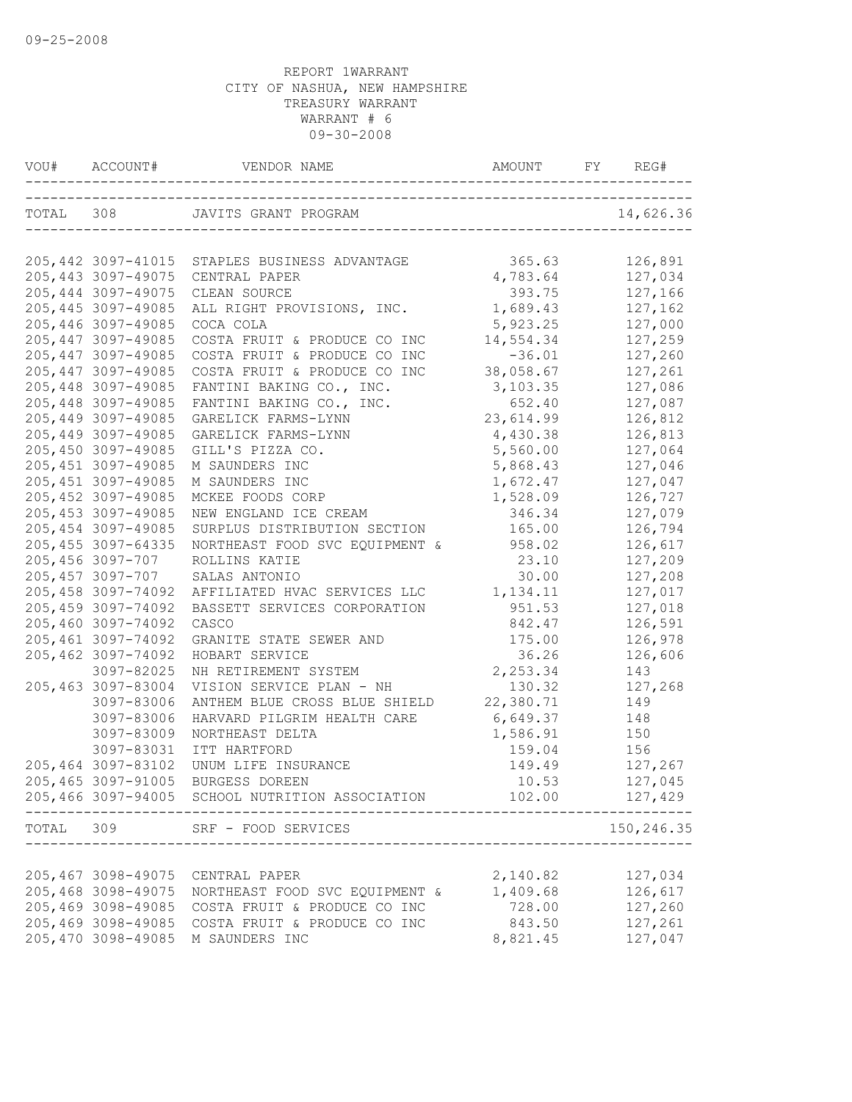|       |                     | VOU# ACCOUNT# VENDOR NAME AMOUNT FY REG         |           | REG#       |
|-------|---------------------|-------------------------------------------------|-----------|------------|
|       |                     |                                                 |           | 14,626.36  |
|       |                     |                                                 |           |            |
|       |                     | 205,442 3097-41015 STAPLES BUSINESS ADVANTAGE   | 365.63    | 126,891    |
|       | 205, 443 3097-49075 | CENTRAL PAPER                                   | 4,783.64  | 127,034    |
|       | 205, 444 3097-49075 | CLEAN SOURCE                                    | 393.75    | 127,166    |
|       | 205, 445 3097-49085 | ALL RIGHT PROVISIONS, INC.                      | 1,689.43  | 127,162    |
|       | 205,446 3097-49085  | COCA COLA                                       | 5,923.25  | 127,000    |
|       | 205, 447 3097-49085 | COSTA FRUIT & PRODUCE CO INC                    | 14,554.34 | 127,259    |
|       | 205, 447 3097-49085 | COSTA FRUIT & PRODUCE CO INC                    | $-36.01$  | 127,260    |
|       | 205, 447 3097-49085 | COSTA FRUIT & PRODUCE CO INC                    | 38,058.67 | 127,261    |
|       | 205,448 3097-49085  | FANTINI BAKING CO., INC.                        | 3,103.35  | 127,086    |
|       | 205,448 3097-49085  | FANTINI BAKING CO., INC.                        | 652.40    | 127,087    |
|       | 205,449 3097-49085  | GARELICK FARMS-LYNN                             | 23,614.99 | 126,812    |
|       | 205, 449 3097-49085 | GARELICK FARMS-LYNN                             | 4,430.38  | 126,813    |
|       | 205,450 3097-49085  | GILL'S PIZZA CO.                                | 5,560.00  | 127,064    |
|       | 205, 451 3097-49085 | M SAUNDERS INC                                  | 5,868.43  | 127,046    |
|       | 205, 451 3097-49085 | M SAUNDERS INC                                  | 1,672.47  | 127,047    |
|       | 205, 452 3097-49085 | MCKEE FOODS CORP                                | 1,528.09  | 126,727    |
|       | 205, 453 3097-49085 | NEW ENGLAND ICE CREAM                           | 346.34    | 127,079    |
|       | 205, 454 3097-49085 | SURPLUS DISTRIBUTION SECTION                    | 165.00    | 126,794    |
|       | 205, 455 3097-64335 | NORTHEAST FOOD SVC EQUIPMENT &                  | 958.02    | 126,617    |
|       | 205,456 3097-707    | ROLLINS KATIE                                   | 23.10     | 127,209    |
|       | 205,457 3097-707    | SALAS ANTONIO                                   | 30.00     | 127,208    |
|       | 205,458 3097-74092  | AFFILIATED HVAC SERVICES LLC                    | 1,134.11  | 127,017    |
|       | 205,459 3097-74092  | BASSETT SERVICES CORPORATION                    | 951.53    | 127,018    |
|       | 205,460 3097-74092  | CASCO                                           | 842.47    | 126,591    |
|       | 205, 461 3097-74092 | GRANITE STATE SEWER AND                         | 175.00    | 126,978    |
|       | 205, 462 3097-74092 | HOBART SERVICE                                  | 36.26     | 126,606    |
|       | 3097-82025          | NH RETIREMENT SYSTEM                            | 2,253.34  | 143        |
|       | 205,463 3097-83004  | VISION SERVICE PLAN - NH                        | 130.32    | 127,268    |
|       | 3097-83006          | ANTHEM BLUE CROSS BLUE SHIELD                   | 22,380.71 | 149        |
|       | 3097-83006          | HARVARD PILGRIM HEALTH CARE                     | 6,649.37  | 148        |
|       | 3097-83009          | NORTHEAST DELTA                                 | 1,586.91  | 150        |
|       | 3097-83031          | ITT HARTFORD                                    | 159.04    | 156        |
|       | 205,464 3097-83102  | UNUM LIFE INSURANCE                             | 149.49    | 127,267    |
|       | 205,465 3097-91005  | <b>BURGESS DOREEN</b>                           | 10.53     | 127,045    |
|       |                     | 205,466 3097-94005 SCHOOL NUTRITION ASSOCIATION | 102.00    | 127,429    |
| TOTAL |                     | 309 SRF - FOOD SERVICES                         |           | 150,246.35 |
|       |                     |                                                 |           |            |
|       | 205,467 3098-49075  | CENTRAL PAPER                                   | 2,140.82  | 127,034    |
|       | 205,468 3098-49075  | NORTHEAST FOOD SVC EQUIPMENT &                  | 1,409.68  | 126,617    |
|       | 205,469 3098-49085  | COSTA FRUIT & PRODUCE CO INC                    | 728.00    | 127,260    |
|       | 205,469 3098-49085  | COSTA FRUIT & PRODUCE CO INC                    | 843.50    | 127,261    |
|       | 205,470 3098-49085  | M SAUNDERS INC                                  | 8,821.45  | 127,047    |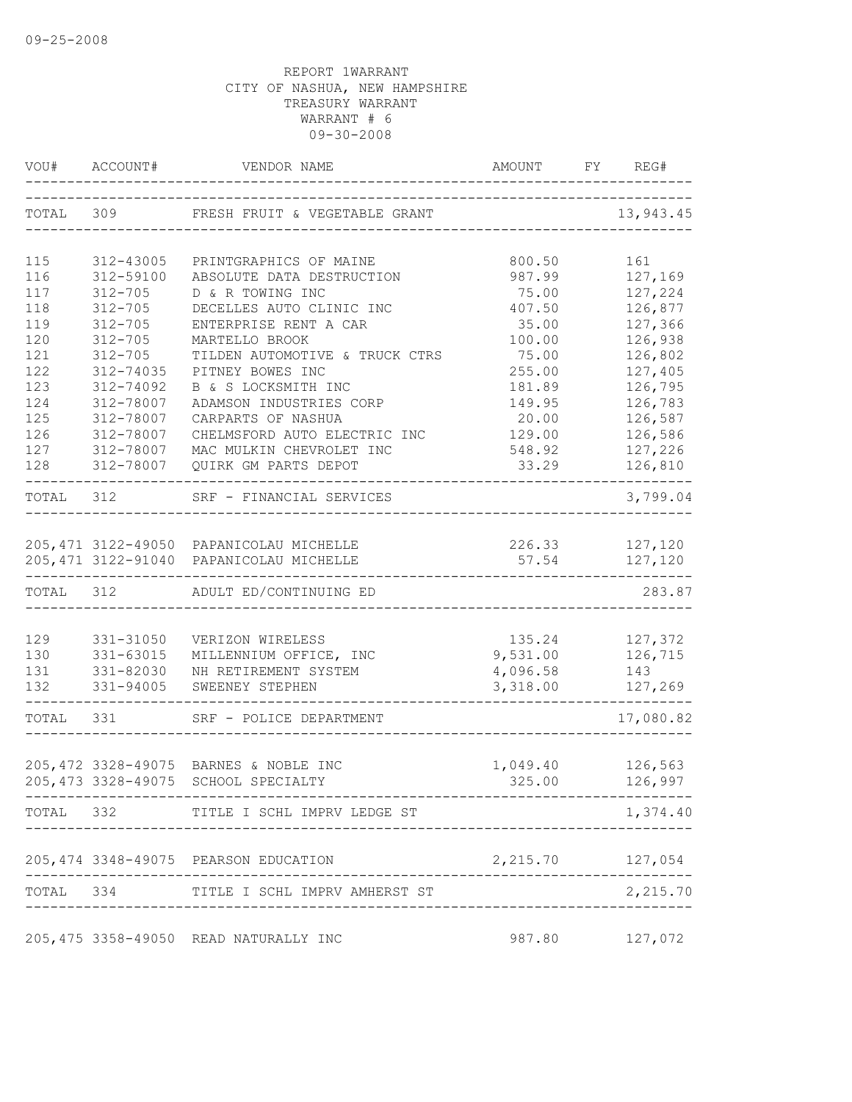|            | VOU# ACCOUNT#          | VENDOR NAME                                                                    | AMOUNT             | FY REG#            |
|------------|------------------------|--------------------------------------------------------------------------------|--------------------|--------------------|
|            |                        | TOTAL 309 FRESH FRUIT & VEGETABLE GRANT                                        |                    | 13,943.45          |
| 115        | 312-43005              | PRINTGRAPHICS OF MAINE                                                         | 800.50             | 161                |
| 116        | 312-59100              | ABSOLUTE DATA DESTRUCTION                                                      | 987.99             | 127,169            |
| 117        | $312 - 705$            | D & R TOWING INC                                                               | 75.00              | 127,224            |
| 118        | $312 - 705$            | DECELLES AUTO CLINIC INC                                                       | 407.50             | 126,877            |
| 119        | $312 - 705$            | ENTERPRISE RENT A CAR                                                          | 35.00              | 127,366            |
| 120        | $312 - 705$            | MARTELLO BROOK                                                                 | 100.00             | 126,938            |
| 121        | $312 - 705$            | TILDEN AUTOMOTIVE & TRUCK CTRS                                                 | 75.00              | 126,802            |
| 122        | 312-74035              | PITNEY BOWES INC                                                               | 255.00             | 127,405            |
| 123        | 312-74092              | B & S LOCKSMITH INC                                                            | 181.89             | 126,795            |
| 124<br>125 | 312-78007              | ADAMSON INDUSTRIES CORP                                                        | 149.95<br>20.00    | 126,783<br>126,587 |
| 126        | 312-78007<br>312-78007 | CARPARTS OF NASHUA<br>CHELMSFORD AUTO ELECTRIC INC                             | 129.00             | 126,586            |
| 127        | 312-78007              | MAC MULKIN CHEVROLET INC                                                       | 548.92             | 127,226            |
| 128        | 312-78007              | QUIRK GM PARTS DEPOT                                                           | 33.29              | 126,810            |
| TOTAL 312  |                        | SRF - FINANCIAL SERVICES                                                       |                    | 3,799.04           |
|            |                        | 205, 471 3122-49050 PAPANICOLAU MICHELLE                                       | 226.33 127,120     |                    |
|            |                        | 205, 471 3122-91040 PAPANICOLAU MICHELLE                                       | 57.54              | 127,120            |
| TOTAL 312  |                        | ADULT ED/CONTINUING ED                                                         |                    | 283.87             |
| 129        | 331-31050              | VERIZON WIRELESS                                                               |                    | 135.24 127,372     |
| 130        | 331-63015              | MILLENNIUM OFFICE, INC                                                         | 9,531.00 126,715   |                    |
| 131        | 331-82030              | NH RETIREMENT SYSTEM                                                           | 4,096.58           | 143                |
| 132        | 331-94005              | SWEENEY STEPHEN                                                                | 3,318.00           | 127,269            |
| TOTAL 331  |                        | SRF - POLICE DEPARTMENT                                                        |                    | 17,080.82          |
|            |                        | 205, 472 3328-49075 BARNES & NOBLE INC<br>205, 473 3328-49075 SCHOOL SPECIALTY | 1,049.40<br>325.00 | 126,563<br>126,997 |
|            |                        | TOTAL 332 TITLE I SCHL IMPRV LEDGE ST                                          |                    | 1,374.40           |
|            |                        | 205, 474 3348-49075 PEARSON EDUCATION                                          | 2, 215.70 127, 054 |                    |
|            |                        | TOTAL 334 TITLE I SCHL IMPRV AMHERST ST                                        |                    | 2,215.70           |
|            |                        |                                                                                |                    |                    |
|            |                        | 205,475 3358-49050 READ NATURALLY INC                                          |                    | 987.80 127,072     |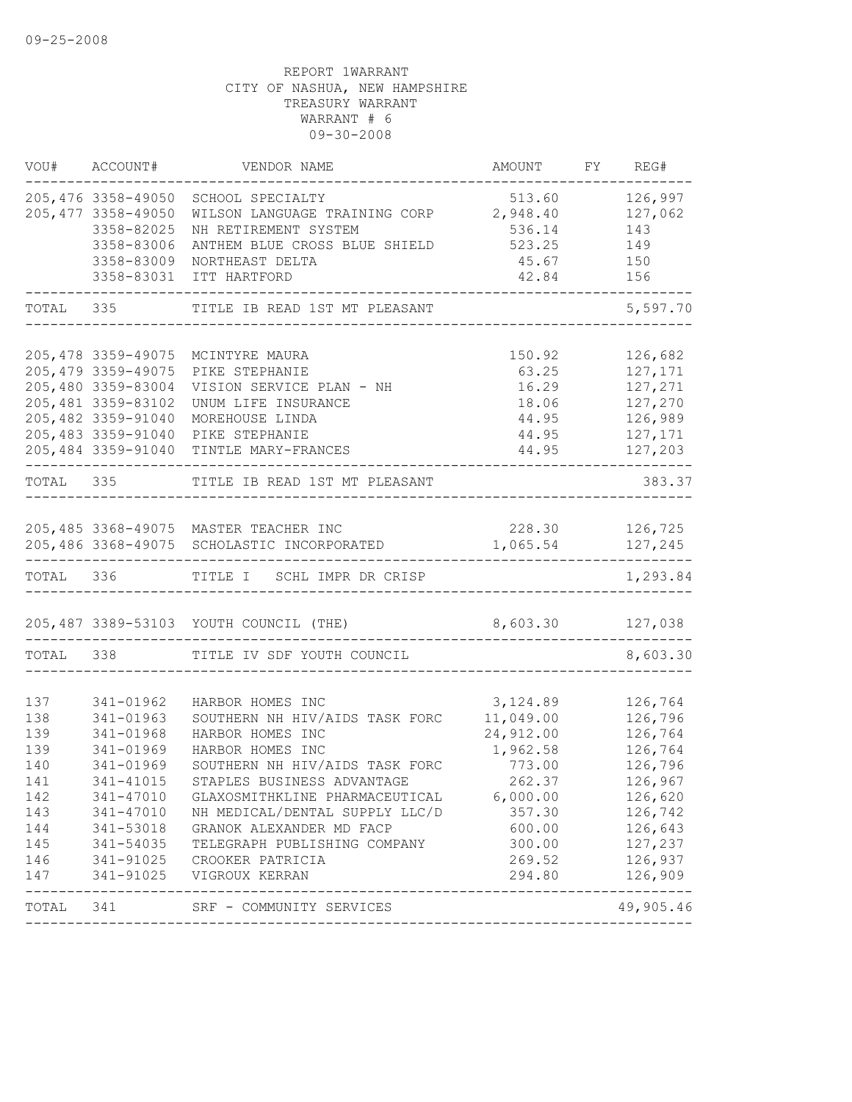|            | VOU# ACCOUNT#          | VENDOR NAME                                        | AMOUNT                 | FY REG#                     |
|------------|------------------------|----------------------------------------------------|------------------------|-----------------------------|
|            | 205,476 3358-49050     | SCHOOL SPECIALTY                                   | 513.60                 | 126,997                     |
|            | 205, 477 3358-49050    | WILSON LANGUAGE TRAINING CORP 2,948.40             |                        | 127,062                     |
|            | 3358-82025             | NH RETIREMENT SYSTEM                               | 536.14                 | 143                         |
|            | 3358-83006             | ANTHEM BLUE CROSS BLUE SHIELD                      | 523.25                 | 149                         |
|            | 3358-83009             | NORTHEAST DELTA                                    | 45.67 150              |                             |
|            | 3358-83031             | ITT HARTFORD                                       | 42.84                  | 156                         |
| TOTAL 335  |                        | TITLE IB READ 1ST MT PLEASANT                      |                        | 5,597.70                    |
|            |                        | 205,478 3359-49075 MCINTYRE MAURA                  |                        |                             |
|            | 205, 479 3359-49075    | PIKE STEPHANIE                                     | 150.92                 | 126,682<br>127,171          |
|            | 205,480 3359-83004     | VISION SERVICE PLAN - NH                           | 63.25                  | 127,271                     |
|            | 205,481 3359-83102     | UNUM LIFE INSURANCE                                | 16.29<br>18.06         | 127,270                     |
|            | 205,482 3359-91040     | MOREHOUSE LINDA                                    | 44.95                  | 126,989                     |
|            | 205,483 3359-91040     | PIKE STEPHANIE                                     | 44.95                  | 127,171                     |
|            |                        | 205,484 3359-91040 TINTLE MARY-FRANCES             | 44.95                  | 127,203                     |
| TOTAL 335  |                        | TITLE IB READ 1ST MT PLEASANT                      |                        | 383.37                      |
|            |                        |                                                    |                        |                             |
|            |                        | 205,485 3368-49075 MASTER TEACHER INC              |                        | 228.30 126,725              |
|            |                        | 205,486 3368-49075 SCHOLASTIC INCORPORATED         | 1,065.54 127,245       |                             |
|            |                        | TOTAL 336 TITLE I SCHL IMPR DR CRISP               |                        | -------<br>1,293.84         |
|            |                        |                                                    |                        |                             |
|            |                        | 205,487 3389-53103 YOUTH COUNCIL (THE)             | 8,603.30 127,038       |                             |
|            |                        | TOTAL 338 TITLE IV SDF YOUTH COUNCIL               |                        | 8,603.30                    |
|            |                        |                                                    |                        |                             |
| 137        | 341-01962              | HARBOR HOMES INC                                   | 3,124.89               | 126,764                     |
| 138<br>139 | 341-01963<br>341-01968 | SOUTHERN NH HIV/AIDS TASK FORC<br>HARBOR HOMES INC | 11,049.00<br>24,912.00 | 126,796<br>126,764          |
| 139        | 341-01969              | HARBOR HOMES INC                                   | 1,962.58               | 126,764                     |
| 140        | 341-01969              | SOUTHERN NH HIV/AIDS TASK FORC                     | 773.00                 | 126,796                     |
| 141        | 341-41015              | STAPLES BUSINESS ADVANTAGE                         | 262.37                 | 126,967                     |
| 142        | 341-47010              | GLAXOSMITHKLINE PHARMACEUTICAL                     | 6,000.00               | 126,620                     |
|            | 143 341-47010          | NH MEDICAL/DENTAL SUPPLY LLC/D                     | 357.30                 | 126,742                     |
| 144        | 341-53018              | GRANOK ALEXANDER MD FACP                           | 600.00                 | 126,643                     |
| 145        | 341-54035              | TELEGRAPH PUBLISHING COMPANY                       | 300.00                 | 127,237                     |
| 146        |                        | 341-91025 CROOKER PATRICIA                         | 269.52                 | 126,937                     |
| 147        | 341-91025              | VIGROUX KERRAN                                     | 294.80                 | 126,909                     |
|            |                        | TOTAL 341 SRF - COMMUNITY SERVICES                 |                        | --------------<br>49,905.46 |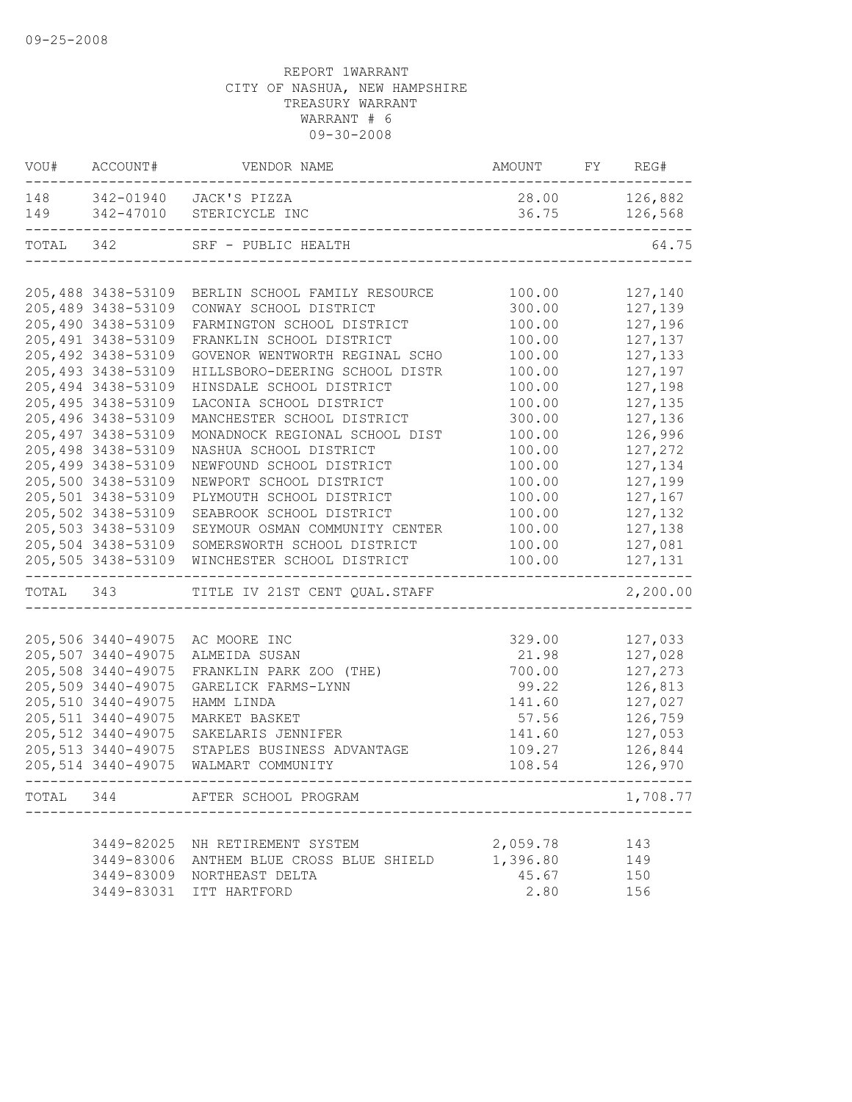|              | VOU# ACCOUNT#       | VENDOR NAME                                      | AMOUNT FY REG# |                     |
|--------------|---------------------|--------------------------------------------------|----------------|---------------------|
|              |                     | 148 342-01940 JACK'S PIZZA                       | 28.00          | 126,882             |
| 149          |                     | 342-47010 STERICYCLE INC                         | 36.75          | 126,568             |
| TOTAL 342    |                     | SRF - PUBLIC HEALTH                              |                | 64.75               |
|              |                     |                                                  |                |                     |
|              | 205,488 3438-53109  | BERLIN SCHOOL FAMILY RESOURCE                    | 100.00         | 127,140             |
|              | 205,489 3438-53109  | CONWAY SCHOOL DISTRICT                           | 300.00         | 127,139             |
|              | 205,490 3438-53109  | FARMINGTON SCHOOL DISTRICT                       | 100.00         | 127,196             |
|              | 205, 491 3438-53109 | FRANKLIN SCHOOL DISTRICT                         | 100.00         | 127,137             |
|              | 205,492 3438-53109  | GOVENOR WENTWORTH REGINAL SCHO                   | 100.00         | 127,133             |
|              | 205, 493 3438-53109 | HILLSBORO-DEERING SCHOOL DISTR                   | 100.00         | 127,197             |
|              | 205,494 3438-53109  | HINSDALE SCHOOL DISTRICT                         | 100.00         | 127,198             |
|              | 205,495 3438-53109  | LACONIA SCHOOL DISTRICT                          | 100.00         | 127,135             |
|              | 205,496 3438-53109  | MANCHESTER SCHOOL DISTRICT                       | 300.00         | 127,136             |
|              | 205,497 3438-53109  | MONADNOCK REGIONAL SCHOOL DIST                   | 100.00         | 126,996             |
|              | 205,498 3438-53109  | NASHUA SCHOOL DISTRICT                           | 100.00         | 127,272             |
|              | 205,499 3438-53109  | NEWFOUND SCHOOL DISTRICT                         | 100.00         | 127,134             |
|              | 205,500 3438-53109  | NEWPORT SCHOOL DISTRICT                          | 100.00         | 127,199             |
|              | 205,501 3438-53109  | PLYMOUTH SCHOOL DISTRICT                         | 100.00         | 127,167             |
|              | 205,502 3438-53109  | SEABROOK SCHOOL DISTRICT                         | 100.00         | 127,132             |
|              | 205,503 3438-53109  | SEYMOUR OSMAN COMMUNITY CENTER                   | 100.00         | 127,138             |
|              | 205,504 3438-53109  | SOMERSWORTH SCHOOL DISTRICT                      | 100.00         | 127,081             |
|              | 205,505 3438-53109  | WINCHESTER SCHOOL DISTRICT                       | 100.00         | 127,131             |
| TOTAL 343    |                     | TITLE IV 21ST CENT QUAL.STAFF                    |                | 2,200.00            |
|              |                     |                                                  |                |                     |
|              | 205,506 3440-49075  | AC MOORE INC                                     | 329.00         | 127,033             |
|              | 205,507 3440-49075  | ALMEIDA SUSAN                                    | 21.98          | 127,028             |
|              | 205,508 3440-49075  | FRANKLIN PARK ZOO (THE)                          | 700.00         | 127,273             |
|              | 205,509 3440-49075  | GARELICK FARMS-LYNN                              | 99.22          | 126,813             |
|              | 205,510 3440-49075  | HAMM LINDA                                       | 141.60         | 127,027             |
|              | 205, 511 3440-49075 | MARKET BASKET                                    | 57.56          | 126,759             |
|              | 205, 512 3440-49075 | SAKELARIS JENNIFER                               | 141.60         | 127,053             |
|              | 205, 513 3440-49075 | STAPLES BUSINESS ADVANTAGE                       | 109.27         | 126,844             |
|              | 205, 514 3440-49075 | WALMART COMMUNITY                                | 108.54         | 126,970             |
| ------------ |                     | --------------<br>TOTAL 344 AFTER SCHOOL PROGRAM |                | - - - -<br>1,708.77 |
|              |                     |                                                  |                |                     |
|              | 3449-82025          | NH RETIREMENT SYSTEM                             | 2,059.78       | 143                 |
|              | 3449-83006          | ANTHEM BLUE CROSS BLUE SHIELD                    | 1,396.80       | 149                 |
|              |                     | 3449-83009 NORTHEAST DELTA                       | 45.67          | 150                 |
|              |                     | 3449-83031 ITT HARTFORD                          | 2.80           | 156                 |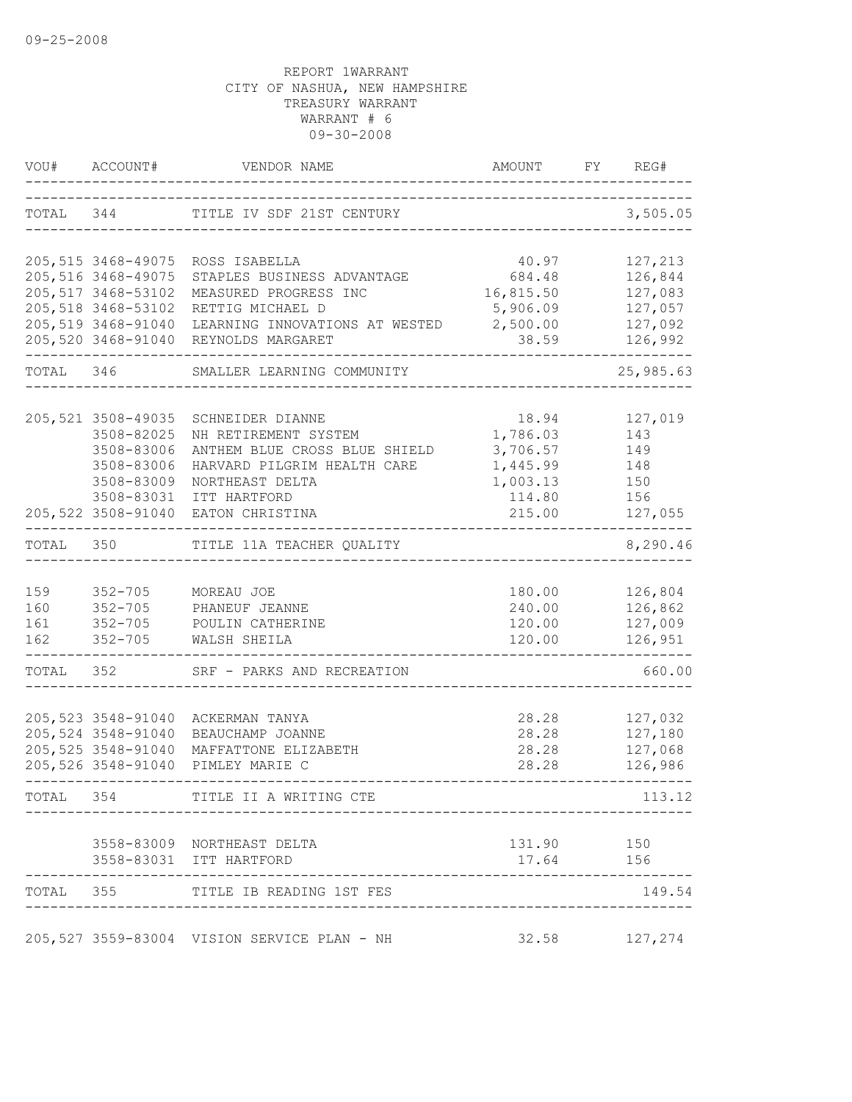|                          | VOU# ACCOUNT#                                                                            | VENDOR NAME                                                                                                                                                                           | AMOUNT                                                                    | FY | REG#                                                           |
|--------------------------|------------------------------------------------------------------------------------------|---------------------------------------------------------------------------------------------------------------------------------------------------------------------------------------|---------------------------------------------------------------------------|----|----------------------------------------------------------------|
|                          |                                                                                          | TOTAL 344 TITLE IV SDF 21ST CENTURY                                                                                                                                                   |                                                                           |    | 3,505.05                                                       |
|                          | 205, 516 3468-49075<br>205, 517 3468-53102<br>205,518 3468-53102<br>205,519 3468-91040   | 205,515 3468-49075 ROSS ISABELLA<br>STAPLES BUSINESS ADVANTAGE<br>MEASURED PROGRESS INC<br>RETTIG MICHAEL D<br>LEARNING INNOVATIONS AT WESTED<br>205,520 3468-91040 REYNOLDS MARGARET | 40.97<br>684.48<br>16,815.50<br>5,906.09<br>2,500.00<br>38.59             |    | 127,213<br>126,844<br>127,083<br>127,057<br>127,092<br>126,992 |
| TOTAL 346                |                                                                                          | SMALLER LEARNING COMMUNITY                                                                                                                                                            |                                                                           |    | 25,985.63                                                      |
|                          | 205,521 3508-49035<br>3508-82025<br>3508-83006<br>3508-83006<br>3508-83009<br>3508-83031 | SCHNEIDER DIANNE<br>NH RETIREMENT SYSTEM<br>ANTHEM BLUE CROSS BLUE SHIELD<br>HARVARD PILGRIM HEALTH CARE<br>NORTHEAST DELTA<br>ITT HARTFORD<br>205,522 3508-91040 EATON CHRISTINA     | 18.94<br>1,786.03<br>3,706.57<br>1,445.99<br>1,003.13<br>114.80<br>215.00 |    | 127,019<br>143<br>149<br>148<br>150<br>156<br>127,055          |
| TOTAL                    | 350                                                                                      | ---------------<br>TITLE 11A TEACHER QUALITY                                                                                                                                          |                                                                           |    | 8,290.46                                                       |
| 159<br>160<br>161<br>162 | $352 - 705$<br>$352 - 705$<br>$352 - 705$                                                | MOREAU JOE<br>PHANEUF JEANNE<br>352-705 POULIN CATHERINE<br>WALSH SHEILA                                                                                                              | 180.00<br>240.00<br>120.00<br>120.00                                      |    | 126,804<br>126,862<br>127,009<br>126,951                       |
| TOTAL 352                |                                                                                          | SRF - PARKS AND RECREATION                                                                                                                                                            |                                                                           |    | 660.00                                                         |
|                          | 205,523 3548-91040<br>205,524 3548-91040<br>205, 525 3548-91040<br>205,526 3548-91040    | ACKERMAN TANYA<br>BEAUCHAMP JOANNE<br>MAFFATTONE ELIZABETH<br>PIMLEY MARIE C                                                                                                          | 28.28<br>28.28<br>28.28<br>28.28                                          |    | 127,032<br>127,180<br>127,068<br>126,986                       |
| TOTAL 354                |                                                                                          | TITLE II A WRITING CTE                                                                                                                                                                |                                                                           |    | --------<br>113.12                                             |
|                          |                                                                                          | 3558-83009 NORTHEAST DELTA<br>3558-83031 ITT HARTFORD                                                                                                                                 | 131.90<br>17.64 156                                                       |    | 150                                                            |
|                          |                                                                                          | TOTAL 355 TITLE IB READING 1ST FES                                                                                                                                                    |                                                                           |    | 149.54                                                         |
|                          |                                                                                          | 205,527 3559-83004 VISION SERVICE PLAN - NH                                                                                                                                           | 32.58 127,274                                                             |    |                                                                |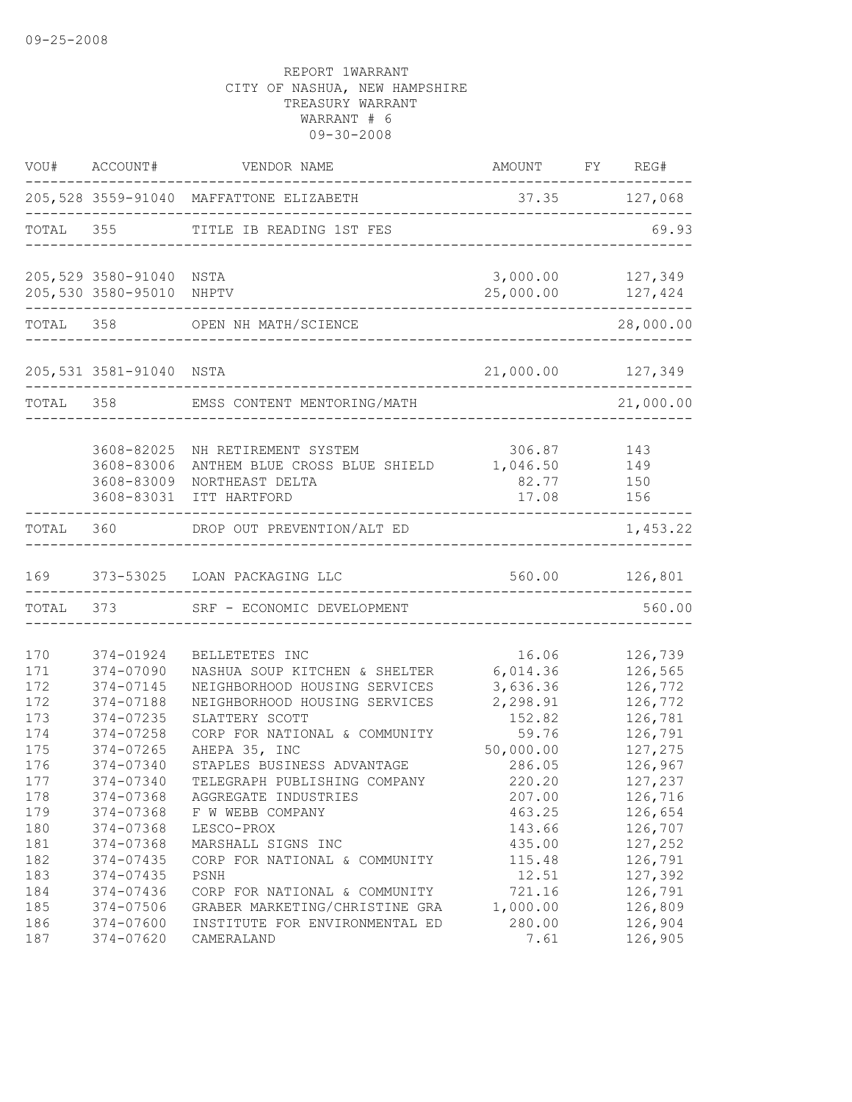| VOU#                     | ACCOUNT#                                             | VENDOR NAME                                                                                               | AMOUNT                                   | FY REG#                                  |
|--------------------------|------------------------------------------------------|-----------------------------------------------------------------------------------------------------------|------------------------------------------|------------------------------------------|
|                          |                                                      | 205,528 3559-91040 MAFFATTONE ELIZABETH                                                                   |                                          | 37.35 127,068                            |
| TOTAL                    | 355                                                  | TITLE IB READING 1ST FES                                                                                  |                                          | 69.93                                    |
|                          | 205,529 3580-91040 NSTA<br>205,530 3580-95010 NHPTV  |                                                                                                           | 3,000.00<br>25,000.00                    | 127,349<br>127,424                       |
| TOTAL 358                |                                                      | OPEN NH MATH/SCIENCE                                                                                      |                                          | 28,000.00                                |
|                          | 205,531 3581-91040 NSTA                              |                                                                                                           | 21,000.00 127,349                        |                                          |
| TOTAL                    | 358                                                  | EMSS CONTENT MENTORING/MATH                                                                               |                                          | 21,000.00                                |
|                          | 3608-82025<br>3608-83006<br>3608-83009<br>3608-83031 | NH RETIREMENT SYSTEM<br>ANTHEM BLUE CROSS BLUE SHIELD<br>NORTHEAST DELTA<br>ITT HARTFORD                  | 306.87<br>1,046.50<br>82.77<br>17.08     | 143<br>149<br>150<br>156                 |
| TOTAL                    | 360                                                  | DROP OUT PREVENTION/ALT ED                                                                                |                                          | 1,453.22                                 |
| 169                      |                                                      | 373-53025 LOAN PACKAGING LLC                                                                              |                                          | 560.00 126,801                           |
| TOTAL 373                |                                                      | SRF - ECONOMIC DEVELOPMENT                                                                                |                                          | 560.00                                   |
| 170<br>171<br>172        | 374-01924<br>374-07090<br>374-07145                  | BELLETETES INC<br>NASHUA SOUP KITCHEN & SHELTER<br>NEIGHBORHOOD HOUSING SERVICES                          | 16.06<br>6,014.36<br>3,636.36            | 126,739<br>126,565<br>126,772            |
| 172<br>173<br>174<br>175 | 374-07188<br>374-07235<br>374-07258<br>374-07265     | NEIGHBORHOOD HOUSING SERVICES<br>SLATTERY SCOTT<br>CORP FOR NATIONAL & COMMUNITY<br>AHEPA 35, INC         | 2,298.91<br>152.82<br>59.76<br>50,000.00 | 126,772<br>126,781<br>126,791<br>127,275 |
| 176<br>177<br>178<br>179 | 374-07340<br>374-07340<br>374-07368<br>374-07368     | STAPLES BUSINESS ADVANTAGE<br>TELEGRAPH PUBLISHING COMPANY<br>AGGREGATE INDUSTRIES<br>F W WEBB COMPANY    | 286.05<br>220.20<br>207.00<br>463.25     | 126,967<br>127,237<br>126,716<br>126,654 |
| 180<br>181<br>182        | 374-07368<br>374-07368<br>374-07435                  | LESCO-PROX<br>MARSHALL SIGNS INC<br>CORP FOR NATIONAL & COMMUNITY                                         | 143.66<br>435.00<br>115.48               | 126,707<br>127,252<br>126,791            |
| 183<br>184<br>185<br>186 | 374-07435<br>374-07436<br>374-07506<br>374-07600     | PSNH<br>CORP FOR NATIONAL & COMMUNITY<br>GRABER MARKETING/CHRISTINE GRA<br>INSTITUTE FOR ENVIRONMENTAL ED | 12.51<br>721.16<br>1,000.00<br>280.00    | 127,392<br>126,791<br>126,809<br>126,904 |
| 187                      | 374-07620                                            | CAMERALAND                                                                                                | 7.61                                     | 126,905                                  |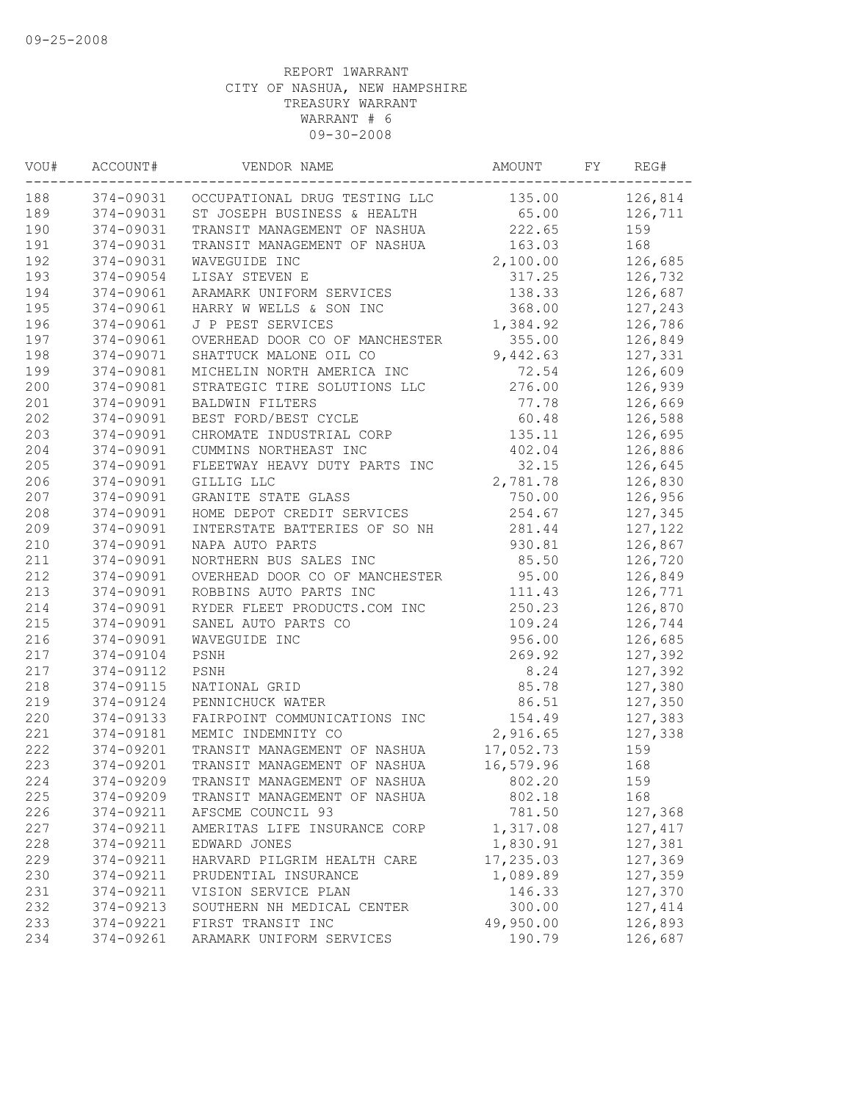| 374-09031 OCCUPATIONAL DRUG TESTING LLC<br>135.00<br>374-09031<br>65.00<br>126,711<br>ST JOSEPH BUSINESS & HEALTH<br>190<br>222.65<br>374-09031<br>TRANSIT MANAGEMENT OF NASHUA<br>159<br>191<br>374-09031<br>TRANSIT MANAGEMENT OF NASHUA<br>163.03<br>168<br>192<br>374-09031<br>2,100.00<br>126,685<br>WAVEGUIDE INC<br>193<br>374-09054<br>LISAY STEVEN E<br>317.25<br>126,732<br>194<br>374-09061<br>ARAMARK UNIFORM SERVICES<br>138.33<br>126,687<br>195<br>374-09061<br>HARRY W WELLS & SON INC<br>368.00<br>127,243<br>196<br>374-09061<br>J P PEST SERVICES<br>1,384.92<br>126,786<br>197<br>374-09061<br>OVERHEAD DOOR CO OF MANCHESTER<br>355.00<br>126,849<br>198<br>374-09071<br>SHATTUCK MALONE OIL CO<br>9,442.63<br>127,331<br>199<br>374-09081<br>MICHELIN NORTH AMERICA INC<br>72.54<br>126,609<br>276.00<br>374-09081<br>STRATEGIC TIRE SOLUTIONS LLC<br>126,939<br>374-09091<br>126,669<br>BALDWIN FILTERS<br>77.78<br>60.48<br>374-09091<br>BEST FORD/BEST CYCLE<br>126,588<br>374-09091<br>CHROMATE INDUSTRIAL CORP<br>135.11<br>126,695<br>374-09091<br>CUMMINS NORTHEAST INC<br>402.04<br>126,886<br>32.15<br>374-09091<br>FLEETWAY HEAVY DUTY PARTS INC<br>126,645<br>374-09091<br>2,781.78<br>126,830<br>GILLIG LLC<br>750.00<br>374-09091<br>GRANITE STATE GLASS<br>126,956<br>254.67<br>374-09091<br>HOME DEPOT CREDIT SERVICES<br>127,345<br>374-09091<br>INTERSTATE BATTERIES OF SO NH<br>281.44<br>127,122<br>374-09091<br>930.81<br>NAPA AUTO PARTS<br>126,867<br>NORTHERN BUS SALES INC<br>85.50<br>374-09091<br>126,720<br>374-09091<br>OVERHEAD DOOR CO OF MANCHESTER<br>95.00<br>126,849<br>374-09091<br>ROBBINS AUTO PARTS INC<br>111.43<br>126,771<br>374-09091<br>RYDER FLEET PRODUCTS.COM INC<br>250.23<br>126,870<br>374-09091<br>SANEL AUTO PARTS CO<br>109.24<br>126,744<br>374-09091<br>956.00<br>126,685<br>WAVEGUIDE INC<br>374-09104<br>269.92<br>127,392<br>PSNH<br>374-09112<br>8.24<br>PSNH<br>127,392<br>374-09115<br>85.78<br>NATIONAL GRID<br>127,380<br>86.51<br>374-09124<br>PENNICHUCK WATER<br>127,350<br>374-09133<br>154.49<br>127,383<br>FAIRPOINT COMMUNICATIONS INC<br>2,916.65<br>374-09181<br>MEMIC INDEMNITY CO<br>127,338<br>17,052.73<br>374-09201<br>TRANSIT MANAGEMENT OF NASHUA<br>159<br>374-09201<br>TRANSIT MANAGEMENT OF NASHUA<br>16,579.96<br>168<br>374-09209<br>159<br>TRANSIT MANAGEMENT OF NASHUA<br>802.20<br>374-09209<br>TRANSIT MANAGEMENT OF NASHUA<br>802.18<br>168<br>374-09211<br>AFSCME COUNCIL 93<br>781.50<br>127,368<br>374-09211<br>1,317.08<br>127,417<br>AMERITAS LIFE INSURANCE CORP<br>374-09211<br>1,830.91<br>127,381<br>EDWARD JONES<br>374-09211<br>17,235.03<br>127,369<br>HARVARD PILGRIM HEALTH CARE<br>1,089.89<br>127,359<br>374-09211<br>PRUDENTIAL INSURANCE<br>146.33<br>127,370<br>374-09211<br>VISION SERVICE PLAN<br>374-09213<br>300.00<br>127,414<br>SOUTHERN NH MEDICAL CENTER<br>374-09221<br>49,950.00<br>126,893<br>FIRST TRANSIT INC<br>126,687<br>374-09261<br>ARAMARK UNIFORM SERVICES<br>190.79 | WOU# | ACCOUNT# | VENDOR NAME | AMOUNT | FY | REG#    |
|---------------------------------------------------------------------------------------------------------------------------------------------------------------------------------------------------------------------------------------------------------------------------------------------------------------------------------------------------------------------------------------------------------------------------------------------------------------------------------------------------------------------------------------------------------------------------------------------------------------------------------------------------------------------------------------------------------------------------------------------------------------------------------------------------------------------------------------------------------------------------------------------------------------------------------------------------------------------------------------------------------------------------------------------------------------------------------------------------------------------------------------------------------------------------------------------------------------------------------------------------------------------------------------------------------------------------------------------------------------------------------------------------------------------------------------------------------------------------------------------------------------------------------------------------------------------------------------------------------------------------------------------------------------------------------------------------------------------------------------------------------------------------------------------------------------------------------------------------------------------------------------------------------------------------------------------------------------------------------------------------------------------------------------------------------------------------------------------------------------------------------------------------------------------------------------------------------------------------------------------------------------------------------------------------------------------------------------------------------------------------------------------------------------------------------------------------------------------------------------------------------------------------------------------------------------------------------------------------------------------------------------------------------------------------------------------------------------------------------------------------------------------------------------------------------------------------------------------------------------------------------------------------------------------------------------------------------------------------------------------------------------------------|------|----------|-------------|--------|----|---------|
|                                                                                                                                                                                                                                                                                                                                                                                                                                                                                                                                                                                                                                                                                                                                                                                                                                                                                                                                                                                                                                                                                                                                                                                                                                                                                                                                                                                                                                                                                                                                                                                                                                                                                                                                                                                                                                                                                                                                                                                                                                                                                                                                                                                                                                                                                                                                                                                                                                                                                                                                                                                                                                                                                                                                                                                                                                                                                                                                                                                                                           | 188  |          |             |        |    | 126,814 |
|                                                                                                                                                                                                                                                                                                                                                                                                                                                                                                                                                                                                                                                                                                                                                                                                                                                                                                                                                                                                                                                                                                                                                                                                                                                                                                                                                                                                                                                                                                                                                                                                                                                                                                                                                                                                                                                                                                                                                                                                                                                                                                                                                                                                                                                                                                                                                                                                                                                                                                                                                                                                                                                                                                                                                                                                                                                                                                                                                                                                                           | 189  |          |             |        |    |         |
|                                                                                                                                                                                                                                                                                                                                                                                                                                                                                                                                                                                                                                                                                                                                                                                                                                                                                                                                                                                                                                                                                                                                                                                                                                                                                                                                                                                                                                                                                                                                                                                                                                                                                                                                                                                                                                                                                                                                                                                                                                                                                                                                                                                                                                                                                                                                                                                                                                                                                                                                                                                                                                                                                                                                                                                                                                                                                                                                                                                                                           |      |          |             |        |    |         |
|                                                                                                                                                                                                                                                                                                                                                                                                                                                                                                                                                                                                                                                                                                                                                                                                                                                                                                                                                                                                                                                                                                                                                                                                                                                                                                                                                                                                                                                                                                                                                                                                                                                                                                                                                                                                                                                                                                                                                                                                                                                                                                                                                                                                                                                                                                                                                                                                                                                                                                                                                                                                                                                                                                                                                                                                                                                                                                                                                                                                                           |      |          |             |        |    |         |
|                                                                                                                                                                                                                                                                                                                                                                                                                                                                                                                                                                                                                                                                                                                                                                                                                                                                                                                                                                                                                                                                                                                                                                                                                                                                                                                                                                                                                                                                                                                                                                                                                                                                                                                                                                                                                                                                                                                                                                                                                                                                                                                                                                                                                                                                                                                                                                                                                                                                                                                                                                                                                                                                                                                                                                                                                                                                                                                                                                                                                           |      |          |             |        |    |         |
|                                                                                                                                                                                                                                                                                                                                                                                                                                                                                                                                                                                                                                                                                                                                                                                                                                                                                                                                                                                                                                                                                                                                                                                                                                                                                                                                                                                                                                                                                                                                                                                                                                                                                                                                                                                                                                                                                                                                                                                                                                                                                                                                                                                                                                                                                                                                                                                                                                                                                                                                                                                                                                                                                                                                                                                                                                                                                                                                                                                                                           |      |          |             |        |    |         |
|                                                                                                                                                                                                                                                                                                                                                                                                                                                                                                                                                                                                                                                                                                                                                                                                                                                                                                                                                                                                                                                                                                                                                                                                                                                                                                                                                                                                                                                                                                                                                                                                                                                                                                                                                                                                                                                                                                                                                                                                                                                                                                                                                                                                                                                                                                                                                                                                                                                                                                                                                                                                                                                                                                                                                                                                                                                                                                                                                                                                                           |      |          |             |        |    |         |
|                                                                                                                                                                                                                                                                                                                                                                                                                                                                                                                                                                                                                                                                                                                                                                                                                                                                                                                                                                                                                                                                                                                                                                                                                                                                                                                                                                                                                                                                                                                                                                                                                                                                                                                                                                                                                                                                                                                                                                                                                                                                                                                                                                                                                                                                                                                                                                                                                                                                                                                                                                                                                                                                                                                                                                                                                                                                                                                                                                                                                           |      |          |             |        |    |         |
|                                                                                                                                                                                                                                                                                                                                                                                                                                                                                                                                                                                                                                                                                                                                                                                                                                                                                                                                                                                                                                                                                                                                                                                                                                                                                                                                                                                                                                                                                                                                                                                                                                                                                                                                                                                                                                                                                                                                                                                                                                                                                                                                                                                                                                                                                                                                                                                                                                                                                                                                                                                                                                                                                                                                                                                                                                                                                                                                                                                                                           |      |          |             |        |    |         |
|                                                                                                                                                                                                                                                                                                                                                                                                                                                                                                                                                                                                                                                                                                                                                                                                                                                                                                                                                                                                                                                                                                                                                                                                                                                                                                                                                                                                                                                                                                                                                                                                                                                                                                                                                                                                                                                                                                                                                                                                                                                                                                                                                                                                                                                                                                                                                                                                                                                                                                                                                                                                                                                                                                                                                                                                                                                                                                                                                                                                                           |      |          |             |        |    |         |
|                                                                                                                                                                                                                                                                                                                                                                                                                                                                                                                                                                                                                                                                                                                                                                                                                                                                                                                                                                                                                                                                                                                                                                                                                                                                                                                                                                                                                                                                                                                                                                                                                                                                                                                                                                                                                                                                                                                                                                                                                                                                                                                                                                                                                                                                                                                                                                                                                                                                                                                                                                                                                                                                                                                                                                                                                                                                                                                                                                                                                           |      |          |             |        |    |         |
|                                                                                                                                                                                                                                                                                                                                                                                                                                                                                                                                                                                                                                                                                                                                                                                                                                                                                                                                                                                                                                                                                                                                                                                                                                                                                                                                                                                                                                                                                                                                                                                                                                                                                                                                                                                                                                                                                                                                                                                                                                                                                                                                                                                                                                                                                                                                                                                                                                                                                                                                                                                                                                                                                                                                                                                                                                                                                                                                                                                                                           |      |          |             |        |    |         |
|                                                                                                                                                                                                                                                                                                                                                                                                                                                                                                                                                                                                                                                                                                                                                                                                                                                                                                                                                                                                                                                                                                                                                                                                                                                                                                                                                                                                                                                                                                                                                                                                                                                                                                                                                                                                                                                                                                                                                                                                                                                                                                                                                                                                                                                                                                                                                                                                                                                                                                                                                                                                                                                                                                                                                                                                                                                                                                                                                                                                                           | 200  |          |             |        |    |         |
|                                                                                                                                                                                                                                                                                                                                                                                                                                                                                                                                                                                                                                                                                                                                                                                                                                                                                                                                                                                                                                                                                                                                                                                                                                                                                                                                                                                                                                                                                                                                                                                                                                                                                                                                                                                                                                                                                                                                                                                                                                                                                                                                                                                                                                                                                                                                                                                                                                                                                                                                                                                                                                                                                                                                                                                                                                                                                                                                                                                                                           | 201  |          |             |        |    |         |
|                                                                                                                                                                                                                                                                                                                                                                                                                                                                                                                                                                                                                                                                                                                                                                                                                                                                                                                                                                                                                                                                                                                                                                                                                                                                                                                                                                                                                                                                                                                                                                                                                                                                                                                                                                                                                                                                                                                                                                                                                                                                                                                                                                                                                                                                                                                                                                                                                                                                                                                                                                                                                                                                                                                                                                                                                                                                                                                                                                                                                           | 202  |          |             |        |    |         |
|                                                                                                                                                                                                                                                                                                                                                                                                                                                                                                                                                                                                                                                                                                                                                                                                                                                                                                                                                                                                                                                                                                                                                                                                                                                                                                                                                                                                                                                                                                                                                                                                                                                                                                                                                                                                                                                                                                                                                                                                                                                                                                                                                                                                                                                                                                                                                                                                                                                                                                                                                                                                                                                                                                                                                                                                                                                                                                                                                                                                                           | 203  |          |             |        |    |         |
|                                                                                                                                                                                                                                                                                                                                                                                                                                                                                                                                                                                                                                                                                                                                                                                                                                                                                                                                                                                                                                                                                                                                                                                                                                                                                                                                                                                                                                                                                                                                                                                                                                                                                                                                                                                                                                                                                                                                                                                                                                                                                                                                                                                                                                                                                                                                                                                                                                                                                                                                                                                                                                                                                                                                                                                                                                                                                                                                                                                                                           | 204  |          |             |        |    |         |
|                                                                                                                                                                                                                                                                                                                                                                                                                                                                                                                                                                                                                                                                                                                                                                                                                                                                                                                                                                                                                                                                                                                                                                                                                                                                                                                                                                                                                                                                                                                                                                                                                                                                                                                                                                                                                                                                                                                                                                                                                                                                                                                                                                                                                                                                                                                                                                                                                                                                                                                                                                                                                                                                                                                                                                                                                                                                                                                                                                                                                           | 205  |          |             |        |    |         |
|                                                                                                                                                                                                                                                                                                                                                                                                                                                                                                                                                                                                                                                                                                                                                                                                                                                                                                                                                                                                                                                                                                                                                                                                                                                                                                                                                                                                                                                                                                                                                                                                                                                                                                                                                                                                                                                                                                                                                                                                                                                                                                                                                                                                                                                                                                                                                                                                                                                                                                                                                                                                                                                                                                                                                                                                                                                                                                                                                                                                                           | 206  |          |             |        |    |         |
|                                                                                                                                                                                                                                                                                                                                                                                                                                                                                                                                                                                                                                                                                                                                                                                                                                                                                                                                                                                                                                                                                                                                                                                                                                                                                                                                                                                                                                                                                                                                                                                                                                                                                                                                                                                                                                                                                                                                                                                                                                                                                                                                                                                                                                                                                                                                                                                                                                                                                                                                                                                                                                                                                                                                                                                                                                                                                                                                                                                                                           | 207  |          |             |        |    |         |
|                                                                                                                                                                                                                                                                                                                                                                                                                                                                                                                                                                                                                                                                                                                                                                                                                                                                                                                                                                                                                                                                                                                                                                                                                                                                                                                                                                                                                                                                                                                                                                                                                                                                                                                                                                                                                                                                                                                                                                                                                                                                                                                                                                                                                                                                                                                                                                                                                                                                                                                                                                                                                                                                                                                                                                                                                                                                                                                                                                                                                           | 208  |          |             |        |    |         |
|                                                                                                                                                                                                                                                                                                                                                                                                                                                                                                                                                                                                                                                                                                                                                                                                                                                                                                                                                                                                                                                                                                                                                                                                                                                                                                                                                                                                                                                                                                                                                                                                                                                                                                                                                                                                                                                                                                                                                                                                                                                                                                                                                                                                                                                                                                                                                                                                                                                                                                                                                                                                                                                                                                                                                                                                                                                                                                                                                                                                                           | 209  |          |             |        |    |         |
|                                                                                                                                                                                                                                                                                                                                                                                                                                                                                                                                                                                                                                                                                                                                                                                                                                                                                                                                                                                                                                                                                                                                                                                                                                                                                                                                                                                                                                                                                                                                                                                                                                                                                                                                                                                                                                                                                                                                                                                                                                                                                                                                                                                                                                                                                                                                                                                                                                                                                                                                                                                                                                                                                                                                                                                                                                                                                                                                                                                                                           | 210  |          |             |        |    |         |
|                                                                                                                                                                                                                                                                                                                                                                                                                                                                                                                                                                                                                                                                                                                                                                                                                                                                                                                                                                                                                                                                                                                                                                                                                                                                                                                                                                                                                                                                                                                                                                                                                                                                                                                                                                                                                                                                                                                                                                                                                                                                                                                                                                                                                                                                                                                                                                                                                                                                                                                                                                                                                                                                                                                                                                                                                                                                                                                                                                                                                           | 211  |          |             |        |    |         |
|                                                                                                                                                                                                                                                                                                                                                                                                                                                                                                                                                                                                                                                                                                                                                                                                                                                                                                                                                                                                                                                                                                                                                                                                                                                                                                                                                                                                                                                                                                                                                                                                                                                                                                                                                                                                                                                                                                                                                                                                                                                                                                                                                                                                                                                                                                                                                                                                                                                                                                                                                                                                                                                                                                                                                                                                                                                                                                                                                                                                                           | 212  |          |             |        |    |         |
|                                                                                                                                                                                                                                                                                                                                                                                                                                                                                                                                                                                                                                                                                                                                                                                                                                                                                                                                                                                                                                                                                                                                                                                                                                                                                                                                                                                                                                                                                                                                                                                                                                                                                                                                                                                                                                                                                                                                                                                                                                                                                                                                                                                                                                                                                                                                                                                                                                                                                                                                                                                                                                                                                                                                                                                                                                                                                                                                                                                                                           | 213  |          |             |        |    |         |
|                                                                                                                                                                                                                                                                                                                                                                                                                                                                                                                                                                                                                                                                                                                                                                                                                                                                                                                                                                                                                                                                                                                                                                                                                                                                                                                                                                                                                                                                                                                                                                                                                                                                                                                                                                                                                                                                                                                                                                                                                                                                                                                                                                                                                                                                                                                                                                                                                                                                                                                                                                                                                                                                                                                                                                                                                                                                                                                                                                                                                           | 214  |          |             |        |    |         |
|                                                                                                                                                                                                                                                                                                                                                                                                                                                                                                                                                                                                                                                                                                                                                                                                                                                                                                                                                                                                                                                                                                                                                                                                                                                                                                                                                                                                                                                                                                                                                                                                                                                                                                                                                                                                                                                                                                                                                                                                                                                                                                                                                                                                                                                                                                                                                                                                                                                                                                                                                                                                                                                                                                                                                                                                                                                                                                                                                                                                                           | 215  |          |             |        |    |         |
|                                                                                                                                                                                                                                                                                                                                                                                                                                                                                                                                                                                                                                                                                                                                                                                                                                                                                                                                                                                                                                                                                                                                                                                                                                                                                                                                                                                                                                                                                                                                                                                                                                                                                                                                                                                                                                                                                                                                                                                                                                                                                                                                                                                                                                                                                                                                                                                                                                                                                                                                                                                                                                                                                                                                                                                                                                                                                                                                                                                                                           | 216  |          |             |        |    |         |
|                                                                                                                                                                                                                                                                                                                                                                                                                                                                                                                                                                                                                                                                                                                                                                                                                                                                                                                                                                                                                                                                                                                                                                                                                                                                                                                                                                                                                                                                                                                                                                                                                                                                                                                                                                                                                                                                                                                                                                                                                                                                                                                                                                                                                                                                                                                                                                                                                                                                                                                                                                                                                                                                                                                                                                                                                                                                                                                                                                                                                           | 217  |          |             |        |    |         |
|                                                                                                                                                                                                                                                                                                                                                                                                                                                                                                                                                                                                                                                                                                                                                                                                                                                                                                                                                                                                                                                                                                                                                                                                                                                                                                                                                                                                                                                                                                                                                                                                                                                                                                                                                                                                                                                                                                                                                                                                                                                                                                                                                                                                                                                                                                                                                                                                                                                                                                                                                                                                                                                                                                                                                                                                                                                                                                                                                                                                                           | 217  |          |             |        |    |         |
|                                                                                                                                                                                                                                                                                                                                                                                                                                                                                                                                                                                                                                                                                                                                                                                                                                                                                                                                                                                                                                                                                                                                                                                                                                                                                                                                                                                                                                                                                                                                                                                                                                                                                                                                                                                                                                                                                                                                                                                                                                                                                                                                                                                                                                                                                                                                                                                                                                                                                                                                                                                                                                                                                                                                                                                                                                                                                                                                                                                                                           | 218  |          |             |        |    |         |
|                                                                                                                                                                                                                                                                                                                                                                                                                                                                                                                                                                                                                                                                                                                                                                                                                                                                                                                                                                                                                                                                                                                                                                                                                                                                                                                                                                                                                                                                                                                                                                                                                                                                                                                                                                                                                                                                                                                                                                                                                                                                                                                                                                                                                                                                                                                                                                                                                                                                                                                                                                                                                                                                                                                                                                                                                                                                                                                                                                                                                           | 219  |          |             |        |    |         |
|                                                                                                                                                                                                                                                                                                                                                                                                                                                                                                                                                                                                                                                                                                                                                                                                                                                                                                                                                                                                                                                                                                                                                                                                                                                                                                                                                                                                                                                                                                                                                                                                                                                                                                                                                                                                                                                                                                                                                                                                                                                                                                                                                                                                                                                                                                                                                                                                                                                                                                                                                                                                                                                                                                                                                                                                                                                                                                                                                                                                                           | 220  |          |             |        |    |         |
|                                                                                                                                                                                                                                                                                                                                                                                                                                                                                                                                                                                                                                                                                                                                                                                                                                                                                                                                                                                                                                                                                                                                                                                                                                                                                                                                                                                                                                                                                                                                                                                                                                                                                                                                                                                                                                                                                                                                                                                                                                                                                                                                                                                                                                                                                                                                                                                                                                                                                                                                                                                                                                                                                                                                                                                                                                                                                                                                                                                                                           | 221  |          |             |        |    |         |
|                                                                                                                                                                                                                                                                                                                                                                                                                                                                                                                                                                                                                                                                                                                                                                                                                                                                                                                                                                                                                                                                                                                                                                                                                                                                                                                                                                                                                                                                                                                                                                                                                                                                                                                                                                                                                                                                                                                                                                                                                                                                                                                                                                                                                                                                                                                                                                                                                                                                                                                                                                                                                                                                                                                                                                                                                                                                                                                                                                                                                           | 222  |          |             |        |    |         |
|                                                                                                                                                                                                                                                                                                                                                                                                                                                                                                                                                                                                                                                                                                                                                                                                                                                                                                                                                                                                                                                                                                                                                                                                                                                                                                                                                                                                                                                                                                                                                                                                                                                                                                                                                                                                                                                                                                                                                                                                                                                                                                                                                                                                                                                                                                                                                                                                                                                                                                                                                                                                                                                                                                                                                                                                                                                                                                                                                                                                                           | 223  |          |             |        |    |         |
|                                                                                                                                                                                                                                                                                                                                                                                                                                                                                                                                                                                                                                                                                                                                                                                                                                                                                                                                                                                                                                                                                                                                                                                                                                                                                                                                                                                                                                                                                                                                                                                                                                                                                                                                                                                                                                                                                                                                                                                                                                                                                                                                                                                                                                                                                                                                                                                                                                                                                                                                                                                                                                                                                                                                                                                                                                                                                                                                                                                                                           | 224  |          |             |        |    |         |
|                                                                                                                                                                                                                                                                                                                                                                                                                                                                                                                                                                                                                                                                                                                                                                                                                                                                                                                                                                                                                                                                                                                                                                                                                                                                                                                                                                                                                                                                                                                                                                                                                                                                                                                                                                                                                                                                                                                                                                                                                                                                                                                                                                                                                                                                                                                                                                                                                                                                                                                                                                                                                                                                                                                                                                                                                                                                                                                                                                                                                           | 225  |          |             |        |    |         |
|                                                                                                                                                                                                                                                                                                                                                                                                                                                                                                                                                                                                                                                                                                                                                                                                                                                                                                                                                                                                                                                                                                                                                                                                                                                                                                                                                                                                                                                                                                                                                                                                                                                                                                                                                                                                                                                                                                                                                                                                                                                                                                                                                                                                                                                                                                                                                                                                                                                                                                                                                                                                                                                                                                                                                                                                                                                                                                                                                                                                                           | 226  |          |             |        |    |         |
|                                                                                                                                                                                                                                                                                                                                                                                                                                                                                                                                                                                                                                                                                                                                                                                                                                                                                                                                                                                                                                                                                                                                                                                                                                                                                                                                                                                                                                                                                                                                                                                                                                                                                                                                                                                                                                                                                                                                                                                                                                                                                                                                                                                                                                                                                                                                                                                                                                                                                                                                                                                                                                                                                                                                                                                                                                                                                                                                                                                                                           | 227  |          |             |        |    |         |
|                                                                                                                                                                                                                                                                                                                                                                                                                                                                                                                                                                                                                                                                                                                                                                                                                                                                                                                                                                                                                                                                                                                                                                                                                                                                                                                                                                                                                                                                                                                                                                                                                                                                                                                                                                                                                                                                                                                                                                                                                                                                                                                                                                                                                                                                                                                                                                                                                                                                                                                                                                                                                                                                                                                                                                                                                                                                                                                                                                                                                           | 228  |          |             |        |    |         |
|                                                                                                                                                                                                                                                                                                                                                                                                                                                                                                                                                                                                                                                                                                                                                                                                                                                                                                                                                                                                                                                                                                                                                                                                                                                                                                                                                                                                                                                                                                                                                                                                                                                                                                                                                                                                                                                                                                                                                                                                                                                                                                                                                                                                                                                                                                                                                                                                                                                                                                                                                                                                                                                                                                                                                                                                                                                                                                                                                                                                                           | 229  |          |             |        |    |         |
|                                                                                                                                                                                                                                                                                                                                                                                                                                                                                                                                                                                                                                                                                                                                                                                                                                                                                                                                                                                                                                                                                                                                                                                                                                                                                                                                                                                                                                                                                                                                                                                                                                                                                                                                                                                                                                                                                                                                                                                                                                                                                                                                                                                                                                                                                                                                                                                                                                                                                                                                                                                                                                                                                                                                                                                                                                                                                                                                                                                                                           | 230  |          |             |        |    |         |
|                                                                                                                                                                                                                                                                                                                                                                                                                                                                                                                                                                                                                                                                                                                                                                                                                                                                                                                                                                                                                                                                                                                                                                                                                                                                                                                                                                                                                                                                                                                                                                                                                                                                                                                                                                                                                                                                                                                                                                                                                                                                                                                                                                                                                                                                                                                                                                                                                                                                                                                                                                                                                                                                                                                                                                                                                                                                                                                                                                                                                           | 231  |          |             |        |    |         |
|                                                                                                                                                                                                                                                                                                                                                                                                                                                                                                                                                                                                                                                                                                                                                                                                                                                                                                                                                                                                                                                                                                                                                                                                                                                                                                                                                                                                                                                                                                                                                                                                                                                                                                                                                                                                                                                                                                                                                                                                                                                                                                                                                                                                                                                                                                                                                                                                                                                                                                                                                                                                                                                                                                                                                                                                                                                                                                                                                                                                                           | 232  |          |             |        |    |         |
|                                                                                                                                                                                                                                                                                                                                                                                                                                                                                                                                                                                                                                                                                                                                                                                                                                                                                                                                                                                                                                                                                                                                                                                                                                                                                                                                                                                                                                                                                                                                                                                                                                                                                                                                                                                                                                                                                                                                                                                                                                                                                                                                                                                                                                                                                                                                                                                                                                                                                                                                                                                                                                                                                                                                                                                                                                                                                                                                                                                                                           | 233  |          |             |        |    |         |
|                                                                                                                                                                                                                                                                                                                                                                                                                                                                                                                                                                                                                                                                                                                                                                                                                                                                                                                                                                                                                                                                                                                                                                                                                                                                                                                                                                                                                                                                                                                                                                                                                                                                                                                                                                                                                                                                                                                                                                                                                                                                                                                                                                                                                                                                                                                                                                                                                                                                                                                                                                                                                                                                                                                                                                                                                                                                                                                                                                                                                           | 234  |          |             |        |    |         |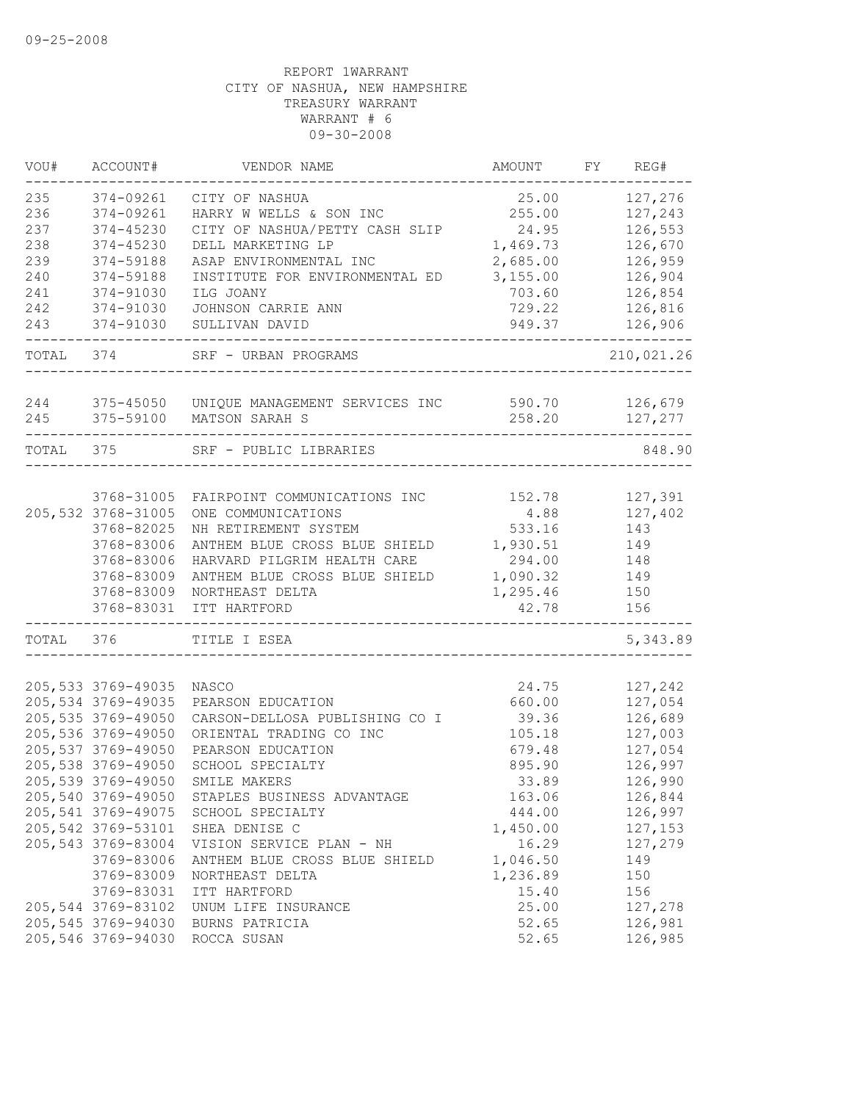| VOU#      | ACCOUNT#            | VENDOR NAME                                   | AMOUNT   | FY | REG#       |
|-----------|---------------------|-----------------------------------------------|----------|----|------------|
| 235       | 374-09261           | CITY OF NASHUA                                | 25.00    |    | 127,276    |
| 236       | 374-09261           | HARRY W WELLS & SON INC                       | 255.00   |    | 127,243    |
| 237       | 374-45230           | CITY OF NASHUA/PETTY CASH SLIP                | 24.95    |    | 126,553    |
| 238       | 374-45230           | DELL MARKETING LP                             | 1,469.73 |    | 126,670    |
| 239       | 374-59188           | ASAP ENVIRONMENTAL INC                        | 2,685.00 |    | 126,959    |
| 240       | 374-59188           | INSTITUTE FOR ENVIRONMENTAL ED                | 3,155.00 |    | 126,904    |
| 241       | 374-91030           | ILG JOANY                                     | 703.60   |    | 126,854    |
| 242       | 374-91030           | JOHNSON CARRIE ANN                            | 729.22   |    | 126,816    |
| 243       | 374-91030           | SULLIVAN DAVID                                | 949.37   |    | 126,906    |
| TOTAL 374 |                     | SRF - URBAN PROGRAMS                          |          |    | 210,021.26 |
|           |                     |                                               |          |    |            |
| 244       | 375-45050           | UNIQUE MANAGEMENT SERVICES INC                | 590.70   |    | 126,679    |
| 245       | 375-59100           | MATSON SARAH S                                | 258.20   |    | 127,277    |
| TOTAL 375 |                     | SRF - PUBLIC LIBRARIES                        |          |    | 848.90     |
|           |                     |                                               |          |    |            |
|           | 3768-31005          | FAIRPOINT COMMUNICATIONS INC                  | 152.78   |    | 127,391    |
|           | 205, 532 3768-31005 | ONE COMMUNICATIONS                            | 4.88     |    | 127,402    |
|           | 3768-82025          | NH RETIREMENT SYSTEM                          | 533.16   |    | 143        |
|           | 3768-83006          | ANTHEM BLUE CROSS BLUE SHIELD                 | 1,930.51 |    | 149        |
|           | 3768-83006          | HARVARD PILGRIM HEALTH CARE                   | 294.00   |    | 148        |
|           | 3768-83009          | ANTHEM BLUE CROSS BLUE SHIELD                 | 1,090.32 |    | 149        |
|           | 3768-83009          | NORTHEAST DELTA                               | 1,295.46 |    | 150        |
|           | 3768-83031          | ITT HARTFORD                                  | 42.78    |    | 156        |
| TOTAL     | 376                 | TITLE I ESEA                                  |          |    | 5,343.89   |
|           |                     |                                               |          |    |            |
|           | 205, 533 3769-49035 | NASCO                                         | 24.75    |    | 127,242    |
|           | 205, 534 3769-49035 | PEARSON EDUCATION                             | 660.00   |    | 127,054    |
|           | 205, 535 3769-49050 | CARSON-DELLOSA PUBLISHING CO I                | 39.36    |    | 126,689    |
|           | 205,536 3769-49050  | ORIENTAL TRADING CO INC                       | 105.18   |    | 127,003    |
|           | 205, 537 3769-49050 | PEARSON EDUCATION                             | 679.48   |    | 127,054    |
|           | 205,538 3769-49050  | SCHOOL SPECIALTY                              | 895.90   |    | 126,997    |
|           | 205,539 3769-49050  | SMILE MAKERS                                  | 33.89    |    | 126,990    |
|           |                     | 205,540 3769-49050 STAPLES BUSINESS ADVANTAGE | 163.06   |    | 126,844    |
|           | 205, 541 3769-49075 | SCHOOL SPECIALTY                              | 444.00   |    | 126,997    |
|           | 205, 542 3769-53101 | SHEA DENISE C                                 | 1,450.00 |    | 127,153    |
|           | 205,543 3769-83004  | VISION SERVICE PLAN - NH                      | 16.29    |    | 127,279    |
|           | 3769-83006          | ANTHEM BLUE CROSS BLUE SHIELD                 | 1,046.50 |    | 149        |
|           | 3769-83009          | NORTHEAST DELTA                               | 1,236.89 |    | 150        |
|           | 3769-83031          | ITT HARTFORD                                  | 15.40    |    | 156        |
|           | 205,544 3769-83102  | UNUM LIFE INSURANCE                           | 25.00    |    | 127,278    |
|           | 205,545 3769-94030  | BURNS PATRICIA                                | 52.65    |    | 126,981    |
|           | 205,546 3769-94030  | ROCCA SUSAN                                   | 52.65    |    | 126,985    |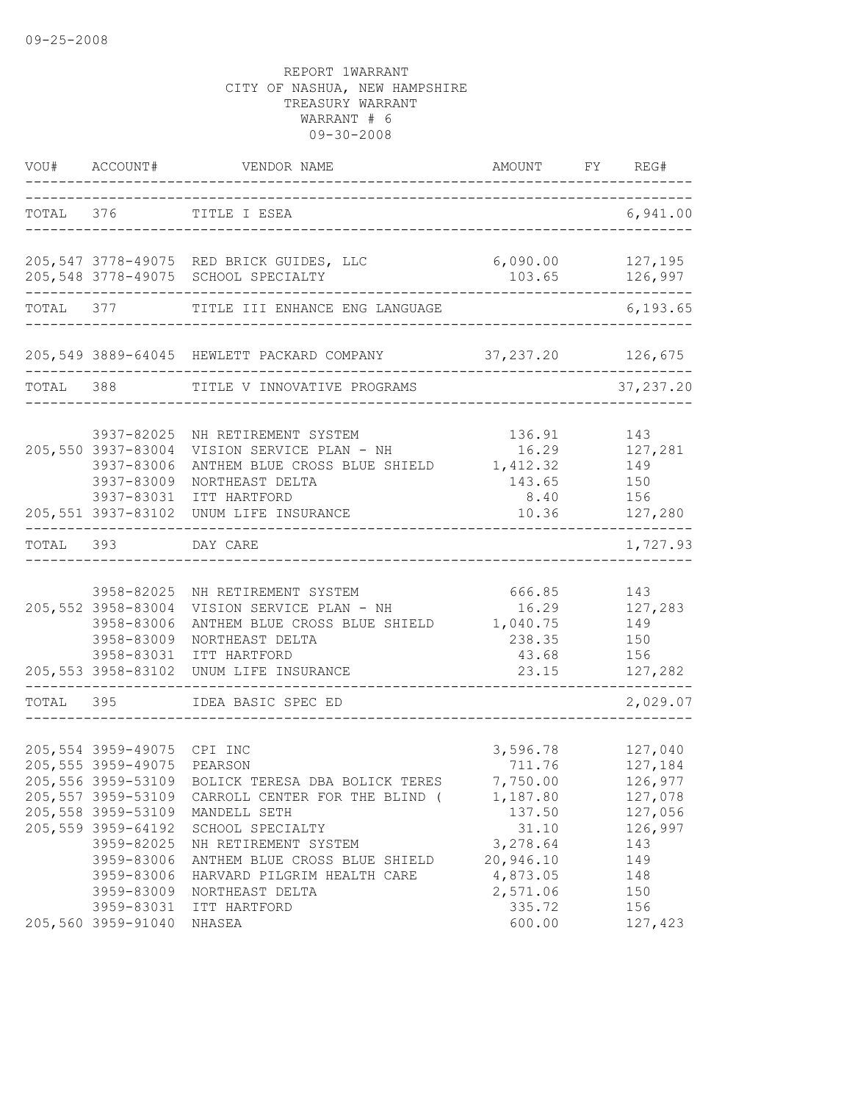|           | VOU# ACCOUNT#                                                                                                                                                                                     | VENDOR NAME                                                                                                                                                                                                                                        | AMOUNT FY REG#                                                                                                           |                                                                                                   |
|-----------|---------------------------------------------------------------------------------------------------------------------------------------------------------------------------------------------------|----------------------------------------------------------------------------------------------------------------------------------------------------------------------------------------------------------------------------------------------------|--------------------------------------------------------------------------------------------------------------------------|---------------------------------------------------------------------------------------------------|
|           |                                                                                                                                                                                                   | TOTAL 376 TITLE I ESEA                                                                                                                                                                                                                             |                                                                                                                          | 6,941.00                                                                                          |
|           |                                                                                                                                                                                                   | 205,547 3778-49075 RED BRICK GUIDES, LLC<br>205,548 3778-49075 SCHOOL SPECIALTY                                                                                                                                                                    | $6,090.00$ 127,195                                                                                                       | 103.65 126,997                                                                                    |
|           |                                                                                                                                                                                                   | TOTAL 377 TITLE III ENHANCE ENG LANGUAGE                                                                                                                                                                                                           |                                                                                                                          | 6, 193.65                                                                                         |
|           |                                                                                                                                                                                                   | 205,549 3889-64045 HEWLETT PACKARD COMPANY 37,237.20 126,675                                                                                                                                                                                       |                                                                                                                          |                                                                                                   |
| TOTAL 388 |                                                                                                                                                                                                   | TITLE V INNOVATIVE PROGRAMS                                                                                                                                                                                                                        |                                                                                                                          | 37, 237.20                                                                                        |
|           | 3937-82025<br>205,550 3937-83004<br>3937-83006<br>3937-83009<br>3937-83031<br>____________________                                                                                                | NH RETIREMENT SYSTEM<br>VISION SERVICE PLAN - NH<br>ANTHEM BLUE CROSS BLUE SHIELD 1,412.32<br>NORTHEAST DELTA<br>ITT HARTFORD<br>205,551 3937-83102 UNUM LIFE INSURANCE                                                                            | 136.91<br>16.29<br>143.65<br>8.40                                                                                        | 143<br>127,281<br>149<br>150<br>156<br>10.36 127,280                                              |
| TOTAL 393 |                                                                                                                                                                                                   | DAY CARE                                                                                                                                                                                                                                           |                                                                                                                          | 1,727.93                                                                                          |
|           | 205,552 3958-83004<br>3958-83006<br>3958-83009<br>3958-83031                                                                                                                                      | 3958-82025 NH RETIREMENT SYSTEM<br>VISION SERVICE PLAN - NH<br>ANTHEM BLUE CROSS BLUE SHIELD 1,040.75<br>NORTHEAST DELTA<br>ITT HARTFORD<br>205,553 3958-83102 UNUM LIFE INSURANCE                                                                 | 666.85<br>16.29<br>238.35<br>43.68<br>23.15                                                                              | 143<br>127,283<br>149<br>150<br>156<br>127,282                                                    |
| TOTAL 395 |                                                                                                                                                                                                   | IDEA BASIC SPEC ED                                                                                                                                                                                                                                 |                                                                                                                          | 2,029.07                                                                                          |
|           | 205,554 3959-49075 CPI INC<br>205,555 3959-49075 PEARSON<br>205, 557 3959-53109<br>205,558 3959-53109<br>205,559 3959-64192<br>3959-82025<br>3959-83006<br>3959-83006<br>3959-83009<br>3959-83031 | 205,556 3959-53109 BOLICK TERESA DBA BOLICK TERES<br>CARROLL CENTER FOR THE BLIND (<br>MANDELL SETH<br>SCHOOL SPECIALTY<br>NH RETIREMENT SYSTEM<br>ANTHEM BLUE CROSS BLUE SHIELD<br>HARVARD PILGRIM HEALTH CARE<br>NORTHEAST DELTA<br>ITT HARTFORD | 3,596.78<br>711.76<br>7,750.00<br>1,187.80<br>137.50<br>31.10<br>3,278.64<br>20,946.10<br>4,873.05<br>2,571.06<br>335.72 | 127,040<br>127,184<br>126,977<br>127,078<br>127,056<br>126,997<br>143<br>149<br>148<br>150<br>156 |
|           | 205,560 3959-91040                                                                                                                                                                                | NHASEA                                                                                                                                                                                                                                             | 600.00                                                                                                                   | 127,423                                                                                           |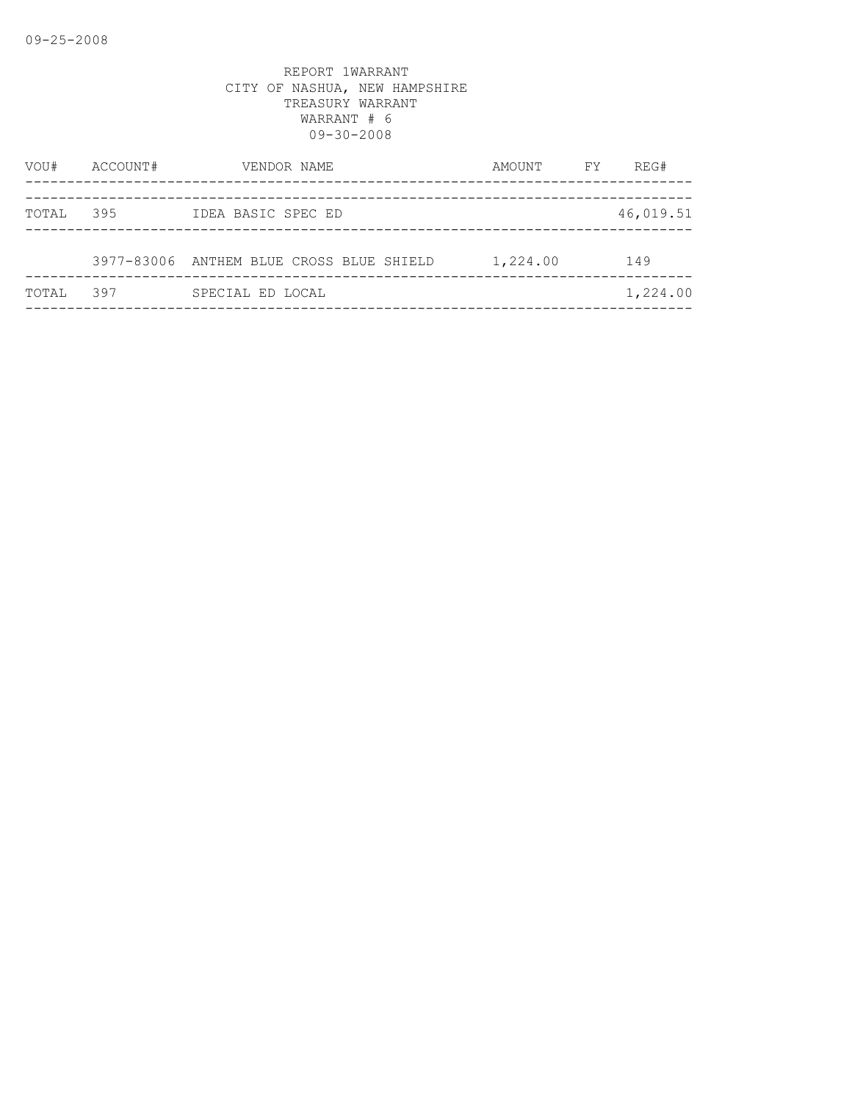| VOU#  | ACCOUNT# | VENDOR NAME                              | AMOUNT   | FY | REG#      |
|-------|----------|------------------------------------------|----------|----|-----------|
| TOTAL | 395      | IDEA BASIC SPEC ED                       |          |    | 46,019.51 |
|       |          | 3977-83006 ANTHEM BLUE CROSS BLUE SHIELD | 1,224.00 |    | 149       |
| TOTAL | 397      | SPECIAL ED LOCAL                         |          |    | 1,224.00  |
|       |          |                                          |          |    |           |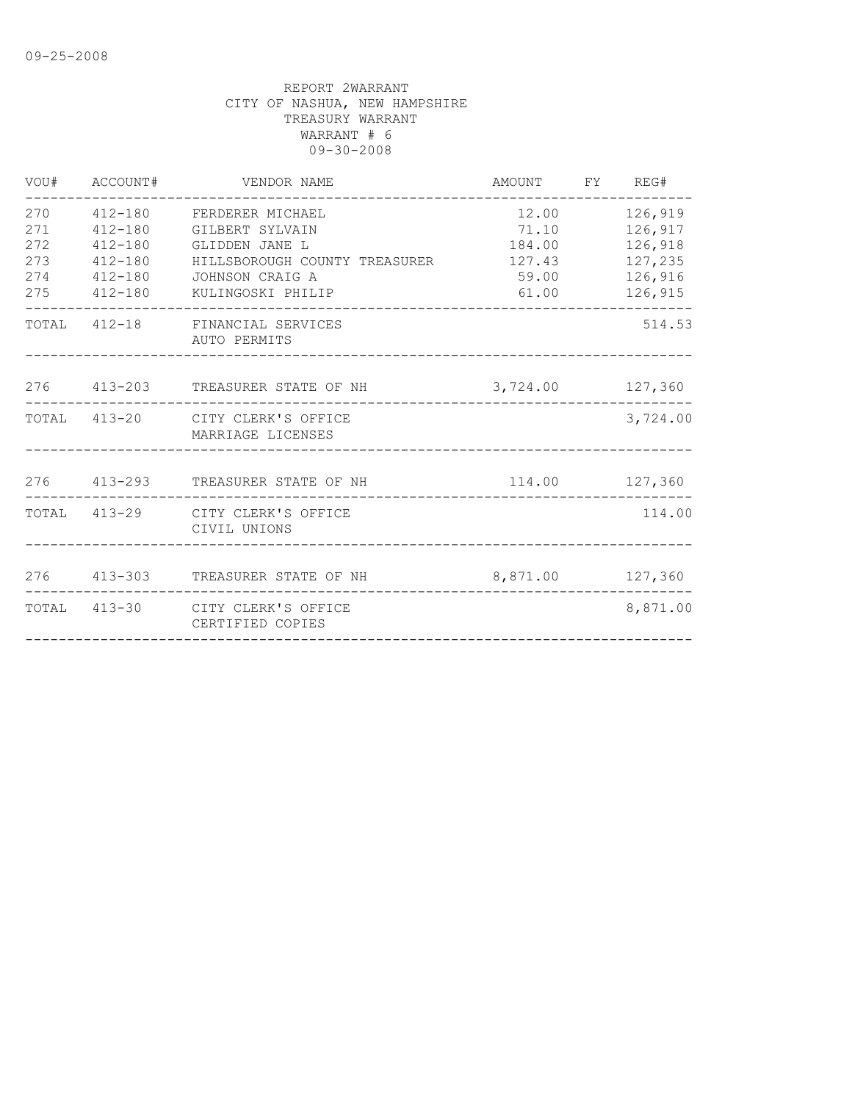| VOU#                                   | ACCOUNT#                                                                | VENDOR NAME                                                                                                                            | AMOUNT FY REG#                                       |                                                                |
|----------------------------------------|-------------------------------------------------------------------------|----------------------------------------------------------------------------------------------------------------------------------------|------------------------------------------------------|----------------------------------------------------------------|
| 270<br>271<br>272<br>273<br>274<br>275 | $412 - 180$<br>$412 - 180$<br>$412 - 180$<br>$412 - 180$<br>$412 - 180$ | 412-180 FERDERER MICHAEL<br>GILBERT SYLVAIN<br>GLIDDEN JANE L<br>HILLSBOROUGH COUNTY TREASURER<br>JOHNSON CRAIG A<br>KULINGOSKI PHILIP | 12.00<br>71.10<br>184.00<br>127.43<br>59.00<br>61.00 | 126,919<br>126,917<br>126,918<br>127,235<br>126,916<br>126,915 |
|                                        |                                                                         | TOTAL 412-18 FINANCIAL SERVICES<br>AUTO PERMITS                                                                                        |                                                      | 514.53                                                         |
|                                        |                                                                         | 276 413-203 TREASURER STATE OF NH                                                                                                      | 3,724.00 127,360                                     |                                                                |
|                                        |                                                                         | TOTAL 413-20 CITY CLERK'S OFFICE<br>MARRIAGE LICENSES                                                                                  |                                                      | 3,724.00                                                       |
|                                        |                                                                         | 276 413-293 TREASURER STATE OF NH                                                                                                      | 114.00 127,360                                       |                                                                |
|                                        |                                                                         | TOTAL 413-29 CITY CLERK'S OFFICE<br>CIVIL UNIONS                                                                                       |                                                      | 114.00                                                         |
|                                        |                                                                         | 276 413-303 TREASURER STATE OF NH                                                                                                      | 8,871.00 127,360                                     |                                                                |
|                                        |                                                                         | TOTAL 413-30 CITY CLERK'S OFFICE<br>CERTIFIED COPIES                                                                                   |                                                      | 8,871.00                                                       |
|                                        |                                                                         |                                                                                                                                        |                                                      |                                                                |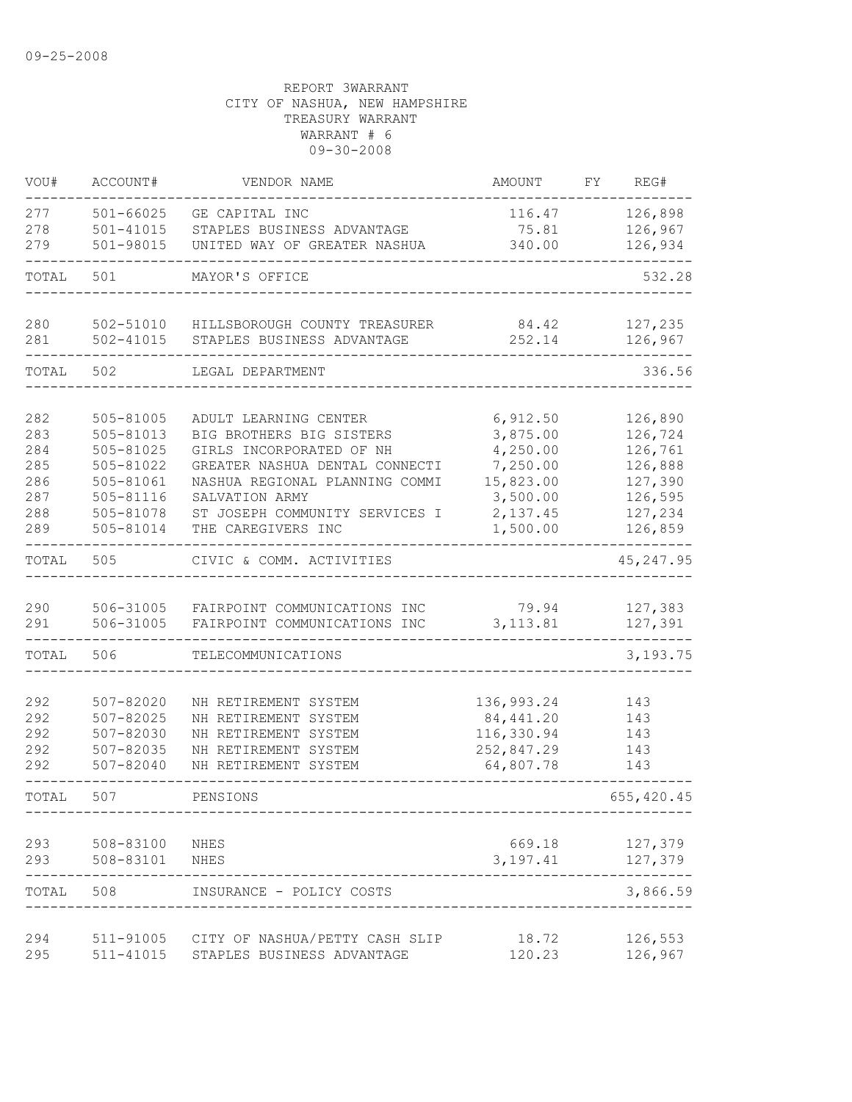| VOU#       | ACCOUNT#                       | VENDOR NAME                                      | AMOUNT                | FΥ | REG#               |
|------------|--------------------------------|--------------------------------------------------|-----------------------|----|--------------------|
| 277<br>278 | $501 - 66025$<br>$501 - 41015$ | GE CAPITAL INC<br>STAPLES BUSINESS ADVANTAGE     | 116.47<br>75.81       |    | 126,898<br>126,967 |
| 279        | 501-98015                      | UNITED WAY OF GREATER NASHUA                     | 340.00                |    | 126,934            |
| TOTAL      | 501                            | MAYOR'S OFFICE                                   |                       |    | 532.28             |
| 280        | 502-51010                      | HILLSBOROUGH COUNTY TREASURER                    | 84.42                 |    | 127,235            |
| 281        | $502 - 41015$                  | STAPLES BUSINESS ADVANTAGE                       | 252.14                |    | 126,967            |
| TOTAL      | 502                            | LEGAL DEPARTMENT                                 |                       |    | 336.56             |
| 282        | 505-81005                      | ADULT LEARNING CENTER                            | 6,912.50              |    | 126,890            |
| 283        | 505-81013                      | BIG BROTHERS BIG SISTERS                         | 3,875.00              |    | 126,724            |
| 284        | 505-81025                      | GIRLS INCORPORATED OF NH                         | 4,250.00              |    | 126,761            |
| 285        | 505-81022                      | GREATER NASHUA DENTAL CONNECTI                   | 7,250.00<br>15,823.00 |    | 126,888            |
| 286<br>287 | 505-81061<br>505-81116         | NASHUA REGIONAL PLANNING COMMI<br>SALVATION ARMY | 3,500.00              |    | 127,390<br>126,595 |
| 288        | 505-81078                      | ST JOSEPH COMMUNITY SERVICES I                   | 2,137.45              |    | 127,234            |
| 289        | 505-81014                      | THE CAREGIVERS INC                               | 1,500.00              |    | 126,859            |
| TOTAL      | 505                            | CIVIC & COMM. ACTIVITIES                         |                       |    | 45, 247.95         |
| 290        | 506-31005                      | FAIRPOINT COMMUNICATIONS INC                     | 79.94                 |    | 127,383            |
| 291        | 506-31005                      | FAIRPOINT COMMUNICATIONS INC                     | 3, 113.81             |    | 127,391            |
| TOTAL      | 506                            | TELECOMMUNICATIONS                               |                       |    | 3,193.75           |
| 292        | 507-82020                      | NH RETIREMENT SYSTEM                             | 136,993.24            |    | 143                |
| 292        | 507-82025                      | NH RETIREMENT SYSTEM                             | 84, 441.20            |    | 143                |
| 292        | 507-82030                      | NH RETIREMENT SYSTEM                             | 116,330.94            |    | 143                |
| 292        | 507-82035                      | NH RETIREMENT SYSTEM                             | 252,847.29            |    | 143                |
| 292        | 507-82040                      | NH RETIREMENT SYSTEM                             | 64,807.78             |    | 143                |
| TOTAL      | 507                            | PENSIONS                                         |                       |    | 655, 420.45        |
| 293        | 508-83100                      | NHES                                             | 669.18                |    | 127,379            |
| 293        | 508-83101                      | NHES                                             | 3,197.41              |    | 127,379<br>------  |
| TOTAL      | 508                            | INSURANCE - POLICY COSTS                         |                       |    | 3,866.59           |
| 294        |                                | 511-91005 CITY OF NASHUA/PETTY CASH SLIP         | 18.72                 |    | 126,553            |
| 295        |                                | 511-41015 STAPLES BUSINESS ADVANTAGE             | 120.23                |    | 126,967            |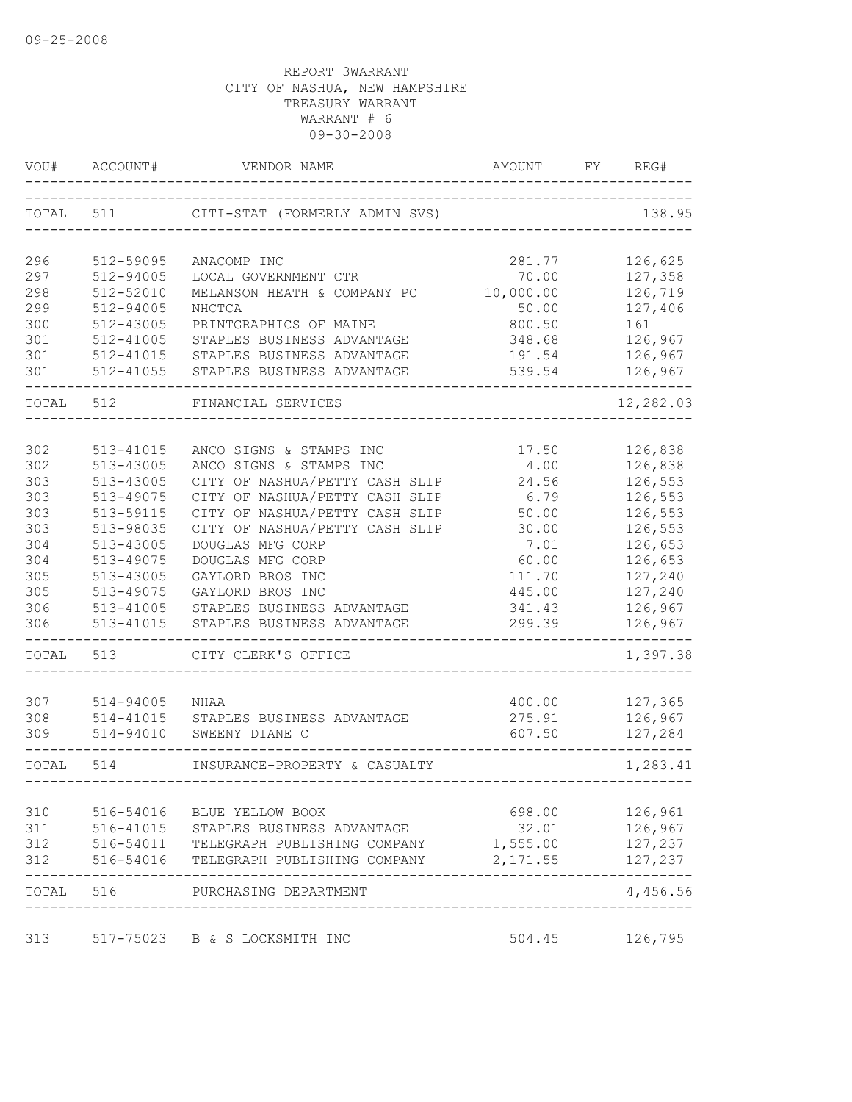| VOU#       | ACCOUNT#               | VENDOR NAME                                                      | AMOUNT           | FY | REG#               |
|------------|------------------------|------------------------------------------------------------------|------------------|----|--------------------|
| TOTAL      | 511                    | CITI-STAT (FORMERLY ADMIN SVS)                                   |                  |    | 138.95             |
| 296        | 512-59095              | ANACOMP INC                                                      | 281.77           |    | 126,625            |
| 297        | 512-94005              | LOCAL GOVERNMENT CTR                                             | 70.00            |    | 127,358            |
| 298        | 512-52010              | MELANSON HEATH & COMPANY PC                                      | 10,000.00        |    | 126,719            |
| 299        | 512-94005              | NHCTCA                                                           | 50.00            |    | 127,406            |
| 300        | 512-43005              | PRINTGRAPHICS OF MAINE                                           | 800.50           |    | 161                |
| 301        | 512-41005<br>512-41015 | STAPLES BUSINESS ADVANTAGE<br>STAPLES BUSINESS ADVANTAGE         | 348.68           |    | 126,967            |
| 301<br>301 | 512-41055              | STAPLES BUSINESS ADVANTAGE                                       | 191.54<br>539.54 |    | 126,967<br>126,967 |
| TOTAL      | 512                    | FINANCIAL SERVICES                                               |                  |    | 12,282.03          |
|            |                        |                                                                  |                  |    |                    |
| 302        | 513-41015              | ANCO SIGNS & STAMPS INC                                          | 17.50            |    | 126,838            |
| 302        | 513-43005              | ANCO SIGNS & STAMPS INC                                          | 4.00             |    | 126,838<br>126,553 |
| 303<br>303 | 513-43005<br>513-49075 | CITY OF NASHUA/PETTY CASH SLIP<br>CITY OF NASHUA/PETTY CASH SLIP | 24.56<br>6.79    |    | 126,553            |
| 303        | 513-59115              | CITY OF NASHUA/PETTY CASH SLIP                                   | 50.00            |    | 126,553            |
| 303        | 513-98035              | CITY OF NASHUA/PETTY CASH SLIP                                   | 30.00            |    | 126,553            |
| 304        | 513-43005              | DOUGLAS MFG CORP                                                 | 7.01             |    | 126,653            |
| 304        | 513-49075              | DOUGLAS MFG CORP                                                 | 60.00            |    | 126,653            |
| 305        | 513-43005              | GAYLORD BROS INC                                                 | 111.70           |    | 127,240            |
| 305        | 513-49075              | GAYLORD BROS INC                                                 | 445.00           |    | 127,240            |
| 306        | 513-41005              | STAPLES BUSINESS ADVANTAGE                                       | 341.43           |    | 126,967            |
| 306        | 513-41015              | STAPLES BUSINESS ADVANTAGE                                       | 299.39           |    | 126,967            |
| TOTAL      | 513                    | CITY CLERK'S OFFICE                                              |                  |    | 1,397.38           |
| 307        | 514-94005              | NHAA                                                             | 400.00           |    | 127,365            |
| 308        | 514-41015              | STAPLES BUSINESS ADVANTAGE                                       | 275.91           |    | 126,967            |
| 309        | 514-94010              | SWEENY DIANE C                                                   | 607.50           |    | 127,284            |
| TOTAL      | 514                    | INSURANCE-PROPERTY & CASUALTY<br>--------------                  |                  |    | 1,283.41           |
| 310        |                        | 516-54016 BLUE YELLOW BOOK                                       | 698.00 00        |    | 126,961            |
| 311        |                        | 516-41015 STAPLES BUSINESS ADVANTAGE                             | 32.01            |    | 126,967            |
|            |                        | 312 516-54011 TELEGRAPH PUBLISHING COMPANY 1,555.00              |                  |    | 127,237            |
| 312        |                        | 516-54016 TELEGRAPH PUBLISHING COMPANY 2,171.55                  |                  |    | 127,237            |
| TOTAL 516  |                        | PURCHASING DEPARTMENT                                            |                  |    | 4,456.56           |
|            |                        | 313 517-75023 B & S LOCKSMITH INC                                | 504.45           |    | 126,795            |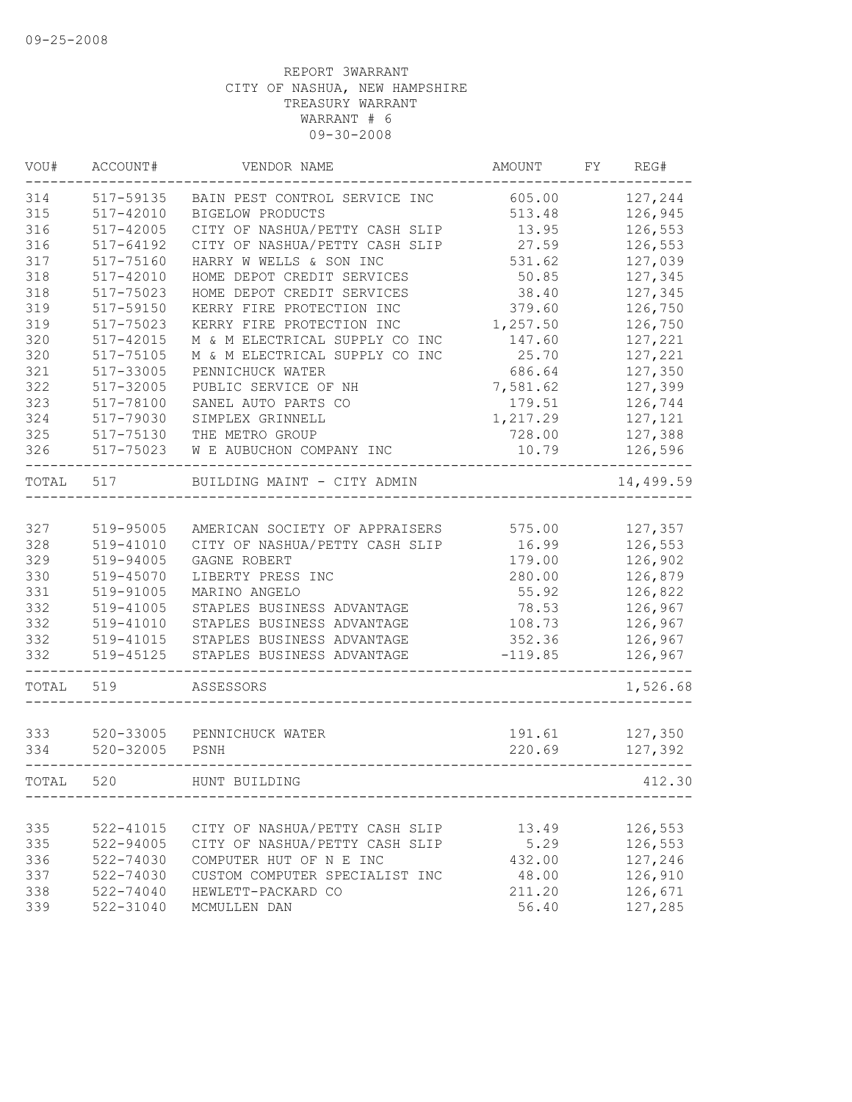| VOU#  | ACCOUNT#      | VENDOR NAME                    | AMOUNT    | FY | REG#      |
|-------|---------------|--------------------------------|-----------|----|-----------|
| 314   | 517-59135     | BAIN PEST CONTROL SERVICE INC  | 605.00    |    | 127,244   |
| 315   | 517-42010     | <b>BIGELOW PRODUCTS</b>        | 513.48    |    | 126,945   |
| 316   | $517 - 42005$ | CITY OF NASHUA/PETTY CASH SLIP | 13.95     |    | 126,553   |
| 316   | 517-64192     | CITY OF NASHUA/PETTY CASH SLIP | 27.59     |    | 126,553   |
| 317   | 517-75160     | HARRY W WELLS & SON INC        | 531.62    |    | 127,039   |
| 318   | 517-42010     | HOME DEPOT CREDIT SERVICES     | 50.85     |    | 127,345   |
| 318   | 517-75023     | HOME DEPOT CREDIT SERVICES     | 38.40     |    | 127,345   |
| 319   | 517-59150     | KERRY FIRE PROTECTION INC      | 379.60    |    | 126,750   |
| 319   | 517-75023     | KERRY FIRE PROTECTION INC      | 1,257.50  |    | 126,750   |
| 320   | 517-42015     | M & M ELECTRICAL SUPPLY CO INC | 147.60    |    | 127,221   |
| 320   | 517-75105     | M & M ELECTRICAL SUPPLY CO INC | 25.70     |    | 127,221   |
| 321   | 517-33005     | PENNICHUCK WATER               | 686.64    |    | 127,350   |
| 322   | 517-32005     | PUBLIC SERVICE OF NH           | 7,581.62  |    | 127,399   |
| 323   | 517-78100     | SANEL AUTO PARTS CO            | 179.51    |    | 126,744   |
| 324   | 517-79030     | SIMPLEX GRINNELL               | 1,217.29  |    | 127,121   |
| 325   | 517-75130     | THE METRO GROUP                | 728.00    |    | 127,388   |
| 326   | 517-75023     | W E AUBUCHON COMPANY INC       | 10.79     |    | 126,596   |
| TOTAL | 517           | BUILDING MAINT - CITY ADMIN    |           |    | 14,499.59 |
|       |               |                                |           |    |           |
| 327   | 519-95005     | AMERICAN SOCIETY OF APPRAISERS | 575.00    |    | 127,357   |
| 328   | 519-41010     | CITY OF NASHUA/PETTY CASH SLIP | 16.99     |    | 126,553   |
| 329   | 519-94005     | GAGNE ROBERT                   | 179.00    |    | 126,902   |
| 330   | 519-45070     | LIBERTY PRESS INC              | 280.00    |    | 126,879   |
| 331   | 519-91005     | MARINO ANGELO                  | 55.92     |    | 126,822   |
| 332   | 519-41005     | STAPLES BUSINESS ADVANTAGE     | 78.53     |    | 126,967   |
| 332   | 519-41010     | STAPLES BUSINESS ADVANTAGE     | 108.73    |    | 126,967   |
| 332   | 519-41015     | STAPLES BUSINESS ADVANTAGE     | 352.36    |    | 126,967   |
| 332   | 519-45125     | STAPLES BUSINESS ADVANTAGE     | $-119.85$ |    | 126,967   |
| TOTAL | 519           | ASSESSORS                      |           |    | 1,526.68  |
|       |               |                                |           |    |           |
| 333   | 520-33005     | PENNICHUCK WATER               | 191.61    |    | 127,350   |
| 334   | $520 - 32005$ | PSNH                           | 220.69    |    | 127,392   |
| TOTAL | 520           | HUNT BUILDING                  |           |    | 412.30    |
|       |               |                                |           |    |           |
| 335   | 522-41015     | CITY OF NASHUA/PETTY CASH SLIP | 13.49     |    | 126,553   |
| 335   | 522-94005     | CITY OF NASHUA/PETTY CASH SLIP | 5.29      |    | 126,553   |
| 336   | 522-74030     | COMPUTER HUT OF N E INC        | 432.00    |    | 127,246   |
| 337   | 522-74030     | CUSTOM COMPUTER SPECIALIST INC | 48.00     |    | 126,910   |
| 338   | 522-74040     | HEWLETT-PACKARD CO             | 211.20    |    | 126,671   |
| 339   | 522-31040     | MCMULLEN DAN                   | 56.40     |    | 127,285   |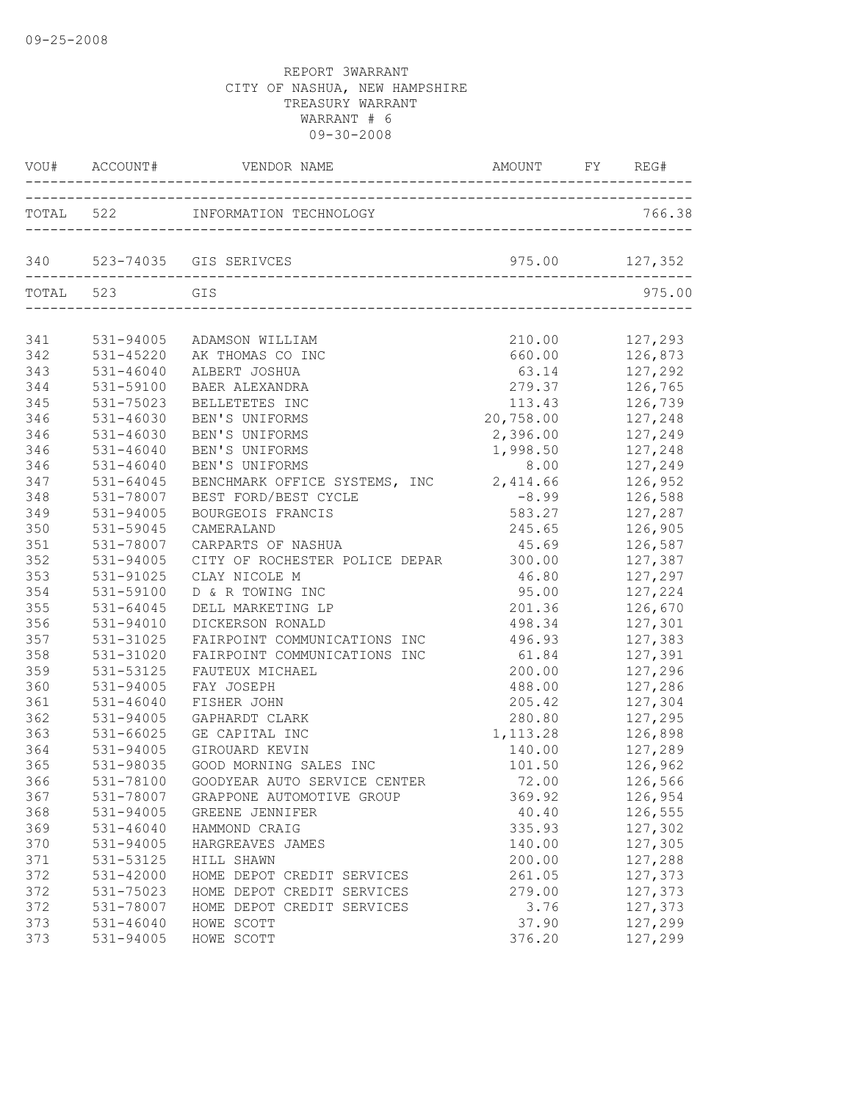|     |               | VOU# ACCOUNT# VENDOR NAME AMOUNT FY REG       | AMOUNT FY REG#    |                    |
|-----|---------------|-----------------------------------------------|-------------------|--------------------|
|     |               | TOTAL 522 INFORMATION TECHNOLOGY              |                   | 766.38             |
|     |               | 340 523-74035 GIS SERIVCES                    | 975.00 127,352    |                    |
|     | TOTAL 523 GIS |                                               |                   | 975.00             |
| 341 |               | 531-94005 ADAMSON WILLIAM                     | 210.00            | 127,293            |
| 342 | $531 - 45220$ | AK THOMAS CO INC                              | 660.00            | 126,873            |
| 343 | 531-46040     | ALBERT JOSHUA                                 | 63.14             | 127, 292           |
| 344 | 531-59100     | BAER ALEXANDRA                                |                   | 279.37 126,765     |
| 345 | 531-75023     | BELLETETES INC                                |                   | 113.43 126,739     |
| 346 | 531-46030     | BEN'S UNIFORMS                                | 20,758.00 127,248 |                    |
| 346 | 531-46030     | BEN'S UNIFORMS                                | 2,396.00 127,249  |                    |
| 346 | 531-46040     | BEN'S UNIFORMS                                | 1,998.50          | 127,248            |
| 346 | $531 - 46040$ | BEN'S UNIFORMS                                | 8.00              | 127,249            |
| 347 | 531-64045     | BENCHMARK OFFICE SYSTEMS, INC 2,414.66        |                   | 126,952            |
| 348 | 531-78007     | BEST FORD/BEST CYCLE                          | $-8.99$           | 126,588            |
| 349 | 531-94005     | BOURGEOIS FRANCIS                             | 583.27            | 127,287            |
| 350 | 531-59045     | CAMERALAND                                    | 245.65            | 126,905            |
| 351 | 531-78007     | CARPARTS OF NASHUA                            | 45.69 126,587     |                    |
| 352 | 531-94005     | CITY OF ROCHESTER POLICE DEPAR 300.00 127,387 |                   |                    |
| 353 | 531-91025     | CLAY NICOLE M                                 | 46.80 127,297     |                    |
| 354 | 531-59100     | D & R TOWING INC                              | 95.00             | 127,224            |
| 355 | 531-64045     | DELL MARKETING LP                             | 201.36            | 126,670            |
| 356 | 531-94010     | DICKERSON RONALD                              | 498.34            | 127,301            |
| 357 | 531-31025     | FAIRPOINT COMMUNICATIONS INC                  | 496.93            | 127,383            |
| 358 | 531-31020     | FAIRPOINT COMMUNICATIONS INC                  | 61.84             | 127,391            |
| 359 | 531-53125     | FAUTEUX MICHAEL                               |                   | 200.00 127,296     |
| 360 | 531-94005     | FAY JOSEPH                                    |                   | 488.00 127,286     |
| 361 | 531-46040     | FISHER JOHN                                   |                   | 205.42 127,304     |
| 362 | 531-94005     | GAPHARDT CLARK                                |                   | 280.80 127,295     |
| 363 | 531-66025     | GE CAPITAL INC                                | 1, 113.28         | 126,898            |
| 364 | 531-94005     | GIROUARD KEVIN                                | 140.00            | 127,289<br>126,962 |
| 365 | 531-98035     | GOOD MORNING SALES INC                        | 101.50            |                    |
| 366 | 531-78100     | GOODYEAR AUTO SERVICE CENTER                  | 72.00             | 126,566            |
| 367 | 531-78007     | GRAPPONE AUTOMOTIVE GROUP                     | 369.92            | 126,954            |
| 368 | 531-94005     | GREENE JENNIFER                               | 40.40             | 126,555            |
| 369 | 531-46040     | HAMMOND CRAIG                                 | 335.93            | 127,302            |
| 370 | 531-94005     | HARGREAVES JAMES                              | 140.00            | 127,305            |
| 371 | 531-53125     | HILL SHAWN                                    | 200.00            | 127,288            |
| 372 | 531-42000     | HOME DEPOT CREDIT SERVICES                    | 261.05            | 127,373            |
| 372 | 531-75023     | HOME DEPOT CREDIT SERVICES                    | 279.00            | 127,373            |
| 372 | 531-78007     | HOME DEPOT CREDIT SERVICES                    | 3.76              | 127,373            |
| 373 | 531-46040     | HOWE SCOTT                                    | 37.90             | 127,299            |
| 373 | 531-94005     | HOWE SCOTT                                    | 376.20            | 127,299            |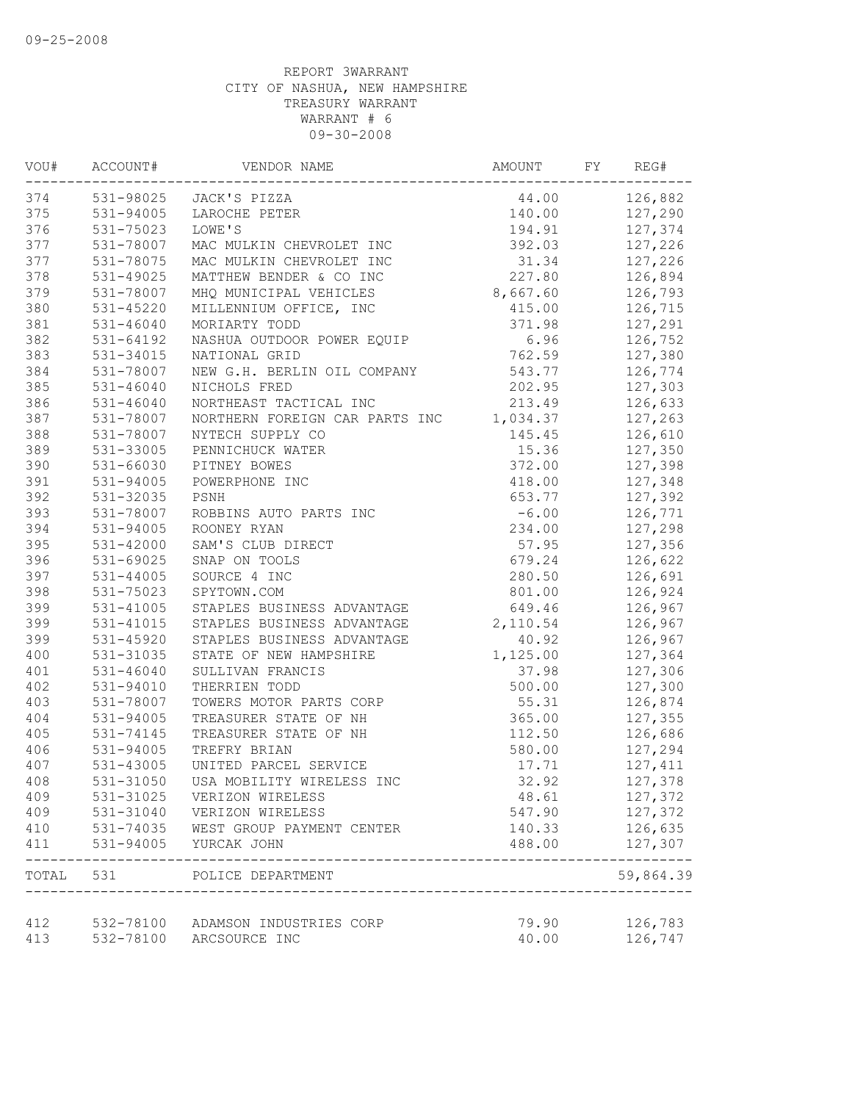| VOU# | ACCOUNT#      | VENDOR NAME                       | AMOUNT   | FY | REG#                |
|------|---------------|-----------------------------------|----------|----|---------------------|
| 374  |               | 531-98025 JACK'S PIZZA            | 44.00    |    | 126,882             |
| 375  | 531-94005     | LAROCHE PETER                     | 140.00   |    | 127,290             |
| 376  | 531-75023     | LOWE'S                            | 194.91   |    | 127,374             |
| 377  | 531-78007     | MAC MULKIN CHEVROLET INC          | 392.03   |    | 127,226             |
| 377  | 531-78075     | MAC MULKIN CHEVROLET INC          | 31.34    |    | 127,226             |
| 378  | 531-49025     | MATTHEW BENDER & CO INC           | 227.80   |    | 126,894             |
| 379  | 531-78007     | MHQ MUNICIPAL VEHICLES            | 8,667.60 |    | 126,793             |
| 380  | 531-45220     | MILLENNIUM OFFICE, INC            | 415.00   |    | 126,715             |
| 381  | 531-46040     | MORIARTY TODD                     | 371.98   |    | 127,291             |
| 382  | $531 - 64192$ | NASHUA OUTDOOR POWER EQUIP        | 6.96     |    | 126,752             |
| 383  | 531-34015     | NATIONAL GRID                     | 762.59   |    | 127,380             |
| 384  | 531-78007     | NEW G.H. BERLIN OIL COMPANY       | 543.77   |    | 126,774             |
| 385  | $531 - 46040$ | NICHOLS FRED                      | 202.95   |    | 127,303             |
| 386  | 531-46040     | NORTHEAST TACTICAL INC            | 213.49   |    | 126,633             |
| 387  | 531-78007     | NORTHERN FOREIGN CAR PARTS INC    | 1,034.37 |    | 127,263             |
| 388  | 531-78007     | NYTECH SUPPLY CO                  | 145.45   |    | 126,610             |
| 389  | 531-33005     | PENNICHUCK WATER                  | 15.36    |    | 127,350             |
| 390  | 531-66030     | PITNEY BOWES                      | 372.00   |    | 127,398             |
| 391  | 531-94005     | POWERPHONE INC                    | 418.00   |    | 127,348             |
| 392  | 531-32035     | PSNH                              | 653.77   |    | 127,392             |
| 393  | 531-78007     | ROBBINS AUTO PARTS INC            | $-6.00$  |    | 126,771             |
| 394  | 531-94005     | ROONEY RYAN                       | 234.00   |    | 127,298             |
| 395  | 531-42000     | SAM'S CLUB DIRECT                 | 57.95    |    | 127,356             |
| 396  | 531-69025     | SNAP ON TOOLS                     | 679.24   |    | 126,622             |
| 397  | $531 - 44005$ | SOURCE 4 INC                      | 280.50   |    | 126,691             |
| 398  | 531-75023     | SPYTOWN.COM                       | 801.00   |    | 126,924             |
| 399  | 531-41005     | STAPLES BUSINESS ADVANTAGE        | 649.46   |    | 126,967             |
| 399  | $531 - 41015$ | STAPLES BUSINESS ADVANTAGE        | 2,110.54 |    | 126,967             |
| 399  | 531-45920     | STAPLES BUSINESS ADVANTAGE        | 40.92    |    | 126,967             |
| 400  | 531-31035     | STATE OF NEW HAMPSHIRE            | 1,125.00 |    | 127,364             |
| 401  | $531 - 46040$ | SULLIVAN FRANCIS                  | 37.98    |    | 127,306             |
| 402  | 531-94010     | THERRIEN TODD                     | 500.00   |    | 127,300             |
| 403  | 531-78007     | TOWERS MOTOR PARTS CORP           | 55.31    |    | 126,874             |
| 404  | 531-94005     | TREASURER STATE OF NH             | 365.00   |    | 127,355             |
| 405  | 531-74145     | TREASURER STATE OF NH             | 112.50   |    | 126,686             |
| 406  | 531-94005     | TREFRY BRIAN                      | 580.00   |    | 127,294             |
| 407  | 531-43005     | UNITED PARCEL SERVICE             | 17.71    |    | 127,411             |
| 408  | 531-31050     | USA MOBILITY WIRELESS INC         | 32.92    |    | 127,378             |
| 409  | 531-31025     | VERIZON WIRELESS                  | 48.61    |    | 127,372             |
| 409  | 531-31040     | VERIZON WIRELESS                  | 547.90   |    | 127,372             |
| 410  | 531-74035     | WEST GROUP PAYMENT CENTER         | 140.33   |    | 126,635             |
| 411  | 531-94005     | YURCAK JOHN                       | 488.00   |    | 127,307<br>-------- |
|      |               | TOTAL 531 POLICE DEPARTMENT       |          |    | 59,864.39           |
| 412  |               | 532-78100 ADAMSON INDUSTRIES CORP | 79.90    |    | 126,783             |
| 413  | 532-78100     | ARCSOURCE INC                     | 40.00    |    | 126,747             |
|      |               |                                   |          |    |                     |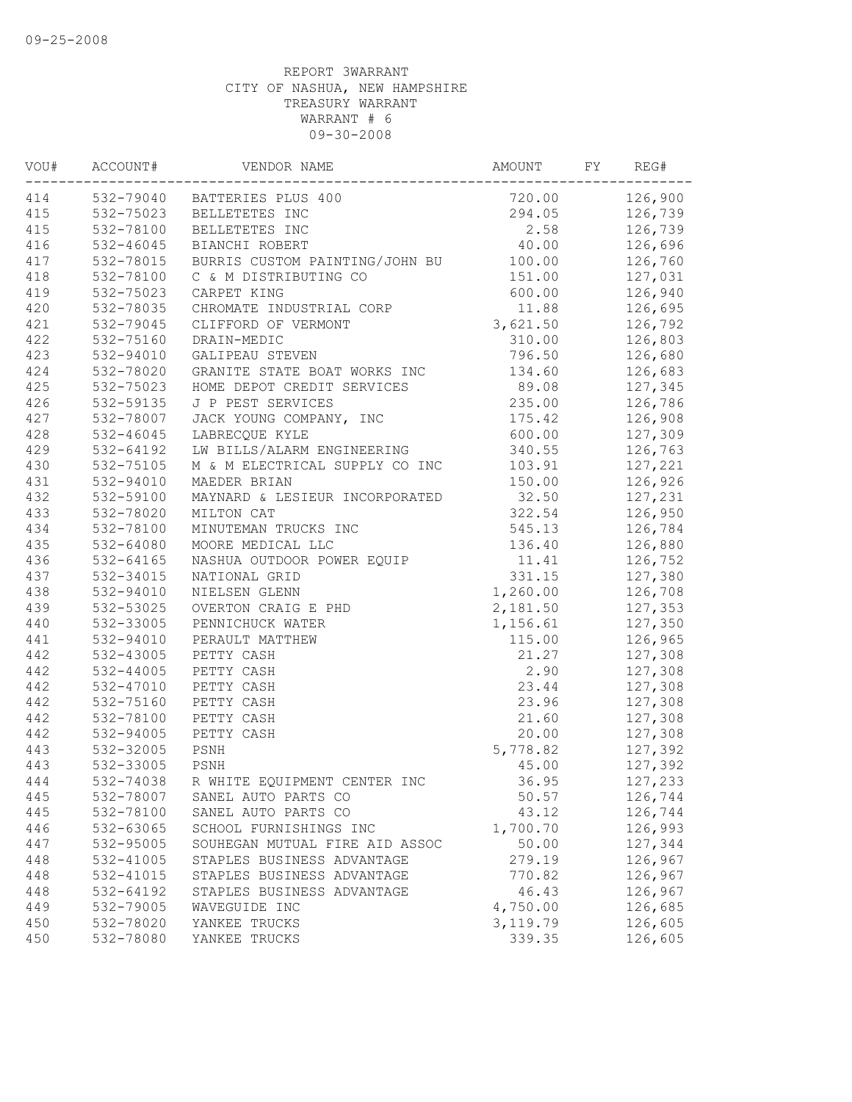| 414<br>532-79040 BATTERIES PLUS 400<br>720.00<br>126,900<br>415<br>532-75023<br>294.05<br>126,739<br>BELLETETES INC<br>415<br>532-78100<br>BELLETETES INC<br>2.58<br>126,739<br>416<br>532-46045<br>BIANCHI ROBERT<br>40.00<br>126,696<br>417<br>532-78015<br>BURRIS CUSTOM PAINTING/JOHN BU<br>126,760<br>100.00<br>418<br>532-78100<br>C & M DISTRIBUTING CO<br>151.00<br>127,031<br>419<br>532-75023<br>600.00<br>126,940<br>CARPET KING<br>420<br>532-78035<br>11.88<br>126,695<br>CHROMATE INDUSTRIAL CORP<br>421<br>3,621.50<br>532-79045<br>CLIFFORD OF VERMONT<br>126,792<br>422<br>532-75160<br>126,803<br>DRAIN-MEDIC<br>310.00<br>423<br>532-94010<br>GALIPEAU STEVEN<br>796.50<br>126,680<br>424<br>532-78020<br>GRANITE STATE BOAT WORKS INC<br>134.60<br>126,683<br>425<br>532-75023<br>89.08<br>127,345<br>HOME DEPOT CREDIT SERVICES<br>426<br>126,786<br>532-59135<br>J P PEST SERVICES<br>235.00<br>427<br>JACK YOUNG COMPANY, INC<br>175.42<br>126,908<br>532-78007<br>428<br>127,309<br>$532 - 46045$<br>LABRECQUE KYLE<br>600.00<br>429<br>340.55<br>532-64192<br>LW BILLS/ALARM ENGINEERING<br>126,763<br>430<br>532-75105<br>M & M ELECTRICAL SUPPLY CO INC<br>103.91<br>127,221<br>431<br>532-94010<br>150.00<br>MAEDER BRIAN<br>126,926<br>432<br>532-59100<br>MAYNARD & LESIEUR INCORPORATED<br>32.50<br>127,231<br>433<br>532-78020<br>MILTON CAT<br>322.54<br>126,950<br>434<br>532-78100<br>MINUTEMAN TRUCKS INC<br>545.13<br>126,784<br>435<br>136.40<br>126,880<br>532-64080<br>MOORE MEDICAL LLC<br>436<br>532-64165<br>NASHUA OUTDOOR POWER EQUIP<br>11.41<br>126,752<br>437<br>127,380<br>532-34015<br>NATIONAL GRID<br>331.15<br>438<br>532-94010<br>1,260.00<br>126,708<br>NIELSEN GLENN<br>439<br>2,181.50<br>127,353<br>532-53025<br>OVERTON CRAIG E PHD<br>440<br>532-33005<br>1,156.61<br>PENNICHUCK WATER<br>127,350<br>441<br>532-94010<br>PERAULT MATTHEW<br>115.00<br>126,965<br>442<br>532-43005<br>21.27<br>PETTY CASH<br>127,308<br>442<br>2.90<br>532-44005<br>PETTY CASH<br>127,308<br>442<br>23.44<br>127,308<br>532-47010<br>PETTY CASH<br>442<br>532-75160<br>PETTY CASH<br>23.96<br>127,308<br>442<br>127,308<br>532-78100<br>PETTY CASH<br>21.60<br>442<br>532-94005<br>PETTY CASH<br>20.00<br>127,308<br>443<br>532-32005<br>127,392<br>PSNH<br>5,778.82<br>443<br>532-33005<br>PSNH<br>45.00<br>127,392<br>444<br>532-74038 R WHITE EQUIPMENT CENTER INC<br>36.95<br>127,233<br>445<br>532-78007<br>50.57<br>126,744<br>SANEL AUTO PARTS CO<br>445<br>532-78100<br>43.12<br>126,744<br>SANEL AUTO PARTS CO<br>446<br>532-63065<br>1,700.70<br>126,993<br>SCHOOL FURNISHINGS INC<br>127,344<br>532-95005<br>SOUHEGAN MUTUAL FIRE AID ASSOC<br>50.00<br>447<br>448<br>126,967<br>532-41005<br>STAPLES BUSINESS ADVANTAGE<br>279.19<br>448<br>532-41015<br>STAPLES BUSINESS ADVANTAGE<br>126,967<br>770.82<br>448<br>532-64192<br>STAPLES BUSINESS ADVANTAGE<br>46.43<br>126,967<br>449<br>532-79005<br>4,750.00<br>126,685<br>WAVEGUIDE INC<br>450<br>532-78020<br>3, 119.79<br>126,605<br>YANKEE TRUCKS<br>450<br>532-78080<br>339.35<br>126,605<br>YANKEE TRUCKS | VOU# | ACCOUNT# | VENDOR NAME | AMOUNT | FY | REG# |
|--------------------------------------------------------------------------------------------------------------------------------------------------------------------------------------------------------------------------------------------------------------------------------------------------------------------------------------------------------------------------------------------------------------------------------------------------------------------------------------------------------------------------------------------------------------------------------------------------------------------------------------------------------------------------------------------------------------------------------------------------------------------------------------------------------------------------------------------------------------------------------------------------------------------------------------------------------------------------------------------------------------------------------------------------------------------------------------------------------------------------------------------------------------------------------------------------------------------------------------------------------------------------------------------------------------------------------------------------------------------------------------------------------------------------------------------------------------------------------------------------------------------------------------------------------------------------------------------------------------------------------------------------------------------------------------------------------------------------------------------------------------------------------------------------------------------------------------------------------------------------------------------------------------------------------------------------------------------------------------------------------------------------------------------------------------------------------------------------------------------------------------------------------------------------------------------------------------------------------------------------------------------------------------------------------------------------------------------------------------------------------------------------------------------------------------------------------------------------------------------------------------------------------------------------------------------------------------------------------------------------------------------------------------------------------------------------------------------------------------------------------------------------------------------------------------------------------------------------------------------------------------------------------------------------------------------------------------------------------------------------------------------------------------------------------------------------------------------------------------------------|------|----------|-------------|--------|----|------|
|                                                                                                                                                                                                                                                                                                                                                                                                                                                                                                                                                                                                                                                                                                                                                                                                                                                                                                                                                                                                                                                                                                                                                                                                                                                                                                                                                                                                                                                                                                                                                                                                                                                                                                                                                                                                                                                                                                                                                                                                                                                                                                                                                                                                                                                                                                                                                                                                                                                                                                                                                                                                                                                                                                                                                                                                                                                                                                                                                                                                                                                                                                                          |      |          |             |        |    |      |
|                                                                                                                                                                                                                                                                                                                                                                                                                                                                                                                                                                                                                                                                                                                                                                                                                                                                                                                                                                                                                                                                                                                                                                                                                                                                                                                                                                                                                                                                                                                                                                                                                                                                                                                                                                                                                                                                                                                                                                                                                                                                                                                                                                                                                                                                                                                                                                                                                                                                                                                                                                                                                                                                                                                                                                                                                                                                                                                                                                                                                                                                                                                          |      |          |             |        |    |      |
|                                                                                                                                                                                                                                                                                                                                                                                                                                                                                                                                                                                                                                                                                                                                                                                                                                                                                                                                                                                                                                                                                                                                                                                                                                                                                                                                                                                                                                                                                                                                                                                                                                                                                                                                                                                                                                                                                                                                                                                                                                                                                                                                                                                                                                                                                                                                                                                                                                                                                                                                                                                                                                                                                                                                                                                                                                                                                                                                                                                                                                                                                                                          |      |          |             |        |    |      |
|                                                                                                                                                                                                                                                                                                                                                                                                                                                                                                                                                                                                                                                                                                                                                                                                                                                                                                                                                                                                                                                                                                                                                                                                                                                                                                                                                                                                                                                                                                                                                                                                                                                                                                                                                                                                                                                                                                                                                                                                                                                                                                                                                                                                                                                                                                                                                                                                                                                                                                                                                                                                                                                                                                                                                                                                                                                                                                                                                                                                                                                                                                                          |      |          |             |        |    |      |
|                                                                                                                                                                                                                                                                                                                                                                                                                                                                                                                                                                                                                                                                                                                                                                                                                                                                                                                                                                                                                                                                                                                                                                                                                                                                                                                                                                                                                                                                                                                                                                                                                                                                                                                                                                                                                                                                                                                                                                                                                                                                                                                                                                                                                                                                                                                                                                                                                                                                                                                                                                                                                                                                                                                                                                                                                                                                                                                                                                                                                                                                                                                          |      |          |             |        |    |      |
|                                                                                                                                                                                                                                                                                                                                                                                                                                                                                                                                                                                                                                                                                                                                                                                                                                                                                                                                                                                                                                                                                                                                                                                                                                                                                                                                                                                                                                                                                                                                                                                                                                                                                                                                                                                                                                                                                                                                                                                                                                                                                                                                                                                                                                                                                                                                                                                                                                                                                                                                                                                                                                                                                                                                                                                                                                                                                                                                                                                                                                                                                                                          |      |          |             |        |    |      |
|                                                                                                                                                                                                                                                                                                                                                                                                                                                                                                                                                                                                                                                                                                                                                                                                                                                                                                                                                                                                                                                                                                                                                                                                                                                                                                                                                                                                                                                                                                                                                                                                                                                                                                                                                                                                                                                                                                                                                                                                                                                                                                                                                                                                                                                                                                                                                                                                                                                                                                                                                                                                                                                                                                                                                                                                                                                                                                                                                                                                                                                                                                                          |      |          |             |        |    |      |
|                                                                                                                                                                                                                                                                                                                                                                                                                                                                                                                                                                                                                                                                                                                                                                                                                                                                                                                                                                                                                                                                                                                                                                                                                                                                                                                                                                                                                                                                                                                                                                                                                                                                                                                                                                                                                                                                                                                                                                                                                                                                                                                                                                                                                                                                                                                                                                                                                                                                                                                                                                                                                                                                                                                                                                                                                                                                                                                                                                                                                                                                                                                          |      |          |             |        |    |      |
|                                                                                                                                                                                                                                                                                                                                                                                                                                                                                                                                                                                                                                                                                                                                                                                                                                                                                                                                                                                                                                                                                                                                                                                                                                                                                                                                                                                                                                                                                                                                                                                                                                                                                                                                                                                                                                                                                                                                                                                                                                                                                                                                                                                                                                                                                                                                                                                                                                                                                                                                                                                                                                                                                                                                                                                                                                                                                                                                                                                                                                                                                                                          |      |          |             |        |    |      |
|                                                                                                                                                                                                                                                                                                                                                                                                                                                                                                                                                                                                                                                                                                                                                                                                                                                                                                                                                                                                                                                                                                                                                                                                                                                                                                                                                                                                                                                                                                                                                                                                                                                                                                                                                                                                                                                                                                                                                                                                                                                                                                                                                                                                                                                                                                                                                                                                                                                                                                                                                                                                                                                                                                                                                                                                                                                                                                                                                                                                                                                                                                                          |      |          |             |        |    |      |
|                                                                                                                                                                                                                                                                                                                                                                                                                                                                                                                                                                                                                                                                                                                                                                                                                                                                                                                                                                                                                                                                                                                                                                                                                                                                                                                                                                                                                                                                                                                                                                                                                                                                                                                                                                                                                                                                                                                                                                                                                                                                                                                                                                                                                                                                                                                                                                                                                                                                                                                                                                                                                                                                                                                                                                                                                                                                                                                                                                                                                                                                                                                          |      |          |             |        |    |      |
|                                                                                                                                                                                                                                                                                                                                                                                                                                                                                                                                                                                                                                                                                                                                                                                                                                                                                                                                                                                                                                                                                                                                                                                                                                                                                                                                                                                                                                                                                                                                                                                                                                                                                                                                                                                                                                                                                                                                                                                                                                                                                                                                                                                                                                                                                                                                                                                                                                                                                                                                                                                                                                                                                                                                                                                                                                                                                                                                                                                                                                                                                                                          |      |          |             |        |    |      |
|                                                                                                                                                                                                                                                                                                                                                                                                                                                                                                                                                                                                                                                                                                                                                                                                                                                                                                                                                                                                                                                                                                                                                                                                                                                                                                                                                                                                                                                                                                                                                                                                                                                                                                                                                                                                                                                                                                                                                                                                                                                                                                                                                                                                                                                                                                                                                                                                                                                                                                                                                                                                                                                                                                                                                                                                                                                                                                                                                                                                                                                                                                                          |      |          |             |        |    |      |
|                                                                                                                                                                                                                                                                                                                                                                                                                                                                                                                                                                                                                                                                                                                                                                                                                                                                                                                                                                                                                                                                                                                                                                                                                                                                                                                                                                                                                                                                                                                                                                                                                                                                                                                                                                                                                                                                                                                                                                                                                                                                                                                                                                                                                                                                                                                                                                                                                                                                                                                                                                                                                                                                                                                                                                                                                                                                                                                                                                                                                                                                                                                          |      |          |             |        |    |      |
|                                                                                                                                                                                                                                                                                                                                                                                                                                                                                                                                                                                                                                                                                                                                                                                                                                                                                                                                                                                                                                                                                                                                                                                                                                                                                                                                                                                                                                                                                                                                                                                                                                                                                                                                                                                                                                                                                                                                                                                                                                                                                                                                                                                                                                                                                                                                                                                                                                                                                                                                                                                                                                                                                                                                                                                                                                                                                                                                                                                                                                                                                                                          |      |          |             |        |    |      |
|                                                                                                                                                                                                                                                                                                                                                                                                                                                                                                                                                                                                                                                                                                                                                                                                                                                                                                                                                                                                                                                                                                                                                                                                                                                                                                                                                                                                                                                                                                                                                                                                                                                                                                                                                                                                                                                                                                                                                                                                                                                                                                                                                                                                                                                                                                                                                                                                                                                                                                                                                                                                                                                                                                                                                                                                                                                                                                                                                                                                                                                                                                                          |      |          |             |        |    |      |
|                                                                                                                                                                                                                                                                                                                                                                                                                                                                                                                                                                                                                                                                                                                                                                                                                                                                                                                                                                                                                                                                                                                                                                                                                                                                                                                                                                                                                                                                                                                                                                                                                                                                                                                                                                                                                                                                                                                                                                                                                                                                                                                                                                                                                                                                                                                                                                                                                                                                                                                                                                                                                                                                                                                                                                                                                                                                                                                                                                                                                                                                                                                          |      |          |             |        |    |      |
|                                                                                                                                                                                                                                                                                                                                                                                                                                                                                                                                                                                                                                                                                                                                                                                                                                                                                                                                                                                                                                                                                                                                                                                                                                                                                                                                                                                                                                                                                                                                                                                                                                                                                                                                                                                                                                                                                                                                                                                                                                                                                                                                                                                                                                                                                                                                                                                                                                                                                                                                                                                                                                                                                                                                                                                                                                                                                                                                                                                                                                                                                                                          |      |          |             |        |    |      |
|                                                                                                                                                                                                                                                                                                                                                                                                                                                                                                                                                                                                                                                                                                                                                                                                                                                                                                                                                                                                                                                                                                                                                                                                                                                                                                                                                                                                                                                                                                                                                                                                                                                                                                                                                                                                                                                                                                                                                                                                                                                                                                                                                                                                                                                                                                                                                                                                                                                                                                                                                                                                                                                                                                                                                                                                                                                                                                                                                                                                                                                                                                                          |      |          |             |        |    |      |
|                                                                                                                                                                                                                                                                                                                                                                                                                                                                                                                                                                                                                                                                                                                                                                                                                                                                                                                                                                                                                                                                                                                                                                                                                                                                                                                                                                                                                                                                                                                                                                                                                                                                                                                                                                                                                                                                                                                                                                                                                                                                                                                                                                                                                                                                                                                                                                                                                                                                                                                                                                                                                                                                                                                                                                                                                                                                                                                                                                                                                                                                                                                          |      |          |             |        |    |      |
|                                                                                                                                                                                                                                                                                                                                                                                                                                                                                                                                                                                                                                                                                                                                                                                                                                                                                                                                                                                                                                                                                                                                                                                                                                                                                                                                                                                                                                                                                                                                                                                                                                                                                                                                                                                                                                                                                                                                                                                                                                                                                                                                                                                                                                                                                                                                                                                                                                                                                                                                                                                                                                                                                                                                                                                                                                                                                                                                                                                                                                                                                                                          |      |          |             |        |    |      |
|                                                                                                                                                                                                                                                                                                                                                                                                                                                                                                                                                                                                                                                                                                                                                                                                                                                                                                                                                                                                                                                                                                                                                                                                                                                                                                                                                                                                                                                                                                                                                                                                                                                                                                                                                                                                                                                                                                                                                                                                                                                                                                                                                                                                                                                                                                                                                                                                                                                                                                                                                                                                                                                                                                                                                                                                                                                                                                                                                                                                                                                                                                                          |      |          |             |        |    |      |
|                                                                                                                                                                                                                                                                                                                                                                                                                                                                                                                                                                                                                                                                                                                                                                                                                                                                                                                                                                                                                                                                                                                                                                                                                                                                                                                                                                                                                                                                                                                                                                                                                                                                                                                                                                                                                                                                                                                                                                                                                                                                                                                                                                                                                                                                                                                                                                                                                                                                                                                                                                                                                                                                                                                                                                                                                                                                                                                                                                                                                                                                                                                          |      |          |             |        |    |      |
|                                                                                                                                                                                                                                                                                                                                                                                                                                                                                                                                                                                                                                                                                                                                                                                                                                                                                                                                                                                                                                                                                                                                                                                                                                                                                                                                                                                                                                                                                                                                                                                                                                                                                                                                                                                                                                                                                                                                                                                                                                                                                                                                                                                                                                                                                                                                                                                                                                                                                                                                                                                                                                                                                                                                                                                                                                                                                                                                                                                                                                                                                                                          |      |          |             |        |    |      |
|                                                                                                                                                                                                                                                                                                                                                                                                                                                                                                                                                                                                                                                                                                                                                                                                                                                                                                                                                                                                                                                                                                                                                                                                                                                                                                                                                                                                                                                                                                                                                                                                                                                                                                                                                                                                                                                                                                                                                                                                                                                                                                                                                                                                                                                                                                                                                                                                                                                                                                                                                                                                                                                                                                                                                                                                                                                                                                                                                                                                                                                                                                                          |      |          |             |        |    |      |
|                                                                                                                                                                                                                                                                                                                                                                                                                                                                                                                                                                                                                                                                                                                                                                                                                                                                                                                                                                                                                                                                                                                                                                                                                                                                                                                                                                                                                                                                                                                                                                                                                                                                                                                                                                                                                                                                                                                                                                                                                                                                                                                                                                                                                                                                                                                                                                                                                                                                                                                                                                                                                                                                                                                                                                                                                                                                                                                                                                                                                                                                                                                          |      |          |             |        |    |      |
|                                                                                                                                                                                                                                                                                                                                                                                                                                                                                                                                                                                                                                                                                                                                                                                                                                                                                                                                                                                                                                                                                                                                                                                                                                                                                                                                                                                                                                                                                                                                                                                                                                                                                                                                                                                                                                                                                                                                                                                                                                                                                                                                                                                                                                                                                                                                                                                                                                                                                                                                                                                                                                                                                                                                                                                                                                                                                                                                                                                                                                                                                                                          |      |          |             |        |    |      |
|                                                                                                                                                                                                                                                                                                                                                                                                                                                                                                                                                                                                                                                                                                                                                                                                                                                                                                                                                                                                                                                                                                                                                                                                                                                                                                                                                                                                                                                                                                                                                                                                                                                                                                                                                                                                                                                                                                                                                                                                                                                                                                                                                                                                                                                                                                                                                                                                                                                                                                                                                                                                                                                                                                                                                                                                                                                                                                                                                                                                                                                                                                                          |      |          |             |        |    |      |
|                                                                                                                                                                                                                                                                                                                                                                                                                                                                                                                                                                                                                                                                                                                                                                                                                                                                                                                                                                                                                                                                                                                                                                                                                                                                                                                                                                                                                                                                                                                                                                                                                                                                                                                                                                                                                                                                                                                                                                                                                                                                                                                                                                                                                                                                                                                                                                                                                                                                                                                                                                                                                                                                                                                                                                                                                                                                                                                                                                                                                                                                                                                          |      |          |             |        |    |      |
|                                                                                                                                                                                                                                                                                                                                                                                                                                                                                                                                                                                                                                                                                                                                                                                                                                                                                                                                                                                                                                                                                                                                                                                                                                                                                                                                                                                                                                                                                                                                                                                                                                                                                                                                                                                                                                                                                                                                                                                                                                                                                                                                                                                                                                                                                                                                                                                                                                                                                                                                                                                                                                                                                                                                                                                                                                                                                                                                                                                                                                                                                                                          |      |          |             |        |    |      |
|                                                                                                                                                                                                                                                                                                                                                                                                                                                                                                                                                                                                                                                                                                                                                                                                                                                                                                                                                                                                                                                                                                                                                                                                                                                                                                                                                                                                                                                                                                                                                                                                                                                                                                                                                                                                                                                                                                                                                                                                                                                                                                                                                                                                                                                                                                                                                                                                                                                                                                                                                                                                                                                                                                                                                                                                                                                                                                                                                                                                                                                                                                                          |      |          |             |        |    |      |
|                                                                                                                                                                                                                                                                                                                                                                                                                                                                                                                                                                                                                                                                                                                                                                                                                                                                                                                                                                                                                                                                                                                                                                                                                                                                                                                                                                                                                                                                                                                                                                                                                                                                                                                                                                                                                                                                                                                                                                                                                                                                                                                                                                                                                                                                                                                                                                                                                                                                                                                                                                                                                                                                                                                                                                                                                                                                                                                                                                                                                                                                                                                          |      |          |             |        |    |      |
|                                                                                                                                                                                                                                                                                                                                                                                                                                                                                                                                                                                                                                                                                                                                                                                                                                                                                                                                                                                                                                                                                                                                                                                                                                                                                                                                                                                                                                                                                                                                                                                                                                                                                                                                                                                                                                                                                                                                                                                                                                                                                                                                                                                                                                                                                                                                                                                                                                                                                                                                                                                                                                                                                                                                                                                                                                                                                                                                                                                                                                                                                                                          |      |          |             |        |    |      |
|                                                                                                                                                                                                                                                                                                                                                                                                                                                                                                                                                                                                                                                                                                                                                                                                                                                                                                                                                                                                                                                                                                                                                                                                                                                                                                                                                                                                                                                                                                                                                                                                                                                                                                                                                                                                                                                                                                                                                                                                                                                                                                                                                                                                                                                                                                                                                                                                                                                                                                                                                                                                                                                                                                                                                                                                                                                                                                                                                                                                                                                                                                                          |      |          |             |        |    |      |
|                                                                                                                                                                                                                                                                                                                                                                                                                                                                                                                                                                                                                                                                                                                                                                                                                                                                                                                                                                                                                                                                                                                                                                                                                                                                                                                                                                                                                                                                                                                                                                                                                                                                                                                                                                                                                                                                                                                                                                                                                                                                                                                                                                                                                                                                                                                                                                                                                                                                                                                                                                                                                                                                                                                                                                                                                                                                                                                                                                                                                                                                                                                          |      |          |             |        |    |      |
|                                                                                                                                                                                                                                                                                                                                                                                                                                                                                                                                                                                                                                                                                                                                                                                                                                                                                                                                                                                                                                                                                                                                                                                                                                                                                                                                                                                                                                                                                                                                                                                                                                                                                                                                                                                                                                                                                                                                                                                                                                                                                                                                                                                                                                                                                                                                                                                                                                                                                                                                                                                                                                                                                                                                                                                                                                                                                                                                                                                                                                                                                                                          |      |          |             |        |    |      |
|                                                                                                                                                                                                                                                                                                                                                                                                                                                                                                                                                                                                                                                                                                                                                                                                                                                                                                                                                                                                                                                                                                                                                                                                                                                                                                                                                                                                                                                                                                                                                                                                                                                                                                                                                                                                                                                                                                                                                                                                                                                                                                                                                                                                                                                                                                                                                                                                                                                                                                                                                                                                                                                                                                                                                                                                                                                                                                                                                                                                                                                                                                                          |      |          |             |        |    |      |
|                                                                                                                                                                                                                                                                                                                                                                                                                                                                                                                                                                                                                                                                                                                                                                                                                                                                                                                                                                                                                                                                                                                                                                                                                                                                                                                                                                                                                                                                                                                                                                                                                                                                                                                                                                                                                                                                                                                                                                                                                                                                                                                                                                                                                                                                                                                                                                                                                                                                                                                                                                                                                                                                                                                                                                                                                                                                                                                                                                                                                                                                                                                          |      |          |             |        |    |      |
|                                                                                                                                                                                                                                                                                                                                                                                                                                                                                                                                                                                                                                                                                                                                                                                                                                                                                                                                                                                                                                                                                                                                                                                                                                                                                                                                                                                                                                                                                                                                                                                                                                                                                                                                                                                                                                                                                                                                                                                                                                                                                                                                                                                                                                                                                                                                                                                                                                                                                                                                                                                                                                                                                                                                                                                                                                                                                                                                                                                                                                                                                                                          |      |          |             |        |    |      |
|                                                                                                                                                                                                                                                                                                                                                                                                                                                                                                                                                                                                                                                                                                                                                                                                                                                                                                                                                                                                                                                                                                                                                                                                                                                                                                                                                                                                                                                                                                                                                                                                                                                                                                                                                                                                                                                                                                                                                                                                                                                                                                                                                                                                                                                                                                                                                                                                                                                                                                                                                                                                                                                                                                                                                                                                                                                                                                                                                                                                                                                                                                                          |      |          |             |        |    |      |
|                                                                                                                                                                                                                                                                                                                                                                                                                                                                                                                                                                                                                                                                                                                                                                                                                                                                                                                                                                                                                                                                                                                                                                                                                                                                                                                                                                                                                                                                                                                                                                                                                                                                                                                                                                                                                                                                                                                                                                                                                                                                                                                                                                                                                                                                                                                                                                                                                                                                                                                                                                                                                                                                                                                                                                                                                                                                                                                                                                                                                                                                                                                          |      |          |             |        |    |      |
|                                                                                                                                                                                                                                                                                                                                                                                                                                                                                                                                                                                                                                                                                                                                                                                                                                                                                                                                                                                                                                                                                                                                                                                                                                                                                                                                                                                                                                                                                                                                                                                                                                                                                                                                                                                                                                                                                                                                                                                                                                                                                                                                                                                                                                                                                                                                                                                                                                                                                                                                                                                                                                                                                                                                                                                                                                                                                                                                                                                                                                                                                                                          |      |          |             |        |    |      |
|                                                                                                                                                                                                                                                                                                                                                                                                                                                                                                                                                                                                                                                                                                                                                                                                                                                                                                                                                                                                                                                                                                                                                                                                                                                                                                                                                                                                                                                                                                                                                                                                                                                                                                                                                                                                                                                                                                                                                                                                                                                                                                                                                                                                                                                                                                                                                                                                                                                                                                                                                                                                                                                                                                                                                                                                                                                                                                                                                                                                                                                                                                                          |      |          |             |        |    |      |
|                                                                                                                                                                                                                                                                                                                                                                                                                                                                                                                                                                                                                                                                                                                                                                                                                                                                                                                                                                                                                                                                                                                                                                                                                                                                                                                                                                                                                                                                                                                                                                                                                                                                                                                                                                                                                                                                                                                                                                                                                                                                                                                                                                                                                                                                                                                                                                                                                                                                                                                                                                                                                                                                                                                                                                                                                                                                                                                                                                                                                                                                                                                          |      |          |             |        |    |      |
|                                                                                                                                                                                                                                                                                                                                                                                                                                                                                                                                                                                                                                                                                                                                                                                                                                                                                                                                                                                                                                                                                                                                                                                                                                                                                                                                                                                                                                                                                                                                                                                                                                                                                                                                                                                                                                                                                                                                                                                                                                                                                                                                                                                                                                                                                                                                                                                                                                                                                                                                                                                                                                                                                                                                                                                                                                                                                                                                                                                                                                                                                                                          |      |          |             |        |    |      |
|                                                                                                                                                                                                                                                                                                                                                                                                                                                                                                                                                                                                                                                                                                                                                                                                                                                                                                                                                                                                                                                                                                                                                                                                                                                                                                                                                                                                                                                                                                                                                                                                                                                                                                                                                                                                                                                                                                                                                                                                                                                                                                                                                                                                                                                                                                                                                                                                                                                                                                                                                                                                                                                                                                                                                                                                                                                                                                                                                                                                                                                                                                                          |      |          |             |        |    |      |
|                                                                                                                                                                                                                                                                                                                                                                                                                                                                                                                                                                                                                                                                                                                                                                                                                                                                                                                                                                                                                                                                                                                                                                                                                                                                                                                                                                                                                                                                                                                                                                                                                                                                                                                                                                                                                                                                                                                                                                                                                                                                                                                                                                                                                                                                                                                                                                                                                                                                                                                                                                                                                                                                                                                                                                                                                                                                                                                                                                                                                                                                                                                          |      |          |             |        |    |      |
|                                                                                                                                                                                                                                                                                                                                                                                                                                                                                                                                                                                                                                                                                                                                                                                                                                                                                                                                                                                                                                                                                                                                                                                                                                                                                                                                                                                                                                                                                                                                                                                                                                                                                                                                                                                                                                                                                                                                                                                                                                                                                                                                                                                                                                                                                                                                                                                                                                                                                                                                                                                                                                                                                                                                                                                                                                                                                                                                                                                                                                                                                                                          |      |          |             |        |    |      |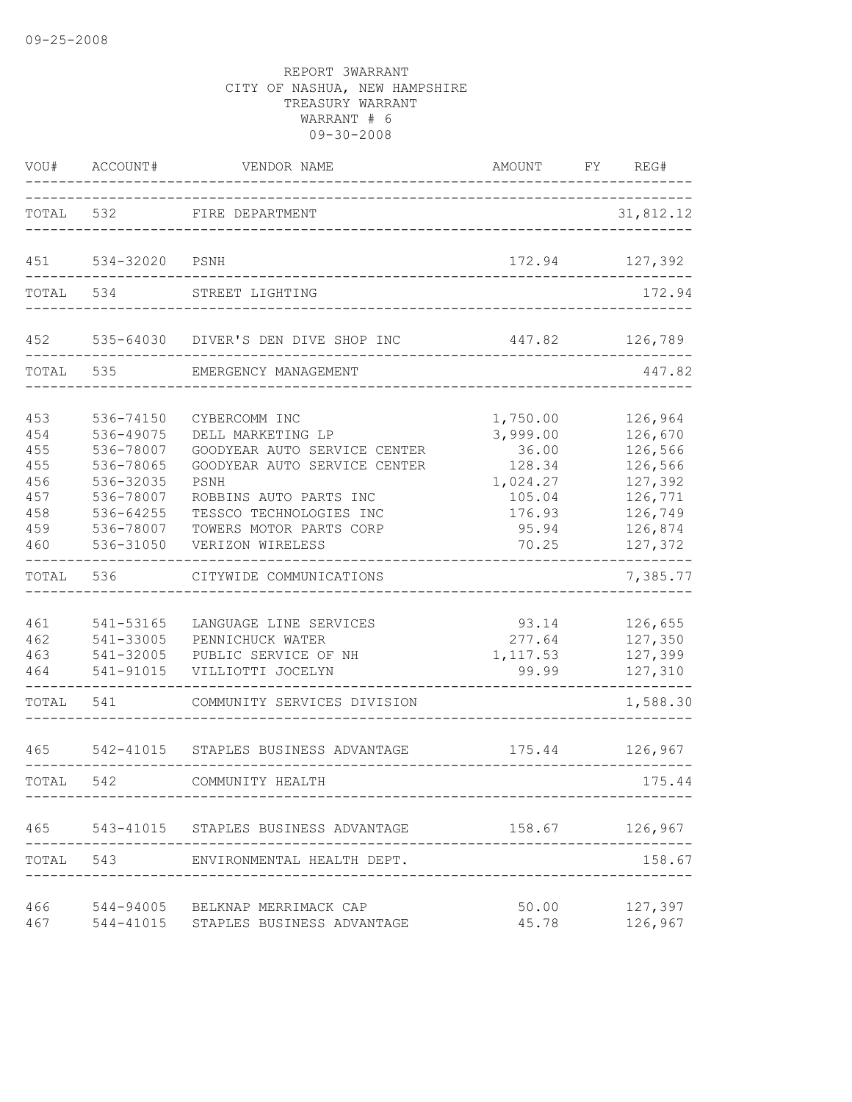| VOU#                                                        | ACCOUNT#                                                                                                          | VENDOR NAME                                                                                                                                                                                                    | AMOUNT                                                                                    | FY | REG#                                                                                            |
|-------------------------------------------------------------|-------------------------------------------------------------------------------------------------------------------|----------------------------------------------------------------------------------------------------------------------------------------------------------------------------------------------------------------|-------------------------------------------------------------------------------------------|----|-------------------------------------------------------------------------------------------------|
| TOTAL                                                       | 532                                                                                                               | FIRE DEPARTMENT                                                                                                                                                                                                |                                                                                           |    | 31,812.12                                                                                       |
| 451                                                         | 534-32020                                                                                                         | PSNH                                                                                                                                                                                                           | 172.94                                                                                    |    | 127,392                                                                                         |
| TOTAL                                                       | 534                                                                                                               | STREET LIGHTING                                                                                                                                                                                                | ______________________________                                                            |    | 172.94                                                                                          |
| 452                                                         |                                                                                                                   | 535-64030 DIVER'S DEN DIVE SHOP INC                                                                                                                                                                            | 447.82                                                                                    |    | 126,789                                                                                         |
| TOTAL                                                       | 535                                                                                                               | EMERGENCY MANAGEMENT                                                                                                                                                                                           |                                                                                           |    | 447.82                                                                                          |
| 453<br>454<br>455<br>455<br>456<br>457<br>458<br>459<br>460 | 536-74150<br>536-49075<br>536-78007<br>536-78065<br>536-32035<br>536-78007<br>536-64255<br>536-78007<br>536-31050 | CYBERCOMM INC<br>DELL MARKETING LP<br>GOODYEAR AUTO SERVICE CENTER<br>GOODYEAR AUTO SERVICE CENTER<br>PSNH<br>ROBBINS AUTO PARTS INC<br>TESSCO TECHNOLOGIES INC<br>TOWERS MOTOR PARTS CORP<br>VERIZON WIRELESS | 1,750.00<br>3,999.00<br>36.00<br>128.34<br>1,024.27<br>105.04<br>176.93<br>95.94<br>70.25 |    | 126,964<br>126,670<br>126,566<br>126,566<br>127,392<br>126,771<br>126,749<br>126,874<br>127,372 |
| TOTAL                                                       | 536                                                                                                               | CITYWIDE COMMUNICATIONS                                                                                                                                                                                        |                                                                                           |    | 7,385.77                                                                                        |
| 461<br>462<br>463<br>464                                    | 541-53165<br>541-33005<br>541-32005<br>541-91015                                                                  | LANGUAGE LINE SERVICES<br>PENNICHUCK WATER<br>PUBLIC SERVICE OF NH<br>VILLIOTTI JOCELYN                                                                                                                        | 93.14<br>277.64<br>1, 117.53<br>99.99                                                     |    | 126,655<br>127,350<br>127,399<br>127,310                                                        |
| TOTAL                                                       | 541                                                                                                               | COMMUNITY SERVICES DIVISION                                                                                                                                                                                    |                                                                                           |    | 1,588.30                                                                                        |
| 465                                                         | 542-41015                                                                                                         | STAPLES BUSINESS ADVANTAGE                                                                                                                                                                                     | 175.44                                                                                    |    | 126,967                                                                                         |
| TOTAL                                                       | 542                                                                                                               | COMMUNITY HEALTH                                                                                                                                                                                               |                                                                                           |    | 175.44                                                                                          |
|                                                             |                                                                                                                   | 465 543-41015 STAPLES BUSINESS ADVANTAGE                                                                                                                                                                       |                                                                                           |    | 158.67 126,967                                                                                  |
|                                                             |                                                                                                                   | TOTAL 543 ENVIRONMENTAL HEALTH DEPT.                                                                                                                                                                           |                                                                                           |    | 158.67                                                                                          |
| 466<br>467                                                  |                                                                                                                   | 544-94005 BELKNAP MERRIMACK CAP<br>544-41015 STAPLES BUSINESS ADVANTAGE                                                                                                                                        | 50.00<br>45.78                                                                            |    | 127,397<br>126,967                                                                              |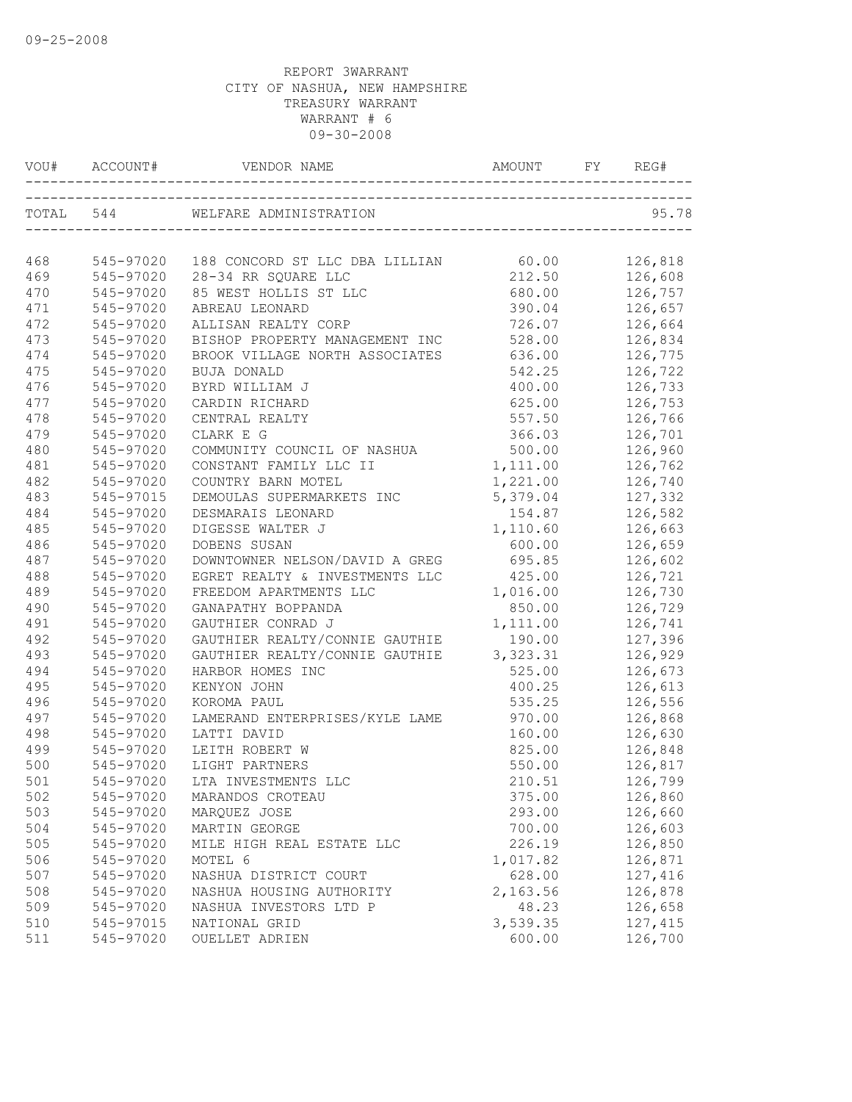| VOU#  |           |                                      |           | REG#    |
|-------|-----------|--------------------------------------|-----------|---------|
|       | TOTAL 544 | WELFARE ADMINISTRATION               |           | 95.78   |
| 468   | 545-97020 | 188 CONCORD ST LLC DBA LILLIAN 60.00 |           | 126,818 |
| 469   | 545-97020 | 28-34 RR SQUARE LLC                  | 212.50    | 126,608 |
| 470   | 545-97020 | 85 WEST HOLLIS ST LLC                | 680.00    | 126,757 |
| 471   | 545-97020 | ABREAU LEONARD                       | 390.04    | 126,657 |
| 472   | 545-97020 | ALLISAN REALTY CORP                  | 726.07    | 126,664 |
| 473   | 545-97020 | BISHOP PROPERTY MANAGEMENT INC       | 528.00    | 126,834 |
| 474   | 545-97020 | BROOK VILLAGE NORTH ASSOCIATES       | 636.00    | 126,775 |
| 475   | 545-97020 | BUJA DONALD                          | 542.25    | 126,722 |
| 476   | 545-97020 | BYRD WILLIAM J                       | 400.00    | 126,733 |
| 477   | 545-97020 | CARDIN RICHARD                       | 625.00    | 126,753 |
| 478   | 545-97020 | CENTRAL REALTY                       | 557.50    | 126,766 |
| 479   | 545-97020 | CLARK E G                            | 366.03    | 126,701 |
| 480   | 545-97020 | COMMUNITY COUNCIL OF NASHUA          | 500.00    | 126,960 |
| 481   | 545-97020 | CONSTANT FAMILY LLC II               | 1,111.00  | 126,762 |
| 482   | 545-97020 | COUNTRY BARN MOTEL                   | 1,221.00  | 126,740 |
| 483   | 545-97015 | DEMOULAS SUPERMARKETS INC            | 5,379.04  | 127,332 |
| 484   | 545-97020 | DESMARAIS LEONARD                    | 154.87    | 126,582 |
| 485   | 545-97020 | DIGESSE WALTER J                     | 1,110.60  | 126,663 |
| 486   | 545-97020 | DOBENS SUSAN                         | 600.00    | 126,659 |
| 487   | 545-97020 | DOWNTOWNER NELSON/DAVID A GREG       | 695.85    | 126,602 |
| 488   | 545-97020 | EGRET REALTY & INVESTMENTS LLC       | 425.00    | 126,721 |
| 489   | 545-97020 | FREEDOM APARTMENTS LLC               | 1,016.00  | 126,730 |
| 490   | 545-97020 | GANAPATHY BOPPANDA                   | 850.00    | 126,729 |
| 491   | 545-97020 | GAUTHIER CONRAD J                    | 1,111.00  | 126,741 |
| 492   | 545-97020 | GAUTHIER REALTY/CONNIE GAUTHIE       | 190.00    | 127,396 |
| 493   | 545-97020 | GAUTHIER REALTY/CONNIE GAUTHIE       | 3, 323.31 | 126,929 |
| 494   | 545-97020 | HARBOR HOMES INC                     | 525.00    | 126,673 |
| 495   | 545-97020 | KENYON JOHN                          | 400.25    | 126,613 |
| 496   | 545-97020 | KOROMA PAUL                          | 535.25    | 126,556 |
| 497   | 545-97020 | LAMERAND ENTERPRISES/KYLE LAME       | 970.00    | 126,868 |
| 498   | 545-97020 | LATTI DAVID                          | 160.00    | 126,630 |
| 499   | 545-97020 | LEITH ROBERT W                       | 825.00    | 126,848 |
| 500   | 545-97020 | LIGHT PARTNERS                       | 550.00    | 126,817 |
| $501$ |           | 545-97020 LTA INVESTMENTS LLC        | 210.51    | 126,799 |
| 502   | 545-97020 | MARANDOS CROTEAU                     | 375.00    | 126,860 |
| 503   | 545-97020 | MARQUEZ JOSE                         | 293.00    | 126,660 |
| 504   | 545-97020 | MARTIN GEORGE                        | 700.00    | 126,603 |
| 505   | 545-97020 | MILE HIGH REAL ESTATE LLC            | 226.19    | 126,850 |
| 506   | 545-97020 | MOTEL 6                              | 1,017.82  | 126,871 |
| 507   | 545-97020 | NASHUA DISTRICT COURT                | 628.00    | 127,416 |
| 508   | 545-97020 | NASHUA HOUSING AUTHORITY             | 2,163.56  | 126,878 |
| 509   | 545-97020 | NASHUA INVESTORS LTD P               | 48.23     | 126,658 |
| 510   | 545-97015 | NATIONAL GRID                        | 3,539.35  | 127,415 |
| 511   | 545-97020 | <b>OUELLET ADRIEN</b>                | 600.00    | 126,700 |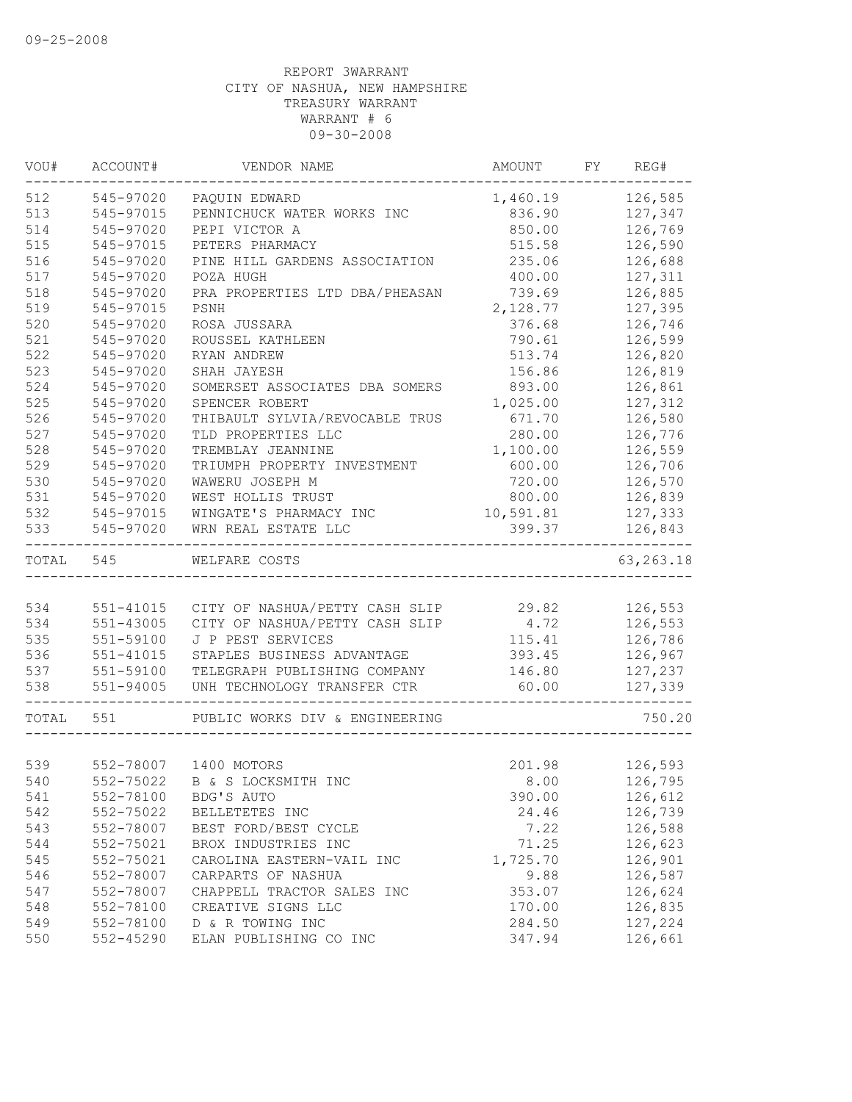| VOU#  | ACCOUNT#      | VENDOR NAME                    | AMOUNT    | FY | REG#                    |
|-------|---------------|--------------------------------|-----------|----|-------------------------|
| 512   | 545-97020     | PAQUIN EDWARD                  | 1,460.19  |    | 126,585                 |
| 513   | 545-97015     | PENNICHUCK WATER WORKS INC     | 836.90    |    | 127,347                 |
| 514   | 545-97020     | PEPI VICTOR A                  | 850.00    |    | 126,769                 |
| 515   | 545-97015     | PETERS PHARMACY                | 515.58    |    | 126,590                 |
| 516   | 545-97020     | PINE HILL GARDENS ASSOCIATION  | 235.06    |    | 126,688                 |
| 517   | 545-97020     | POZA HUGH                      | 400.00    |    | 127,311                 |
| 518   | 545-97020     | PRA PROPERTIES LTD DBA/PHEASAN | 739.69    |    | 126,885                 |
| 519   | 545-97015     | PSNH                           | 2,128.77  |    | 127,395                 |
| 520   | 545-97020     | ROSA JUSSARA                   | 376.68    |    | 126,746                 |
| 521   | 545-97020     | ROUSSEL KATHLEEN               | 790.61    |    | 126,599                 |
| 522   | 545-97020     | RYAN ANDREW                    | 513.74    |    | 126,820                 |
| 523   | 545-97020     | SHAH JAYESH                    | 156.86    |    | 126,819                 |
| 524   | 545-97020     | SOMERSET ASSOCIATES DBA SOMERS | 893.00    |    | 126,861                 |
| 525   | 545-97020     | SPENCER ROBERT                 | 1,025.00  |    | 127,312                 |
| 526   | 545-97020     | THIBAULT SYLVIA/REVOCABLE TRUS | 671.70    |    | 126,580                 |
| 527   | 545-97020     | TLD PROPERTIES LLC             | 280.00    |    | 126,776                 |
| 528   | 545-97020     | TREMBLAY JEANNINE              | 1,100.00  |    | 126,559                 |
| 529   | 545-97020     | TRIUMPH PROPERTY INVESTMENT    | 600.00    |    | 126,706                 |
| 530   | 545-97020     | WAWERU JOSEPH M                | 720.00    |    | 126,570                 |
| 531   | 545-97020     | WEST HOLLIS TRUST              | 800.00    |    | 126,839                 |
| 532   | 545-97015     | WINGATE'S PHARMACY INC         | 10,591.81 |    | 127,333                 |
| 533   | 545-97020     | WRN REAL ESTATE LLC            | 399.37    |    | 126,843                 |
| TOTAL | 545           | WELFARE COSTS                  |           |    | --------<br>63, 263. 18 |
|       |               |                                |           |    |                         |
| 534   | 551-41015     | CITY OF NASHUA/PETTY CASH SLIP | 29.82     |    | 126,553                 |
| 534   | $551 - 43005$ | CITY OF NASHUA/PETTY CASH SLIP | 4.72      |    | 126,553                 |
| 535   | 551-59100     | J P PEST SERVICES              | 115.41    |    | 126,786                 |
| 536   | 551-41015     | STAPLES BUSINESS ADVANTAGE     | 393.45    |    | 126,967                 |
| 537   | 551-59100     | TELEGRAPH PUBLISHING COMPANY   | 146.80    |    | 127,237                 |
| 538   | $551 - 94005$ | UNH TECHNOLOGY TRANSFER CTR    | 60.00     |    | 127,339                 |
| TOTAL | 551           | PUBLIC WORKS DIV & ENGINEERING |           |    | 750.20                  |
|       |               |                                |           |    |                         |
| 539   | 552-78007     | 1400 MOTORS                    | 201.98    |    | 126,593                 |
| 540   |               | 552-75022 B & S LOCKSMITH INC  | 8.00      |    | 126,795                 |
| 541   | 552-78100     | BDG'S AUTO                     | 390.00    |    | 126,612                 |
| 542   | 552-75022     | BELLETETES INC                 | 24.46     |    | 126,739                 |
| 543   | 552-78007     | BEST FORD/BEST CYCLE           | 7.22      |    | 126,588                 |
| 544   | 552-75021     | BROX INDUSTRIES INC            | 71.25     |    | 126,623                 |
| 545   | 552-75021     | CAROLINA EASTERN-VAIL INC      | 1,725.70  |    | 126,901                 |
| 546   | 552-78007     | CARPARTS OF NASHUA             | 9.88      |    | 126,587                 |
| 547   | 552-78007     | CHAPPELL TRACTOR SALES INC     | 353.07    |    | 126,624                 |
| 548   | 552-78100     | CREATIVE SIGNS LLC             | 170.00    |    | 126,835                 |
| 549   | 552-78100     | D & R TOWING INC               | 284.50    |    | 127,224                 |
| 550   | 552-45290     | ELAN PUBLISHING CO INC         | 347.94    |    | 126,661                 |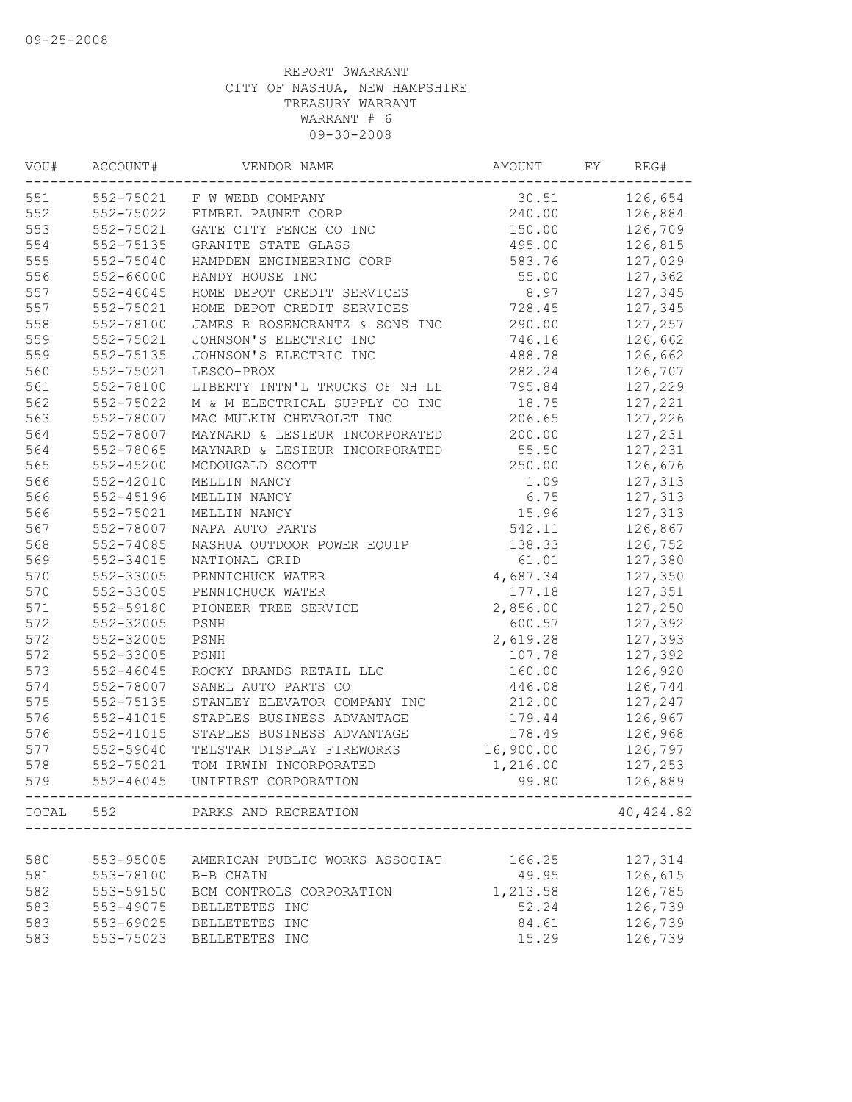| VOU# | ACCOUNT#      | VENDOR NAME                                                   | AMOUNT    | FY | REG#      |
|------|---------------|---------------------------------------------------------------|-----------|----|-----------|
| 551  |               | 552-75021 F W WEBB COMPANY                                    | 30.51     |    | 126,654   |
| 552  | 552-75022     | FIMBEL PAUNET CORP                                            | 240.00    |    | 126,884   |
| 553  | 552-75021     | GATE CITY FENCE CO INC                                        | 150.00    |    | 126,709   |
| 554  | 552-75135     | GRANITE STATE GLASS                                           | 495.00    |    | 126,815   |
| 555  | 552-75040     | HAMPDEN ENGINEERING CORP                                      | 583.76    |    | 127,029   |
| 556  | 552-66000     | HANDY HOUSE INC                                               | 55.00     |    | 127,362   |
| 557  | $552 - 46045$ | HOME DEPOT CREDIT SERVICES                                    | 8.97      |    | 127,345   |
| 557  | 552-75021     | HOME DEPOT CREDIT SERVICES                                    | 728.45    |    | 127,345   |
| 558  | 552-78100     | JAMES R ROSENCRANTZ & SONS INC                                | 290.00    |    | 127,257   |
| 559  | 552-75021     | JOHNSON'S ELECTRIC INC                                        | 746.16    |    | 126,662   |
| 559  | 552-75135     | JOHNSON'S ELECTRIC INC                                        | 488.78    |    | 126,662   |
| 560  | 552-75021     | LESCO-PROX                                                    | 282.24    |    | 126,707   |
| 561  | 552-78100     | LIBERTY INTN'L TRUCKS OF NH LL                                | 795.84    |    | 127,229   |
| 562  | 552-75022     | M & M ELECTRICAL SUPPLY CO INC                                | 18.75     |    | 127,221   |
| 563  | 552-78007     | MAC MULKIN CHEVROLET INC                                      | 206.65    |    | 127,226   |
| 564  | 552-78007     | MAYNARD & LESIEUR INCORPORATED                                | 200.00    |    | 127,231   |
| 564  | 552-78065     | MAYNARD & LESIEUR INCORPORATED                                | 55.50     |    | 127,231   |
| 565  | $552 - 45200$ | MCDOUGALD SCOTT                                               | 250.00    |    | 126,676   |
| 566  | 552-42010     | MELLIN NANCY                                                  | 1.09      |    | 127,313   |
| 566  | 552-45196     | MELLIN NANCY                                                  | 6.75      |    | 127,313   |
| 566  | 552-75021     | MELLIN NANCY                                                  | 15.96     |    | 127,313   |
| 567  | 552-78007     | NAPA AUTO PARTS                                               | 542.11    |    | 126,867   |
| 568  | 552-74085     | NASHUA OUTDOOR POWER EQUIP                                    | 138.33    |    | 126,752   |
| 569  | 552-34015     | NATIONAL GRID                                                 | 61.01     |    | 127,380   |
| 570  | 552-33005     | PENNICHUCK WATER                                              | 4,687.34  |    | 127,350   |
| 570  | 552-33005     | PENNICHUCK WATER                                              | 177.18    |    | 127,351   |
| 571  | 552-59180     | PIONEER TREE SERVICE                                          | 2,856.00  |    | 127,250   |
| 572  | 552-32005     | PSNH                                                          | 600.57    |    | 127,392   |
| 572  | 552-32005     | PSNH                                                          | 2,619.28  |    | 127,393   |
| 572  | 552-33005     | PSNH                                                          | 107.78    |    | 127,392   |
| 573  | $552 - 46045$ | ROCKY BRANDS RETAIL LLC                                       | 160.00    |    | 126,920   |
| 574  | 552-78007     | SANEL AUTO PARTS CO                                           | 446.08    |    | 126,744   |
| 575  | 552-75135     | STANLEY ELEVATOR COMPANY INC                                  | 212.00    |    | 127,247   |
| 576  | 552-41015     | STAPLES BUSINESS ADVANTAGE                                    | 179.44    |    | 126,967   |
| 576  | 552-41015     | STAPLES BUSINESS ADVANTAGE                                    | 178.49    |    | 126,968   |
| 577  | 552-59040     | TELSTAR DISPLAY FIREWORKS                                     | 16,900.00 |    | 126,797   |
| 578  | 552-75021     | TOM IRWIN INCORPORATED                                        | 1,216.00  |    | 127,253   |
| 579  | $552 - 46045$ | UNIFIRST CORPORATION<br>------------------------------------- | 99.80     |    | 126,889   |
|      |               | TOTAL 552 PARKS AND RECREATION                                |           |    | 40,424.82 |
|      |               |                                                               |           |    |           |
| 580  | 553-95005     | AMERICAN PUBLIC WORKS ASSOCIAT                                | 166.25    |    | 127,314   |
| 581  | 553-78100     | B-B CHAIN                                                     | 49.95     |    | 126,615   |
| 582  | 553-59150     | BCM CONTROLS CORPORATION                                      | 1,213.58  |    | 126,785   |
| 583  | 553-49075     | BELLETETES INC                                                | 52.24     |    | 126,739   |
| 583  | 553-69025     | BELLETETES INC                                                | 84.61     |    | 126,739   |
| 583  | 553-75023     | BELLETETES INC                                                | 15.29     |    | 126,739   |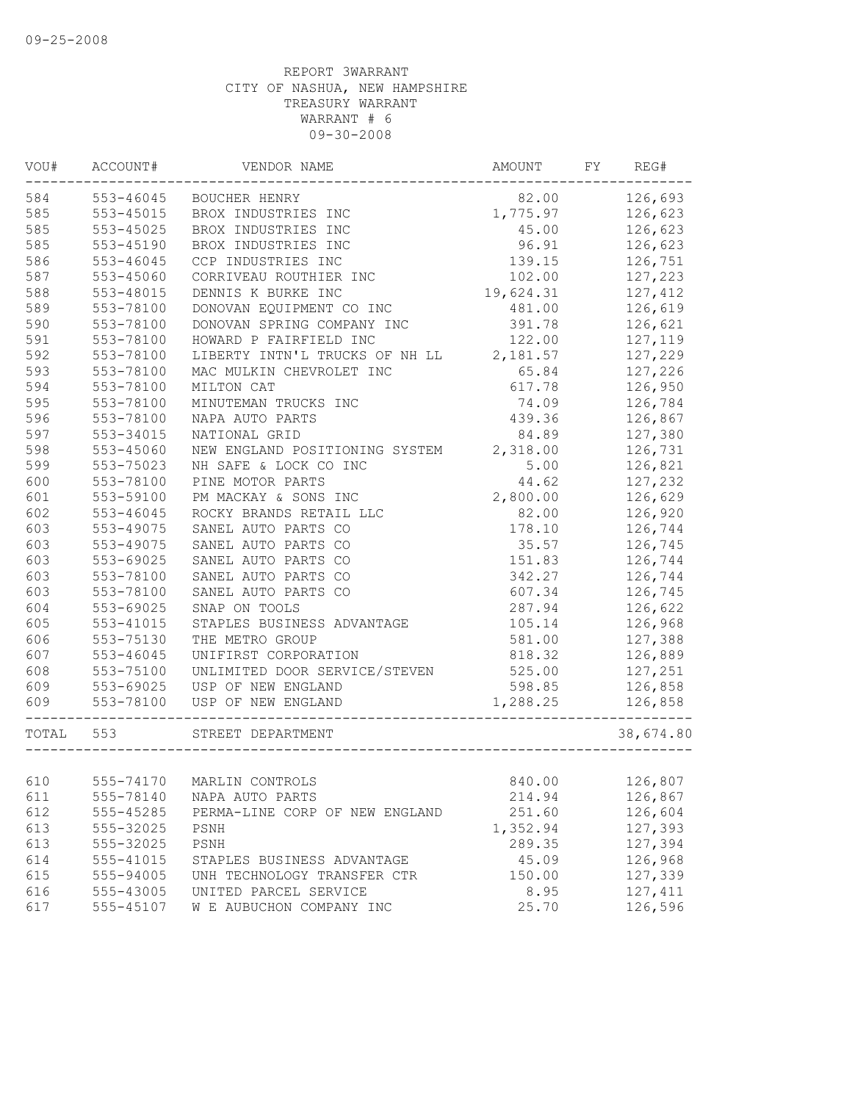| VOU#  | ACCOUNT#  | VENDOR NAME                    | AMOUNT    | FY | REG#      |
|-------|-----------|--------------------------------|-----------|----|-----------|
| 584   | 553-46045 | BOUCHER HENRY                  | 82.00     |    | 126,693   |
| 585   | 553-45015 | BROX INDUSTRIES INC            | 1,775.97  |    | 126,623   |
| 585   | 553-45025 | BROX INDUSTRIES INC            | 45.00     |    | 126,623   |
| 585   | 553-45190 | BROX INDUSTRIES INC            | 96.91     |    | 126,623   |
| 586   | 553-46045 | CCP INDUSTRIES INC             | 139.15    |    | 126,751   |
| 587   | 553-45060 | CORRIVEAU ROUTHIER INC         | 102.00    |    | 127,223   |
| 588   | 553-48015 | DENNIS K BURKE INC             | 19,624.31 |    | 127,412   |
| 589   | 553-78100 | DONOVAN EQUIPMENT CO INC       | 481.00    |    | 126,619   |
| 590   | 553-78100 | DONOVAN SPRING COMPANY INC     | 391.78    |    | 126,621   |
| 591   | 553-78100 | HOWARD P FAIRFIELD INC         | 122.00    |    | 127,119   |
| 592   | 553-78100 | LIBERTY INTN'L TRUCKS OF NH LL | 2,181.57  |    | 127,229   |
| 593   | 553-78100 | MAC MULKIN CHEVROLET INC       | 65.84     |    | 127,226   |
| 594   | 553-78100 | MILTON CAT                     | 617.78    |    | 126,950   |
| 595   | 553-78100 | MINUTEMAN TRUCKS INC           | 74.09     |    | 126,784   |
| 596   | 553-78100 | NAPA AUTO PARTS                | 439.36    |    | 126,867   |
| 597   | 553-34015 | NATIONAL GRID                  | 84.89     |    | 127,380   |
| 598   | 553-45060 | NEW ENGLAND POSITIONING SYSTEM | 2,318.00  |    | 126,731   |
| 599   | 553-75023 | NH SAFE & LOCK CO INC          | 5.00      |    | 126,821   |
| 600   | 553-78100 | PINE MOTOR PARTS               | 44.62     |    | 127,232   |
| 601   | 553-59100 | PM MACKAY & SONS INC           | 2,800.00  |    | 126,629   |
| 602   | 553-46045 | ROCKY BRANDS RETAIL LLC        | 82.00     |    | 126,920   |
| 603   | 553-49075 | SANEL AUTO PARTS CO            | 178.10    |    | 126,744   |
| 603   | 553-49075 | SANEL AUTO PARTS CO            | 35.57     |    | 126,745   |
| 603   | 553-69025 | SANEL AUTO PARTS CO            | 151.83    |    | 126,744   |
| 603   | 553-78100 | SANEL AUTO PARTS CO            | 342.27    |    | 126,744   |
| 603   | 553-78100 | SANEL AUTO PARTS CO            | 607.34    |    | 126,745   |
| 604   | 553-69025 | SNAP ON TOOLS                  | 287.94    |    | 126,622   |
| 605   | 553-41015 | STAPLES BUSINESS ADVANTAGE     | 105.14    |    | 126,968   |
| 606   | 553-75130 | THE METRO GROUP                | 581.00    |    | 127,388   |
| 607   | 553-46045 | UNIFIRST CORPORATION           | 818.32    |    | 126,889   |
| 608   | 553-75100 | UNLIMITED DOOR SERVICE/STEVEN  | 525.00    |    | 127,251   |
| 609   | 553-69025 | USP OF NEW ENGLAND             | 598.85    |    | 126,858   |
| 609   | 553-78100 | USP OF NEW ENGLAND             | 1,288.25  |    | 126,858   |
|       |           |                                |           |    |           |
| TOTAL | 553       | STREET DEPARTMENT              |           |    | 38,674.80 |
| 610   |           | 555-74170 MARLIN CONTROLS      | 840.00    |    | 126,807   |
| 611   | 555-78140 | NAPA AUTO PARTS                | 214.94    |    | 126,867   |
| 612   | 555-45285 | PERMA-LINE CORP OF NEW ENGLAND | 251.60    |    | 126,604   |
| 613   | 555-32025 | PSNH                           | 1,352.94  |    | 127,393   |
| 613   | 555-32025 | PSNH                           | 289.35    |    | 127,394   |
| 614   | 555-41015 | STAPLES BUSINESS ADVANTAGE     | 45.09     |    | 126,968   |
| 615   | 555-94005 | UNH TECHNOLOGY TRANSFER CTR    | 150.00    |    | 127,339   |
| 616   | 555-43005 | UNITED PARCEL SERVICE          | 8.95      |    | 127, 411  |
| 617   | 555-45107 | W E AUBUCHON COMPANY INC       | 25.70     |    | 126,596   |
|       |           |                                |           |    |           |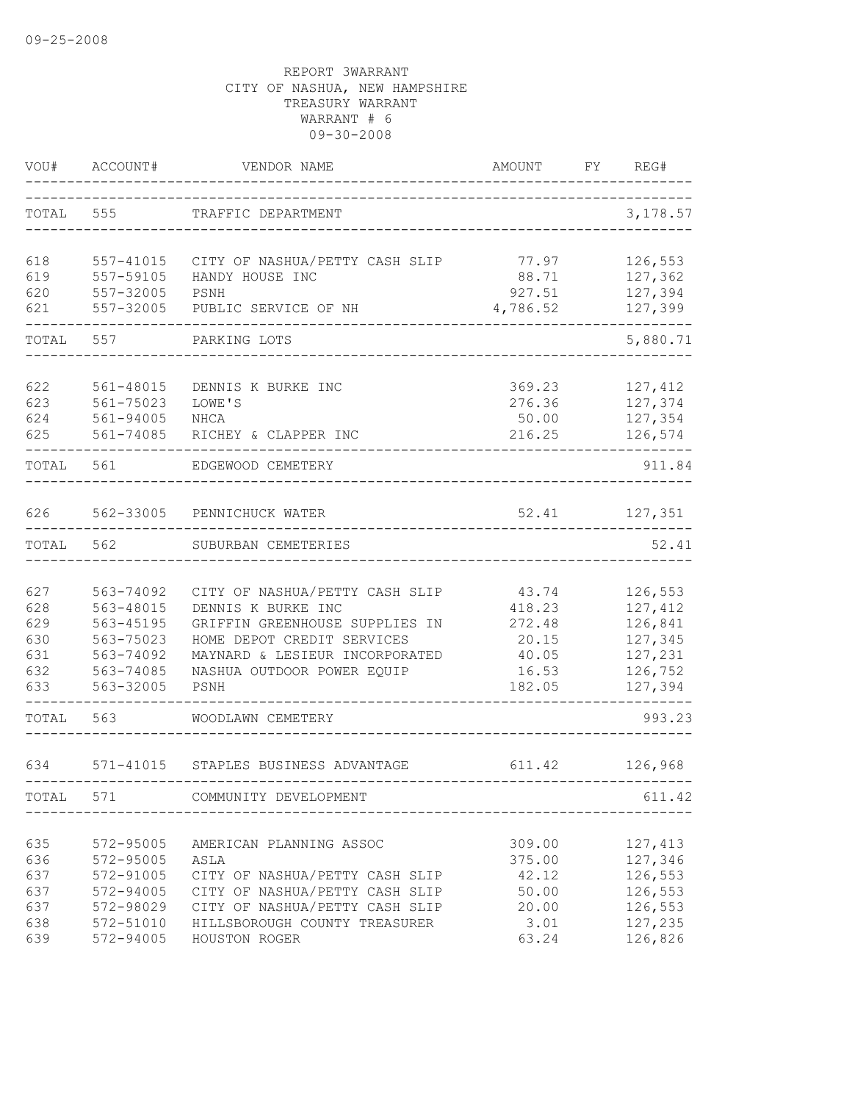| VOU#                                          | ACCOUNT#                                                                                | VENDOR NAME                                                                                                                                                                                  | AMOUNT                                                         | FY | REG#                                                                      |
|-----------------------------------------------|-----------------------------------------------------------------------------------------|----------------------------------------------------------------------------------------------------------------------------------------------------------------------------------------------|----------------------------------------------------------------|----|---------------------------------------------------------------------------|
| TOTAL                                         | 555                                                                                     | TRAFFIC DEPARTMENT                                                                                                                                                                           |                                                                |    | 3,178.57                                                                  |
| 618<br>619<br>620<br>621                      | 557-41015<br>557-59105<br>557-32005<br>557-32005                                        | CITY OF NASHUA/PETTY CASH SLIP<br>HANDY HOUSE INC<br>PSNH<br>PUBLIC SERVICE OF NH                                                                                                            | 77.97<br>88.71<br>927.51<br>4,786.52                           |    | 126,553<br>127,362<br>127,394<br>127,399                                  |
| TOTAL                                         | 557                                                                                     | PARKING LOTS                                                                                                                                                                                 |                                                                |    | 5,880.71                                                                  |
| 622<br>623<br>624<br>625                      | 561-48015<br>561-75023<br>561-94005<br>561-74085                                        | DENNIS K BURKE INC<br>LOWE'S<br>NHCA<br>RICHEY & CLAPPER INC                                                                                                                                 | 369.23<br>276.36<br>50.00<br>216.25                            |    | 127,412<br>127,374<br>127,354<br>126,574                                  |
| TOTAL                                         | 561                                                                                     | EDGEWOOD CEMETERY                                                                                                                                                                            |                                                                |    | 911.84                                                                    |
| 626                                           |                                                                                         | 562-33005 PENNICHUCK WATER                                                                                                                                                                   | 52.41                                                          |    | 127,351                                                                   |
| TOTAL                                         | 562                                                                                     | SUBURBAN CEMETERIES                                                                                                                                                                          |                                                                |    | 52.41                                                                     |
| 627<br>628<br>629<br>630<br>631<br>632<br>633 | 563-74092<br>563-48015<br>563-45195<br>563-75023<br>563-74092<br>563-74085<br>563-32005 | CITY OF NASHUA/PETTY CASH SLIP<br>DENNIS K BURKE INC<br>GRIFFIN GREENHOUSE SUPPLIES IN<br>HOME DEPOT CREDIT SERVICES<br>MAYNARD & LESIEUR INCORPORATED<br>NASHUA OUTDOOR POWER EQUIP<br>PSNH | 43.74<br>418.23<br>272.48<br>20.15<br>40.05<br>16.53<br>182.05 |    | 126,553<br>127,412<br>126,841<br>127,345<br>127,231<br>126,752<br>127,394 |
| TOTAL                                         | 563                                                                                     | WOODLAWN CEMETERY                                                                                                                                                                            |                                                                |    | 993.23                                                                    |
| 634                                           | 571-41015                                                                               | STAPLES BUSINESS ADVANTAGE                                                                                                                                                                   | 611.42                                                         |    | 126,968                                                                   |
| TOTAL                                         | 571                                                                                     | COMMUNITY DEVELOPMENT                                                                                                                                                                        |                                                                |    | 611.42                                                                    |
| 635<br>636<br>637<br>637<br>637<br>638<br>639 | 572-95005<br>572-95005<br>572-91005<br>572-94005<br>572-98029<br>572-51010<br>572-94005 | AMERICAN PLANNING ASSOC<br>ASLA<br>CITY OF NASHUA/PETTY CASH SLIP<br>CITY OF NASHUA/PETTY CASH SLIP<br>CITY OF NASHUA/PETTY CASH SLIP<br>HILLSBOROUGH COUNTY TREASURER<br>HOUSTON ROGER      | 309.00<br>375.00<br>42.12<br>50.00<br>20.00<br>3.01<br>63.24   |    | 127,413<br>127,346<br>126,553<br>126,553<br>126,553<br>127,235<br>126,826 |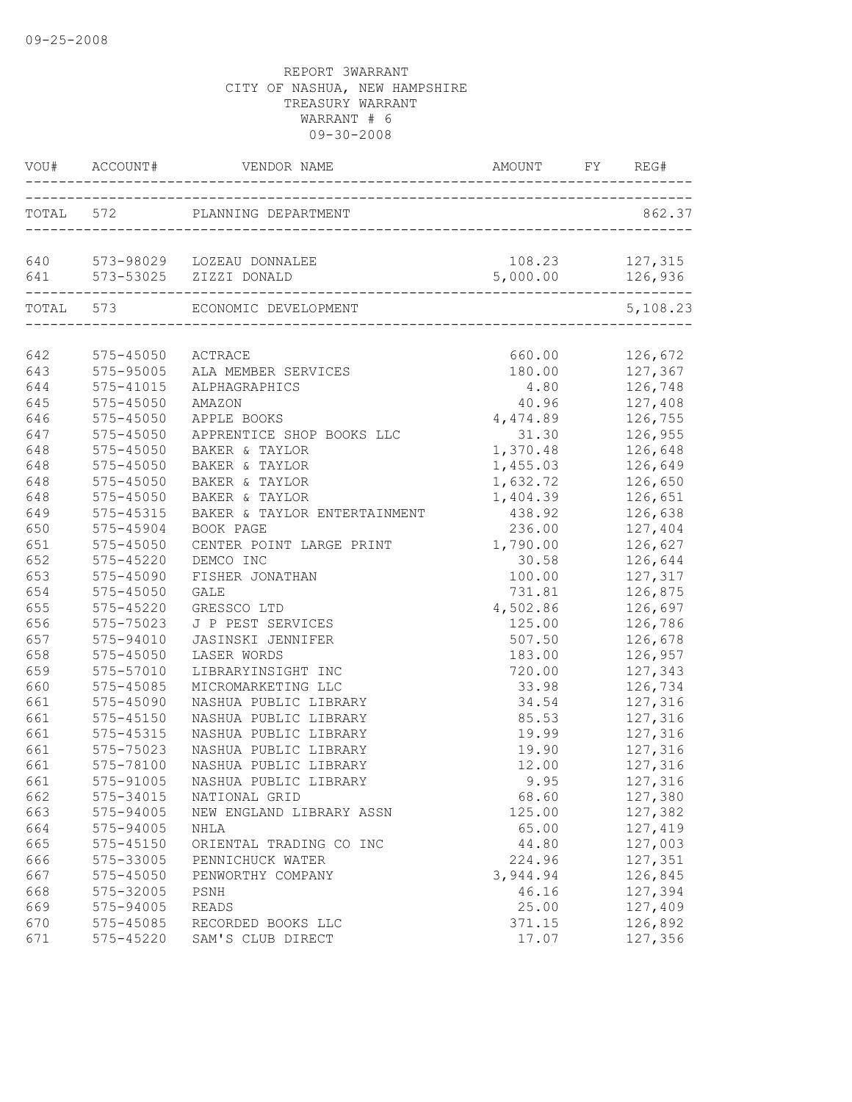|     |                   | VOU# ACCOUNT# VENDOR NAME AMOUNT FY REG#                              |                    |                        |
|-----|-------------------|-----------------------------------------------------------------------|--------------------|------------------------|
|     |                   | TOTAL 572 PLANNING DEPARTMENT<br>____________________________________ |                    | 862.37                 |
|     |                   | 640 573-98029 LOZEAU DONNALEE<br>641 573-53025 ZIZZI DONALD           | 108.23<br>5,000.00 | 127,315<br>126,936     |
|     | TOTAL 573         | --------------------------------------<br>ECONOMIC DEVELOPMENT        |                    | ----------<br>5,108.23 |
| 642 | 575-45050 ACTRACE |                                                                       | 660.00             | 126,672                |
| 643 | $575 - 95005$     | ALA MEMBER SERVICES                                                   | 180.00             | 127,367                |
| 644 | 575-41015         | ALPHAGRAPHICS                                                         |                    | $4.80$ $126,748$       |
| 645 | $575 - 45050$     | AMAZON                                                                | 40.96 127,408      |                        |
| 646 | 575-45050         | APPLE BOOKS                                                           | 4,474.89 126,755   |                        |
| 647 | 575-45050         | APPRENTICE SHOP BOOKS LLC                                             |                    | 31.30 126,955          |
| 648 | 575-45050         | BAKER & TAYLOR                                                        | 1,370.48 126,648   |                        |
| 648 | 575-45050         | BAKER & TAYLOR                                                        | 1,455.03           | 126,649                |
| 648 | $575 - 45050$     | BAKER & TAYLOR                                                        | 1,632.72           | 126,650                |
| 648 | 575-45050         | BAKER & TAYLOR                                                        | 1,404.39           | 126,651                |
| 649 | $575 - 45315$     | BAKER & TAYLOR ENTERTAINMENT                                          | 438.92             | 126,638                |
| 650 | 575-45904         | BOOK PAGE                                                             | 236.00             | 127,404                |
| 651 | 575-45050         | CENTER POINT LARGE PRINT                                              | 1,790.00           | 126,627                |
| 652 | $575 - 45220$     | DEMCO INC                                                             | 30.58              | 126,644                |
| 653 | 575-45090         | FISHER JONATHAN                                                       |                    | 100.00 127,317         |
| 654 | 575-45050         | <b>GALE</b>                                                           | 731.81             | 126,875                |
| 655 | 575-45220         | GRESSCO LTD                                                           | 4,502.86           | 126,697                |
| 656 | 575-75023         | J P PEST SERVICES                                                     | 125.00             | 126,786                |
| 657 | 575-94010         | <b>JASINSKI JENNIFER</b>                                              | 507.50             | 126,678                |
| 658 | 575-45050         | LASER WORDS                                                           | 183.00             | 126,957                |
| 659 | 575-57010         | LIBRARYINSIGHT INC                                                    | 720.00             | 127,343                |
| 660 | 575-45085         | MICROMARKETING LLC                                                    | 33.98              | 126,734                |
| 661 | 575-45090         | NASHUA PUBLIC LIBRARY                                                 | 34.54              | 127,316                |
| 661 | 575-45150         | NASHUA PUBLIC LIBRARY                                                 | 85.53              | 127,316                |
| 661 | 575-45315         | NASHUA PUBLIC LIBRARY                                                 | 19.99              | 127,316                |
| 661 | 575-75023         | NASHUA PUBLIC LIBRARY                                                 | 19.90              | 127,316                |
| 661 | 575-78100         | NASHUA PUBLIC LIBRARY                                                 | 12.00              | 127,316                |
| 661 |                   | 575-91005 NASHUA PUBLIC LIBRARY                                       | 9.95               | 127,316                |
| 662 | 575-34015         | NATIONAL GRID                                                         | 68.60              | 127,380                |
| 663 | 575-94005         | NEW ENGLAND LIBRARY ASSN                                              | 125.00             | 127,382                |
| 664 | 575-94005         | NHLA                                                                  | 65.00              | 127,419                |
| 665 | 575-45150         | ORIENTAL TRADING CO INC                                               | 44.80              | 127,003                |
| 666 | 575-33005         | PENNICHUCK WATER                                                      | 224.96             | 127,351                |
| 667 | 575-45050         | PENWORTHY COMPANY                                                     | 3,944.94           | 126,845                |
| 668 | 575-32005         | PSNH                                                                  | 46.16              | 127,394                |
| 669 | 575-94005         | READS                                                                 | 25.00              | 127,409                |
| 670 | 575-45085         | RECORDED BOOKS LLC                                                    | 371.15             | 126,892                |
| 671 | 575-45220         | SAM'S CLUB DIRECT                                                     | 17.07              | 127,356                |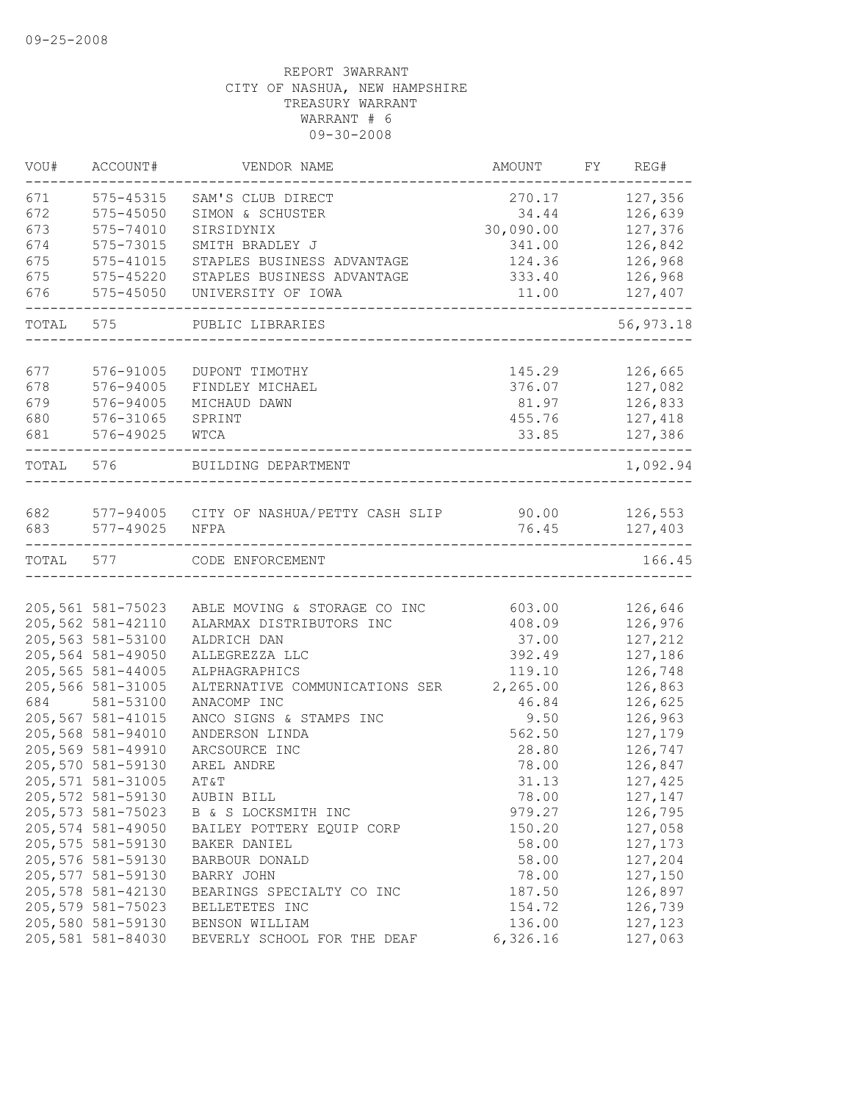| VOU#       | ACCOUNT#           | VENDOR NAME                                                             | AMOUNT    | FY | REG#       |
|------------|--------------------|-------------------------------------------------------------------------|-----------|----|------------|
| 671        | 575-45315          | SAM'S CLUB DIRECT                                                       | 270.17    |    | 127,356    |
| 672        | $575 - 45050$      | SIMON & SCHUSTER                                                        | 34.44     |    | 126,639    |
| 673        | 575-74010          | SIRSIDYNIX                                                              | 30,090.00 |    | 127,376    |
| 674        | 575-73015          | SMITH BRADLEY J                                                         | 341.00    |    | 126,842    |
| 675        | 575-41015          | STAPLES BUSINESS ADVANTAGE                                              | 124.36    |    | 126,968    |
| 675        | 575-45220          | STAPLES BUSINESS ADVANTAGE                                              | 333.40    |    | 126,968    |
| 676        | 575-45050          | UNIVERSITY OF IOWA                                                      | 11.00     |    | 127,407    |
| TOTAL      | 575                | PUBLIC LIBRARIES                                                        |           |    | 56, 973.18 |
|            |                    |                                                                         |           |    |            |
| 677        | 576-91005          | DUPONT TIMOTHY                                                          | 145.29    |    | 126,665    |
| 678        | 576-94005          | FINDLEY MICHAEL                                                         | 376.07    |    | 127,082    |
| 679        | 576-94005          | MICHAUD DAWN                                                            | 81.97     |    | 126,833    |
| 680        | 576-31065          | SPRINT                                                                  | 455.76    |    | 127,418    |
| 681        | 576-49025          | WTCA                                                                    | 33.85     |    | 127,386    |
| TOTAL 576  |                    | BUILDING DEPARTMENT                                                     |           |    | 1,092.94   |
|            |                    |                                                                         |           |    |            |
| 682<br>683 | 577-49025          | 577-94005    CITY OF NASHUA/PETTY CASH SLIP    90.00    126,553<br>NFPA | 76.45     |    | 127,403    |
|            |                    |                                                                         |           |    |            |
| TOTAL 577  |                    | CODE ENFORCEMENT                                                        |           |    | 166.45     |
|            |                    |                                                                         |           |    |            |
|            | 205,561 581-75023  | ABLE MOVING & STORAGE CO INC                                            | 603.00    |    | 126,646    |
|            | 205,562 581-42110  | ALARMAX DISTRIBUTORS INC                                                | 408.09    |    | 126,976    |
|            | 205,563 581-53100  | ALDRICH DAN                                                             | 37.00     |    | 127,212    |
|            | 205,564 581-49050  | ALLEGREZZA LLC                                                          | 392.49    |    | 127,186    |
|            | 205,565 581-44005  | ALPHAGRAPHICS                                                           | 119.10    |    | 126,748    |
|            | 205,566 581-31005  | ALTERNATIVE COMMUNICATIONS SER                                          | 2,265.00  |    | 126,863    |
| 684        | 581-53100          | ANACOMP INC                                                             | 46.84     |    | 126,625    |
|            | 205,567 581-41015  | ANCO SIGNS & STAMPS INC                                                 | 9.50      |    | 126,963    |
|            | 205,568 581-94010  | ANDERSON LINDA                                                          | 562.50    |    | 127,179    |
|            | 205,569 581-49910  | ARCSOURCE INC                                                           | 28.80     |    | 126,747    |
|            | 205,570 581-59130  | AREL ANDRE                                                              | 78.00     |    | 126,847    |
|            | 205, 571 581-31005 | AT&T                                                                    | 31.13     |    | 127,425    |
|            | 205,572 581-59130  | AUBIN BILL                                                              | 78.00     |    | 127,147    |
|            | 205, 573 581-75023 | B & S LOCKSMITH INC                                                     | 979.27    |    | 126,795    |
|            | 205,574 581-49050  | BAILEY POTTERY EQUIP CORP                                               | 150.20    |    | 127,058    |
|            | 205,575 581-59130  | BAKER DANIEL                                                            | 58.00     |    | 127, 173   |
|            | 205,576 581-59130  | BARBOUR DONALD                                                          | 58.00     |    | 127,204    |
|            | 205,577 581-59130  | BARRY JOHN                                                              | 78.00     |    | 127,150    |
|            | 205, 578 581-42130 | BEARINGS SPECIALTY CO INC                                               | 187.50    |    | 126,897    |
|            | 205,579 581-75023  | BELLETETES INC                                                          | 154.72    |    | 126,739    |
|            | 205,580 581-59130  | BENSON WILLIAM                                                          | 136.00    |    | 127,123    |
|            | 205,581 581-84030  | BEVERLY SCHOOL FOR THE DEAF                                             | 6,326.16  |    | 127,063    |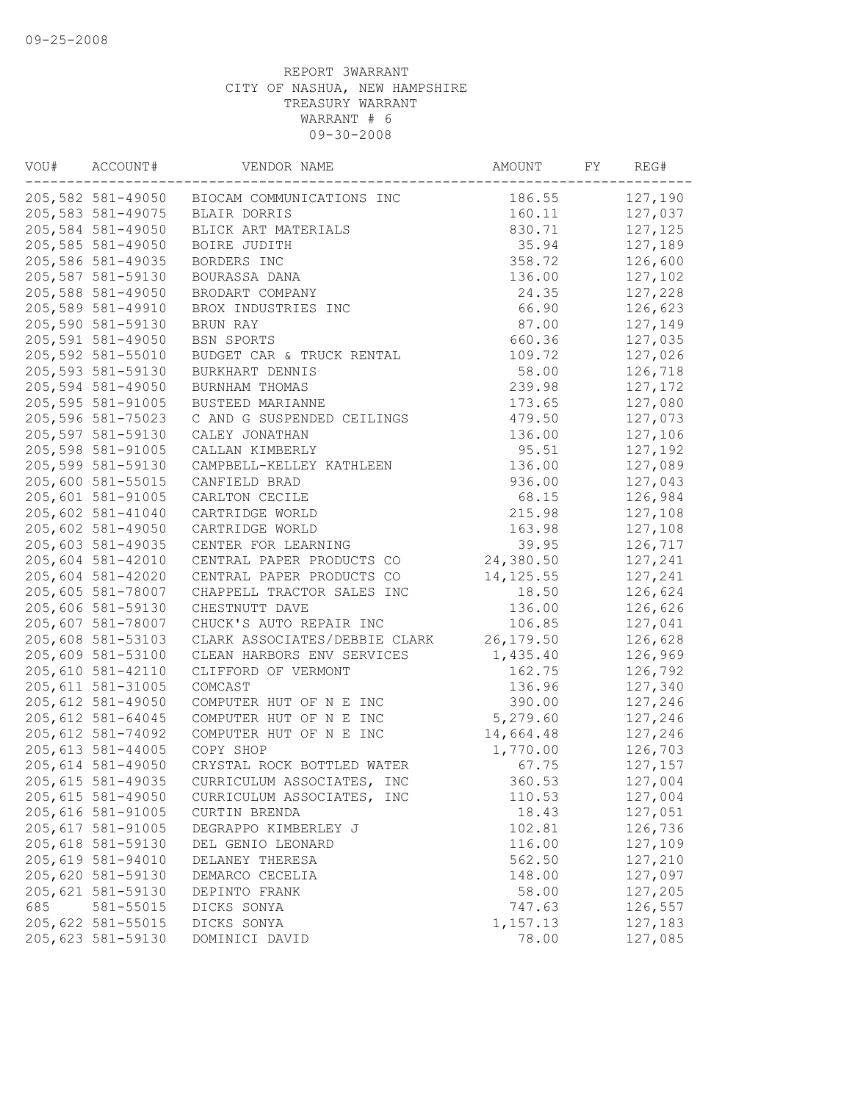| VOU# | ACCOUNT#           | VENDOR NAME                                 | AMOUNT     | FY | REG#    |
|------|--------------------|---------------------------------------------|------------|----|---------|
|      |                    | 205,582 581-49050 BIOCAM COMMUNICATIONS INC | 186.55     |    | 127,190 |
|      | 205,583 581-49075  | BLAIR DORRIS                                | 160.11     |    | 127,037 |
|      | 205,584 581-49050  | BLICK ART MATERIALS                         | 830.71     |    | 127,125 |
|      | 205,585 581-49050  | BOIRE JUDITH                                | 35.94      |    | 127,189 |
|      | 205,586 581-49035  | BORDERS INC                                 | 358.72     |    | 126,600 |
|      | 205,587 581-59130  | BOURASSA DANA                               | 136.00     |    | 127,102 |
|      | 205,588 581-49050  | BRODART COMPANY                             | 24.35      |    | 127,228 |
|      | 205,589 581-49910  | BROX INDUSTRIES INC                         | 66.90      |    | 126,623 |
|      | 205,590 581-59130  | BRUN RAY                                    | 87.00      |    | 127,149 |
|      | 205,591 581-49050  | BSN SPORTS                                  | 660.36     |    | 127,035 |
|      | 205,592 581-55010  | BUDGET CAR & TRUCK RENTAL                   | 109.72     |    | 127,026 |
|      | 205,593 581-59130  | BURKHART DENNIS                             | 58.00      |    | 126,718 |
|      | 205,594 581-49050  | BURNHAM THOMAS                              | 239.98     |    | 127,172 |
|      | 205,595 581-91005  | BUSTEED MARIANNE                            | 173.65     |    | 127,080 |
|      | 205,596 581-75023  | C AND G SUSPENDED CEILINGS                  | 479.50     |    | 127,073 |
|      | 205,597 581-59130  | CALEY JONATHAN                              | 136.00     |    | 127,106 |
|      | 205,598 581-91005  | CALLAN KIMBERLY                             | 95.51      |    | 127,192 |
|      | 205,599 581-59130  | CAMPBELL-KELLEY KATHLEEN                    | 136.00     |    | 127,089 |
|      | 205,600 581-55015  | CANFIELD BRAD                               | 936.00     |    | 127,043 |
|      | 205,601 581-91005  | CARLTON CECILE                              | 68.15      |    | 126,984 |
|      | 205,602 581-41040  | CARTRIDGE WORLD                             | 215.98     |    | 127,108 |
|      | 205,602 581-49050  | CARTRIDGE WORLD                             | 163.98     |    | 127,108 |
|      | 205,603 581-49035  | CENTER FOR LEARNING                         | 39.95      |    | 126,717 |
|      | 205,604 581-42010  | CENTRAL PAPER PRODUCTS CO                   | 24,380.50  |    | 127,241 |
|      | 205,604 581-42020  | CENTRAL PAPER PRODUCTS CO                   | 14, 125.55 |    | 127,241 |
|      | 205,605 581-78007  | CHAPPELL TRACTOR SALES INC                  | 18.50      |    | 126,624 |
|      | 205,606 581-59130  | CHESTNUTT DAVE                              | 136.00     |    | 126,626 |
|      | 205,607 581-78007  | CHUCK'S AUTO REPAIR INC                     | 106.85     |    | 127,041 |
|      | 205,608 581-53103  | CLARK ASSOCIATES/DEBBIE CLARK               | 26, 179.50 |    | 126,628 |
|      | 205,609 581-53100  | CLEAN HARBORS ENV SERVICES                  | 1,435.40   |    | 126,969 |
|      | 205,610 581-42110  | CLIFFORD OF VERMONT                         | 162.75     |    | 126,792 |
|      | 205, 611 581-31005 | COMCAST                                     | 136.96     |    | 127,340 |
|      | 205, 612 581-49050 | COMPUTER HUT OF N E INC                     | 390.00     |    | 127,246 |
|      | 205, 612 581-64045 | COMPUTER HUT OF N E INC                     | 5,279.60   |    | 127,246 |
|      | 205, 612 581-74092 | COMPUTER HUT OF N E INC                     | 14,664.48  |    | 127,246 |
|      | 205, 613 581-44005 | COPY SHOP                                   | 1,770.00   |    | 126,703 |
|      | 205, 614 581-49050 | CRYSTAL ROCK BOTTLED WATER                  | 67.75      |    | 127,157 |
|      | 205, 615 581-49035 | CURRICULUM ASSOCIATES, INC                  | 360.53     |    | 127,004 |
|      | 205, 615 581-49050 | CURRICULUM ASSOCIATES, INC                  | 110.53     |    | 127,004 |
|      | 205,616 581-91005  | CURTIN BRENDA                               | 18.43      |    | 127,051 |
|      | 205, 617 581-91005 | DEGRAPPO KIMBERLEY J                        | 102.81     |    | 126,736 |
|      | 205, 618 581-59130 | DEL GENIO LEONARD                           | 116.00     |    | 127,109 |
|      | 205,619 581-94010  | DELANEY THERESA                             | 562.50     |    | 127,210 |
|      | 205,620 581-59130  | DEMARCO CECELIA                             | 148.00     |    | 127,097 |
|      | 205,621 581-59130  | DEPINTO FRANK                               | 58.00      |    | 127,205 |
| 685  | 581-55015          | DICKS SONYA                                 | 747.63     |    | 126,557 |
|      | 205,622 581-55015  | DICKS SONYA                                 | 1,157.13   |    | 127,183 |
|      | 205,623 581-59130  | DOMINICI DAVID                              | 78.00      |    | 127,085 |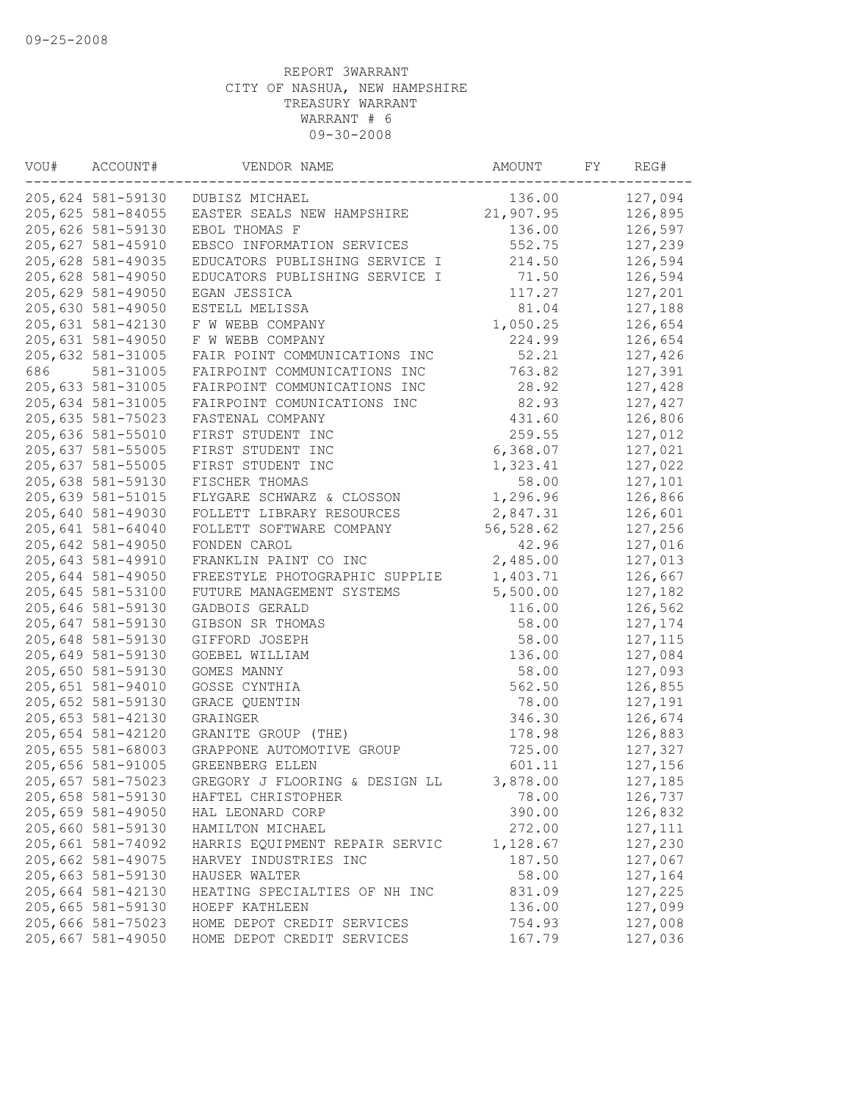| VOU# | ACCOUNT#          | VENDOR NAME                    | AMOUNT    | FY | REG#     |
|------|-------------------|--------------------------------|-----------|----|----------|
|      | 205,624 581-59130 | DUBISZ MICHAEL                 | 136.00    |    | 127,094  |
|      | 205,625 581-84055 | EASTER SEALS NEW HAMPSHIRE     | 21,907.95 |    | 126,895  |
|      | 205,626 581-59130 | EBOL THOMAS F                  | 136.00    |    | 126,597  |
|      | 205,627 581-45910 | EBSCO INFORMATION SERVICES     | 552.75    |    | 127,239  |
|      | 205,628 581-49035 | EDUCATORS PUBLISHING SERVICE I | 214.50    |    | 126,594  |
|      | 205,628 581-49050 | EDUCATORS PUBLISHING SERVICE I | 71.50     |    | 126,594  |
|      | 205,629 581-49050 | EGAN JESSICA                   | 117.27    |    | 127,201  |
|      | 205,630 581-49050 | ESTELL MELISSA                 | 81.04     |    | 127,188  |
|      | 205,631 581-42130 | F W WEBB COMPANY               | 1,050.25  |    | 126,654  |
|      | 205,631 581-49050 | F W WEBB COMPANY               | 224.99    |    | 126,654  |
|      | 205,632 581-31005 | FAIR POINT COMMUNICATIONS INC  | 52.21     |    | 127,426  |
| 686  | 581-31005         | FAIRPOINT COMMUNICATIONS INC   | 763.82    |    | 127,391  |
|      | 205,633 581-31005 | FAIRPOINT COMMUNICATIONS INC   | 28.92     |    | 127,428  |
|      | 205,634 581-31005 | FAIRPOINT COMUNICATIONS INC    | 82.93     |    | 127,427  |
|      | 205,635 581-75023 | FASTENAL COMPANY               | 431.60    |    | 126,806  |
|      | 205,636 581-55010 | FIRST STUDENT INC              | 259.55    |    | 127,012  |
|      | 205,637 581-55005 | FIRST STUDENT INC              | 6,368.07  |    | 127,021  |
|      | 205,637 581-55005 | FIRST STUDENT INC              | 1,323.41  |    | 127,022  |
|      | 205,638 581-59130 | FISCHER THOMAS                 | 58.00     |    | 127,101  |
|      | 205,639 581-51015 | FLYGARE SCHWARZ & CLOSSON      | 1,296.96  |    | 126,866  |
|      | 205,640 581-49030 | FOLLETT LIBRARY RESOURCES      | 2,847.31  |    | 126,601  |
|      | 205,641 581-64040 | FOLLETT SOFTWARE COMPANY       | 56,528.62 |    | 127,256  |
|      | 205,642 581-49050 | FONDEN CAROL                   | 42.96     |    | 127,016  |
|      | 205,643 581-49910 | FRANKLIN PAINT CO INC          | 2,485.00  |    | 127,013  |
|      | 205,644 581-49050 | FREESTYLE PHOTOGRAPHIC SUPPLIE | 1,403.71  |    | 126,667  |
|      | 205,645 581-53100 | FUTURE MANAGEMENT SYSTEMS      | 5,500.00  |    | 127,182  |
|      | 205,646 581-59130 | GADBOIS GERALD                 | 116.00    |    | 126,562  |
|      | 205,647 581-59130 | GIBSON SR THOMAS               | 58.00     |    | 127,174  |
|      | 205,648 581-59130 | GIFFORD JOSEPH                 | 58.00     |    | 127, 115 |
|      | 205,649 581-59130 | GOEBEL WILLIAM                 | 136.00    |    | 127,084  |
|      | 205,650 581-59130 | GOMES MANNY                    | 58.00     |    | 127,093  |
|      | 205,651 581-94010 | GOSSE CYNTHIA                  | 562.50    |    | 126,855  |
|      | 205,652 581-59130 | GRACE QUENTIN                  | 78.00     |    | 127,191  |
|      | 205,653 581-42130 | GRAINGER                       | 346.30    |    | 126,674  |
|      | 205,654 581-42120 | GRANITE GROUP (THE)            | 178.98    |    | 126,883  |
|      | 205,655 581-68003 | GRAPPONE AUTOMOTIVE GROUP      | 725.00    |    | 127,327  |
|      | 205,656 581-91005 | GREENBERG ELLEN                | 601.11    |    | 127,156  |
|      | 205,657 581-75023 | GREGORY J FLOORING & DESIGN LL | 3,878.00  |    | 127,185  |
|      | 205,658 581-59130 | HAFTEL CHRISTOPHER             | 78.00     |    | 126,737  |
|      | 205,659 581-49050 | HAL LEONARD CORP               | 390.00    |    | 126,832  |
|      | 205,660 581-59130 | HAMILTON MICHAEL               | 272.00    |    | 127, 111 |
|      | 205,661 581-74092 | HARRIS EQUIPMENT REPAIR SERVIC | 1,128.67  |    | 127,230  |
|      | 205,662 581-49075 | HARVEY INDUSTRIES INC          | 187.50    |    | 127,067  |
|      | 205,663 581-59130 | HAUSER WALTER                  | 58.00     |    | 127,164  |
|      | 205,664 581-42130 | HEATING SPECIALTIES OF NH INC  | 831.09    |    | 127,225  |
|      | 205,665 581-59130 | HOEPF KATHLEEN                 | 136.00    |    | 127,099  |
|      | 205,666 581-75023 | HOME DEPOT CREDIT SERVICES     | 754.93    |    | 127,008  |
|      | 205,667 581-49050 | HOME DEPOT CREDIT SERVICES     | 167.79    |    | 127,036  |
|      |                   |                                |           |    |          |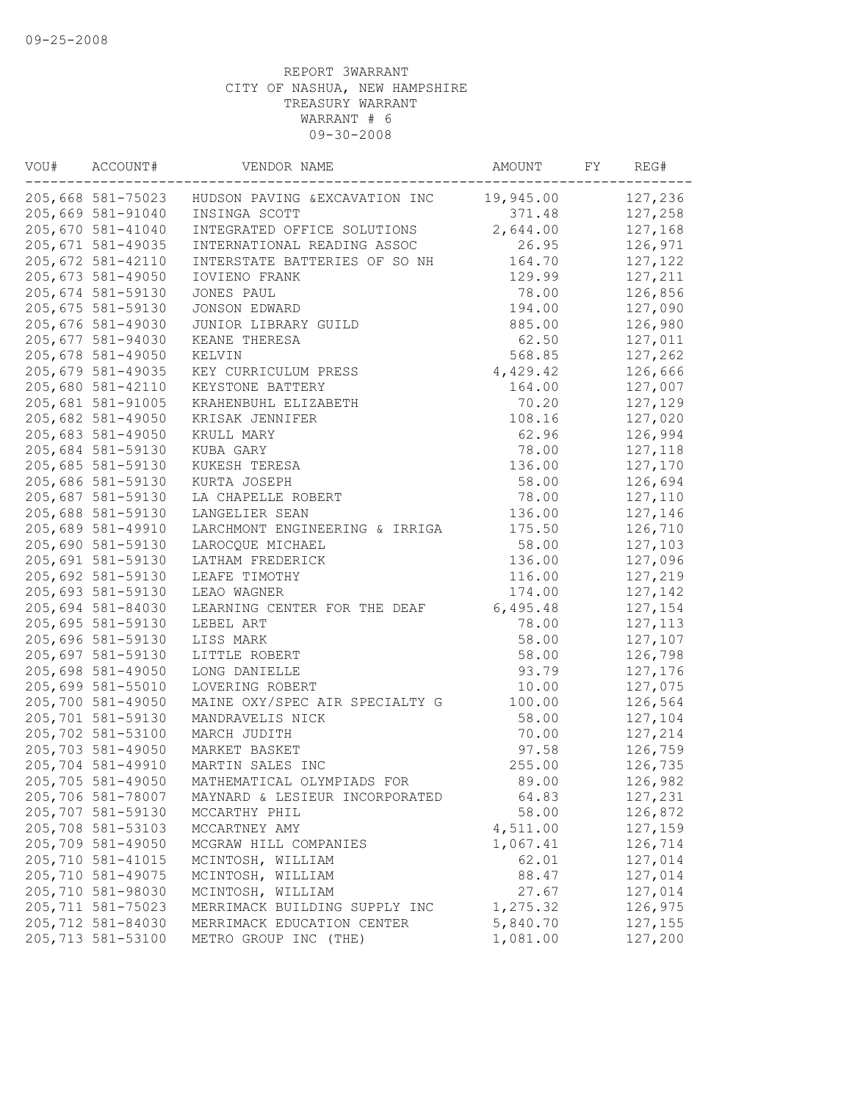| VOU# | ACCOUNT#           | VENDOR NAME                    | AMOUNT    | FY | REG#     |
|------|--------------------|--------------------------------|-----------|----|----------|
|      | 205,668 581-75023  | HUDSON PAVING & EXCAVATION INC | 19,945.00 |    | 127,236  |
|      | 205,669 581-91040  | INSINGA SCOTT                  | 371.48    |    | 127,258  |
|      | 205,670 581-41040  | INTEGRATED OFFICE SOLUTIONS    | 2,644.00  |    | 127,168  |
|      | 205, 671 581-49035 | INTERNATIONAL READING ASSOC    | 26.95     |    | 126,971  |
|      | 205, 672 581-42110 | INTERSTATE BATTERIES OF SO NH  | 164.70    |    | 127,122  |
|      | 205,673 581-49050  | <b>IOVIENO FRANK</b>           | 129.99    |    | 127,211  |
|      | 205,674 581-59130  | JONES PAUL                     | 78.00     |    | 126,856  |
|      | 205, 675 581-59130 | JONSON EDWARD                  | 194.00    |    | 127,090  |
|      | 205,676 581-49030  | JUNIOR LIBRARY GUILD           | 885.00    |    | 126,980  |
|      | 205,677 581-94030  | KEANE THERESA                  | 62.50     |    | 127,011  |
|      | 205,678 581-49050  | KELVIN                         | 568.85    |    | 127,262  |
|      | 205,679 581-49035  | KEY CURRICULUM PRESS           | 4,429.42  |    | 126,666  |
|      | 205,680 581-42110  | KEYSTONE BATTERY               | 164.00    |    | 127,007  |
|      | 205,681 581-91005  | KRAHENBUHL ELIZABETH           | 70.20     |    | 127,129  |
|      | 205,682 581-49050  | KRISAK JENNIFER                | 108.16    |    | 127,020  |
|      | 205,683 581-49050  | KRULL MARY                     | 62.96     |    | 126,994  |
|      | 205,684 581-59130  | KUBA GARY                      | 78.00     |    | 127,118  |
|      | 205,685 581-59130  | KUKESH TERESA                  | 136.00    |    | 127,170  |
|      | 205,686 581-59130  | KURTA JOSEPH                   | 58.00     |    | 126,694  |
|      | 205,687 581-59130  | LA CHAPELLE ROBERT             | 78.00     |    | 127,110  |
|      | 205,688 581-59130  | LANGELIER SEAN                 | 136.00    |    | 127,146  |
|      | 205,689 581-49910  | LARCHMONT ENGINEERING & IRRIGA | 175.50    |    | 126,710  |
|      | 205,690 581-59130  | LAROCOUE MICHAEL               | 58.00     |    | 127,103  |
|      | 205,691 581-59130  | LATHAM FREDERICK               | 136.00    |    | 127,096  |
|      | 205,692 581-59130  | LEAFE TIMOTHY                  | 116.00    |    | 127,219  |
|      | 205,693 581-59130  | LEAO WAGNER                    | 174.00    |    | 127,142  |
|      | 205,694 581-84030  | LEARNING CENTER FOR THE DEAF   | 6,495.48  |    | 127,154  |
|      | 205,695 581-59130  | LEBEL ART                      | 78.00     |    | 127, 113 |
|      | 205,696 581-59130  | LISS MARK                      | 58.00     |    | 127,107  |
|      | 205,697 581-59130  | LITTLE ROBERT                  | 58.00     |    | 126,798  |
|      | 205,698 581-49050  | LONG DANIELLE                  | 93.79     |    | 127,176  |
|      | 205,699 581-55010  | LOVERING ROBERT                | 10.00     |    | 127,075  |
|      | 205,700 581-49050  | MAINE OXY/SPEC AIR SPECIALTY G | 100.00    |    | 126,564  |
|      | 205,701 581-59130  | MANDRAVELIS NICK               | 58.00     |    | 127,104  |
|      | 205,702 581-53100  | MARCH JUDITH                   | 70.00     |    | 127,214  |
|      | 205,703 581-49050  | MARKET BASKET                  | 97.58     |    | 126,759  |
|      | 205,704 581-49910  | MARTIN SALES INC               | 255.00    |    | 126,735  |
|      | 205,705 581-49050  | MATHEMATICAL OLYMPIADS FOR     | 89.00     |    | 126,982  |
|      | 205,706 581-78007  | MAYNARD & LESIEUR INCORPORATED | 64.83     |    | 127,231  |
|      | 205,707 581-59130  | MCCARTHY PHIL                  | 58.00     |    | 126,872  |
|      | 205,708 581-53103  | MCCARTNEY AMY                  | 4,511.00  |    | 127,159  |
|      | 205,709 581-49050  | MCGRAW HILL COMPANIES          | 1,067.41  |    | 126,714  |
|      | 205,710 581-41015  | MCINTOSH, WILLIAM              | 62.01     |    | 127,014  |
|      | 205,710 581-49075  | MCINTOSH, WILLIAM              | 88.47     |    | 127,014  |
|      | 205,710 581-98030  | MCINTOSH, WILLIAM              | 27.67     |    | 127,014  |
|      | 205, 711 581-75023 | MERRIMACK BUILDING SUPPLY INC  | 1,275.32  |    | 126,975  |
|      | 205,712 581-84030  | MERRIMACK EDUCATION CENTER     | 5,840.70  |    | 127,155  |
|      | 205,713 581-53100  | METRO GROUP INC (THE)          | 1,081.00  |    | 127,200  |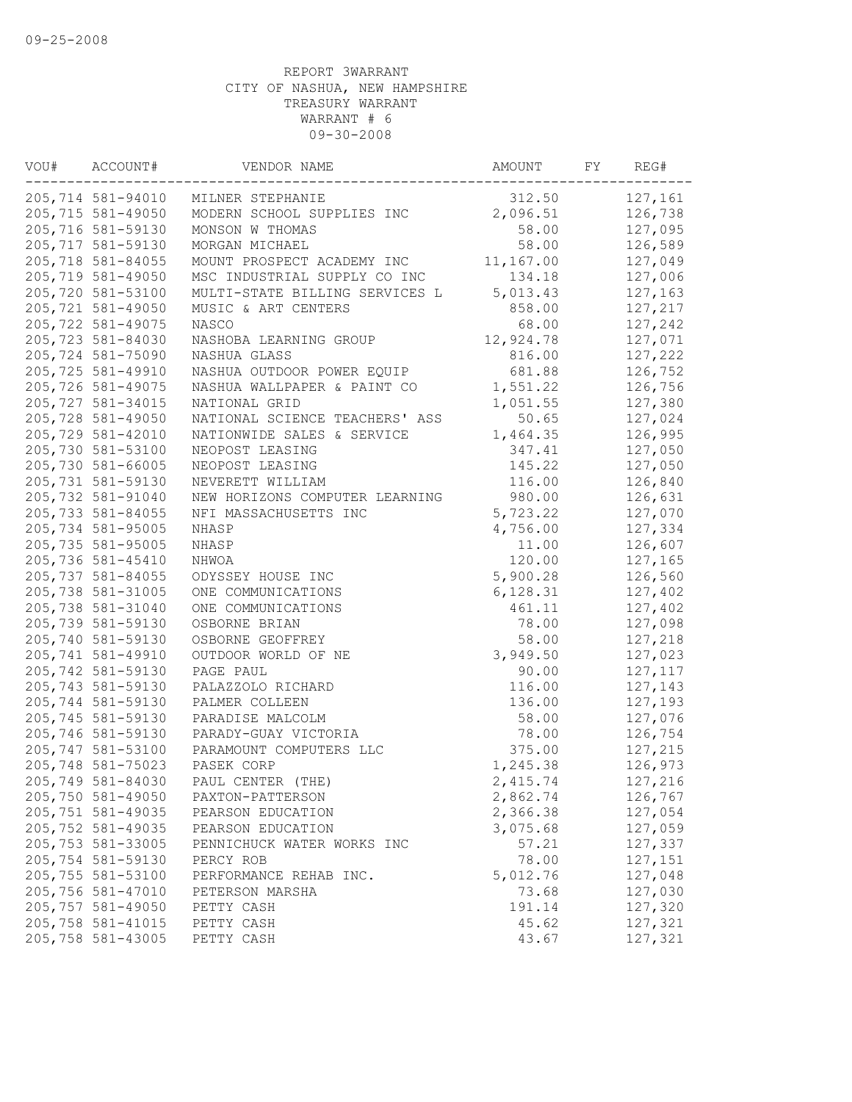| VOU# | ACCOUNT#          | VENDOR NAME                    | AMOUNT    | FY | REG#     |
|------|-------------------|--------------------------------|-----------|----|----------|
|      | 205,714 581-94010 | MILNER STEPHANIE               | 312.50    |    | 127,161  |
|      | 205,715 581-49050 | MODERN SCHOOL SUPPLIES INC     | 2,096.51  |    | 126,738  |
|      | 205,716 581-59130 | MONSON W THOMAS                | 58.00     |    | 127,095  |
|      | 205,717 581-59130 | MORGAN MICHAEL                 | 58.00     |    | 126,589  |
|      | 205,718 581-84055 | MOUNT PROSPECT ACADEMY INC     | 11,167.00 |    | 127,049  |
|      | 205,719 581-49050 | MSC INDUSTRIAL SUPPLY CO INC   | 134.18    |    | 127,006  |
|      | 205,720 581-53100 | MULTI-STATE BILLING SERVICES L | 5,013.43  |    | 127,163  |
|      | 205,721 581-49050 | MUSIC & ART CENTERS            | 858.00    |    | 127,217  |
|      | 205,722 581-49075 | NASCO                          | 68.00     |    | 127,242  |
|      | 205,723 581-84030 | NASHOBA LEARNING GROUP         | 12,924.78 |    | 127,071  |
|      | 205,724 581-75090 | NASHUA GLASS                   | 816.00    |    | 127,222  |
|      | 205,725 581-49910 | NASHUA OUTDOOR POWER EQUIP     | 681.88    |    | 126,752  |
|      | 205,726 581-49075 | NASHUA WALLPAPER & PAINT CO    | 1,551.22  |    | 126,756  |
|      | 205,727 581-34015 | NATIONAL GRID                  | 1,051.55  |    | 127,380  |
|      | 205,728 581-49050 | NATIONAL SCIENCE TEACHERS' ASS | 50.65     |    | 127,024  |
|      | 205,729 581-42010 | NATIONWIDE SALES & SERVICE     | 1,464.35  |    | 126,995  |
|      | 205,730 581-53100 | NEOPOST LEASING                | 347.41    |    | 127,050  |
|      | 205,730 581-66005 | NEOPOST LEASING                | 145.22    |    | 127,050  |
|      | 205,731 581-59130 | NEVERETT WILLIAM               | 116.00    |    | 126,840  |
|      | 205,732 581-91040 | NEW HORIZONS COMPUTER LEARNING | 980.00    |    | 126,631  |
|      | 205,733 581-84055 | NFI MASSACHUSETTS INC          | 5,723.22  |    | 127,070  |
|      | 205,734 581-95005 | NHASP                          | 4,756.00  |    | 127,334  |
|      | 205,735 581-95005 | NHASP                          | 11.00     |    | 126,607  |
|      | 205,736 581-45410 | NHWOA                          | 120.00    |    | 127,165  |
|      | 205,737 581-84055 | ODYSSEY HOUSE INC              | 5,900.28  |    | 126,560  |
|      | 205,738 581-31005 | ONE COMMUNICATIONS             | 6, 128.31 |    | 127,402  |
|      | 205,738 581-31040 | ONE COMMUNICATIONS             | 461.11    |    | 127,402  |
|      | 205,739 581-59130 | OSBORNE BRIAN                  | 78.00     |    | 127,098  |
|      | 205,740 581-59130 | OSBORNE GEOFFREY               | 58.00     |    | 127,218  |
|      | 205,741 581-49910 | OUTDOOR WORLD OF NE            | 3,949.50  |    | 127,023  |
|      | 205,742 581-59130 | PAGE PAUL                      | 90.00     |    | 127, 117 |
|      | 205,743 581-59130 | PALAZZOLO RICHARD              | 116.00    |    | 127,143  |
|      | 205,744 581-59130 | PALMER COLLEEN                 | 136.00    |    | 127,193  |
|      | 205,745 581-59130 | PARADISE MALCOLM               | 58.00     |    | 127,076  |
|      | 205,746 581-59130 | PARADY-GUAY VICTORIA           | 78.00     |    | 126,754  |
|      | 205,747 581-53100 | PARAMOUNT COMPUTERS LLC        | 375.00    |    | 127,215  |
|      | 205,748 581-75023 | PASEK CORP                     | 1,245.38  |    | 126,973  |
|      | 205,749 581-84030 | PAUL CENTER (THE)              | 2,415.74  |    | 127,216  |
|      | 205,750 581-49050 | PAXTON-PATTERSON               | 2,862.74  |    | 126,767  |
|      | 205,751 581-49035 | PEARSON EDUCATION              | 2,366.38  |    | 127,054  |
|      | 205,752 581-49035 | PEARSON EDUCATION              | 3,075.68  |    | 127,059  |
|      | 205,753 581-33005 | PENNICHUCK WATER WORKS INC     | 57.21     |    | 127,337  |
|      | 205,754 581-59130 | PERCY ROB                      | 78.00     |    | 127,151  |
|      | 205,755 581-53100 | PERFORMANCE REHAB INC.         | 5,012.76  |    | 127,048  |
|      | 205,756 581-47010 | PETERSON MARSHA                | 73.68     |    | 127,030  |
|      | 205,757 581-49050 | PETTY CASH                     | 191.14    |    | 127,320  |
|      | 205,758 581-41015 | PETTY CASH                     | 45.62     |    | 127,321  |
|      | 205,758 581-43005 | PETTY CASH                     | 43.67     |    | 127,321  |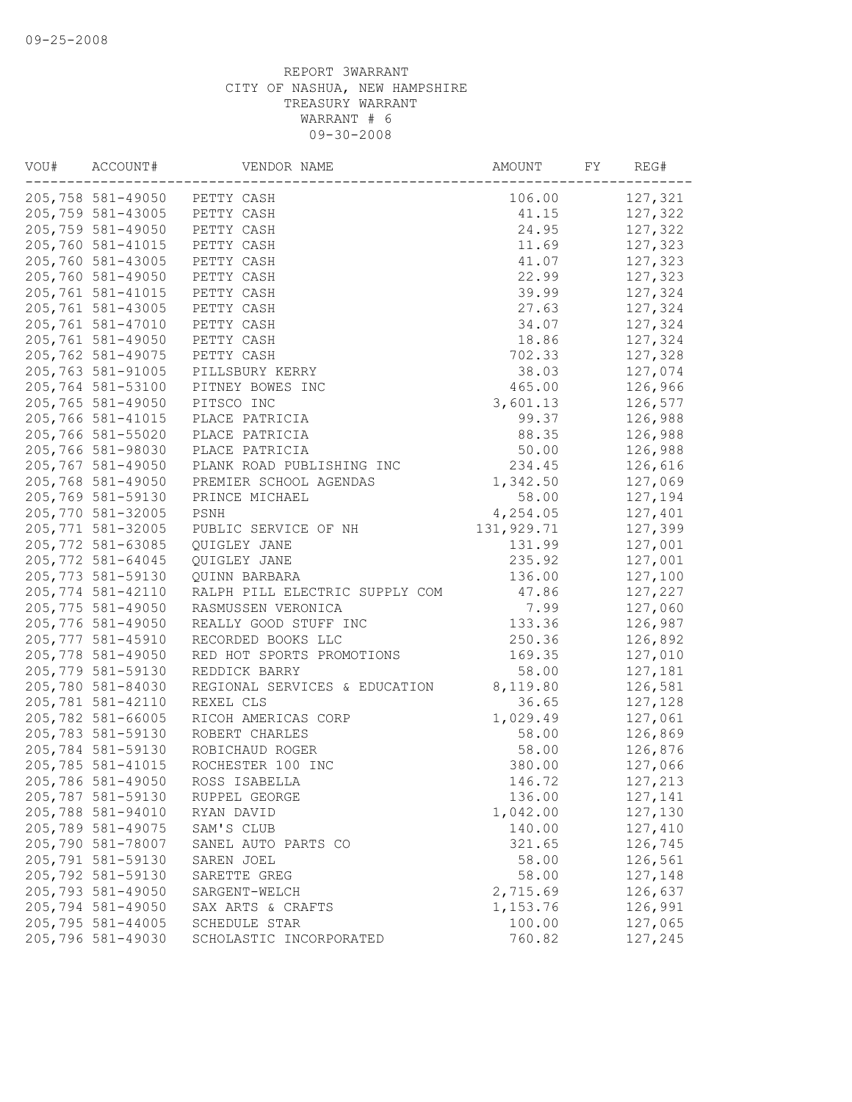| VOU# | ACCOUNT#           | VENDOR NAME                    | AMOUNT      | FY | REG#    |
|------|--------------------|--------------------------------|-------------|----|---------|
|      |                    | 205,758 581-49050 PETTY CASH   | 106.00      |    | 127,321 |
|      | 205,759 581-43005  | PETTY CASH                     | 41.15       |    | 127,322 |
|      | 205,759 581-49050  | PETTY CASH                     | 24.95       |    | 127,322 |
|      | 205,760 581-41015  | PETTY CASH                     | 11.69       |    | 127,323 |
|      | 205,760 581-43005  | PETTY CASH                     | 41.07       |    | 127,323 |
|      | 205,760 581-49050  | PETTY CASH                     | 22.99       |    | 127,323 |
|      | 205,761 581-41015  | PETTY CASH                     | 39.99       |    | 127,324 |
|      | 205,761 581-43005  | PETTY CASH                     | 27.63       |    | 127,324 |
|      | 205,761 581-47010  | PETTY CASH                     | 34.07       |    | 127,324 |
|      | 205,761 581-49050  | PETTY CASH                     | 18.86       |    | 127,324 |
|      | 205,762 581-49075  | PETTY CASH                     | 702.33      |    | 127,328 |
|      | 205,763 581-91005  | PILLSBURY KERRY                | 38.03       |    | 127,074 |
|      | 205,764 581-53100  | PITNEY BOWES INC               | 465.00      |    | 126,966 |
|      | 205,765 581-49050  | PITSCO INC                     | 3,601.13    |    | 126,577 |
|      | 205,766 581-41015  | PLACE PATRICIA                 | 99.37       |    | 126,988 |
|      | 205,766 581-55020  | PLACE PATRICIA                 | 88.35       |    | 126,988 |
|      | 205,766 581-98030  | PLACE PATRICIA                 | 50.00       |    | 126,988 |
|      | 205,767 581-49050  | PLANK ROAD PUBLISHING INC      | 234.45      |    | 126,616 |
|      | 205,768 581-49050  | PREMIER SCHOOL AGENDAS         | 1,342.50    |    | 127,069 |
|      | 205,769 581-59130  | PRINCE MICHAEL                 | 58.00       |    | 127,194 |
|      | 205,770 581-32005  | PSNH                           | 4,254.05    |    | 127,401 |
|      | 205, 771 581-32005 | PUBLIC SERVICE OF NH           | 131, 929.71 |    | 127,399 |
|      | 205,772 581-63085  | <b>OUIGLEY JANE</b>            | 131.99      |    | 127,001 |
|      | 205,772 581-64045  | QUIGLEY JANE                   | 235.92      |    | 127,001 |
|      | 205,773 581-59130  | QUINN BARBARA                  | 136.00      |    | 127,100 |
|      | 205,774 581-42110  | RALPH PILL ELECTRIC SUPPLY COM | 47.86       |    | 127,227 |
|      | 205,775 581-49050  | RASMUSSEN VERONICA             | 7.99        |    | 127,060 |
|      | 205,776 581-49050  | REALLY GOOD STUFF INC          | 133.36      |    | 126,987 |
|      | 205,777 581-45910  | RECORDED BOOKS LLC             | 250.36      |    | 126,892 |
|      | 205,778 581-49050  | RED HOT SPORTS PROMOTIONS      | 169.35      |    | 127,010 |
|      | 205,779 581-59130  | REDDICK BARRY                  | 58.00       |    | 127,181 |
|      | 205,780 581-84030  | REGIONAL SERVICES & EDUCATION  | 8,119.80    |    | 126,581 |
|      | 205,781 581-42110  | REXEL CLS                      | 36.65       |    | 127,128 |
|      | 205,782 581-66005  | RICOH AMERICAS CORP            | 1,029.49    |    | 127,061 |
|      | 205,783 581-59130  |                                | 58.00       |    | 126,869 |
|      |                    | ROBERT CHARLES                 |             |    |         |
|      | 205,784 581-59130  | ROBICHAUD ROGER                | 58.00       |    | 126,876 |
|      | 205,785 581-41015  | ROCHESTER 100 INC              | 380.00      |    | 127,066 |
|      | 205,786 581-49050  | ROSS ISABELLA                  | 146.72      |    | 127,213 |
|      | 205,787 581-59130  | RUPPEL GEORGE                  | 136.00      |    | 127,141 |
|      | 205,788 581-94010  | RYAN DAVID                     | 1,042.00    |    | 127,130 |
|      | 205,789 581-49075  | SAM'S CLUB                     | 140.00      |    | 127,410 |
|      | 205,790 581-78007  | SANEL AUTO PARTS CO            | 321.65      |    | 126,745 |
|      | 205,791 581-59130  | SAREN JOEL                     | 58.00       |    | 126,561 |
|      | 205,792 581-59130  | SARETTE GREG                   | 58.00       |    | 127,148 |
|      | 205,793 581-49050  | SARGENT-WELCH                  | 2,715.69    |    | 126,637 |
|      | 205,794 581-49050  | SAX ARTS & CRAFTS              | 1,153.76    |    | 126,991 |
|      | 205,795 581-44005  | SCHEDULE STAR                  | 100.00      |    | 127,065 |
|      | 205,796 581-49030  | SCHOLASTIC INCORPORATED        | 760.82      |    | 127,245 |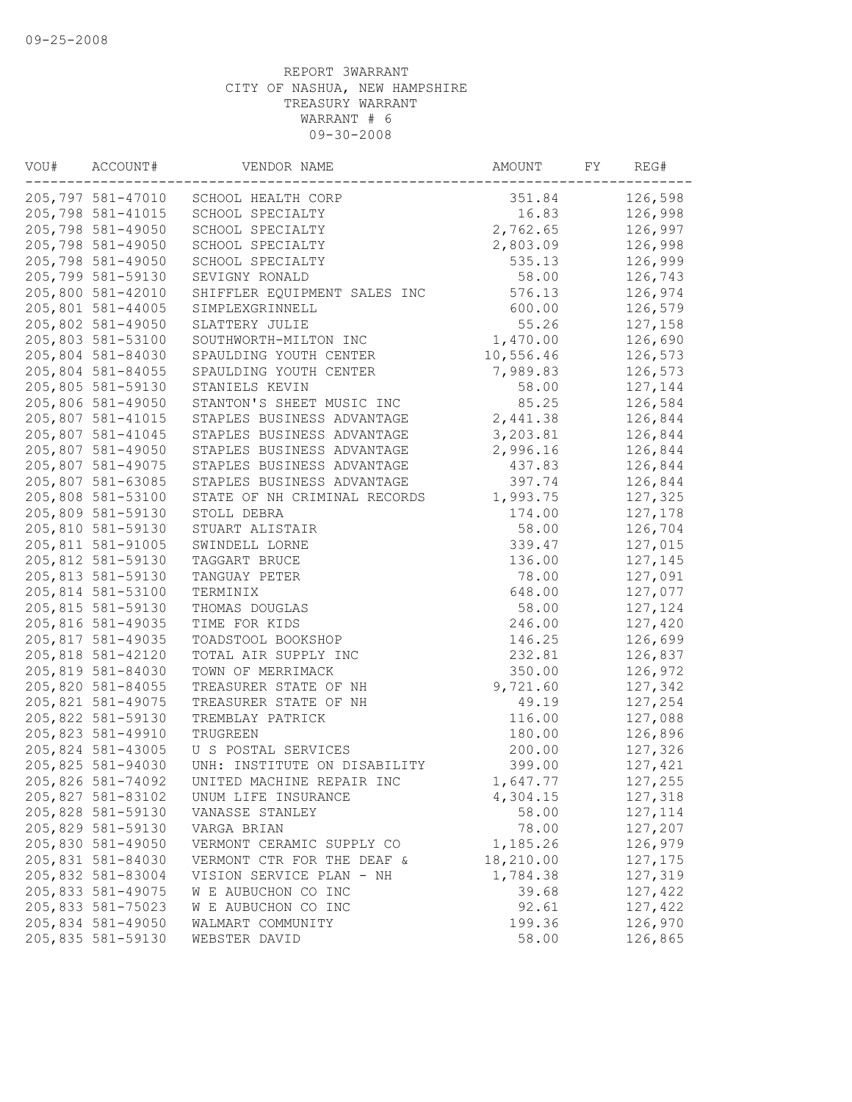| VOU# | ACCOUNT#          | VENDOR NAME                  | AMOUNT    | FY | REG#     |
|------|-------------------|------------------------------|-----------|----|----------|
|      | 205,797 581-47010 | SCHOOL HEALTH CORP           | 351.84    |    | 126,598  |
|      | 205,798 581-41015 | SCHOOL SPECIALTY             | 16.83     |    | 126,998  |
|      | 205,798 581-49050 | SCHOOL SPECIALTY             | 2,762.65  |    | 126,997  |
|      | 205,798 581-49050 | SCHOOL SPECIALTY             | 2,803.09  |    | 126,998  |
|      | 205,798 581-49050 | SCHOOL SPECIALTY             | 535.13    |    | 126,999  |
|      | 205,799 581-59130 | SEVIGNY RONALD               | 58.00     |    | 126,743  |
|      | 205,800 581-42010 | SHIFFLER EQUIPMENT SALES INC | 576.13    |    | 126,974  |
|      | 205,801 581-44005 | SIMPLEXGRINNELL              | 600.00    |    | 126,579  |
|      | 205,802 581-49050 | SLATTERY JULIE               | 55.26     |    | 127,158  |
|      | 205,803 581-53100 | SOUTHWORTH-MILTON INC        | 1,470.00  |    | 126,690  |
|      | 205,804 581-84030 | SPAULDING YOUTH CENTER       | 10,556.46 |    | 126,573  |
|      | 205,804 581-84055 | SPAULDING YOUTH CENTER       | 7,989.83  |    | 126,573  |
|      | 205,805 581-59130 | STANIELS KEVIN               | 58.00     |    | 127,144  |
|      | 205,806 581-49050 | STANTON'S SHEET MUSIC INC    | 85.25     |    | 126,584  |
|      | 205,807 581-41015 | STAPLES BUSINESS ADVANTAGE   | 2,441.38  |    | 126,844  |
|      | 205,807 581-41045 | STAPLES BUSINESS ADVANTAGE   | 3,203.81  |    | 126,844  |
|      | 205,807 581-49050 | STAPLES BUSINESS ADVANTAGE   | 2,996.16  |    | 126,844  |
|      | 205,807 581-49075 | STAPLES BUSINESS ADVANTAGE   | 437.83    |    | 126,844  |
|      | 205,807 581-63085 | STAPLES BUSINESS ADVANTAGE   | 397.74    |    | 126,844  |
|      | 205,808 581-53100 | STATE OF NH CRIMINAL RECORDS | 1,993.75  |    | 127,325  |
|      | 205,809 581-59130 | STOLL DEBRA                  | 174.00    |    | 127,178  |
|      | 205,810 581-59130 | STUART ALISTAIR              | 58.00     |    | 126,704  |
|      | 205,811 581-91005 | SWINDELL LORNE               | 339.47    |    | 127,015  |
|      | 205,812 581-59130 | TAGGART BRUCE                | 136.00    |    | 127,145  |
|      | 205,813 581-59130 | TANGUAY PETER                | 78.00     |    | 127,091  |
|      | 205,814 581-53100 | TERMINIX                     | 648.00    |    | 127,077  |
|      | 205,815 581-59130 | THOMAS DOUGLAS               | 58.00     |    | 127,124  |
|      | 205,816 581-49035 | TIME FOR KIDS                | 246.00    |    | 127,420  |
|      | 205,817 581-49035 | TOADSTOOL BOOKSHOP           | 146.25    |    | 126,699  |
|      | 205,818 581-42120 | TOTAL AIR SUPPLY INC         | 232.81    |    | 126,837  |
|      | 205,819 581-84030 | TOWN OF MERRIMACK            | 350.00    |    | 126,972  |
|      | 205,820 581-84055 | TREASURER STATE OF NH        | 9,721.60  |    | 127,342  |
|      | 205,821 581-49075 | TREASURER STATE OF NH        | 49.19     |    | 127,254  |
|      | 205,822 581-59130 | TREMBLAY PATRICK             | 116.00    |    | 127,088  |
|      | 205,823 581-49910 | TRUGREEN                     | 180.00    |    | 126,896  |
|      | 205,824 581-43005 | U S POSTAL SERVICES          | 200.00    |    | 127,326  |
|      | 205,825 581-94030 | UNH: INSTITUTE ON DISABILITY | 399.00    |    | 127,421  |
|      | 205,826 581-74092 | UNITED MACHINE REPAIR INC    | 1,647.77  |    | 127,255  |
|      | 205,827 581-83102 | UNUM LIFE INSURANCE          | 4,304.15  |    | 127,318  |
|      | 205,828 581-59130 | VANASSE STANLEY              | 58.00     |    | 127, 114 |
|      | 205,829 581-59130 | VARGA BRIAN                  | 78.00     |    | 127,207  |
|      | 205,830 581-49050 | VERMONT CERAMIC SUPPLY CO    | 1,185.26  |    | 126,979  |
|      | 205,831 581-84030 | VERMONT CTR FOR THE DEAF &   | 18,210.00 |    | 127,175  |
|      | 205,832 581-83004 | VISION SERVICE PLAN - NH     | 1,784.38  |    | 127,319  |
|      | 205,833 581-49075 | W E AUBUCHON CO INC          | 39.68     |    | 127,422  |
|      | 205,833 581-75023 | W E AUBUCHON CO INC          | 92.61     |    | 127,422  |
|      | 205,834 581-49050 | WALMART COMMUNITY            | 199.36    |    | 126,970  |
|      | 205,835 581-59130 | WEBSTER DAVID                | 58.00     |    | 126,865  |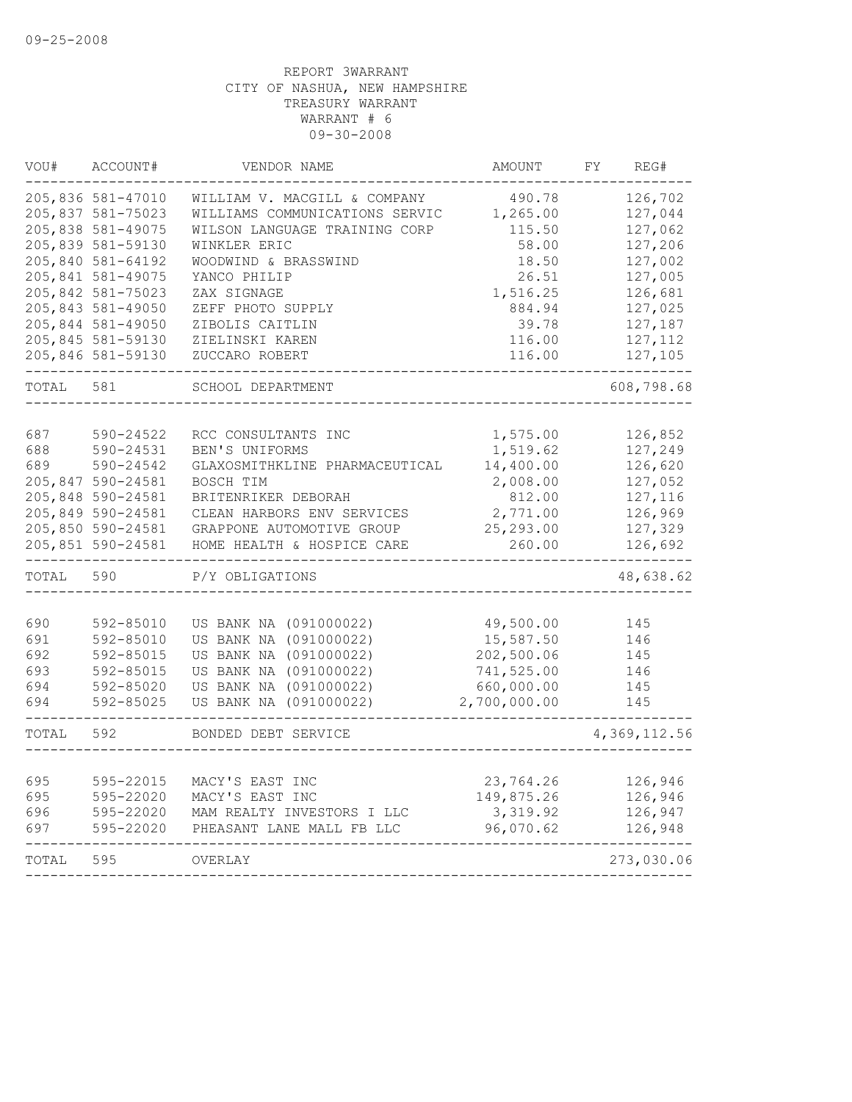| VOU#       | ACCOUNT#               | VENDOR NAME                                      | <b>AMOUNT</b>          | FΥ | REG#         |
|------------|------------------------|--------------------------------------------------|------------------------|----|--------------|
|            | 205,836 581-47010      | WILLIAM V. MACGILL & COMPANY                     | 490.78                 |    | 126,702      |
|            | 205,837 581-75023      | WILLIAMS COMMUNICATIONS SERVIC                   | 1,265.00               |    | 127,044      |
|            | 205,838 581-49075      | WILSON LANGUAGE TRAINING CORP                    | 115.50                 |    | 127,062      |
|            | 205,839 581-59130      | WINKLER ERIC                                     | 58.00                  |    | 127,206      |
|            | 205,840 581-64192      | WOODWIND & BRASSWIND                             | 18.50                  |    | 127,002      |
|            | 205,841 581-49075      | YANCO PHILIP                                     | 26.51                  |    | 127,005      |
|            | 205,842 581-75023      | ZAX SIGNAGE                                      | 1,516.25               |    | 126,681      |
|            | 205,843 581-49050      | ZEFF PHOTO SUPPLY                                | 884.94                 |    | 127,025      |
|            | 205,844 581-49050      | ZIBOLIS CAITLIN                                  | 39.78                  |    | 127,187      |
|            | 205,845 581-59130      | ZIELINSKI KAREN                                  | 116.00                 |    | 127,112      |
|            | 205,846 581-59130      | ZUCCARO ROBERT                                   | 116.00                 |    | 127,105      |
| TOTAL      | 581                    | SCHOOL DEPARTMENT                                |                        |    | 608,798.68   |
|            |                        |                                                  |                        |    |              |
| 687        | 590-24522              | RCC CONSULTANTS INC                              | 1,575.00               |    | 126,852      |
| 688        | 590-24531              | BEN'S UNIFORMS                                   | 1,519.62               |    | 127,249      |
| 689        | 590-24542              | GLAXOSMITHKLINE PHARMACEUTICAL                   | 14,400.00              |    | 126,620      |
|            | 205,847 590-24581      | BOSCH TIM                                        | 2,008.00               |    | 127,052      |
|            | 205,848 590-24581      | BRITENRIKER DEBORAH                              | 812.00                 |    | 127,116      |
|            | 205,849 590-24581      | CLEAN HARBORS ENV SERVICES                       | 2,771.00               |    | 126,969      |
|            | 205,850 590-24581      | GRAPPONE AUTOMOTIVE GROUP                        | 25,293.00              |    | 127,329      |
|            | 205,851 590-24581      | HOME HEALTH & HOSPICE CARE                       | 260.00                 |    | 126,692      |
| TOTAL      | 590                    | P/Y OBLIGATIONS                                  |                        |    | 48,638.62    |
|            |                        |                                                  |                        |    |              |
| 690        | 592-85010              | US BANK NA (091000022)                           | 49,500.00<br>15,587.50 |    | 145          |
| 691<br>692 | 592-85010<br>592-85015 | US BANK NA (091000022)<br>US BANK NA (091000022) | 202,500.06             |    | 146          |
| 693        | 592-85015              | US BANK NA (091000022)                           | 741,525.00             |    | 145<br>146   |
| 694        | 592-85020              | US BANK NA (091000022)                           | 660,000.00             |    | 145          |
| 694        | 592-85025              | US BANK NA (091000022)                           | 2,700,000.00           |    | 145          |
|            |                        |                                                  |                        |    |              |
| TOTAL      | 592                    | BONDED DEBT SERVICE                              |                        |    | 4,369,112.56 |
|            |                        |                                                  |                        |    |              |
| 695        | 595-22015              | MACY'S EAST INC                                  | 23,764.26              |    | 126,946      |
| 695        | 595-22020              | MACY'S EAST INC                                  | 149,875.26             |    | 126,946      |
| 696        | 595-22020              | MAM REALTY INVESTORS I LLC                       | 3,319.92               |    | 126,947      |
| 697        | 595-22020              | PHEASANT LANE MALL FB LLC                        | 96,070.62              |    | 126,948      |
| TOTAL      | 595                    | OVERLAY                                          |                        |    | 273,030.06   |
|            |                        |                                                  |                        |    |              |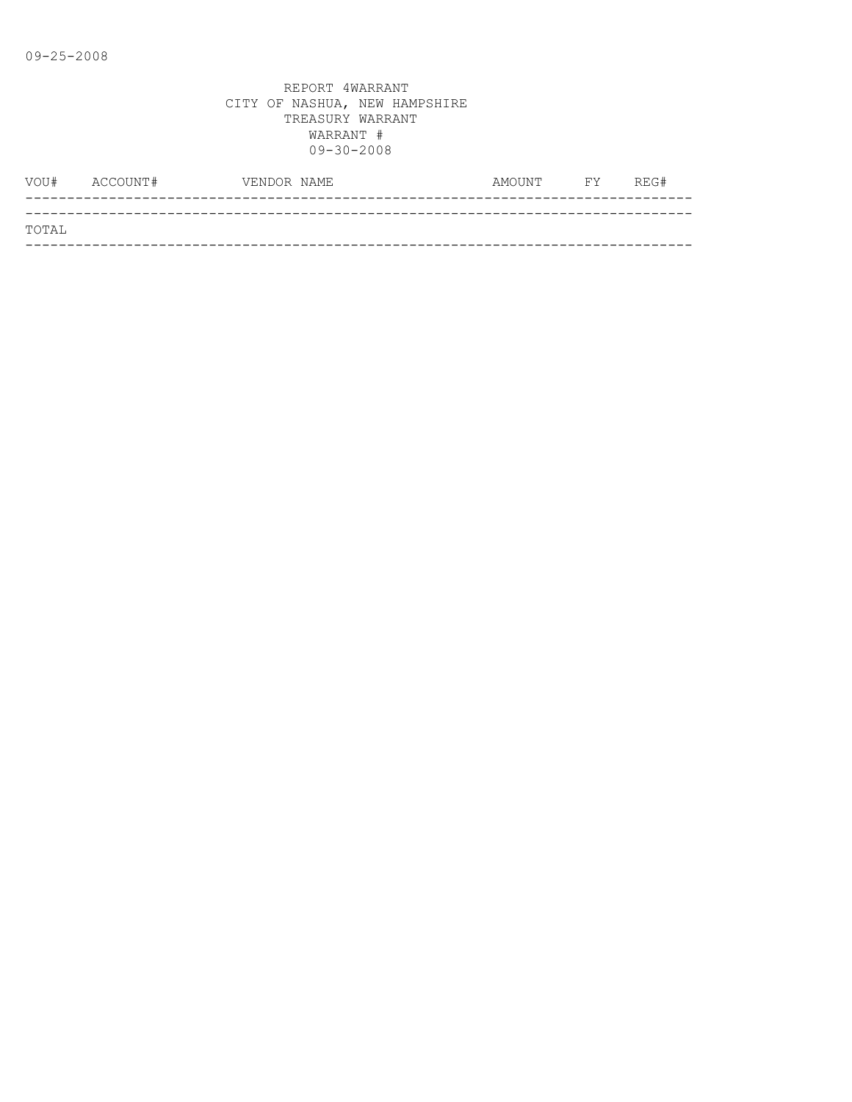|       | VOU# ACCOUNT# | VENDOR NAME | AMOUNT FY | REG# |
|-------|---------------|-------------|-----------|------|
|       |               |             |           |      |
| TOTAL |               |             |           |      |
|       |               |             |           |      |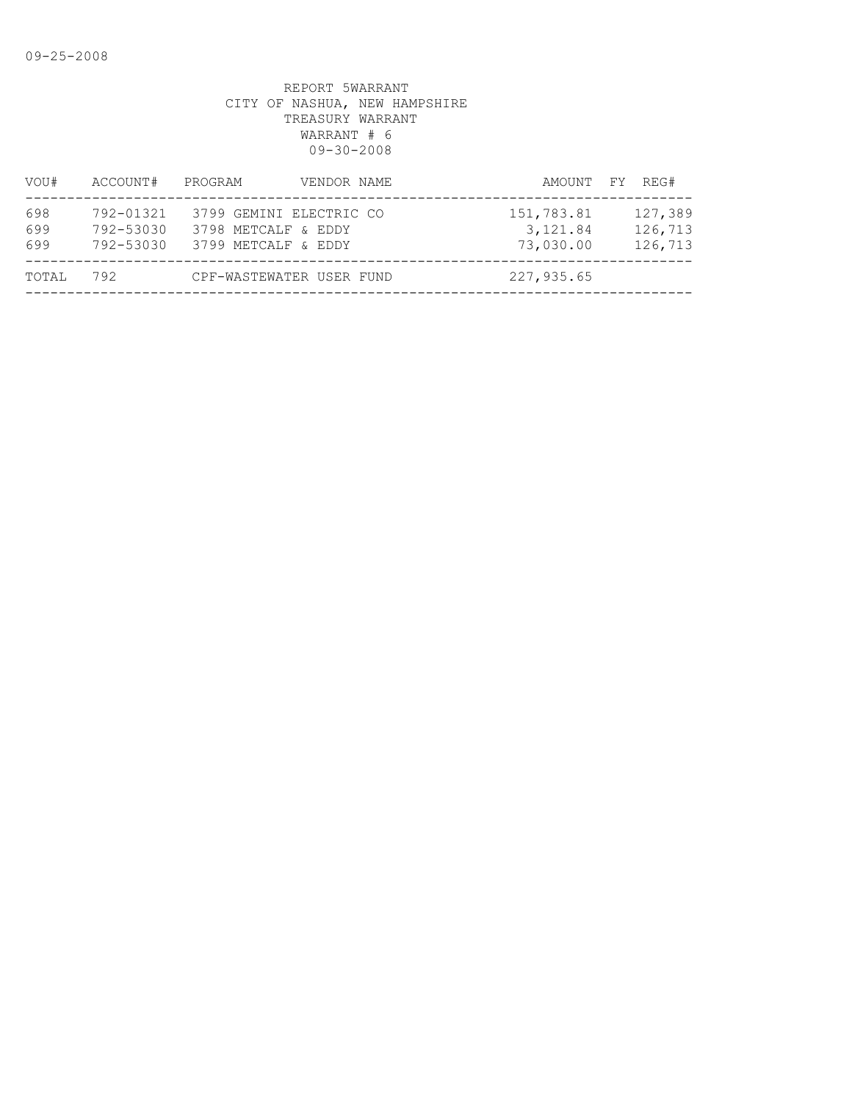| VOU#              | ACCOUNT#                            | PROGRAM                                                               | VENDOR NAME | AMOUNT FY REG#                       |                               |
|-------------------|-------------------------------------|-----------------------------------------------------------------------|-------------|--------------------------------------|-------------------------------|
| 698<br>699<br>699 | 792-01321<br>792-53030<br>792-53030 | 3799 GEMINI ELECTRIC CO<br>3798 METCALF & EDDY<br>3799 METCALF & EDDY |             | 151,783.81<br>3, 121.84<br>73,030.00 | 127,389<br>126,713<br>126,713 |
| TOTAL             | 792                                 | CPF-WASTEWATER USER FUND                                              |             | 227,935.65                           |                               |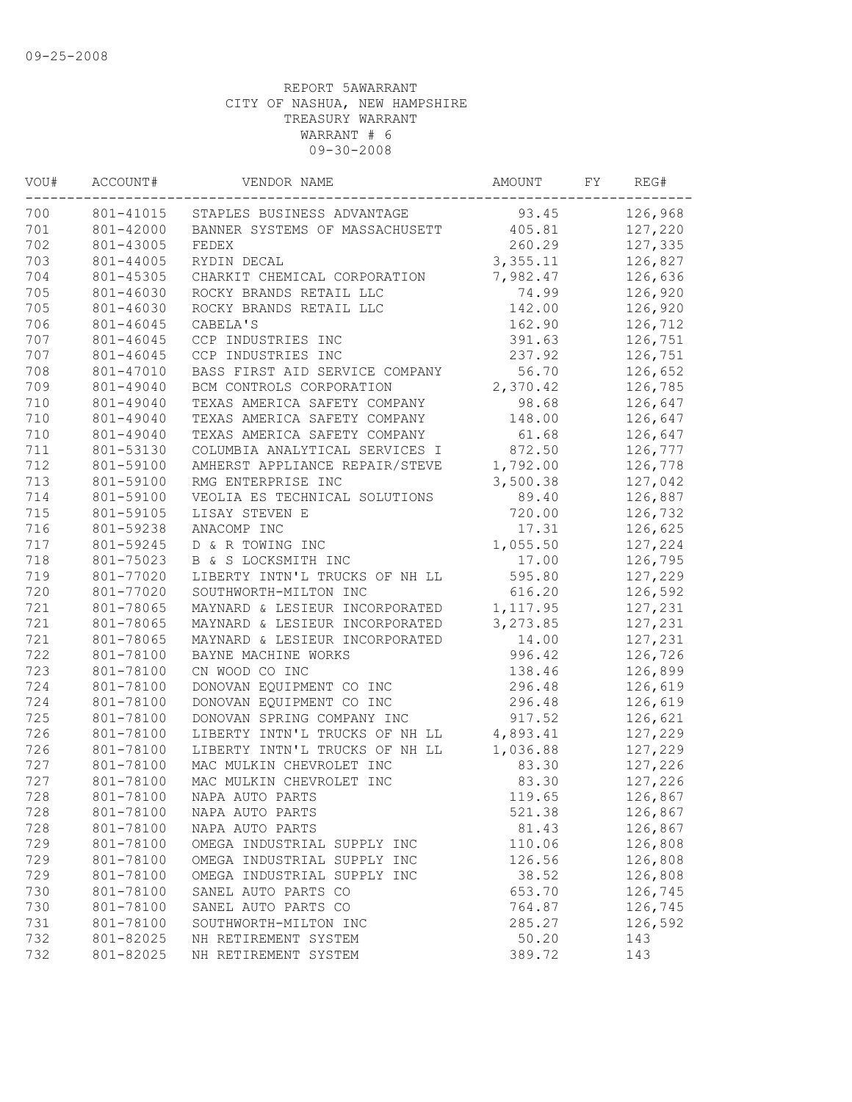| VOU# | ACCOUNT#  | VENDOR NAME                    | AMOUNT    | FΥ | REG#    |
|------|-----------|--------------------------------|-----------|----|---------|
| 700  | 801-41015 | STAPLES BUSINESS ADVANTAGE     | 93.45     |    | 126,968 |
| 701  | 801-42000 | BANNER SYSTEMS OF MASSACHUSETT | 405.81    |    | 127,220 |
| 702  | 801-43005 | FEDEX                          | 260.29    |    | 127,335 |
| 703  | 801-44005 | RYDIN DECAL                    | 3,355.11  |    | 126,827 |
| 704  | 801-45305 | CHARKIT CHEMICAL CORPORATION   | 7,982.47  |    | 126,636 |
| 705  | 801-46030 | ROCKY BRANDS RETAIL LLC        | 74.99     |    | 126,920 |
| 705  | 801-46030 | ROCKY BRANDS RETAIL LLC        | 142.00    |    | 126,920 |
| 706  | 801-46045 | CABELA'S                       | 162.90    |    | 126,712 |
| 707  | 801-46045 | CCP INDUSTRIES INC             | 391.63    |    | 126,751 |
| 707  | 801-46045 | CCP INDUSTRIES INC             | 237.92    |    | 126,751 |
| 708  | 801-47010 | BASS FIRST AID SERVICE COMPANY | 56.70     |    | 126,652 |
| 709  | 801-49040 | BCM CONTROLS CORPORATION       | 2,370.42  |    | 126,785 |
| 710  | 801-49040 | TEXAS AMERICA SAFETY COMPANY   | 98.68     |    | 126,647 |
| 710  | 801-49040 | TEXAS AMERICA SAFETY COMPANY   | 148.00    |    | 126,647 |
| 710  | 801-49040 | TEXAS AMERICA SAFETY COMPANY   | 61.68     |    | 126,647 |
| 711  | 801-53130 | COLUMBIA ANALYTICAL SERVICES I | 872.50    |    | 126,777 |
| 712  | 801-59100 | AMHERST APPLIANCE REPAIR/STEVE | 1,792.00  |    | 126,778 |
| 713  | 801-59100 | RMG ENTERPRISE INC             | 3,500.38  |    | 127,042 |
| 714  | 801-59100 | VEOLIA ES TECHNICAL SOLUTIONS  | 89.40     |    | 126,887 |
| 715  | 801-59105 | LISAY STEVEN E                 | 720.00    |    | 126,732 |
| 716  | 801-59238 | ANACOMP INC                    | 17.31     |    | 126,625 |
| 717  | 801-59245 | D & R TOWING INC               | 1,055.50  |    | 127,224 |
| 718  | 801-75023 | B & S LOCKSMITH INC            | 17.00     |    | 126,795 |
| 719  | 801-77020 | LIBERTY INTN'L TRUCKS OF NH LL | 595.80    |    | 127,229 |
| 720  | 801-77020 | SOUTHWORTH-MILTON INC          | 616.20    |    | 126,592 |
| 721  | 801-78065 | MAYNARD & LESIEUR INCORPORATED | 1, 117.95 |    | 127,231 |
| 721  | 801-78065 | MAYNARD & LESIEUR INCORPORATED | 3, 273.85 |    | 127,231 |
| 721  | 801-78065 | MAYNARD & LESIEUR INCORPORATED | 14.00     |    | 127,231 |
| 722  | 801-78100 | BAYNE MACHINE WORKS            | 996.42    |    | 126,726 |
| 723  | 801-78100 | CN WOOD CO INC                 | 138.46    |    | 126,899 |
| 724  | 801-78100 | DONOVAN EQUIPMENT CO INC       | 296.48    |    | 126,619 |
| 724  | 801-78100 | DONOVAN EQUIPMENT CO INC       | 296.48    |    | 126,619 |
| 725  | 801-78100 | DONOVAN SPRING COMPANY INC     | 917.52    |    | 126,621 |
| 726  | 801-78100 | LIBERTY INTN'L TRUCKS OF NH LL | 4,893.41  |    | 127,229 |
| 726  | 801-78100 | LIBERTY INTN'L TRUCKS OF NH LL | 1,036.88  |    | 127,229 |
| 727  | 801-78100 | MAC MULKIN CHEVROLET INC       | 83.30     |    | 127,226 |
| 727  | 801-78100 | MAC MULKIN CHEVROLET INC       | 83.30     |    | 127,226 |
| 728  | 801-78100 | NAPA AUTO PARTS                | 119.65    |    | 126,867 |
| 728  | 801-78100 | NAPA AUTO PARTS                | 521.38    |    | 126,867 |
| 728  | 801-78100 | NAPA AUTO PARTS                | 81.43     |    | 126,867 |
| 729  | 801-78100 | OMEGA INDUSTRIAL SUPPLY INC    | 110.06    |    | 126,808 |
| 729  | 801-78100 | OMEGA INDUSTRIAL SUPPLY INC    | 126.56    |    | 126,808 |
| 729  | 801-78100 | OMEGA INDUSTRIAL SUPPLY INC    | 38.52     |    | 126,808 |
| 730  | 801-78100 | SANEL AUTO PARTS CO            | 653.70    |    | 126,745 |
| 730  | 801-78100 | SANEL AUTO PARTS CO            | 764.87    |    | 126,745 |
| 731  | 801-78100 | SOUTHWORTH-MILTON INC          | 285.27    |    | 126,592 |
| 732  | 801-82025 | NH RETIREMENT SYSTEM           | 50.20     |    | 143     |
| 732  | 801-82025 | NH RETIREMENT SYSTEM           | 389.72    |    | 143     |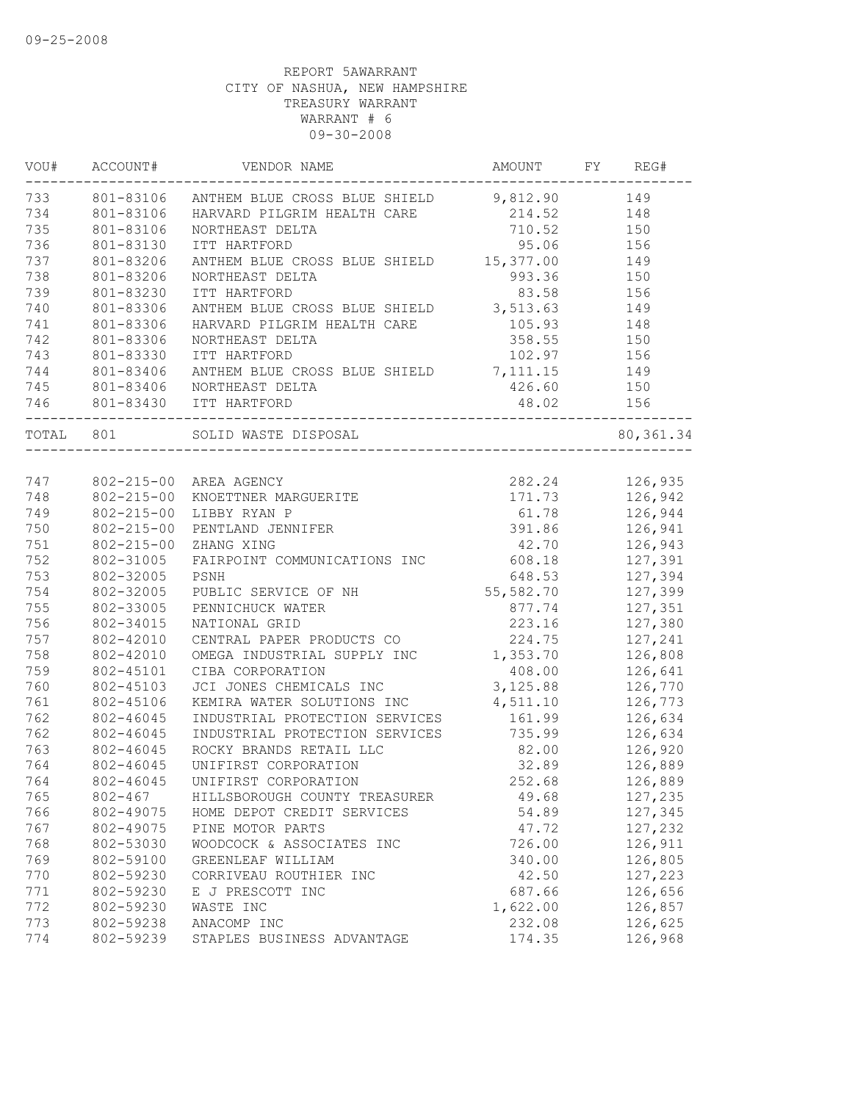|           | VOU# ACCOUNT#    | VENDOR NAME                                                                   |           | AMOUNT FY REG# |
|-----------|------------------|-------------------------------------------------------------------------------|-----------|----------------|
|           |                  | 733 801-83106 ANTHEM BLUE CROSS BLUE SHIELD 9,812.90 149                      |           |                |
| 734       | 801-83106        | HARVARD PILGRIM HEALTH CARE                                                   |           | 214.52 148     |
| 735       | 801-83106        | NORTHEAST DELTA                                                               |           | 710.52 150     |
| 736       | 801-83130        | ITT HARTFORD                                                                  |           | 95.06 156      |
| 737       | 801-83206        | ANTHEM BLUE CROSS BLUE SHIELD 15,377.00                                       |           | 149            |
| 738       | 801-83206        | NORTHEAST DELTA                                                               | 993.36    | 150            |
| 739       | 801-83230        | ITT HARTFORD                                                                  | 83.58     | 156            |
| 740       | 801-83306        | ANTHEM BLUE CROSS BLUE SHIELD 3,513.63                                        |           | 149            |
| 741       | 801-83306        | HARVARD PILGRIM HEALTH CARE                                                   | 105.93    | 148            |
| 742       | 801-83306        | NORTHEAST DELTA                                                               |           | 358.55 150     |
| 743       | 801-83330        | ITT HARTFORD                                                                  |           | 102.97 156     |
| 744       | 801-83406        | ANTHEM BLUE CROSS BLUE SHIELD 7, 111.15 149                                   |           |                |
| 745       | 801-83406        | NORTHEAST DELTA                                                               |           | 426.60 150     |
| 746       |                  | 801-83430 ITT HARTFORD                                                        | 48.02     | 156            |
| TOTAL 801 |                  | SOLID WASTE DISPOSAL                                                          |           | 80, 361.34     |
|           |                  |                                                                               |           |                |
| 747       |                  | AREA AGENCY<br>KNOETTNER MARGUERITE<br>LIBBY RYAN P<br>802-215-00 AREA AGENCY |           | 282.24 126,935 |
| 748       | 802-215-00       |                                                                               |           | 171.73 126,942 |
| 749       | $802 - 215 - 00$ |                                                                               | 61.78     | 126,944        |
| 750       | $802 - 215 - 00$ | PENTLAND JENNIFER                                                             |           | 391.86 126,941 |
| 751       | $802 - 215 - 00$ | ZHANG XING                                                                    | 42.70     | 126,943        |
| 752       | 802-31005        | FAIRPOINT COMMUNICATIONS INC                                                  | 608.18    | 127,391        |
| 753       | 802-32005        | PSNH                                                                          | 648.53    | 127,394        |
| 754       | 802-32005        | PUBLIC SERVICE OF NH                                                          | 55,582.70 | 127,399        |
| 755       | 802-33005        | PENNICHUCK WATER                                                              | 877.74    | 127,351        |
| 756       | 802-34015        | NATIONAL GRID                                                                 | 223.16    | 127,380        |
| 757       | 802-42010        | CENTRAL PAPER PRODUCTS CO                                                     | 224.75    | 127,241        |
| 758       | 802-42010        | OMEGA INDUSTRIAL SUPPLY INC                                                   | 1,353.70  | 126,808        |
| 759       | 802-45101        | CIBA CORPORATION                                                              | 408.00    | 126,641        |
| 760       | 802-45103        | JCI JONES CHEMICALS INC                                                       | 3,125.88  | 126,770        |
| 761       | 802-45106        | KEMIRA WATER SOLUTIONS INC                                                    | 4,511.10  | 126,773        |
| 762       | 802-46045        | INDUSTRIAL PROTECTION SERVICES                                                | 161.99    | 126,634        |
| 762       | 802-46045        | INDUSTRIAL PROTECTION SERVICES                                                | 735.99    | 126,634        |
| 763       | 802-46045        | ROCKY BRANDS RETAIL LLC                                                       | 82.00     | 126,920        |
| 764       | 802-46045        | UNIFIRST CORPORATION                                                          | 32.89     | 126,889        |
| 764       |                  | 802-46045 UNIFIRST CORPORATION                                                | 252.68    | 126,889        |
| 765       | 802-467          | HILLSBOROUGH COUNTY TREASURER                                                 | 49.68     | 127,235        |
| 766       | 802-49075        | HOME DEPOT CREDIT SERVICES                                                    | 54.89     | 127,345        |
| 767       | 802-49075        | PINE MOTOR PARTS                                                              | 47.72     | 127,232        |
| 768       | 802-53030        | WOODCOCK & ASSOCIATES INC                                                     | 726.00    | 126,911        |
| 769       | 802-59100        | GREENLEAF WILLIAM                                                             | 340.00    | 126,805        |
| 770       | 802-59230        | CORRIVEAU ROUTHIER INC                                                        | 42.50     | 127,223        |
| 771       | 802-59230        | E J PRESCOTT INC                                                              | 687.66    | 126,656        |
| 772       | 802-59230        | WASTE INC                                                                     | 1,622.00  | 126,857        |
| 773       | 802-59238        | ANACOMP INC                                                                   | 232.08    | 126,625        |
| 774       | 802-59239        | STAPLES BUSINESS ADVANTAGE                                                    | 174.35    | 126,968        |
|           |                  |                                                                               |           |                |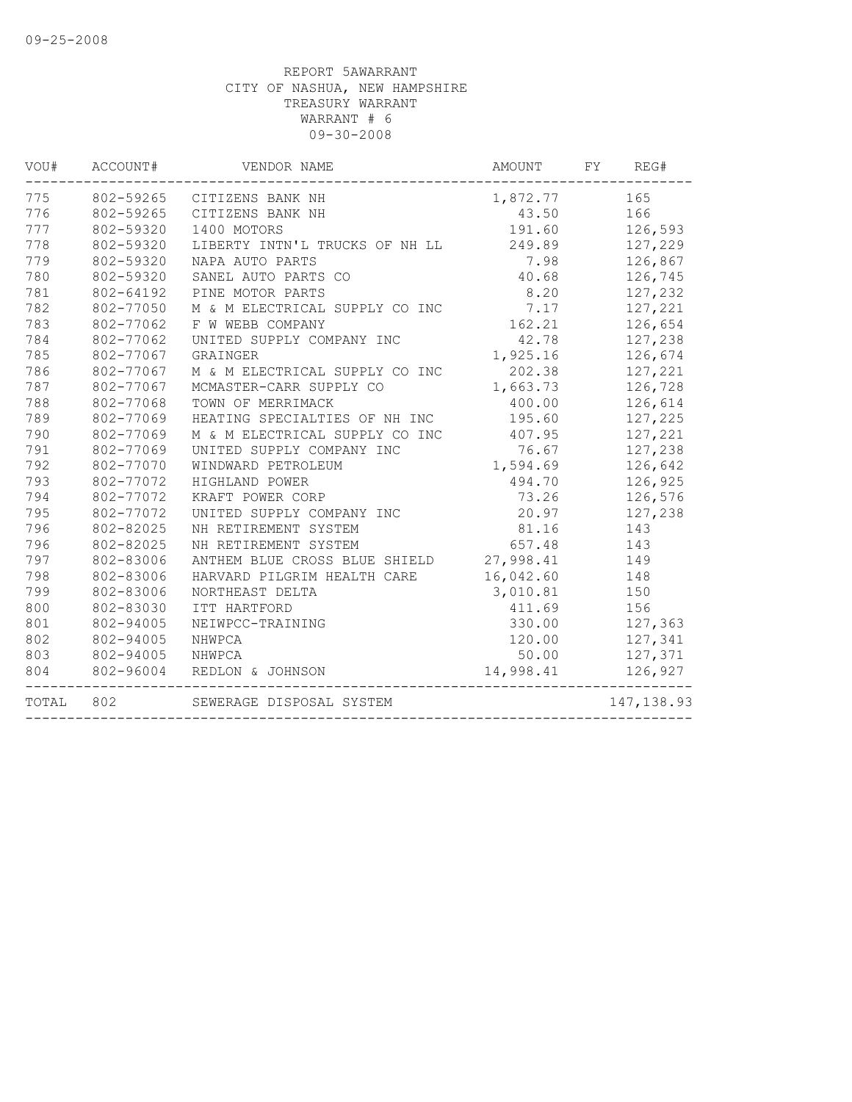| VOU#  | ACCOUNT#  | VENDOR NAME                    | AMOUNT    | FY<br>REG#  |
|-------|-----------|--------------------------------|-----------|-------------|
| 775   | 802-59265 | CITIZENS BANK NH               | 1,872.77  | 165         |
| 776   | 802-59265 | CITIZENS BANK NH               | 43.50     | 166         |
| 777   | 802-59320 | 1400 MOTORS                    | 191.60    | 126,593     |
| 778   | 802-59320 | LIBERTY INTN'L TRUCKS OF NH LL | 249.89    | 127,229     |
| 779   | 802-59320 | NAPA AUTO PARTS                | 7.98      | 126,867     |
| 780   | 802-59320 | SANEL AUTO PARTS CO            | 40.68     | 126,745     |
| 781   | 802-64192 | PINE MOTOR PARTS               | 8.20      | 127,232     |
| 782   | 802-77050 | M & M ELECTRICAL SUPPLY CO INC | 7.17      | 127,221     |
| 783   | 802-77062 | F W WEBB COMPANY               | 162.21    | 126,654     |
| 784   | 802-77062 | UNITED SUPPLY COMPANY INC      | 42.78     | 127,238     |
| 785   | 802-77067 | GRAINGER                       | 1,925.16  | 126,674     |
| 786   | 802-77067 | M & M ELECTRICAL SUPPLY CO INC | 202.38    | 127,221     |
| 787   | 802-77067 | MCMASTER-CARR SUPPLY CO        | 1,663.73  | 126,728     |
| 788   | 802-77068 | TOWN OF MERRIMACK              | 400.00    | 126,614     |
| 789   | 802-77069 | HEATING SPECIALTIES OF NH INC  | 195.60    | 127,225     |
| 790   | 802-77069 | M & M ELECTRICAL SUPPLY CO INC | 407.95    | 127,221     |
| 791   | 802-77069 | UNITED SUPPLY COMPANY INC      | 76.67     | 127,238     |
| 792   | 802-77070 | WINDWARD PETROLEUM             | 1,594.69  | 126,642     |
| 793   | 802-77072 | HIGHLAND POWER                 | 494.70    | 126,925     |
| 794   | 802-77072 | KRAFT POWER CORP               | 73.26     | 126,576     |
| 795   | 802-77072 | UNITED SUPPLY COMPANY INC      | 20.97     | 127,238     |
| 796   | 802-82025 | NH RETIREMENT SYSTEM           | 81.16     | 143         |
| 796   | 802-82025 | NH RETIREMENT SYSTEM           | 657.48    | 143         |
| 797   | 802-83006 | ANTHEM BLUE CROSS BLUE SHIELD  | 27,998.41 | 149         |
| 798   | 802-83006 | HARVARD PILGRIM HEALTH CARE    | 16,042.60 | 148         |
| 799   | 802-83006 | NORTHEAST DELTA                | 3,010.81  | 150         |
| 800   | 802-83030 | ITT HARTFORD                   | 411.69    | 156         |
| 801   | 802-94005 | NEIWPCC-TRAINING               | 330.00    | 127,363     |
| 802   | 802-94005 | NHWPCA                         | 120.00    | 127,341     |
| 803   | 802-94005 | NHWPCA                         | 50.00     | 127,371     |
| 804   | 802-96004 | REDLON & JOHNSON               | 14,998.41 | 126,927     |
| TOTAL | 802       | SEWERAGE DISPOSAL SYSTEM       |           | 147, 138.93 |
|       |           |                                |           |             |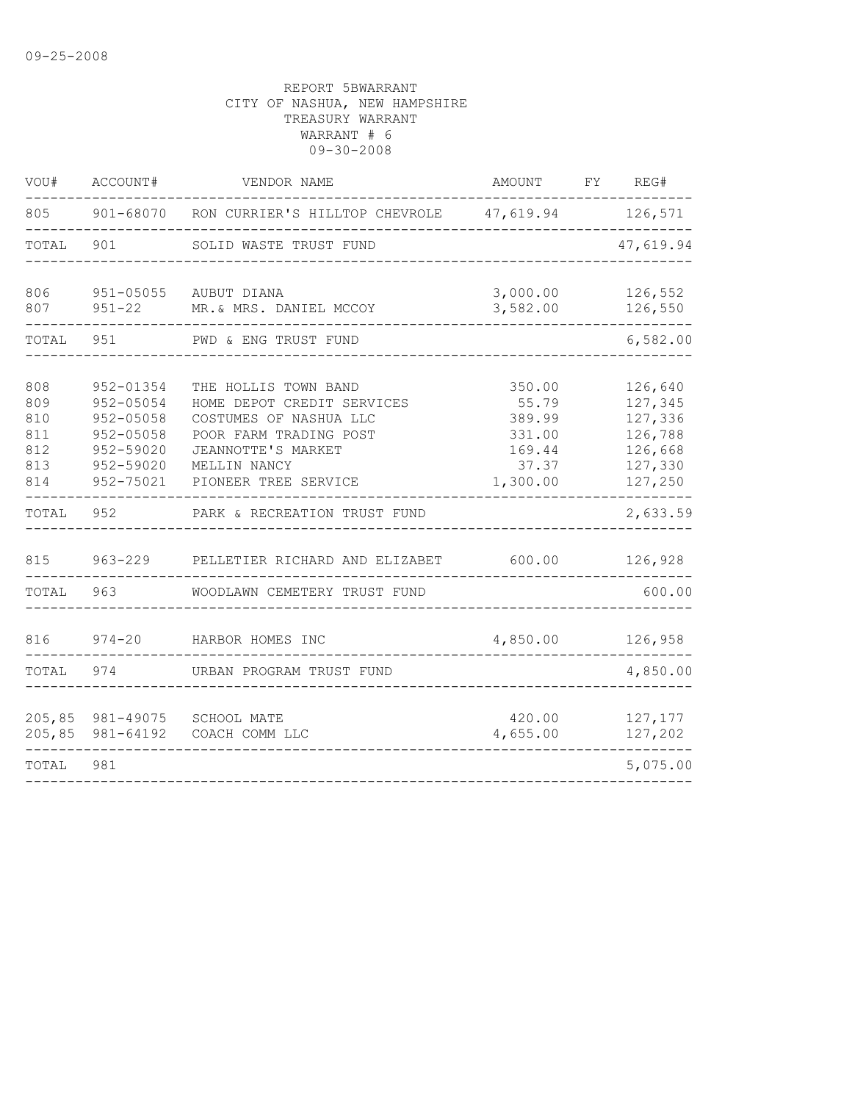| VOU#                                          | ACCOUNT#                                                                                | VENDOR NAME                                                                                                                                                          | AMOUNT                                                             | FY | REG#                                                                      |
|-----------------------------------------------|-----------------------------------------------------------------------------------------|----------------------------------------------------------------------------------------------------------------------------------------------------------------------|--------------------------------------------------------------------|----|---------------------------------------------------------------------------|
| 805                                           |                                                                                         | 901-68070 RON CURRIER'S HILLTOP CHEVROLE 47, 619.94 126, 571                                                                                                         |                                                                    |    |                                                                           |
| TOTAL                                         | 901                                                                                     | SOLID WASTE TRUST FUND                                                                                                                                               |                                                                    |    | 47,619.94                                                                 |
| 806<br>807                                    | $951 - 05055$<br>$951 - 22$                                                             | AUBUT DIANA<br>MR.& MRS. DANIEL MCCOY                                                                                                                                | 3,000.00<br>3,582.00                                               |    | 126,552<br>126,550                                                        |
| TOTAL                                         | 951                                                                                     | PWD & ENG TRUST FUND                                                                                                                                                 |                                                                    |    | 6,582.00                                                                  |
| 808<br>809<br>810<br>811<br>812<br>813<br>814 | 952-01354<br>952-05054<br>952-05058<br>952-05058<br>952-59020<br>952-59020<br>952-75021 | THE HOLLIS TOWN BAND<br>HOME DEPOT CREDIT SERVICES<br>COSTUMES OF NASHUA LLC<br>POOR FARM TRADING POST<br>JEANNOTTE'S MARKET<br>MELLIN NANCY<br>PIONEER TREE SERVICE | 350.00<br>55.79<br>389.99<br>331.00<br>169.44<br>37.37<br>1,300.00 |    | 126,640<br>127,345<br>127,336<br>126,788<br>126,668<br>127,330<br>127,250 |
| TOTAL                                         | 952                                                                                     | PARK & RECREATION TRUST FUND                                                                                                                                         |                                                                    |    | 2,633.59                                                                  |
| 815                                           | $963 - 229$                                                                             | PELLETIER RICHARD AND ELIZABET                                                                                                                                       | 600.00                                                             |    | 126,928                                                                   |
| TOTAL                                         | 963                                                                                     | WOODLAWN CEMETERY TRUST FUND                                                                                                                                         |                                                                    |    | 600.00                                                                    |
| 816                                           | $974 - 20$                                                                              | HARBOR HOMES INC                                                                                                                                                     | 4,850.00                                                           |    | 126,958                                                                   |
| TOTAL                                         | 974                                                                                     | URBAN PROGRAM TRUST FUND                                                                                                                                             |                                                                    |    | 4,850.00                                                                  |
| 205, 85<br>205,85                             | 981-49075<br>981-64192                                                                  | SCHOOL MATE<br>COACH COMM LLC                                                                                                                                        | 420.00<br>4,655.00                                                 |    | 127,177<br>127,202                                                        |
| TOTAL                                         | 981                                                                                     |                                                                                                                                                                      |                                                                    |    | 5,075.00                                                                  |
|                                               |                                                                                         |                                                                                                                                                                      |                                                                    |    |                                                                           |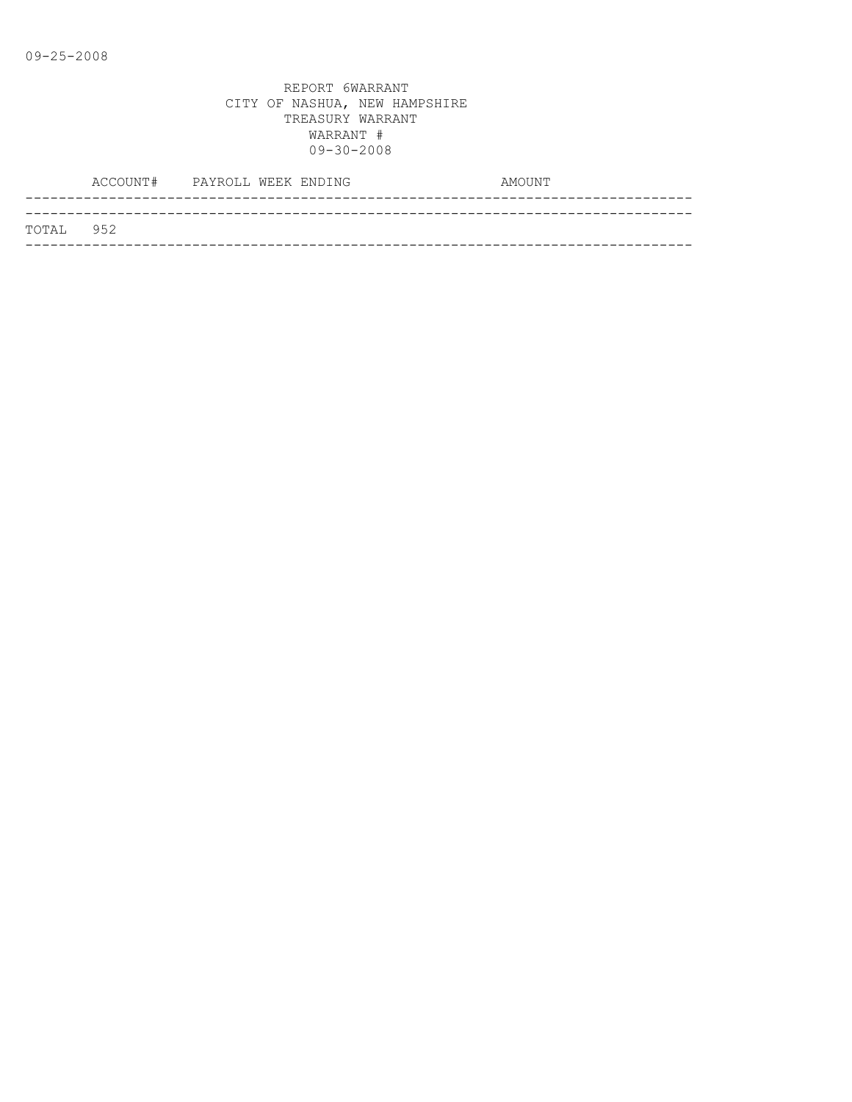|           | ACCOUNT# PAYROLL WEEK ENDING |  |  | AMOUNT |
|-----------|------------------------------|--|--|--------|
|           |                              |  |  |        |
| TOTAL 952 |                              |  |  |        |
|           |                              |  |  |        |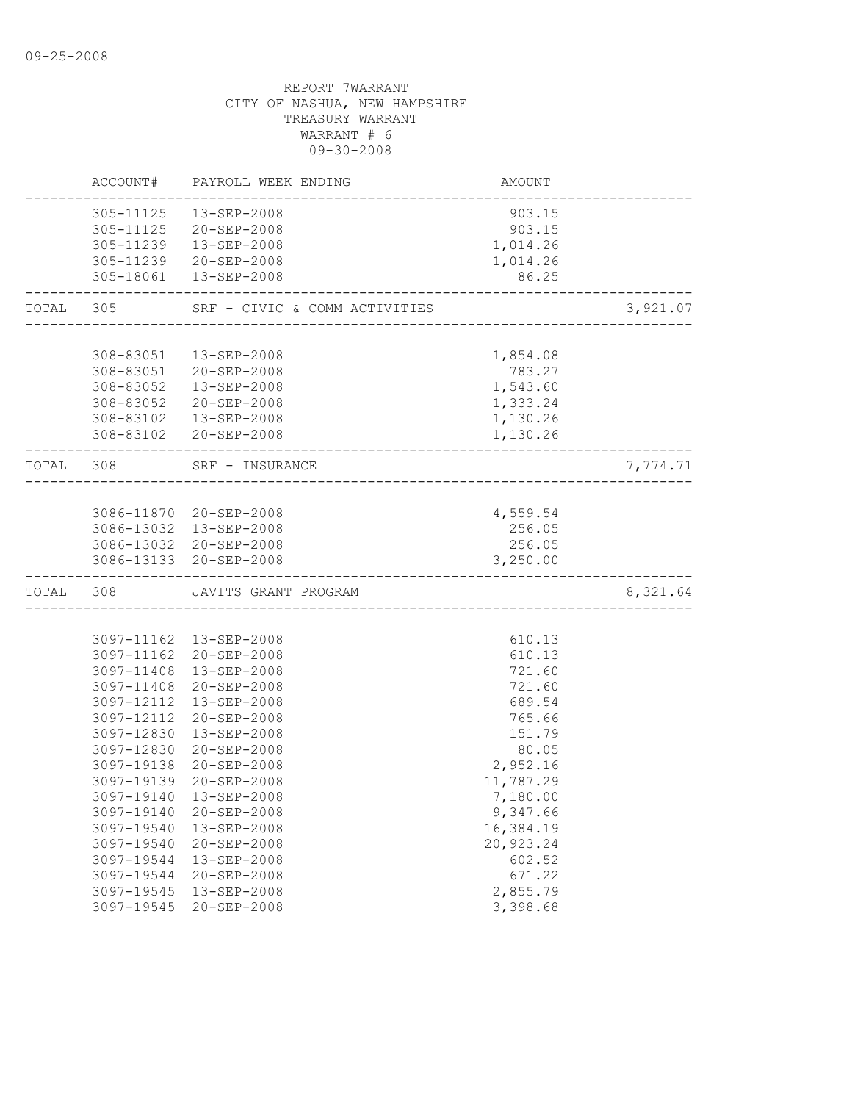|           |                                                                                                                                                                                                  | ACCOUNT# PAYROLL WEEK ENDING                                                                                                                                                                                                                                                                                                         | AMOUNT                                                                                                                                                                                             |          |
|-----------|--------------------------------------------------------------------------------------------------------------------------------------------------------------------------------------------------|--------------------------------------------------------------------------------------------------------------------------------------------------------------------------------------------------------------------------------------------------------------------------------------------------------------------------------------|----------------------------------------------------------------------------------------------------------------------------------------------------------------------------------------------------|----------|
|           |                                                                                                                                                                                                  | 305-11125  13-SEP-2008<br>305-11125 20-SEP-2008<br>305-11239  13-SEP-2008<br>305-11239 20-SEP-2008<br>305-18061  13-SEP-2008                                                                                                                                                                                                         | 903.15<br>903.15<br>1,014.26<br>1,014.26<br>86.25                                                                                                                                                  |          |
| TOTAL     | 305                                                                                                                                                                                              | SRF - CIVIC & COMM ACTIVITIES                                                                                                                                                                                                                                                                                                        | ACTIVITIES<br>---------------------------                                                                                                                                                          | 3,921.07 |
|           |                                                                                                                                                                                                  |                                                                                                                                                                                                                                                                                                                                      |                                                                                                                                                                                                    |          |
|           |                                                                                                                                                                                                  | 308-83051  13-SEP-2008<br>308-83051 20-SEP-2008<br>308-83052  13-SEP-2008<br>308-83052 20-SEP-2008<br>308-83102  13-SEP-2008<br>308-83102 20-SEP-2008                                                                                                                                                                                | 1,854.08<br>783.27<br>1,543.60<br>1,333.24<br>1,130.26<br>1,130.26                                                                                                                                 |          |
| TOTAL 308 |                                                                                                                                                                                                  | SRF - INSURANCE                                                                                                                                                                                                                                                                                                                      |                                                                                                                                                                                                    | 7,774.71 |
|           |                                                                                                                                                                                                  | 3086-11870 20-SEP-2008<br>3086-13032 13-SEP-2008<br>3086-13032 20-SEP-2008<br>3086-13133 20-SEP-2008                                                                                                                                                                                                                                 | 4,559.54<br>256.05<br>256.05<br>3,250.00                                                                                                                                                           |          |
| TOTAL 308 |                                                                                                                                                                                                  | JAVITS GRANT PROGRAM                                                                                                                                                                                                                                                                                                                 | _________________                                                                                                                                                                                  | 8,321.64 |
|           | 3097-11408<br>3097-12112<br>3097-12112<br>3097-12830<br>3097-12830<br>3097-19138<br>3097-19139<br>3097-19140<br>3097-19540<br>3097-19540<br>3097-19544<br>3097-19544<br>3097-19545<br>3097-19545 | 3097-11162  13-SEP-2008<br>3097-11162 20-SEP-2008<br>3097-11408 13-SEP-2008<br>20-SEP-2008<br>13-SEP-2008<br>20-SEP-2008<br>13-SEP-2008<br>20-SEP-2008<br>$20 - SEP - 2008$<br>$20 - SEP - 2008$<br>3097-19140  13-SEP-2008<br>20-SEP-2008<br>13-SEP-2008<br>20-SEP-2008<br>13-SEP-2008<br>20-SEP-2008<br>13-SEP-2008<br>20-SEP-2008 | 610.13<br>610.13<br>721.60<br>721.60<br>689.54<br>765.66<br>151.79<br>80.05<br>2,952.16<br>11,787.29<br>7,180.00<br>9,347.66<br>16,384.19<br>20,923.24<br>602.52<br>671.22<br>2,855.79<br>3,398.68 |          |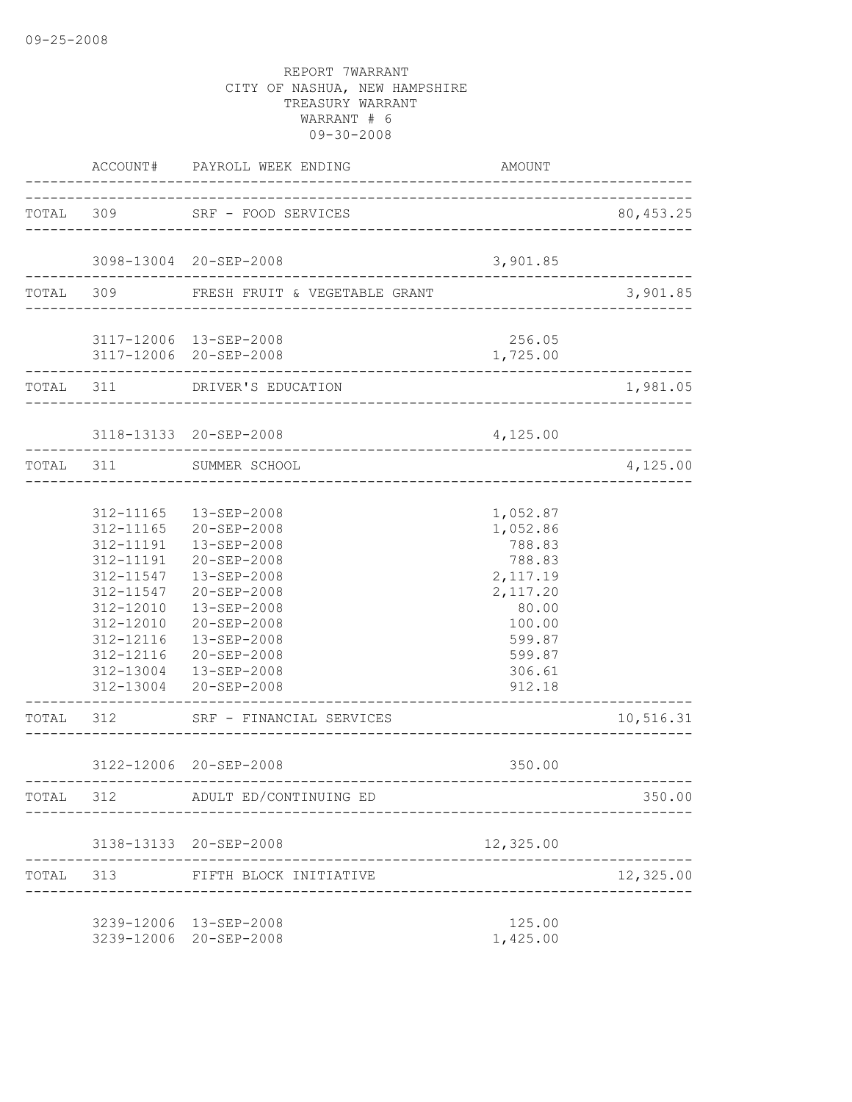|           |                                                                                                      | ACCOUNT# PAYROLL WEEK ENDING                                                                                                                                                                                               | AMOUNT                                                                                                                      |                        |
|-----------|------------------------------------------------------------------------------------------------------|----------------------------------------------------------------------------------------------------------------------------------------------------------------------------------------------------------------------------|-----------------------------------------------------------------------------------------------------------------------------|------------------------|
|           |                                                                                                      | TOTAL 309 SRF - FOOD SERVICES                                                                                                                                                                                              |                                                                                                                             | 80,453.25              |
|           |                                                                                                      | 3098-13004 20-SEP-2008                                                                                                                                                                                                     | 3,901.85                                                                                                                    |                        |
|           |                                                                                                      | TOTAL 309 FRESH FRUIT & VEGETABLE GRANT                                                                                                                                                                                    |                                                                                                                             | 3,901.85               |
|           |                                                                                                      | 3117-12006 13-SEP-2008<br>3117-12006 20-SEP-2008                                                                                                                                                                           | 256.05<br>1,725.00                                                                                                          |                        |
|           |                                                                                                      | TOTAL 311 DRIVER'S EDUCATION                                                                                                                                                                                               |                                                                                                                             | 1,981.05               |
|           |                                                                                                      | 3118-13133 20-SEP-2008<br>-------------------------------                                                                                                                                                                  | 4,125.00                                                                                                                    |                        |
|           |                                                                                                      | TOTAL 311 SUMMER SCHOOL<br>________________________                                                                                                                                                                        |                                                                                                                             | 4,125.00               |
|           | 312-11191<br>312-11191<br>312-11547<br>312-11547<br>312-12010<br>312-12010<br>312-12116<br>312-12116 | 312-11165  13-SEP-2008<br>312-11165 20-SEP-2008<br>13-SEP-2008<br>20-SEP-2008<br>13-SEP-2008<br>20-SEP-2008<br>13-SEP-2008<br>20-SEP-2008<br>13-SEP-2008<br>20-SEP-2008<br>312-13004  13-SEP-2008<br>312-13004 20-SEP-2008 | 1,052.87<br>1,052.86<br>788.83<br>788.83<br>2,117.19<br>2,117.20<br>80.00<br>100.00<br>599.87<br>599.87<br>306.61<br>912.18 |                        |
|           |                                                                                                      | TOTAL 312 SRF - FINANCIAL SERVICES                                                                                                                                                                                         |                                                                                                                             | 10,516.31              |
|           |                                                                                                      | 3122-12006 20-SEP-2008                                                                                                                                                                                                     | 350.00                                                                                                                      |                        |
| TOTAL 312 |                                                                                                      | ADULT ED/CONTINUING ED                                                                                                                                                                                                     |                                                                                                                             | ------------<br>350.00 |
|           |                                                                                                      | 3138-13133 20-SEP-2008                                                                                                                                                                                                     | 12,325.00                                                                                                                   |                        |
| TOTAL     | 313                                                                                                  | FIFTH BLOCK INITIATIVE                                                                                                                                                                                                     |                                                                                                                             | 12,325.00              |
|           |                                                                                                      | 3239-12006 13-SEP-2008<br>3239-12006 20-SEP-2008                                                                                                                                                                           | 125.00<br>1,425.00                                                                                                          |                        |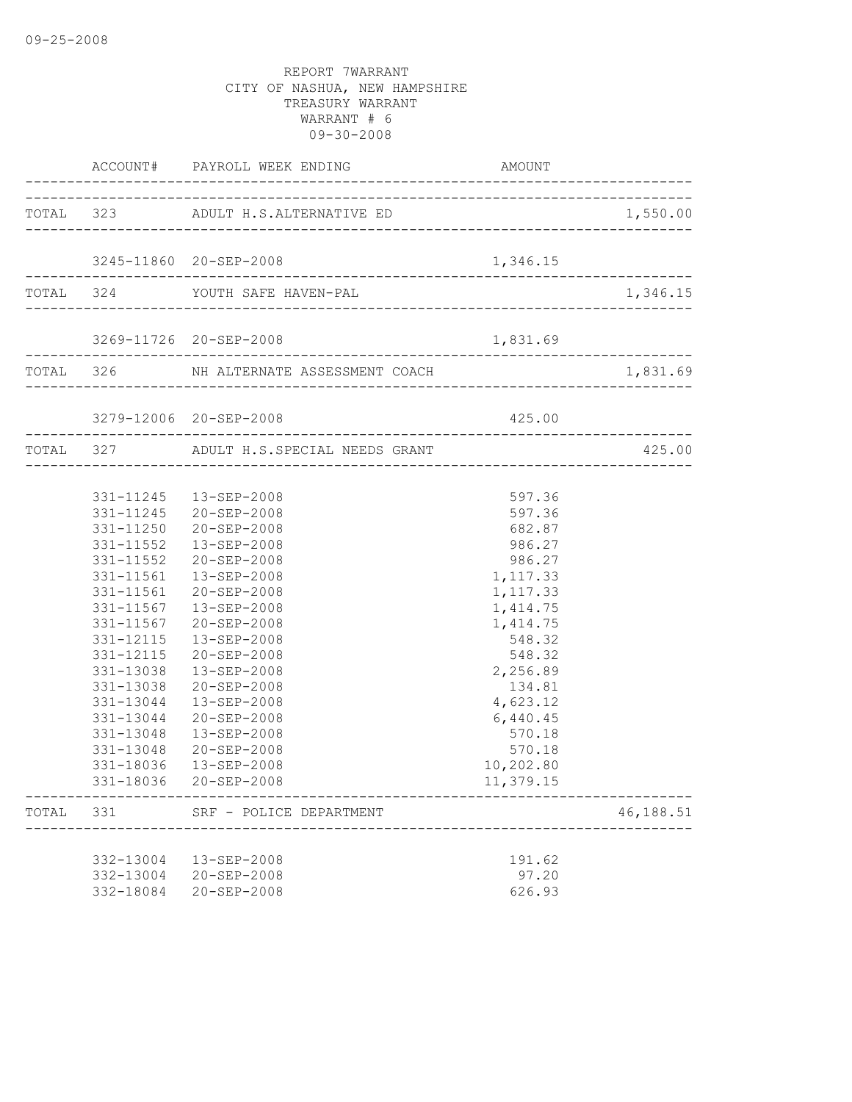|                                                  | ACCOUNT# PAYROLL WEEK ENDING AMOUNDER AND                                                                                                                                                                                                                                                                                                                                                                                                             | AMOUNT                                                                                                                                                                                                           |           |
|--------------------------------------------------|-------------------------------------------------------------------------------------------------------------------------------------------------------------------------------------------------------------------------------------------------------------------------------------------------------------------------------------------------------------------------------------------------------------------------------------------------------|------------------------------------------------------------------------------------------------------------------------------------------------------------------------------------------------------------------|-----------|
|                                                  | TOTAL 323 ADULT H.S.ALTERNATIVE ED                                                                                                                                                                                                                                                                                                                                                                                                                    |                                                                                                                                                                                                                  | 1,550.00  |
|                                                  | 3245-11860 20-SEP-2008                                                                                                                                                                                                                                                                                                                                                                                                                                | 1,346.15                                                                                                                                                                                                         |           |
|                                                  | TOTAL 324 YOUTH SAFE HAVEN-PAL                                                                                                                                                                                                                                                                                                                                                                                                                        |                                                                                                                                                                                                                  | 1,346.15  |
|                                                  | 3269-11726 20-SEP-2008                                                                                                                                                                                                                                                                                                                                                                                                                                | 1,831.69                                                                                                                                                                                                         |           |
| _________________________                        | TOTAL 326 NH ALTERNATE ASSESSMENT COACH 1,831.                                                                                                                                                                                                                                                                                                                                                                                                        |                                                                                                                                                                                                                  | 1,831.69  |
|                                                  | 3279-12006 20-SEP-2008                                                                                                                                                                                                                                                                                                                                                                                                                                | 425.00                                                                                                                                                                                                           |           |
|                                                  | TOTAL 327 ADULT H.S.SPECIAL NEEDS GRANT                                                                                                                                                                                                                                                                                                                                                                                                               |                                                                                                                                                                                                                  | 425.00    |
| 331-11567<br>331-12115<br>331-13048<br>331-18036 | 331-11245  13-SEP-2008<br>331-11245 20-SEP-2008<br>331-11250 20-SEP-2008<br>331-11552  13-SEP-2008<br>331-11552 20-SEP-2008<br>331-11561  13-SEP-2008<br>331-11561 20-SEP-2008<br>13-SEP-2008<br>331-11567 20-SEP-2008<br>13-SEP-2008<br>331-12115 20-SEP-2008<br>331-13038  13-SEP-2008<br>331-13038 20-SEP-2008<br>331-13044  13-SEP-2008<br>331-13044 20-SEP-2008<br>331-13048  13-SEP-2008<br>20-SEP-2008<br>13-SEP-2008<br>331-18036 20-SEP-2008 | 597.36<br>597.36<br>682.87<br>986.27<br>986.27<br>1,117.33<br>1,117.33<br>1, 414.75<br>1, 414.75<br>548.32<br>548.32<br>2,256.89<br>134.81<br>4,623.12<br>6,440.45<br>570.18<br>570.18<br>10,202.80<br>11,379.15 |           |
| TOTAL 331                                        | SRF - POLICE DEPARTMENT                                                                                                                                                                                                                                                                                                                                                                                                                               |                                                                                                                                                                                                                  | 46,188.51 |
| 332-18084                                        | 332-13004 13-SEP-2008<br>332-13004 20-SEP-2008<br>20-SEP-2008                                                                                                                                                                                                                                                                                                                                                                                         | 191.62<br>97.20<br>626.93                                                                                                                                                                                        |           |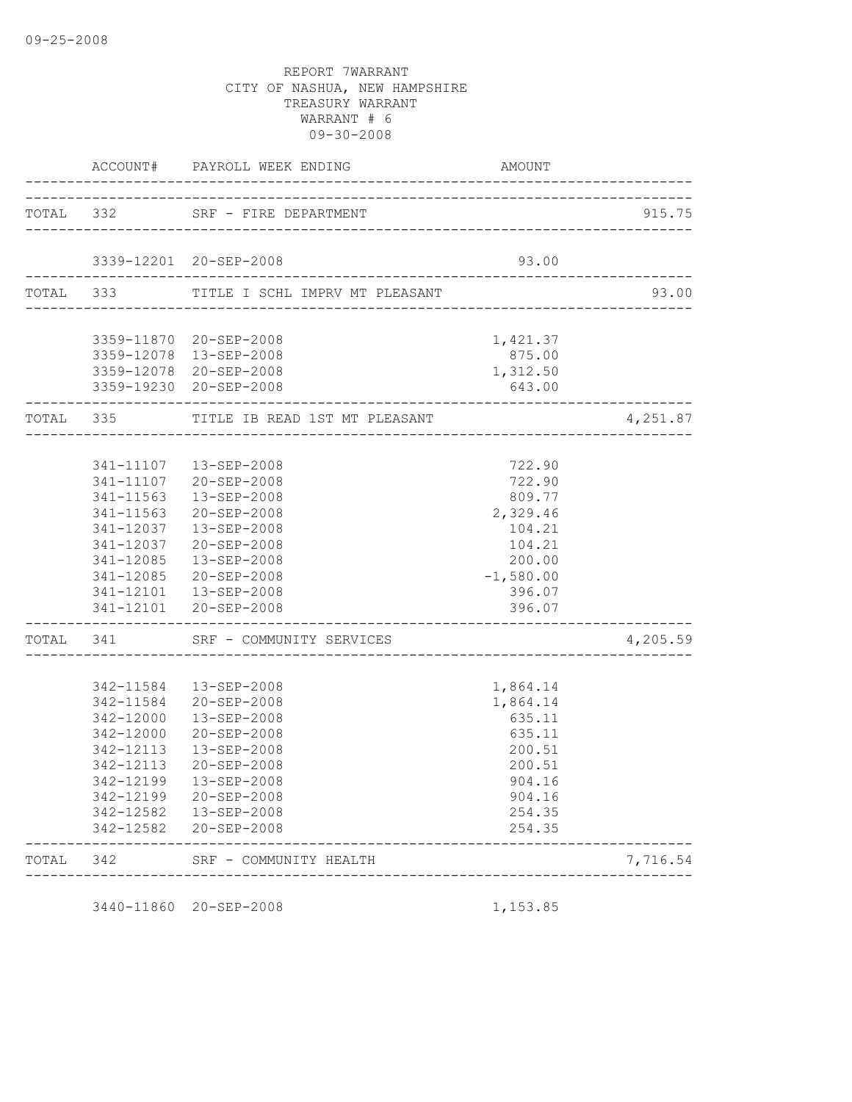|           | ACCOUNT#               | PAYROLL WEEK ENDING              | AMOUNT             |          |
|-----------|------------------------|----------------------------------|--------------------|----------|
| TOTAL 332 |                        | SRF - FIRE DEPARTMENT            |                    | 915.75   |
|           |                        |                                  |                    |          |
|           |                        | 3339-12201 20-SEP-2008           | 93.00              |          |
| TOTAL 333 |                        | TITLE I SCHL IMPRV MT PLEASANT   |                    | 93.00    |
|           |                        | 3359-11870 20-SEP-2008           | 1,421.37           |          |
|           |                        | 3359-12078 13-SEP-2008           | 875.00             |          |
|           |                        | 3359-12078 20-SEP-2008           | 1,312.50           |          |
|           |                        | 3359-19230 20-SEP-2008           | 643.00             |          |
| TOTAL 335 |                        | TITLE IB READ 1ST MT PLEASANT    |                    | 4,251.87 |
|           |                        |                                  |                    |          |
|           | 341-11107              | 13-SEP-2008                      | 722.90             |          |
|           | 341-11107              | 20-SEP-2008                      | 722.90             |          |
|           | 341-11563              | 13-SEP-2008                      | 809.77             |          |
|           | 341-11563              | 20-SEP-2008                      | 2,329.46           |          |
|           | 341-12037              | 13-SEP-2008                      | 104.21             |          |
|           | 341-12037<br>341-12085 | $20 - SEP - 2008$<br>13-SEP-2008 | 104.21<br>200.00   |          |
|           | 341-12085              | $20 - SEP - 2008$                | $-1,580.00$        |          |
|           | 341-12101              | 13-SEP-2008                      | 396.07             |          |
|           | 341-12101              | 20-SEP-2008                      | 396.07             |          |
| TOTAL     | 341                    | SRF - COMMUNITY SERVICES         |                    | 4,205.59 |
|           |                        |                                  |                    |          |
|           | 342-11584              | 13-SEP-2008                      | 1,864.14           |          |
|           | 342-11584<br>342-12000 | $20 - SEP - 2008$<br>13-SEP-2008 | 1,864.14<br>635.11 |          |
|           | 342-12000              | $20 - SEP - 2008$                | 635.11             |          |
|           | 342-12113              | 13-SEP-2008                      | 200.51             |          |
|           | 342-12113              | $20 - SEP - 2008$                | 200.51             |          |
|           | 342-12199              | 13-SEP-2008                      | 904.16             |          |
|           | 342-12199              | $20 - SEP - 2008$                | 904.16             |          |
|           | 342-12582              | 13-SEP-2008                      | 254.35             |          |
|           | 342-12582              | 20-SEP-2008                      | 254.35             |          |
| TOTAL     | 342                    | SRF - COMMUNITY HEALTH           |                    | 7,716.54 |

3440-11860 20-SEP-2008 1,153.85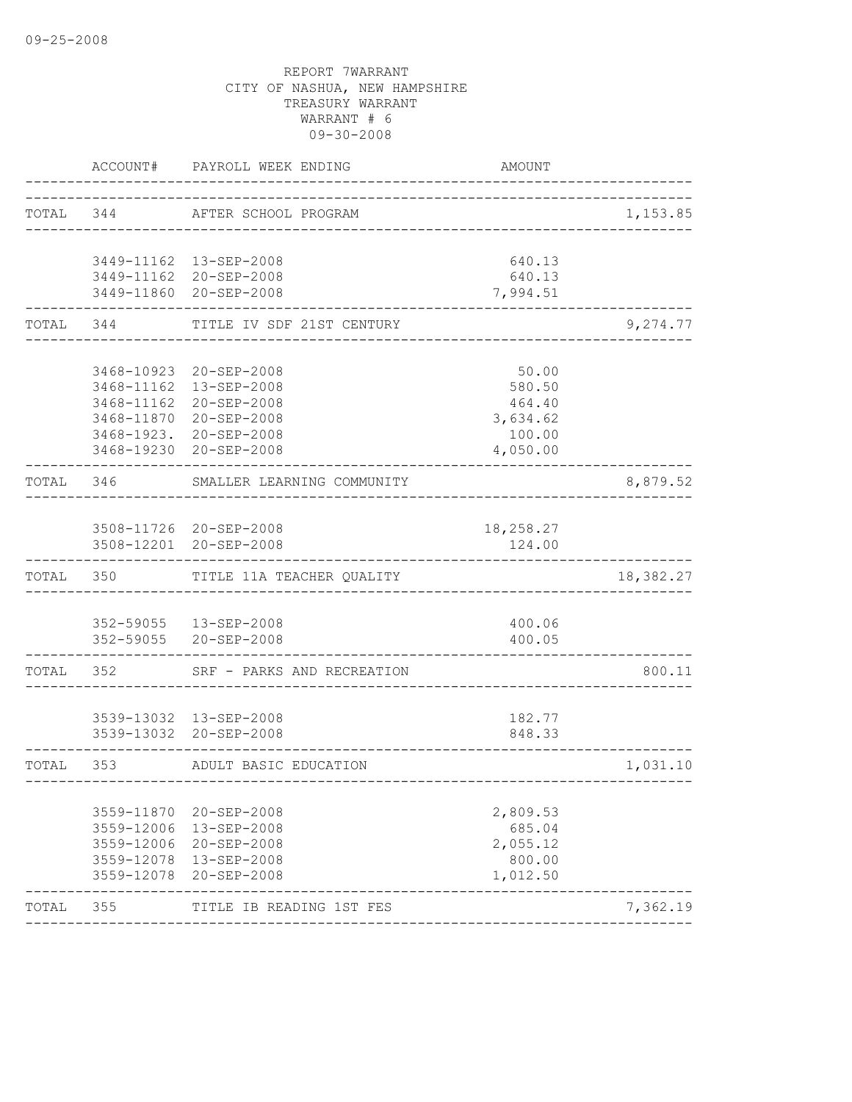|           |               | ACCOUNT# PAYROLL WEEK ENDING                      | AMOUNT                               |           |
|-----------|---------------|---------------------------------------------------|--------------------------------------|-----------|
| TOTAL 344 |               | AFTER SCHOOL PROGRAM                              |                                      | 1,153.85  |
|           |               | 3449-11162  13-SEP-2008                           | 640.13                               |           |
|           |               | 3449-11162 20-SEP-2008                            | 640.13                               |           |
|           | ------------- | 3449-11860 20-SEP-2008                            | 7,994.51                             |           |
| TOTAL     | 344           | TITLE IV SDF 21ST CENTURY                         |                                      | 9,274.77  |
|           |               |                                                   |                                      |           |
|           |               | 3468-10923 20-SEP-2008<br>3468-11162  13-SEP-2008 | 50.00<br>580.50                      |           |
|           |               | 3468-11162 20-SEP-2008                            | 464.40                               |           |
|           |               | 3468-11870 20-SEP-2008                            | 3,634.62                             |           |
|           |               | 3468-1923. 20-SEP-2008                            | 100.00                               |           |
|           |               | 3468-19230 20-SEP-2008                            | 4,050.00                             |           |
| TOTAL     | 346           | SMALLER LEARNING COMMUNITY                        |                                      | 8,879.52  |
|           |               |                                                   |                                      |           |
|           |               | 3508-11726 20-SEP-2008                            | 18,258.27                            |           |
|           |               | 3508-12201 20-SEP-2008                            | 124.00                               |           |
|           |               | TOTAL 350 TITLE 11A TEACHER QUALITY               |                                      | 18,382.27 |
|           |               |                                                   |                                      |           |
|           |               | 352-59055  13-SEP-2008                            | 400.06                               |           |
|           |               | 352-59055 20-SEP-2008                             | 400.05                               |           |
| TOTAL     | 352           | SRF - PARKS AND RECREATION                        |                                      | 800.11    |
|           |               |                                                   |                                      |           |
|           |               | 3539-13032 13-SEP-2008                            | 182.77                               |           |
|           |               | 3539-13032 20-SEP-2008                            | 848.33                               |           |
| TOTAL     | 353           | ADULT BASIC EDUCATION                             | ------------------------------------ | 1,031.10  |
|           |               | 3559-11870 20-SEP-2008                            | 2,809.53                             |           |
|           | 3559-12006    | 13-SEP-2008                                       | 685.04                               |           |
|           | 3559-12006    | 20-SEP-2008                                       | 2,055.12                             |           |
|           | 3559-12078    | 13-SEP-2008                                       | 800.00                               |           |
|           | 3559-12078    | $20 - SEP - 2008$                                 | 1,012.50                             |           |
| TOTAL     | 355           | TITLE IB READING 1ST FES                          |                                      | 7,362.19  |
|           |               |                                                   |                                      |           |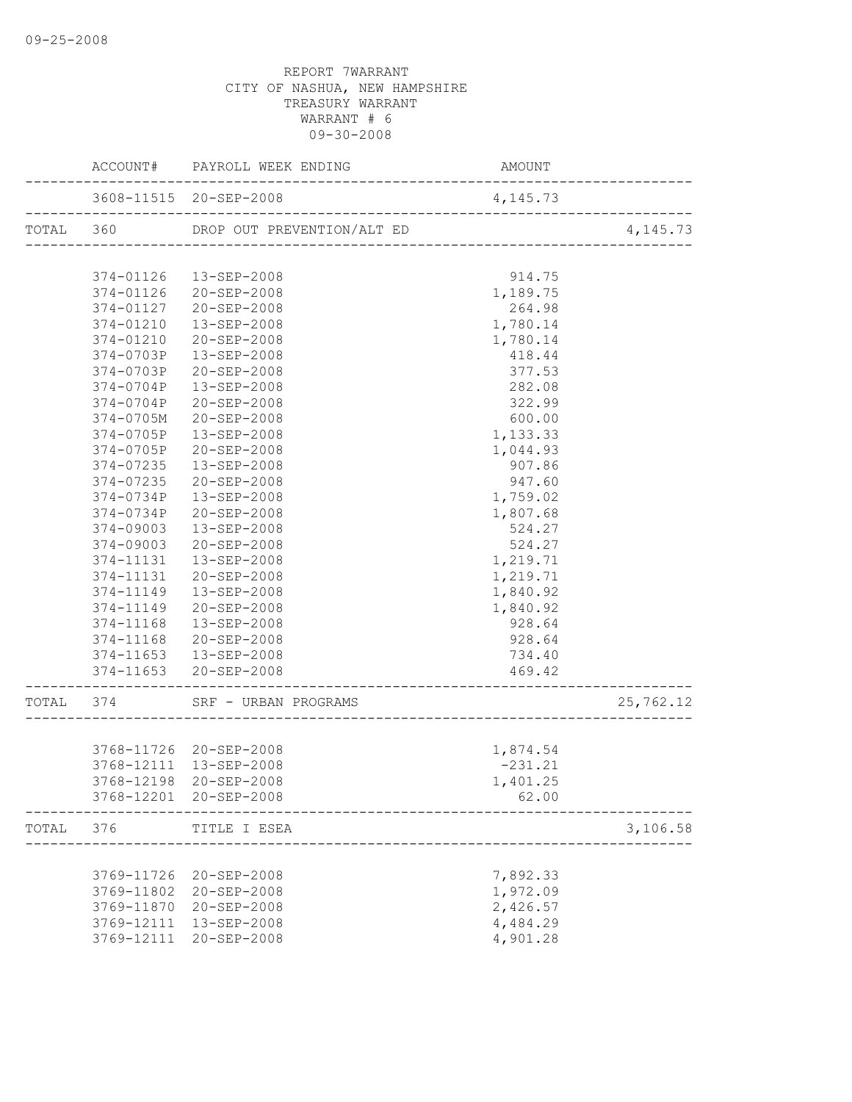|           |           | ACCOUNT# PAYROLL WEEK ENDING   | AMOUNT                                    |                                     |
|-----------|-----------|--------------------------------|-------------------------------------------|-------------------------------------|
|           |           | 3608-11515 20-SEP-2008         | 4,145.73                                  | . _ _ _ _ _ _ _ _ _ _ _ _ _ _ _ _ _ |
| TOTAL 360 |           |                                |                                           | 4,145.73                            |
|           |           |                                |                                           |                                     |
|           |           | 374-01126  13-SEP-2008         | 914.75                                    |                                     |
|           |           | 374-01126 20-SEP-2008          | 1,189.75                                  |                                     |
|           |           | 374-01127 20-SEP-2008          | 264.98                                    |                                     |
|           | 374-01210 | 13-SEP-2008                    | 1,780.14                                  |                                     |
|           | 374-01210 | 20-SEP-2008                    | 1,780.14                                  |                                     |
|           | 374-0703P | 13-SEP-2008                    | 418.44                                    |                                     |
|           | 374-0703P | 20-SEP-2008                    | 377.53                                    |                                     |
|           |           | 374-0704P 13-SEP-2008          | 282.08                                    |                                     |
|           | 374-0704P | 20-SEP-2008                    | 322.99                                    |                                     |
|           | 374-0705M | 20-SEP-2008                    | 600.00                                    |                                     |
|           | 374-0705P | 13-SEP-2008                    | 1,133.33                                  |                                     |
|           | 374-0705P | 20-SEP-2008                    | 1,044.93                                  |                                     |
|           | 374-07235 | 13-SEP-2008                    | 907.86                                    |                                     |
|           | 374-07235 | 20-SEP-2008                    | 947.60                                    |                                     |
|           | 374-0734P | 13-SEP-2008                    | 1,759.02                                  |                                     |
|           | 374-0734P | 20-SEP-2008                    | 1,807.68                                  |                                     |
|           | 374-09003 | 13-SEP-2008                    | 524.27                                    |                                     |
|           | 374-09003 | 20-SEP-2008                    | 524.27                                    |                                     |
|           | 374-11131 | 13-SEP-2008                    | 1,219.71                                  |                                     |
|           | 374-11131 | 20-SEP-2008                    | 1,219.71                                  |                                     |
|           | 374-11149 | 13-SEP-2008                    | 1,840.92                                  |                                     |
|           | 374-11149 | 20-SEP-2008                    | 1,840.92                                  |                                     |
|           | 374-11168 | 13-SEP-2008                    | 928.64                                    |                                     |
|           |           | 374-11168 20-SEP-2008          | 928.64                                    |                                     |
|           |           | 374-11653  13-SEP-2008         | 734.40                                    |                                     |
|           |           | 374-11653 20-SEP-2008          | 469.42<br>------------------------------- |                                     |
|           |           | TOTAL 374 SRF - URBAN PROGRAMS |                                           | 25,762.12                           |
|           |           |                                |                                           |                                     |
|           |           | 3768-11726 20-SEP-2008         | 1,874.54                                  |                                     |
|           |           | 3768-12111 13-SEP-2008         | $-231.21$                                 |                                     |
|           |           | 3768-12198 20-SEP-2008         | 1,401.25                                  |                                     |
|           |           | 3768-12201 20-SEP-2008         | 62.00<br>____________________________     |                                     |
| TOTAL     | 376       | TITLE I ESEA                   | -------------------------                 | 3,106.58                            |
|           |           |                                |                                           |                                     |
|           |           | 3769-11726 20-SEP-2008         | 7,892.33                                  |                                     |
|           |           | 3769-11802 20-SEP-2008         | 1,972.09                                  |                                     |
|           |           | 3769-11870 20-SEP-2008         | 2,426.57                                  |                                     |
|           |           | 3769-12111 13-SEP-2008         | 4,484.29                                  |                                     |
|           |           | 3769-12111 20-SEP-2008         | 4,901.28                                  |                                     |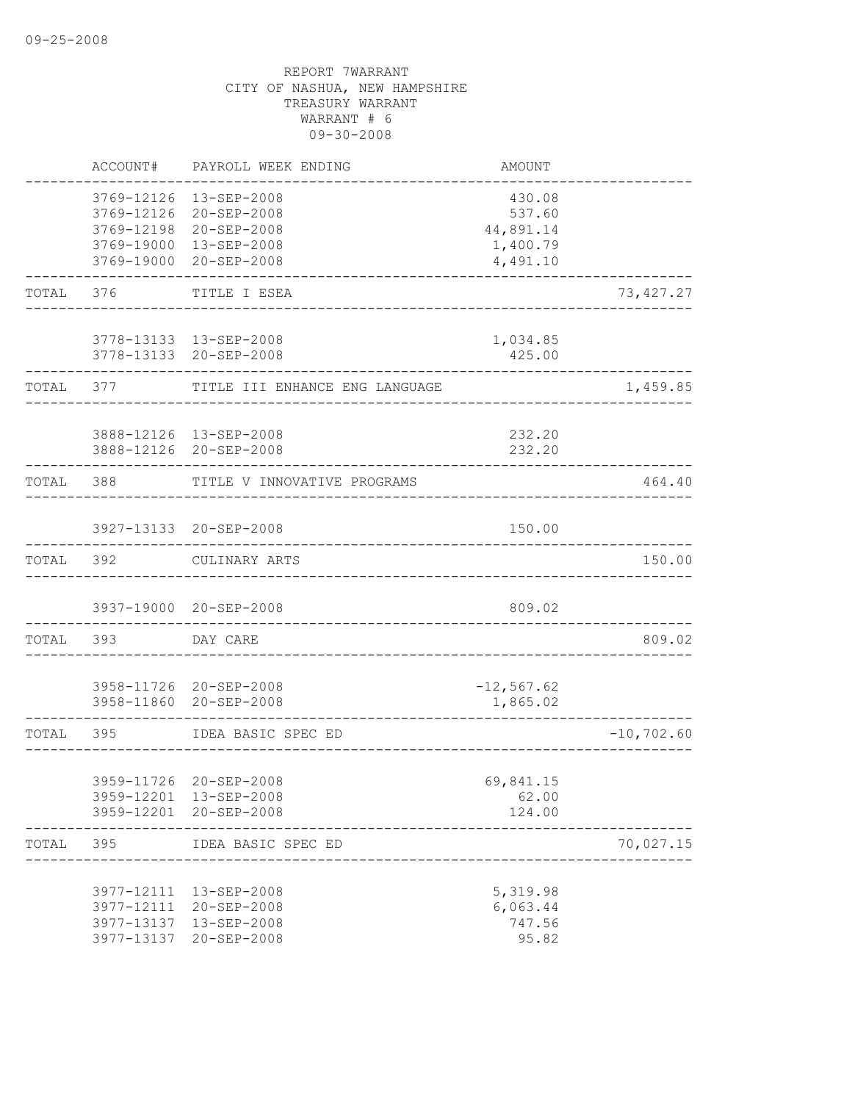|           | ACCOUNT#                               | PAYROLL WEEK ENDING                                                                           | AMOUNT                                                |               |
|-----------|----------------------------------------|-----------------------------------------------------------------------------------------------|-------------------------------------------------------|---------------|
|           | 3769-12126<br>3769-12126<br>3769-12198 | 13-SEP-2008<br>20-SEP-2008<br>20-SEP-2008<br>3769-19000 13-SEP-2008<br>3769-19000 20-SEP-2008 | 430.08<br>537.60<br>44,891.14<br>1,400.79<br>4,491.10 |               |
| TOTAL     | 376                                    | TITLE I ESEA                                                                                  |                                                       | 73, 427.27    |
|           |                                        | 3778-13133  13-SEP-2008<br>3778-13133 20-SEP-2008                                             | 1,034.85<br>425.00                                    |               |
| TOTAL     | 377 — 100                              | TITLE III ENHANCE ENG LANGUAGE                                                                |                                                       | 1,459.85      |
|           |                                        | 3888-12126 13-SEP-2008<br>3888-12126 20-SEP-2008                                              | 232.20<br>232.20                                      |               |
| TOTAL 388 |                                        | TITLE V INNOVATIVE PROGRAMS                                                                   |                                                       | 464.40        |
|           |                                        | 3927-13133 20-SEP-2008                                                                        | 150.00                                                |               |
| TOTAL     | 392                                    | CULINARY ARTS                                                                                 |                                                       | 150.00        |
|           |                                        | 3937-19000 20-SEP-2008                                                                        | 809.02                                                |               |
| TOTAL 393 |                                        | DAY CARE                                                                                      |                                                       | 809.02        |
|           |                                        | 3958-11726 20-SEP-2008<br>3958-11860 20-SEP-2008                                              | $-12, 567.62$<br>1,865.02                             |               |
| TOTAL     | 395                                    | IDEA BASIC SPEC ED                                                                            |                                                       | $-10, 702.60$ |
|           |                                        | 3959-11726 20-SEP-2008<br>3959-12201 13-SEP-2008<br>3959-12201 20-SEP-2008                    | 69,841.15<br>62.00<br>124.00                          |               |
| TOTAL     | 395                                    | IDEA BASIC SPEC ED                                                                            |                                                       | 70,027.15     |
|           | 3977-13137                             | 3977-12111 13-SEP-2008<br>3977-12111 20-SEP-2008<br>13-SEP-2008<br>3977-13137 20-SEP-2008     | 5,319.98<br>6,063.44<br>747.56<br>95.82               |               |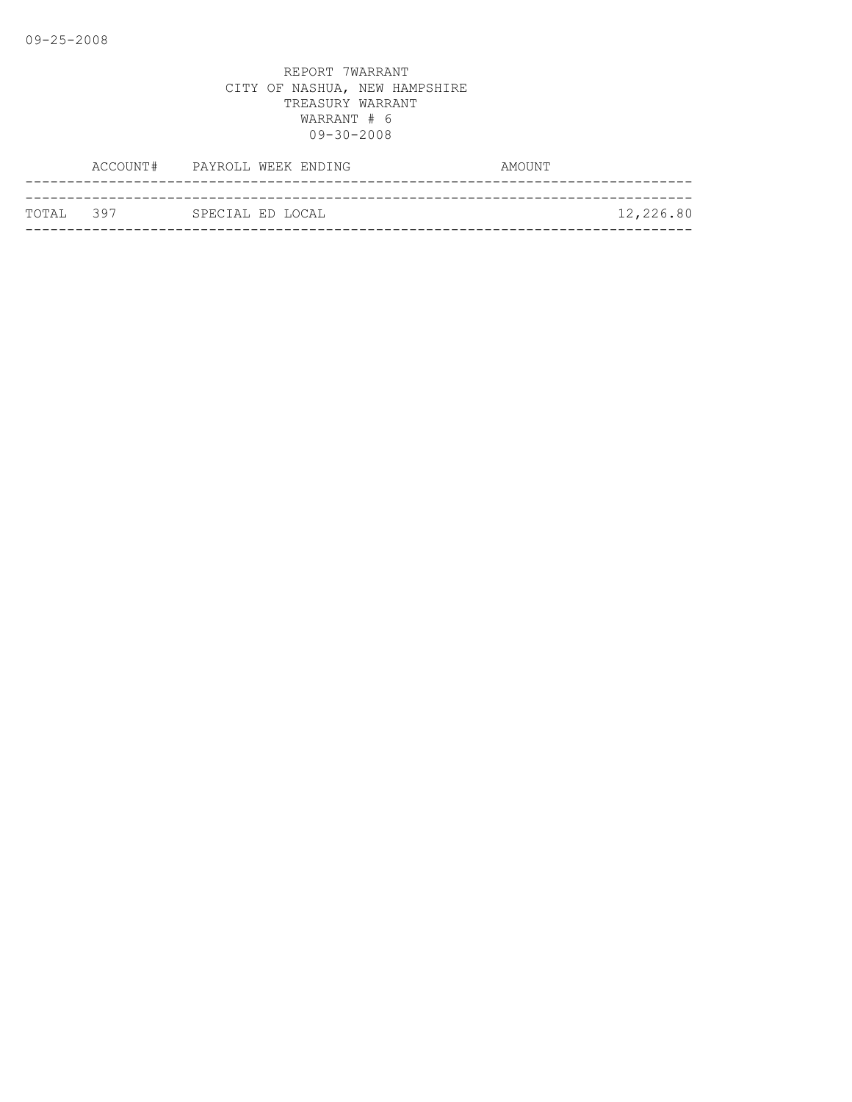|            | ACCOUNT# PAYROLL WEEK ENDING | AMOUNT    |
|------------|------------------------------|-----------|
|            |                              |           |
| ТОТАІ. 397 | SPECIAL ED LOCAL             | 12,226.80 |
|            |                              |           |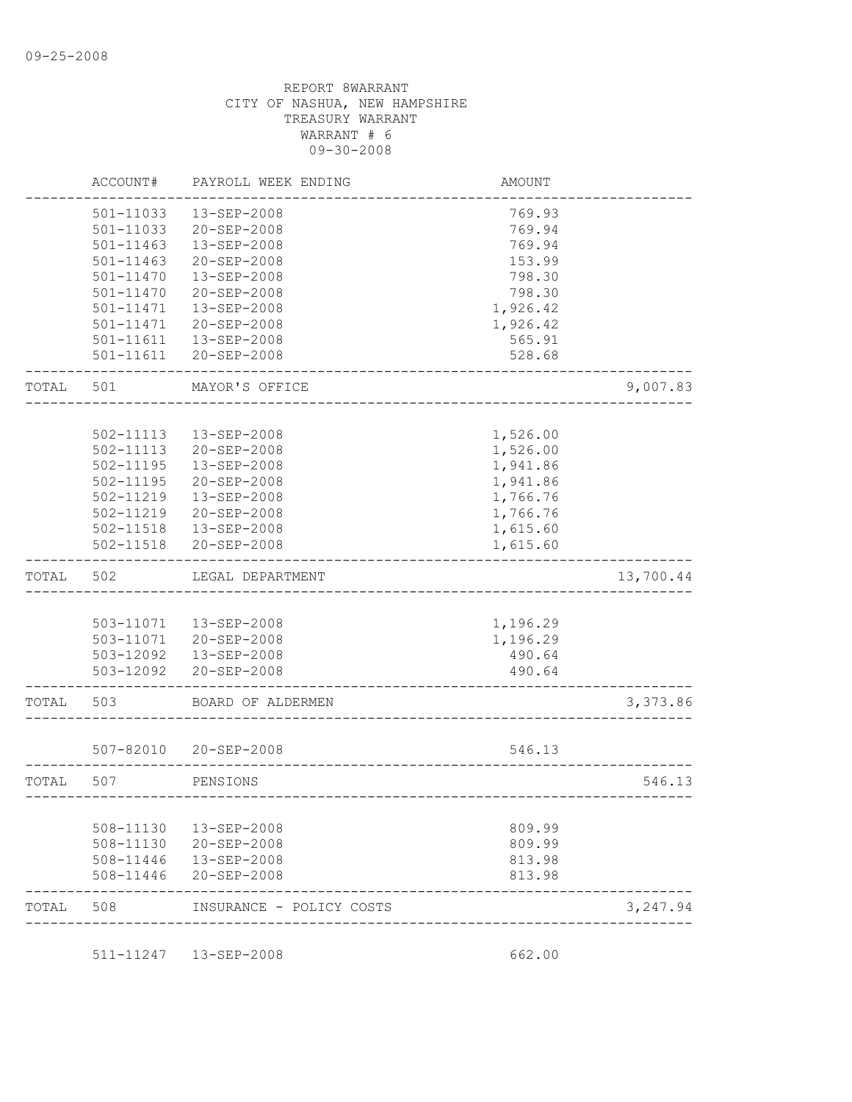|       | ACCOUNT#      | PAYROLL WEEK ENDING    | <b>AMOUNT</b> |           |
|-------|---------------|------------------------|---------------|-----------|
|       | 501-11033     | 13-SEP-2008            | 769.93        |           |
|       | 501-11033     | 20-SEP-2008            | 769.94        |           |
|       | $501 - 11463$ | 13-SEP-2008            | 769.94        |           |
|       | 501-11463     | 20-SEP-2008            | 153.99        |           |
|       | 501-11470     | 13-SEP-2008            | 798.30        |           |
|       | 501-11470     | 20-SEP-2008            | 798.30        |           |
|       | 501-11471     | 13-SEP-2008            | 1,926.42      |           |
|       | 501-11471     | 20-SEP-2008            | 1,926.42      |           |
|       | 501-11611     | 13-SEP-2008            | 565.91        |           |
|       | 501-11611     | 20-SEP-2008            | 528.68        |           |
| TOTAL | 501           | MAYOR'S OFFICE         |               | 9,007.83  |
|       |               |                        |               |           |
|       | 502-11113     | 13-SEP-2008            | 1,526.00      |           |
|       | 502-11113     | 20-SEP-2008            | 1,526.00      |           |
|       | 502-11195     | 13-SEP-2008            | 1,941.86      |           |
|       | 502-11195     | $20 - SEP - 2008$      | 1,941.86      |           |
|       | 502-11219     | 13-SEP-2008            | 1,766.76      |           |
|       | 502-11219     | 20-SEP-2008            | 1,766.76      |           |
|       | 502-11518     | 13-SEP-2008            | 1,615.60      |           |
|       | 502-11518     | 20-SEP-2008            | 1,615.60      |           |
| TOTAL | 502           | LEGAL DEPARTMENT       |               | 13,700.44 |
|       |               |                        |               |           |
|       |               | 503-11071  13-SEP-2008 | 1,196.29      |           |
|       |               | 503-11071 20-SEP-2008  | 1,196.29      |           |
|       |               | 503-12092  13-SEP-2008 | 490.64        |           |
|       |               | 503-12092 20-SEP-2008  | 490.64        |           |
| TOTAL | 503           | BOARD OF ALDERMEN      |               | 3,373.86  |
|       |               |                        |               |           |
|       |               | 507-82010 20-SEP-2008  | 546.13        |           |
| TOTAL | 507           | PENSIONS               |               | 546.13    |
|       |               |                        |               |           |
|       | 508-11130     | 13-SEP-2008            | 809.99        |           |
|       | 508-11130     | 20-SEP-2008            | 809.99        |           |
|       | 508-11446     | 13-SEP-2008            | 813.98        |           |
|       | 508-11446     | 20-SEP-2008            | 813.98        |           |
|       |               |                        |               |           |

511-11247 13-SEP-2008 662.00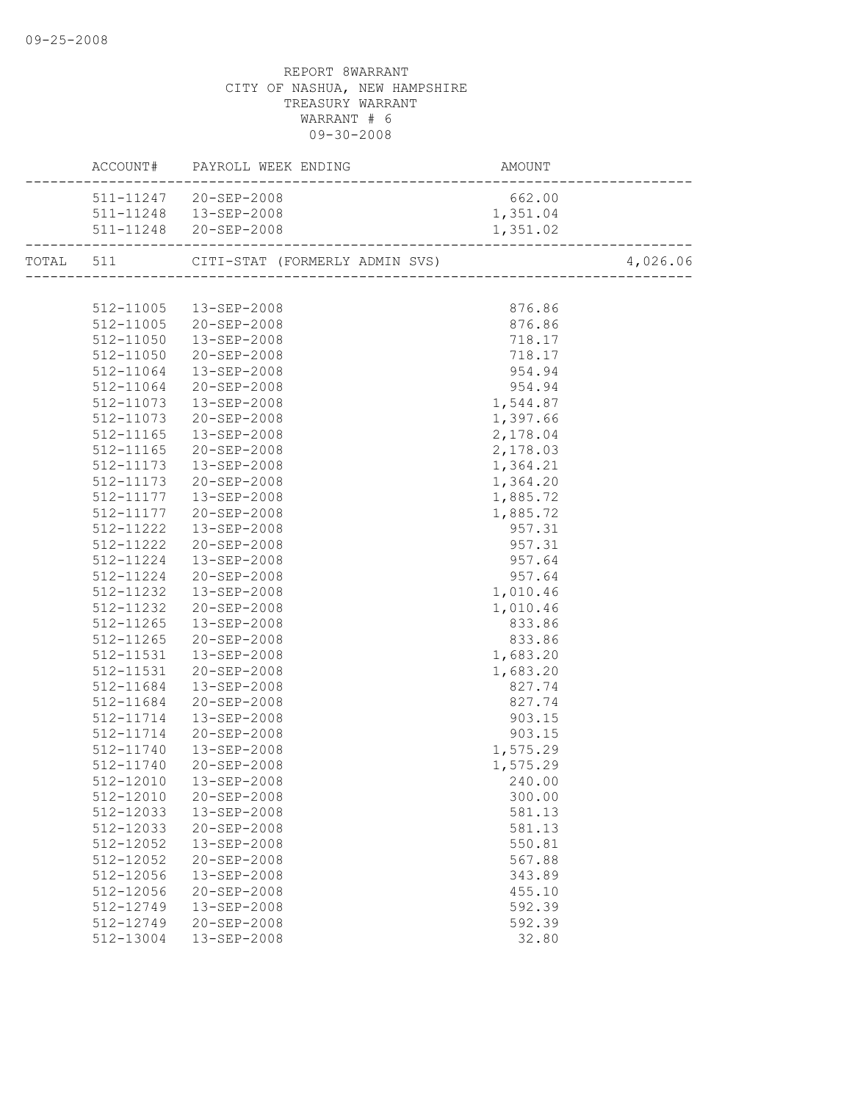|           | 511-11247 20-SEP-2008  | 662.00   |          |
|-----------|------------------------|----------|----------|
|           | 511-11248  13-SEP-2008 | 1,351.04 |          |
|           | 511-11248 20-SEP-2008  | 1,351.02 |          |
|           |                        |          | 4,026.06 |
|           |                        |          |          |
|           | 512-11005  13-SEP-2008 | 876.86   |          |
|           | 512-11005 20-SEP-2008  | 876.86   |          |
|           | 512-11050  13-SEP-2008 | 718.17   |          |
|           | 512-11050 20-SEP-2008  | 718.17   |          |
|           | 512-11064  13-SEP-2008 | 954.94   |          |
| 512-11064 | 20-SEP-2008            | 954.94   |          |
|           | 512-11073  13-SEP-2008 | 1,544.87 |          |
| 512-11073 | $20 - SEP - 2008$      | 1,397.66 |          |
| 512-11165 | 13-SEP-2008            | 2,178.04 |          |
| 512-11165 | 20-SEP-2008            | 2,178.03 |          |
| 512-11173 | 13-SEP-2008            | 1,364.21 |          |
| 512-11173 | 20-SEP-2008            | 1,364.20 |          |
|           | 512-11177  13-SEP-2008 | 1,885.72 |          |
|           | 512-11177 20-SEP-2008  | 1,885.72 |          |
|           | 512-11222  13-SEP-2008 | 957.31   |          |
| 512-11222 | 20-SEP-2008            | 957.31   |          |
|           | 512-11224  13-SEP-2008 | 957.64   |          |
|           | 512-11224 20-SEP-2008  | 957.64   |          |
| 512-11232 | 13-SEP-2008            | 1,010.46 |          |
| 512-11232 | 20-SEP-2008            | 1,010.46 |          |
|           | 512-11265  13-SEP-2008 | 833.86   |          |
| 512-11265 | 20-SEP-2008            | 833.86   |          |
|           | 512-11531  13-SEP-2008 | 1,683.20 |          |
| 512-11531 | 20-SEP-2008            | 1,683.20 |          |
| 512-11684 | 13-SEP-2008            | 827.74   |          |
| 512-11684 | $20 - SEP - 2008$      | 827.74   |          |
| 512-11714 | 13-SEP-2008            | 903.15   |          |
| 512-11714 | 20-SEP-2008            | 903.15   |          |
| 512-11740 | 13-SEP-2008            | 1,575.29 |          |
| 512-11740 | 20-SEP-2008            | 1,575.29 |          |
|           |                        | 240.00   |          |
| 512-12010 | 20-SEP-2008            | 300.00   |          |
| 512-12033 | 13-SEP-2008            | 581.13   |          |
| 512-12033 | 20-SEP-2008            | 581.13   |          |
| 512-12052 | 13-SEP-2008            | 550.81   |          |
| 512-12052 | 20-SEP-2008            | 567.88   |          |
| 512-12056 | 13-SEP-2008            | 343.89   |          |
| 512-12056 | $20 - SEP - 2008$      | 455.10   |          |
| 512-12749 | 13-SEP-2008            | 592.39   |          |
| 512-12749 | 20-SEP-2008            | 592.39   |          |
| 512-13004 | 13-SEP-2008            | 32.80    |          |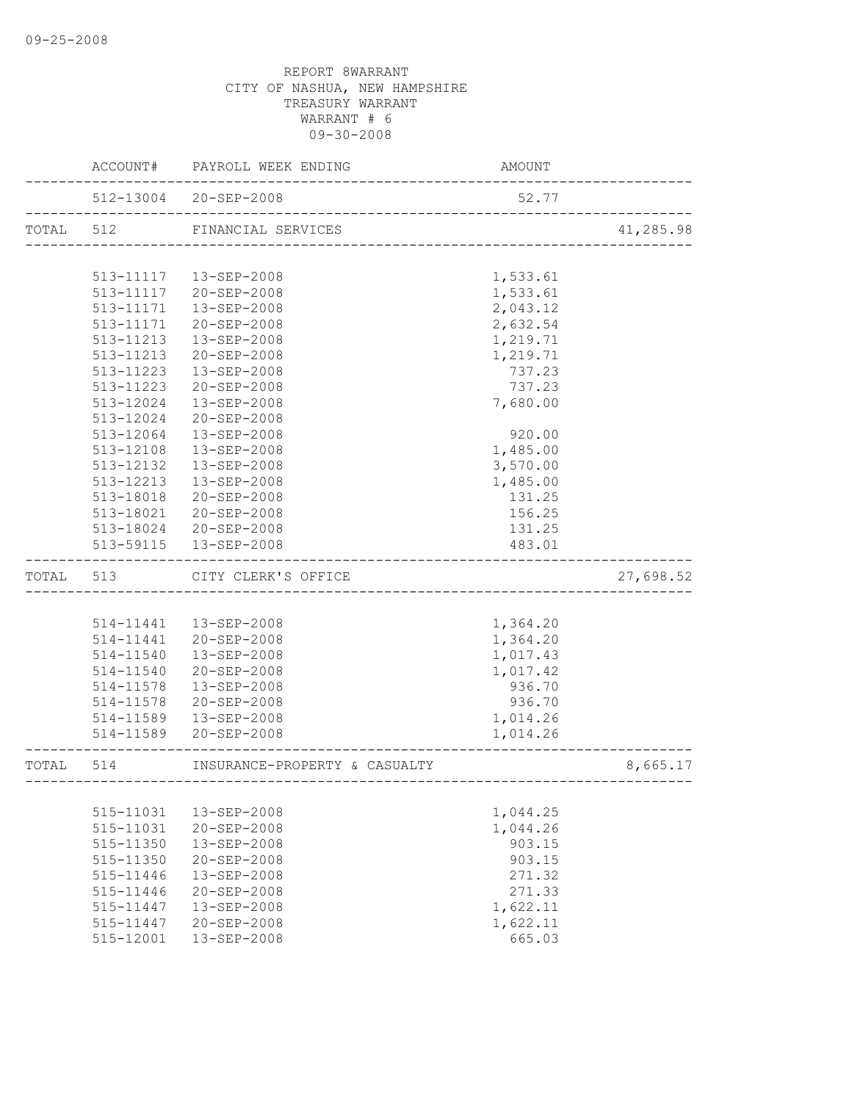|           |               | ACCOUNT# PAYROLL WEEK ENDING                                   | AMOUNT                           |           |
|-----------|---------------|----------------------------------------------------------------|----------------------------------|-----------|
|           |               | 512-13004 20-SEP-2008<br><u>. 2000 2000 2000 2000 2000 200</u> | 52.77                            |           |
| TOTAL 512 |               | FINANCIAL SERVICES                                             | ________________________________ | 41,285.98 |
|           |               |                                                                |                                  |           |
|           |               | 513-11117  13-SEP-2008                                         | 1,533.61                         |           |
|           |               | 513-11117 20-SEP-2008                                          | 1,533.61                         |           |
|           | 513-11171     | 13-SEP-2008                                                    | 2,043.12                         |           |
|           | 513-11171     | 20-SEP-2008                                                    | 2,632.54                         |           |
|           | 513-11213     | 13-SEP-2008                                                    | 1,219.71                         |           |
|           | 513-11213     | 20-SEP-2008                                                    | 1,219.71                         |           |
|           | 513-11223     | 13-SEP-2008                                                    | 737.23                           |           |
|           | 513-11223     | 20-SEP-2008                                                    | 737.23                           |           |
|           | 513-12024     | 13-SEP-2008                                                    | 7,680.00                         |           |
|           | 513-12024     | 20-SEP-2008                                                    |                                  |           |
|           | 513-12064     | 13-SEP-2008                                                    | 920.00                           |           |
|           | 513-12108     | $13 - SEP - 2008$                                              | 1,485.00                         |           |
|           | 513-12132     | 13-SEP-2008                                                    | 3,570.00                         |           |
|           | 513-12213     | $13 - SEP - 2008$                                              | 1,485.00                         |           |
|           | 513-18018     | 20-SEP-2008                                                    | 131.25                           |           |
|           | 513-18021     | 20-SEP-2008                                                    | 156.25                           |           |
|           |               | 513-18024 20-SEP-2008                                          | 131.25                           |           |
|           |               | 513-59115  13-SEP-2008                                         | 483.01                           |           |
| TOTAL     | 513           | CITY CLERK'S OFFICE                                            |                                  | 27,698.52 |
|           |               |                                                                |                                  |           |
|           | 514-11441     | 13-SEP-2008                                                    | 1,364.20                         |           |
|           | 514-11441     | 20-SEP-2008                                                    | 1,364.20                         |           |
|           | 514-11540     | 13-SEP-2008                                                    | 1,017.43                         |           |
|           |               | 514-11540 20-SEP-2008                                          | 1,017.42                         |           |
|           | 514-11578     | 13-SEP-2008                                                    | 936.70                           |           |
|           | 514-11578     | 20-SEP-2008                                                    | 936.70                           |           |
|           | 514-11589     | 13-SEP-2008                                                    | 1,014.26                         |           |
|           |               | 514-11589 20-SEP-2008                                          | 1,014.26                         |           |
| TOTAL     | 514           | INSURANCE-PROPERTY & CASUALTY                                  |                                  | 8,665.17  |
|           |               |                                                                |                                  |           |
|           | 515-11031     | 13-SEP-2008                                                    | 1,044.25                         |           |
|           | 515-11031     | 20-SEP-2008                                                    | 1,044.26                         |           |
|           | 515-11350     | 13-SEP-2008                                                    | 903.15                           |           |
|           | 515-11350     | 20-SEP-2008                                                    | 903.15                           |           |
|           | $515 - 11446$ | 13-SEP-2008                                                    | 271.32                           |           |
|           | 515-11446     | $20 - SEP - 2008$                                              | 271.33                           |           |
|           | 515-11447     | 13-SEP-2008                                                    | 1,622.11                         |           |
|           | 515-11447     | $20 - SEP - 2008$                                              | 1,622.11                         |           |
|           | 515-12001     | 13-SEP-2008                                                    | 665.03                           |           |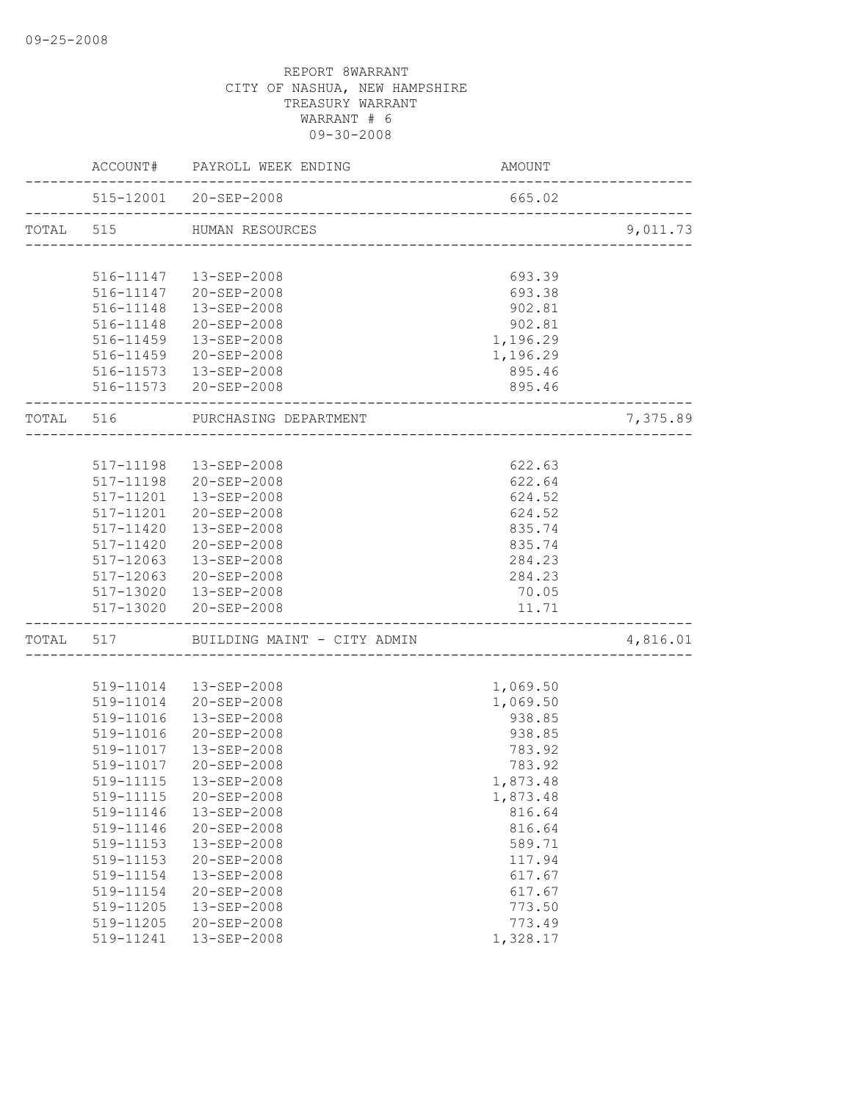| 515-12001 20-SEP-2008<br>665.02<br>TOTAL 515 HUMAN RESOURCES<br>516-11147  13-SEP-2008<br>693.39<br>516-11147 20-SEP-2008<br>693.38<br>516-11148  13-SEP-2008<br>902.81<br>516-11148 20-SEP-2008<br>902.81<br>516-11459  13-SEP-2008<br>1,196.29<br>516-11459 20-SEP-2008<br>1,196.29<br>516-11573  13-SEP-2008<br>895.46<br>516-11573 20-SEP-2008<br>895.46<br>TOTAL 516<br>PURCHASING DEPARTMENT<br>__________________<br>517-11198  13-SEP-2008<br>622.63<br>622.64<br>517-11198 20-SEP-2008<br>517-11201  13-SEP-2008<br>624.52<br>517-11201 20-SEP-2008<br>624.52<br>517-11420  13-SEP-2008<br>835.74<br>517-11420 20-SEP-2008<br>835.74<br>517-12063<br>13-SEP-2008<br>284.23<br>517-12063 20-SEP-2008<br>284.23<br>517-13020  13-SEP-2008<br>70.05<br>517-13020 20-SEP-2008<br>11.71<br>------------------------<br>-----------------<br>TOTAL 517 BUILDING MAINT - CITY ADMIN<br>519-11014  13-SEP-2008<br>1,069.50<br>519-11014 20-SEP-2008<br>1,069.50<br>13-SEP-2008<br>938.85<br>519-11016<br>938.85<br>519-11016<br>20-SEP-2008<br>519-11017  13-SEP-2008<br>783.92<br>519-11017 20-SEP-2008<br>783.92<br>519-11115<br>13-SEP-2008<br>1,873.48<br>519-11115<br>20-SEP-2008<br>1,873.48<br>519-11146<br>13-SEP-2008<br>816.64<br>519-11146<br>20-SEP-2008<br>816.64<br>519-11153<br>13-SEP-2008<br>589.71<br>519-11153<br>20-SEP-2008<br>117.94<br>519-11154<br>13-SEP-2008<br>617.67<br>519-11154<br>20-SEP-2008<br>617.67<br>519-11205<br>13-SEP-2008<br>773.50<br>519-11205<br>20-SEP-2008<br>773.49 |  | ACCOUNT# PAYROLL WEEK ENDING | MOUNT AMOUNT |          |
|---------------------------------------------------------------------------------------------------------------------------------------------------------------------------------------------------------------------------------------------------------------------------------------------------------------------------------------------------------------------------------------------------------------------------------------------------------------------------------------------------------------------------------------------------------------------------------------------------------------------------------------------------------------------------------------------------------------------------------------------------------------------------------------------------------------------------------------------------------------------------------------------------------------------------------------------------------------------------------------------------------------------------------------------------------------------------------------------------------------------------------------------------------------------------------------------------------------------------------------------------------------------------------------------------------------------------------------------------------------------------------------------------------------------------------------------------------------------------------------------------------------------|--|------------------------------|--------------|----------|
|                                                                                                                                                                                                                                                                                                                                                                                                                                                                                                                                                                                                                                                                                                                                                                                                                                                                                                                                                                                                                                                                                                                                                                                                                                                                                                                                                                                                                                                                                                                     |  |                              |              |          |
|                                                                                                                                                                                                                                                                                                                                                                                                                                                                                                                                                                                                                                                                                                                                                                                                                                                                                                                                                                                                                                                                                                                                                                                                                                                                                                                                                                                                                                                                                                                     |  |                              |              | 9,011.73 |
|                                                                                                                                                                                                                                                                                                                                                                                                                                                                                                                                                                                                                                                                                                                                                                                                                                                                                                                                                                                                                                                                                                                                                                                                                                                                                                                                                                                                                                                                                                                     |  |                              |              |          |
|                                                                                                                                                                                                                                                                                                                                                                                                                                                                                                                                                                                                                                                                                                                                                                                                                                                                                                                                                                                                                                                                                                                                                                                                                                                                                                                                                                                                                                                                                                                     |  |                              |              |          |
|                                                                                                                                                                                                                                                                                                                                                                                                                                                                                                                                                                                                                                                                                                                                                                                                                                                                                                                                                                                                                                                                                                                                                                                                                                                                                                                                                                                                                                                                                                                     |  |                              |              |          |
|                                                                                                                                                                                                                                                                                                                                                                                                                                                                                                                                                                                                                                                                                                                                                                                                                                                                                                                                                                                                                                                                                                                                                                                                                                                                                                                                                                                                                                                                                                                     |  |                              |              |          |
|                                                                                                                                                                                                                                                                                                                                                                                                                                                                                                                                                                                                                                                                                                                                                                                                                                                                                                                                                                                                                                                                                                                                                                                                                                                                                                                                                                                                                                                                                                                     |  |                              |              |          |
|                                                                                                                                                                                                                                                                                                                                                                                                                                                                                                                                                                                                                                                                                                                                                                                                                                                                                                                                                                                                                                                                                                                                                                                                                                                                                                                                                                                                                                                                                                                     |  |                              |              |          |
|                                                                                                                                                                                                                                                                                                                                                                                                                                                                                                                                                                                                                                                                                                                                                                                                                                                                                                                                                                                                                                                                                                                                                                                                                                                                                                                                                                                                                                                                                                                     |  |                              |              |          |
|                                                                                                                                                                                                                                                                                                                                                                                                                                                                                                                                                                                                                                                                                                                                                                                                                                                                                                                                                                                                                                                                                                                                                                                                                                                                                                                                                                                                                                                                                                                     |  |                              |              |          |
|                                                                                                                                                                                                                                                                                                                                                                                                                                                                                                                                                                                                                                                                                                                                                                                                                                                                                                                                                                                                                                                                                                                                                                                                                                                                                                                                                                                                                                                                                                                     |  |                              |              |          |
|                                                                                                                                                                                                                                                                                                                                                                                                                                                                                                                                                                                                                                                                                                                                                                                                                                                                                                                                                                                                                                                                                                                                                                                                                                                                                                                                                                                                                                                                                                                     |  |                              |              | 7,375.89 |
|                                                                                                                                                                                                                                                                                                                                                                                                                                                                                                                                                                                                                                                                                                                                                                                                                                                                                                                                                                                                                                                                                                                                                                                                                                                                                                                                                                                                                                                                                                                     |  |                              |              |          |
|                                                                                                                                                                                                                                                                                                                                                                                                                                                                                                                                                                                                                                                                                                                                                                                                                                                                                                                                                                                                                                                                                                                                                                                                                                                                                                                                                                                                                                                                                                                     |  |                              |              |          |
|                                                                                                                                                                                                                                                                                                                                                                                                                                                                                                                                                                                                                                                                                                                                                                                                                                                                                                                                                                                                                                                                                                                                                                                                                                                                                                                                                                                                                                                                                                                     |  |                              |              |          |
|                                                                                                                                                                                                                                                                                                                                                                                                                                                                                                                                                                                                                                                                                                                                                                                                                                                                                                                                                                                                                                                                                                                                                                                                                                                                                                                                                                                                                                                                                                                     |  |                              |              |          |
|                                                                                                                                                                                                                                                                                                                                                                                                                                                                                                                                                                                                                                                                                                                                                                                                                                                                                                                                                                                                                                                                                                                                                                                                                                                                                                                                                                                                                                                                                                                     |  |                              |              |          |
|                                                                                                                                                                                                                                                                                                                                                                                                                                                                                                                                                                                                                                                                                                                                                                                                                                                                                                                                                                                                                                                                                                                                                                                                                                                                                                                                                                                                                                                                                                                     |  |                              |              |          |
|                                                                                                                                                                                                                                                                                                                                                                                                                                                                                                                                                                                                                                                                                                                                                                                                                                                                                                                                                                                                                                                                                                                                                                                                                                                                                                                                                                                                                                                                                                                     |  |                              |              |          |
|                                                                                                                                                                                                                                                                                                                                                                                                                                                                                                                                                                                                                                                                                                                                                                                                                                                                                                                                                                                                                                                                                                                                                                                                                                                                                                                                                                                                                                                                                                                     |  |                              |              |          |
|                                                                                                                                                                                                                                                                                                                                                                                                                                                                                                                                                                                                                                                                                                                                                                                                                                                                                                                                                                                                                                                                                                                                                                                                                                                                                                                                                                                                                                                                                                                     |  |                              |              |          |
|                                                                                                                                                                                                                                                                                                                                                                                                                                                                                                                                                                                                                                                                                                                                                                                                                                                                                                                                                                                                                                                                                                                                                                                                                                                                                                                                                                                                                                                                                                                     |  |                              |              |          |
|                                                                                                                                                                                                                                                                                                                                                                                                                                                                                                                                                                                                                                                                                                                                                                                                                                                                                                                                                                                                                                                                                                                                                                                                                                                                                                                                                                                                                                                                                                                     |  |                              |              |          |
|                                                                                                                                                                                                                                                                                                                                                                                                                                                                                                                                                                                                                                                                                                                                                                                                                                                                                                                                                                                                                                                                                                                                                                                                                                                                                                                                                                                                                                                                                                                     |  |                              |              | 4,816.01 |
|                                                                                                                                                                                                                                                                                                                                                                                                                                                                                                                                                                                                                                                                                                                                                                                                                                                                                                                                                                                                                                                                                                                                                                                                                                                                                                                                                                                                                                                                                                                     |  |                              |              |          |
|                                                                                                                                                                                                                                                                                                                                                                                                                                                                                                                                                                                                                                                                                                                                                                                                                                                                                                                                                                                                                                                                                                                                                                                                                                                                                                                                                                                                                                                                                                                     |  |                              |              |          |
|                                                                                                                                                                                                                                                                                                                                                                                                                                                                                                                                                                                                                                                                                                                                                                                                                                                                                                                                                                                                                                                                                                                                                                                                                                                                                                                                                                                                                                                                                                                     |  |                              |              |          |
|                                                                                                                                                                                                                                                                                                                                                                                                                                                                                                                                                                                                                                                                                                                                                                                                                                                                                                                                                                                                                                                                                                                                                                                                                                                                                                                                                                                                                                                                                                                     |  |                              |              |          |
|                                                                                                                                                                                                                                                                                                                                                                                                                                                                                                                                                                                                                                                                                                                                                                                                                                                                                                                                                                                                                                                                                                                                                                                                                                                                                                                                                                                                                                                                                                                     |  |                              |              |          |
|                                                                                                                                                                                                                                                                                                                                                                                                                                                                                                                                                                                                                                                                                                                                                                                                                                                                                                                                                                                                                                                                                                                                                                                                                                                                                                                                                                                                                                                                                                                     |  |                              |              |          |
|                                                                                                                                                                                                                                                                                                                                                                                                                                                                                                                                                                                                                                                                                                                                                                                                                                                                                                                                                                                                                                                                                                                                                                                                                                                                                                                                                                                                                                                                                                                     |  |                              |              |          |
|                                                                                                                                                                                                                                                                                                                                                                                                                                                                                                                                                                                                                                                                                                                                                                                                                                                                                                                                                                                                                                                                                                                                                                                                                                                                                                                                                                                                                                                                                                                     |  |                              |              |          |
|                                                                                                                                                                                                                                                                                                                                                                                                                                                                                                                                                                                                                                                                                                                                                                                                                                                                                                                                                                                                                                                                                                                                                                                                                                                                                                                                                                                                                                                                                                                     |  |                              |              |          |
|                                                                                                                                                                                                                                                                                                                                                                                                                                                                                                                                                                                                                                                                                                                                                                                                                                                                                                                                                                                                                                                                                                                                                                                                                                                                                                                                                                                                                                                                                                                     |  |                              |              |          |
|                                                                                                                                                                                                                                                                                                                                                                                                                                                                                                                                                                                                                                                                                                                                                                                                                                                                                                                                                                                                                                                                                                                                                                                                                                                                                                                                                                                                                                                                                                                     |  |                              |              |          |
|                                                                                                                                                                                                                                                                                                                                                                                                                                                                                                                                                                                                                                                                                                                                                                                                                                                                                                                                                                                                                                                                                                                                                                                                                                                                                                                                                                                                                                                                                                                     |  |                              |              |          |
|                                                                                                                                                                                                                                                                                                                                                                                                                                                                                                                                                                                                                                                                                                                                                                                                                                                                                                                                                                                                                                                                                                                                                                                                                                                                                                                                                                                                                                                                                                                     |  |                              |              |          |
|                                                                                                                                                                                                                                                                                                                                                                                                                                                                                                                                                                                                                                                                                                                                                                                                                                                                                                                                                                                                                                                                                                                                                                                                                                                                                                                                                                                                                                                                                                                     |  |                              |              |          |
|                                                                                                                                                                                                                                                                                                                                                                                                                                                                                                                                                                                                                                                                                                                                                                                                                                                                                                                                                                                                                                                                                                                                                                                                                                                                                                                                                                                                                                                                                                                     |  |                              |              |          |
|                                                                                                                                                                                                                                                                                                                                                                                                                                                                                                                                                                                                                                                                                                                                                                                                                                                                                                                                                                                                                                                                                                                                                                                                                                                                                                                                                                                                                                                                                                                     |  |                              |              |          |
| 519-11241<br>13-SEP-2008<br>1,328.17                                                                                                                                                                                                                                                                                                                                                                                                                                                                                                                                                                                                                                                                                                                                                                                                                                                                                                                                                                                                                                                                                                                                                                                                                                                                                                                                                                                                                                                                                |  |                              |              |          |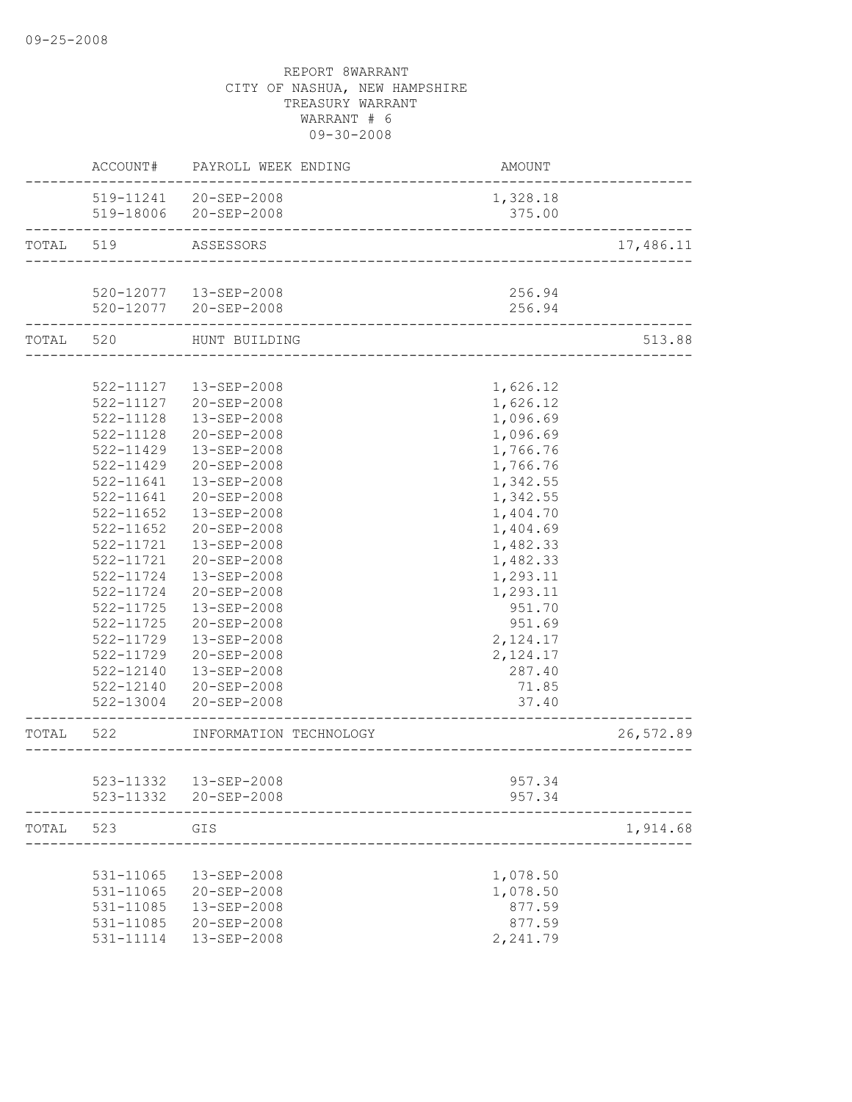|           |               | ACCOUNT# PAYROLL WEEK ENDING                   | AMOUNT             |           |
|-----------|---------------|------------------------------------------------|--------------------|-----------|
|           |               | 519-11241 20-SEP-2008<br>519-18006 20-SEP-2008 | 1,328.18<br>375.00 |           |
| TOTAL     | 519           | ASSESSORS                                      |                    | 17,486.11 |
|           |               |                                                |                    |           |
|           |               | 520-12077  13-SEP-2008                         | 256.94             |           |
|           |               | 520-12077 20-SEP-2008                          | 256.94             |           |
|           | TOTAL 520     | HUNT BUILDING                                  |                    | 513.88    |
|           |               |                                                |                    |           |
|           |               | 522-11127  13-SEP-2008                         | 1,626.12           |           |
|           |               | 522-11127 20-SEP-2008                          | 1,626.12           |           |
|           | 522-11128     | 13-SEP-2008                                    | 1,096.69           |           |
|           | 522-11128     | 20-SEP-2008                                    | 1,096.69           |           |
|           | $522 - 11429$ | 13-SEP-2008                                    | 1,766.76           |           |
|           | 522-11429     | 20-SEP-2008                                    | 1,766.76           |           |
|           | 522-11641     | 13-SEP-2008                                    | 1,342.55           |           |
|           | 522-11641     | 20-SEP-2008                                    | 1,342.55           |           |
|           | $522 - 11652$ | 13-SEP-2008                                    | 1,404.70           |           |
|           | $522 - 11652$ | 20-SEP-2008                                    | 1,404.69           |           |
|           | 522-11721     | 13-SEP-2008                                    | 1,482.33           |           |
|           | 522-11721     | 20-SEP-2008                                    | 1,482.33           |           |
|           | 522-11724     | 13-SEP-2008                                    | 1,293.11           |           |
|           | 522-11724     | 20-SEP-2008                                    | 1,293.11           |           |
|           | 522-11725     | 13-SEP-2008                                    | 951.70             |           |
|           | 522-11725     | 20-SEP-2008                                    | 951.69             |           |
|           | 522-11729     | 13-SEP-2008                                    | 2,124.17           |           |
|           | 522-11729     | 20-SEP-2008                                    | 2,124.17           |           |
|           |               | 522-12140  13-SEP-2008                         | 287.40             |           |
|           |               | 522-12140 20-SEP-2008                          | 71.85              |           |
|           |               | 522-13004 20-SEP-2008                          | 37.40              |           |
| TOTAL 522 |               | INFORMATION TECHNOLOGY                         | _________________  | 26,572.89 |
|           |               |                                                |                    |           |
|           |               | 523-11332  13-SEP-2008                         | 957.34             |           |
|           |               | 523-11332 20-SEP-2008                          | 957.34             |           |
| TOTAL     | 523           | GIS                                            |                    | 1,914.68  |
|           |               |                                                |                    |           |
|           | 531-11065     | 13-SEP-2008                                    | 1,078.50           |           |
|           | 531-11065     | 20-SEP-2008                                    | 1,078.50           |           |
|           | 531-11085     | 13-SEP-2008                                    | 877.59             |           |
|           | 531-11085     | 20-SEP-2008                                    | 877.59             |           |
|           | 531-11114     | 13-SEP-2008                                    | 2,241.79           |           |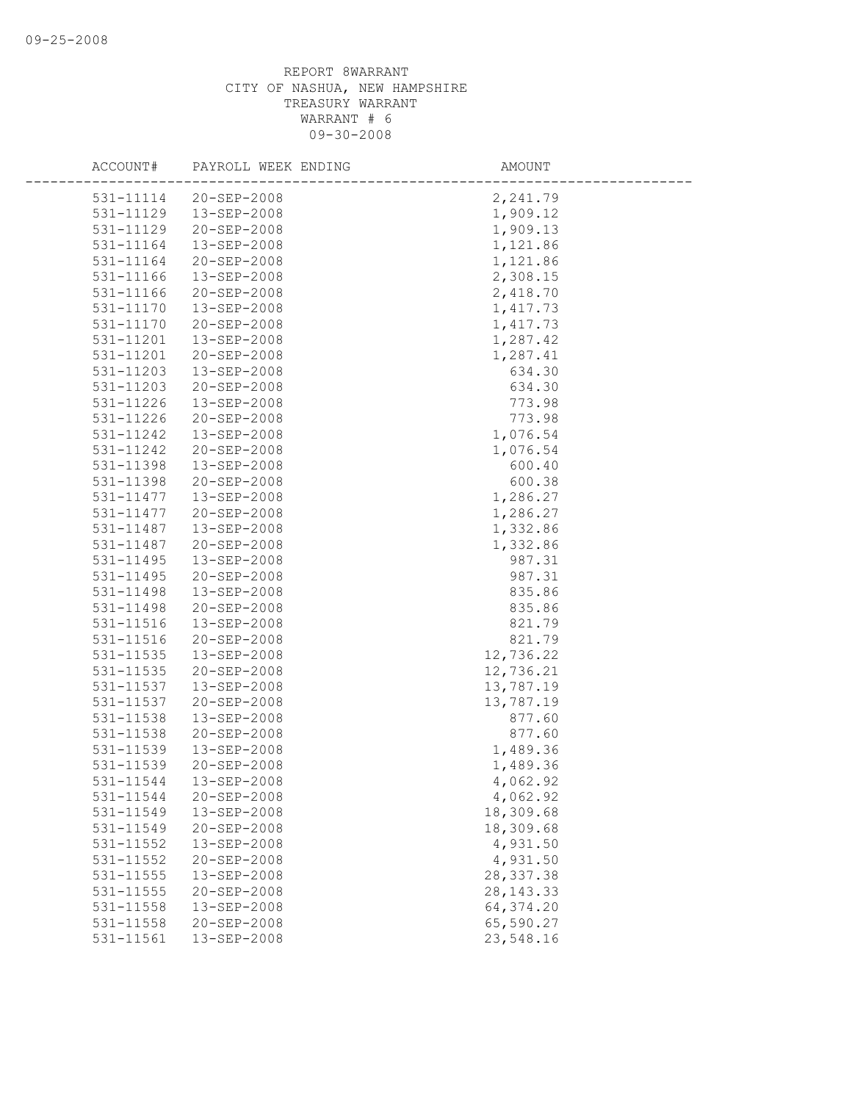| ACCOUNT#               | PAYROLL WEEK ENDING        | AMOUNT                |
|------------------------|----------------------------|-----------------------|
| 531-11114              | 20-SEP-2008                | 2,241.79              |
| 531-11129              | 13-SEP-2008                | 1,909.12              |
| 531-11129              | 20-SEP-2008                | 1,909.13              |
| 531-11164              | 13-SEP-2008                | 1,121.86              |
| 531-11164              | 20-SEP-2008                | 1,121.86              |
| 531-11166              | 13-SEP-2008                | 2,308.15              |
| 531-11166              | 20-SEP-2008                | 2,418.70              |
| 531-11170              | 13-SEP-2008                | 1,417.73              |
| 531-11170              | 20-SEP-2008                | 1,417.73              |
| 531-11201              | $13 - SEP - 2008$          | 1,287.42              |
| 531-11201              | 20-SEP-2008                | 1,287.41              |
| 531-11203              | 13-SEP-2008                | 634.30                |
| 531-11203              | 20-SEP-2008                | 634.30                |
| 531-11226              | 13-SEP-2008                | 773.98                |
| 531-11226              | 20-SEP-2008                | 773.98                |
| 531-11242              | 13-SEP-2008                | 1,076.54              |
| 531-11242              | 20-SEP-2008                | 1,076.54              |
| 531-11398              | 13-SEP-2008                | 600.40                |
| 531-11398              | $20 - SEP - 2008$          | 600.38                |
| 531-11477              | 13-SEP-2008                | 1,286.27              |
| 531-11477              | $20 - SEP - 2008$          | 1,286.27              |
| 531-11487              | 13-SEP-2008                | 1,332.86              |
| 531-11487              | 20-SEP-2008                | 1,332.86              |
| 531-11495              | 13-SEP-2008                | 987.31                |
| 531-11495              | 20-SEP-2008                | 987.31                |
| 531-11498              | 13-SEP-2008                | 835.86                |
| 531-11498              | 20-SEP-2008                | 835.86                |
| 531-11516              | 13-SEP-2008                | 821.79                |
| 531-11516              | 20-SEP-2008                | 821.79                |
| 531-11535              | 13-SEP-2008                | 12,736.22             |
| 531-11535              | 20-SEP-2008                | 12,736.21             |
| 531-11537              | 13-SEP-2008                | 13,787.19             |
| 531-11537              | 20-SEP-2008                | 13,787.19             |
| 531-11538              | 13-SEP-2008                | 877.60                |
| 531-11538              | $20 - SEP - 2008$          | 877.60                |
| 531-11539              | 13-SEP-2008                | 1,489.36              |
| 531-11539              | 20-SEP-2008                | 1,489.36              |
| 531-11544              | 13-SEP-2008                | 4,062.92              |
| 531-11544              | 20-SEP-2008                | 4,062.92              |
| 531-11549              | 13-SEP-2008                | 18,309.68             |
| 531-11549<br>531-11552 | 20-SEP-2008<br>13-SEP-2008 | 18,309.68<br>4,931.50 |
| 531-11552              | 20-SEP-2008                | 4,931.50              |
| 531-11555              | 13-SEP-2008                | 28, 337.38            |
| 531-11555              | 20-SEP-2008                | 28, 143. 33           |
| 531-11558              | 13-SEP-2008                | 64,374.20             |
| 531-11558              | 20-SEP-2008                | 65,590.27             |
| 531-11561              | 13-SEP-2008                | 23,548.16             |
|                        |                            |                       |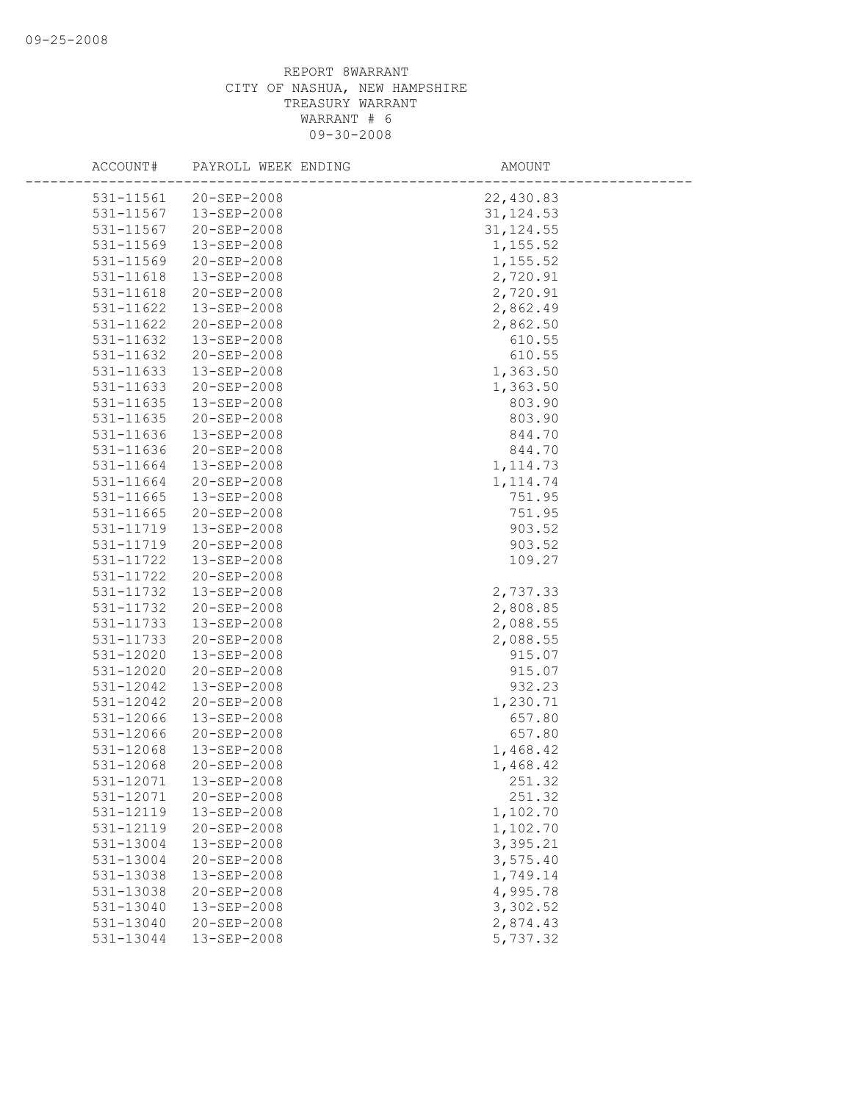| ACCOUNT#      | PAYROLL WEEK ENDING | AMOUNT     |  |
|---------------|---------------------|------------|--|
| 531-11561     | 20-SEP-2008         | 22,430.83  |  |
| 531-11567     | 13-SEP-2008         | 31, 124.53 |  |
| 531-11567     | 20-SEP-2008         | 31, 124.55 |  |
| 531-11569     | 13-SEP-2008         | 1,155.52   |  |
| 531-11569     | 20-SEP-2008         | 1,155.52   |  |
| 531-11618     | 13-SEP-2008         | 2,720.91   |  |
| 531-11618     | 20-SEP-2008         | 2,720.91   |  |
| 531-11622     | 13-SEP-2008         | 2,862.49   |  |
| 531-11622     | 20-SEP-2008         | 2,862.50   |  |
| 531-11632     | $13 - SEP - 2008$   | 610.55     |  |
| 531-11632     | 20-SEP-2008         | 610.55     |  |
| 531-11633     | 13-SEP-2008         | 1,363.50   |  |
| 531-11633     | 20-SEP-2008         | 1,363.50   |  |
| 531-11635     | 13-SEP-2008         | 803.90     |  |
| 531-11635     | 20-SEP-2008         | 803.90     |  |
| 531-11636     | 13-SEP-2008         | 844.70     |  |
| 531-11636     | $20 - SEP - 2008$   | 844.70     |  |
| 531-11664     | 13-SEP-2008         | 1, 114.73  |  |
| 531-11664     | 20-SEP-2008         | 1, 114.74  |  |
| $531 - 11665$ | 13-SEP-2008         | 751.95     |  |
| 531-11665     | 20-SEP-2008         | 751.95     |  |
| 531-11719     | 13-SEP-2008         | 903.52     |  |
| 531-11719     | 20-SEP-2008         | 903.52     |  |
| 531-11722     | 13-SEP-2008         | 109.27     |  |
| 531-11722     | 20-SEP-2008         |            |  |
| 531-11732     | 13-SEP-2008         | 2,737.33   |  |
| 531-11732     | 20-SEP-2008         | 2,808.85   |  |
| 531-11733     | 13-SEP-2008         | 2,088.55   |  |
| 531-11733     | 20-SEP-2008         | 2,088.55   |  |
| 531-12020     | 13-SEP-2008         | 915.07     |  |
| 531-12020     | 20-SEP-2008         | 915.07     |  |
| 531-12042     | 13-SEP-2008         | 932.23     |  |
| 531-12042     | 20-SEP-2008         | 1,230.71   |  |
| 531-12066     | 13-SEP-2008         | 657.80     |  |
| 531-12066     | 20-SEP-2008         | 657.80     |  |
| 531-12068     | 13-SEP-2008         | 1,468.42   |  |
| 531-12068     | 20-SEP-2008         | 1,468.42   |  |
| 531-12071     | 13-SEP-2008         | 251.32     |  |
| 531-12071     | 20-SEP-2008         | 251.32     |  |
| 531-12119     | 13-SEP-2008         | 1,102.70   |  |
| 531-12119     | 20-SEP-2008         | 1,102.70   |  |
| 531-13004     | 13-SEP-2008         | 3,395.21   |  |
| 531-13004     | 20-SEP-2008         | 3,575.40   |  |
| 531-13038     | 13-SEP-2008         | 1,749.14   |  |
| 531-13038     | 20-SEP-2008         | 4,995.78   |  |
| 531-13040     | 13-SEP-2008         | 3,302.52   |  |
| 531-13040     | 20-SEP-2008         | 2,874.43   |  |
| 531-13044     | 13-SEP-2008         | 5,737.32   |  |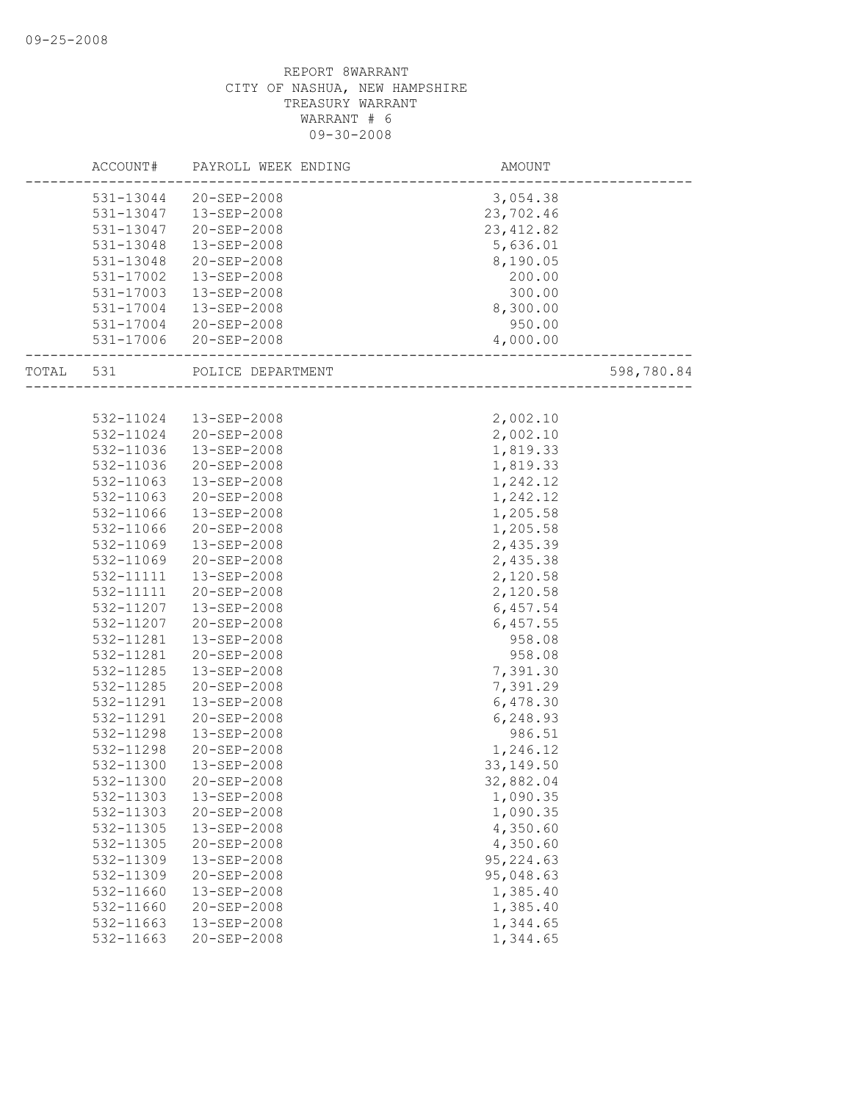|       | ACCOUNT#  | PAYROLL WEEK ENDING   | AMOUNT     |            |
|-------|-----------|-----------------------|------------|------------|
|       | 531-13044 | 20-SEP-2008           | 3,054.38   |            |
|       | 531-13047 | 13-SEP-2008           | 23,702.46  |            |
|       | 531-13047 | 20-SEP-2008           | 23, 412.82 |            |
|       | 531-13048 | 13-SEP-2008           | 5,636.01   |            |
|       | 531-13048 | 20-SEP-2008           | 8,190.05   |            |
|       | 531-17002 | 13-SEP-2008           | 200.00     |            |
|       | 531-17003 | 13-SEP-2008           | 300.00     |            |
|       | 531-17004 | 13-SEP-2008           | 8,300.00   |            |
|       | 531-17004 | 20-SEP-2008           | 950.00     |            |
|       |           | 531-17006 20-SEP-2008 | 4,000.00   |            |
| TOTAL | 531       | POLICE DEPARTMENT     |            | 598,780.84 |
|       |           |                       |            |            |
|       | 532-11024 | 13-SEP-2008           | 2,002.10   |            |
|       | 532-11024 | 20-SEP-2008           | 2,002.10   |            |
|       | 532-11036 | 13-SEP-2008           | 1,819.33   |            |
|       | 532-11036 | $20 - SEP - 2008$     | 1,819.33   |            |
|       | 532-11063 | 13-SEP-2008           | 1,242.12   |            |
|       | 532-11063 | 20-SEP-2008           | 1,242.12   |            |
|       | 532-11066 | 13-SEP-2008           | 1,205.58   |            |
|       | 532-11066 | 20-SEP-2008           | 1,205.58   |            |
|       | 532-11069 | 13-SEP-2008           | 2,435.39   |            |
|       | 532-11069 | 20-SEP-2008           | 2,435.38   |            |
|       | 532-11111 | 13-SEP-2008           | 2,120.58   |            |
|       | 532-11111 | 20-SEP-2008           | 2,120.58   |            |
|       | 532-11207 | 13-SEP-2008           | 6,457.54   |            |
|       | 532-11207 | 20-SEP-2008           | 6,457.55   |            |
|       | 532-11281 | 13-SEP-2008           | 958.08     |            |
|       | 532-11281 | 20-SEP-2008           | 958.08     |            |
|       | 532-11285 | 13-SEP-2008           | 7,391.30   |            |
|       | 532-11285 | 20-SEP-2008           | 7,391.29   |            |
|       | 532-11291 | 13-SEP-2008           | 6,478.30   |            |
|       | 532-11291 | $20 - SEP - 2008$     | 6,248.93   |            |
|       | 532-11298 | 13-SEP-2008           | 986.51     |            |
|       | 532-11298 | $20 - SEP - 2008$     | 1,246.12   |            |
|       | 532-11300 | 13-SEP-2008           | 33, 149.50 |            |
|       | 532-11300 | 20-SEP-2008           | 32,882.04  |            |
|       | 532-11303 | 13-SEP-2008           | 1,090.35   |            |
|       | 532-11303 | 20-SEP-2008           | 1,090.35   |            |
|       | 532-11305 | 13-SEP-2008           | 4,350.60   |            |
|       | 532-11305 | 20-SEP-2008           | 4,350.60   |            |
|       | 532-11309 | 13-SEP-2008           | 95, 224.63 |            |
|       | 532-11309 | 20-SEP-2008           | 95,048.63  |            |
|       | 532-11660 | 13-SEP-2008           | 1,385.40   |            |
|       | 532-11660 | 20-SEP-2008           | 1,385.40   |            |
|       | 532-11663 | 13-SEP-2008           | 1,344.65   |            |
|       | 532-11663 | 20-SEP-2008           | 1,344.65   |            |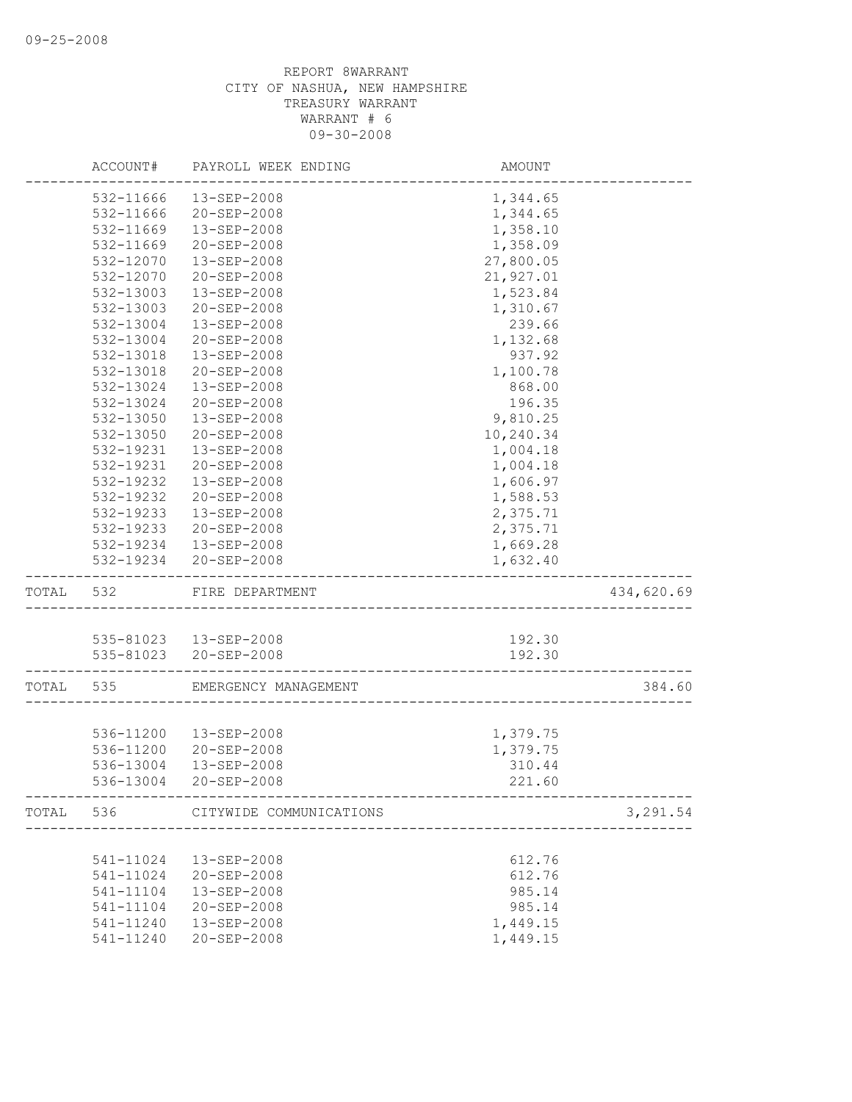|           | ACCOUNT#  | PAYROLL WEEK ENDING               | AMOUNT                                          |            |
|-----------|-----------|-----------------------------------|-------------------------------------------------|------------|
|           | 532-11666 | 13-SEP-2008                       | 1,344.65                                        |            |
|           | 532-11666 | 20-SEP-2008                       | 1,344.65                                        |            |
|           | 532-11669 | 13-SEP-2008                       | 1,358.10                                        |            |
|           | 532-11669 | 20-SEP-2008                       | 1,358.09                                        |            |
|           | 532-12070 | 13-SEP-2008                       | 27,800.05                                       |            |
|           | 532-12070 | 20-SEP-2008                       | 21,927.01                                       |            |
|           | 532-13003 | 13-SEP-2008                       | 1,523.84                                        |            |
|           | 532-13003 | 20-SEP-2008                       | 1,310.67                                        |            |
|           | 532-13004 | 13-SEP-2008                       | 239.66                                          |            |
|           | 532-13004 | 20-SEP-2008                       | 1,132.68                                        |            |
|           | 532-13018 | 13-SEP-2008                       | 937.92                                          |            |
|           | 532-13018 | 20-SEP-2008                       | 1,100.78                                        |            |
|           | 532-13024 | 13-SEP-2008                       | 868.00                                          |            |
|           | 532-13024 | 20-SEP-2008                       | 196.35                                          |            |
|           | 532-13050 | 13-SEP-2008                       | 9,810.25                                        |            |
|           | 532-13050 | 20-SEP-2008                       | 10,240.34                                       |            |
|           | 532-19231 | 13-SEP-2008                       | 1,004.18                                        |            |
|           | 532-19231 | $20 - SEP - 2008$                 | 1,004.18                                        |            |
|           | 532-19232 | 13-SEP-2008                       | 1,606.97                                        |            |
|           | 532-19232 | 20-SEP-2008                       | 1,588.53                                        |            |
|           | 532-19233 | 13-SEP-2008                       | 2,375.71                                        |            |
|           | 532-19233 | 20-SEP-2008                       | 2,375.71                                        |            |
|           |           | 532-19234 13-SEP-2008             | 1,669.28                                        |            |
|           |           | 532-19234 20-SEP-2008             | 1,632.40                                        |            |
| TOTAL     | 532       | FIRE DEPARTMENT                   |                                                 | 434,620.69 |
|           |           |                                   |                                                 |            |
|           |           | 535-81023  13-SEP-2008            | 192.30                                          |            |
|           |           | 535-81023 20-SEP-2008             | 192.30                                          |            |
| TOTAL 535 |           | EMERGENCY MANAGEMENT              |                                                 | 384.60     |
|           |           |                                   |                                                 |            |
|           |           | 536-11200  13-SEP-2008            | 1,379.75                                        |            |
|           | 536-11200 | 20-SEP-2008                       | 1,379.75                                        |            |
|           | 536-13004 | 13-SEP-2008                       | 310.44                                          |            |
|           | 536-13004 | 20-SEP-2008                       | 221.60<br>_____________________________________ |            |
|           |           | TOTAL 536 CITYWIDE COMMUNICATIONS | ___________________________________             | 3,291.54   |
|           |           |                                   |                                                 |            |
|           | 541-11024 | 13-SEP-2008                       | 612.76                                          |            |
|           | 541-11024 | 20-SEP-2008                       | 612.76                                          |            |
|           | 541-11104 | 13-SEP-2008                       | 985.14                                          |            |
|           | 541-11104 | 20-SEP-2008                       | 985.14                                          |            |
|           | 541-11240 | 13-SEP-2008                       | 1,449.15                                        |            |
|           | 541-11240 | 20-SEP-2008                       | 1,449.15                                        |            |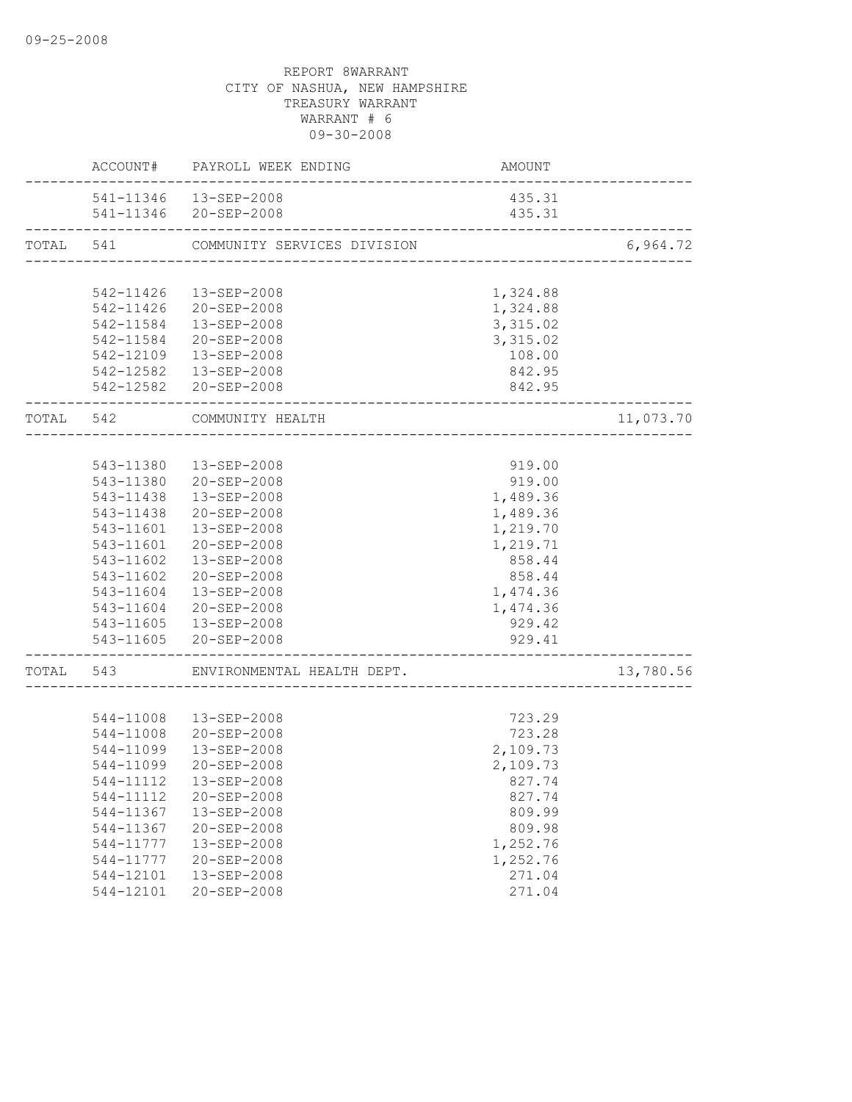|           |           | ACCOUNT# PAYROLL WEEK ENDING                      | AMOUNT                                 |           |
|-----------|-----------|---------------------------------------------------|----------------------------------------|-----------|
|           |           | 541-11346  13-SEP-2008                            | 435.31                                 |           |
|           |           | 541-11346 20-SEP-2008                             | 435.31                                 |           |
| TOTAL 541 |           | COMMUNITY SERVICES DIVISION                       | ______________________________________ | 6,964.72  |
|           |           |                                                   |                                        |           |
|           |           | 542-11426  13-SEP-2008                            | 1,324.88                               |           |
|           |           | 542-11426 20-SEP-2008                             | 1,324.88                               |           |
|           | 542-11584 | 13-SEP-2008                                       | 3,315.02                               |           |
|           |           | 542-11584 20-SEP-2008                             | 3,315.02                               |           |
|           |           | 542-12109  13-SEP-2008                            | 108.00                                 |           |
|           |           | 542-12582  13-SEP-2008                            | 842.95                                 |           |
|           |           | 542-12582 20-SEP-2008                             | 842.95                                 |           |
| TOTAL 542 |           | COMMUNITY HEALTH<br><u> 2000 - Bonders Berger</u> |                                        | 11,073.70 |
|           |           |                                                   |                                        |           |
|           | 543-11380 | 13-SEP-2008                                       | 919.00                                 |           |
|           |           | 543-11380 20-SEP-2008                             | 919.00                                 |           |
|           |           | 543-11438  13-SEP-2008                            | 1,489.36                               |           |
|           |           | 543-11438 20-SEP-2008                             | 1,489.36                               |           |
|           |           | 543-11601  13-SEP-2008                            | 1,219.70                               |           |
|           | 543-11601 | 20-SEP-2008                                       | 1,219.71                               |           |
|           | 543-11602 | 13-SEP-2008                                       | 858.44                                 |           |
|           | 543-11602 | 20-SEP-2008                                       | 858.44                                 |           |
|           | 543-11604 | 13-SEP-2008                                       | 1,474.36                               |           |
|           | 543-11604 | 20-SEP-2008                                       | 1,474.36                               |           |
|           |           | 543-11605  13-SEP-2008                            | 929.42                                 |           |
|           |           | 543-11605 20-SEP-2008                             | 929.41                                 |           |
| TOTAL 543 |           | ENVIRONMENTAL HEALTH DEPT.                        |                                        | 13,780.56 |
|           |           |                                                   |                                        |           |
|           |           | 544-11008  13-SEP-2008                            | 723.29                                 |           |
|           |           | 544-11008 20-SEP-2008                             | 723.28                                 |           |
|           | 544-11099 | 13-SEP-2008                                       | 2,109.73                               |           |
|           | 544-11099 | 20-SEP-2008                                       | 2,109.73                               |           |
|           |           | 544-11112  13-SEP-2008                            | 827.74                                 |           |
|           | 544-11112 | 20-SEP-2008                                       | 827.74                                 |           |
|           | 544-11367 | 13-SEP-2008                                       | 809.99                                 |           |
|           | 544-11367 | 20-SEP-2008                                       | 809.98                                 |           |
|           | 544-11777 | 13-SEP-2008                                       | 1,252.76                               |           |
|           | 544-11777 | 20-SEP-2008                                       | 1,252.76                               |           |
|           | 544-12101 | 13-SEP-2008                                       | 271.04                                 |           |
|           | 544-12101 | 20-SEP-2008                                       | 271.04                                 |           |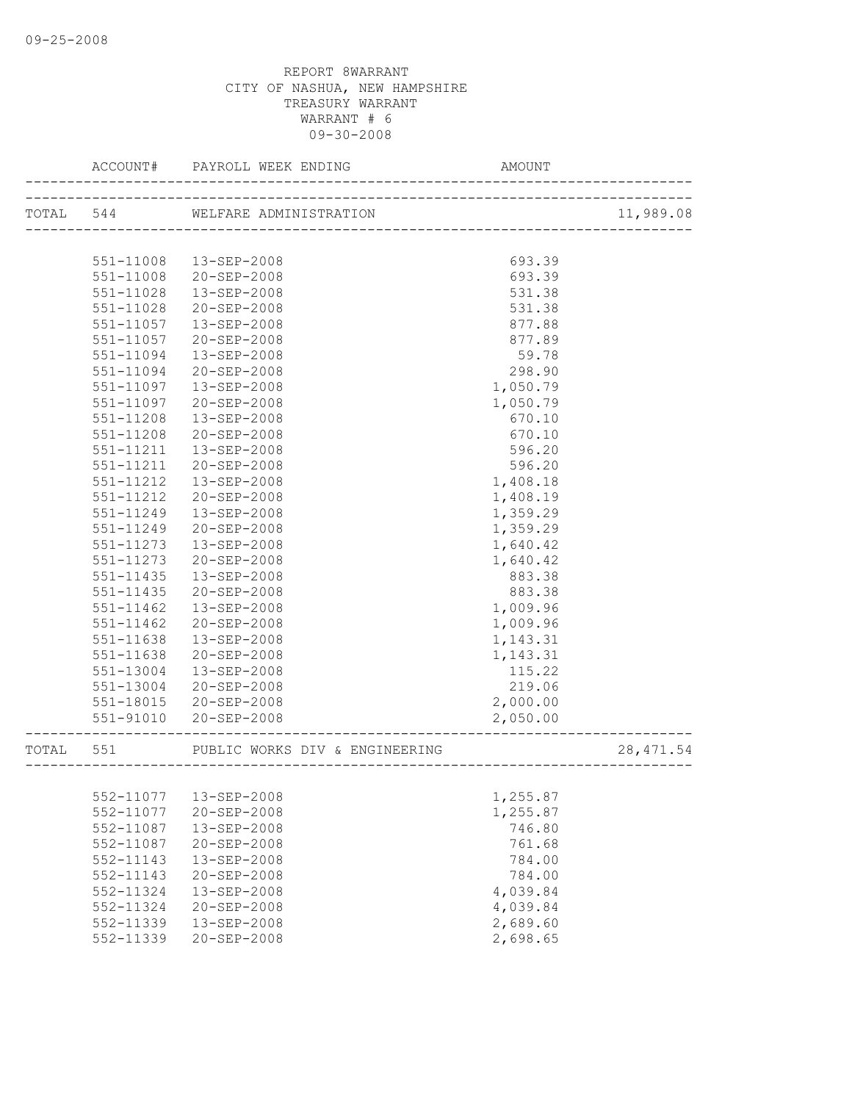|           | ACCOUNT#  | PAYROLL WEEK ENDING                                               | AMOUNT<br>____________ |            |
|-----------|-----------|-------------------------------------------------------------------|------------------------|------------|
| TOTAL 544 |           | WELFARE ADMINISTRATION<br><u> 1999 - Jan Bernard Bernard III.</u> |                        | 11,989.08  |
|           |           |                                                                   |                        |            |
|           | 551-11008 | 13-SEP-2008                                                       | 693.39                 |            |
|           | 551-11008 | 20-SEP-2008                                                       | 693.39                 |            |
|           | 551-11028 | 13-SEP-2008                                                       | 531.38                 |            |
|           | 551-11028 | 20-SEP-2008                                                       | 531.38                 |            |
|           | 551-11057 | 13-SEP-2008                                                       | 877.88                 |            |
|           | 551-11057 | 20-SEP-2008                                                       | 877.89                 |            |
|           | 551-11094 | 13-SEP-2008                                                       | 59.78                  |            |
|           | 551-11094 | $20 - SEP - 2008$                                                 | 298.90                 |            |
|           | 551-11097 | 13-SEP-2008                                                       | 1,050.79               |            |
|           | 551-11097 | $20 - SEP - 2008$                                                 | 1,050.79               |            |
|           | 551-11208 | 13-SEP-2008                                                       | 670.10                 |            |
|           | 551-11208 | 20-SEP-2008                                                       | 670.10                 |            |
|           | 551-11211 | $13 - SEP - 2008$                                                 | 596.20                 |            |
|           | 551-11211 | $20 - SEP - 2008$                                                 | 596.20                 |            |
|           | 551-11212 | 13-SEP-2008                                                       | 1,408.18               |            |
|           | 551-11212 | 20-SEP-2008                                                       | 1,408.19               |            |
|           | 551-11249 | 13-SEP-2008                                                       | 1,359.29               |            |
|           | 551-11249 | $20 - SEP - 2008$                                                 | 1,359.29               |            |
|           | 551-11273 | $13 - SEP - 2008$                                                 | 1,640.42               |            |
|           | 551-11273 | 20-SEP-2008                                                       | 1,640.42               |            |
|           | 551-11435 | 13-SEP-2008                                                       | 883.38                 |            |
|           | 551-11435 | 20-SEP-2008                                                       | 883.38                 |            |
|           | 551-11462 | 13-SEP-2008                                                       | 1,009.96               |            |
|           | 551-11462 | 20-SEP-2008                                                       | 1,009.96               |            |
|           | 551-11638 | 13-SEP-2008                                                       | 1,143.31               |            |
|           | 551-11638 | $20 - SEP - 2008$                                                 | 1,143.31               |            |
|           | 551-13004 | 13-SEP-2008                                                       | 115.22                 |            |
|           | 551-13004 | 20-SEP-2008                                                       | 219.06                 |            |
|           | 551-18015 | 20-SEP-2008                                                       | 2,000.00               |            |
|           | 551-91010 | 20-SEP-2008                                                       | 2,050.00               |            |
| TOTAL     | 551       | PUBLIC WORKS DIV & ENGINEERING                                    |                        | 28, 471.54 |
|           |           |                                                                   |                        |            |
|           | 552-11077 | 13-SEP-2008                                                       | 1,255.87               |            |
|           | 552-11077 | 20-SEP-2008                                                       | 1,255.87               |            |
|           | 552-11087 | 13-SEP-2008                                                       | 746.80                 |            |
|           | 552-11087 | 20-SEP-2008                                                       | 761.68                 |            |
|           | 552-11143 | 13-SEP-2008                                                       | 784.00                 |            |
|           | 552-11143 | 20-SEP-2008                                                       | 784.00                 |            |
|           | 552-11324 | 13-SEP-2008                                                       | 4,039.84               |            |
|           | 552-11324 | 20-SEP-2008                                                       | 4,039.84               |            |
|           | 552-11339 | 13-SEP-2008                                                       | 2,689.60               |            |
|           | 552-11339 | $20 - SEP - 2008$                                                 | 2,698.65               |            |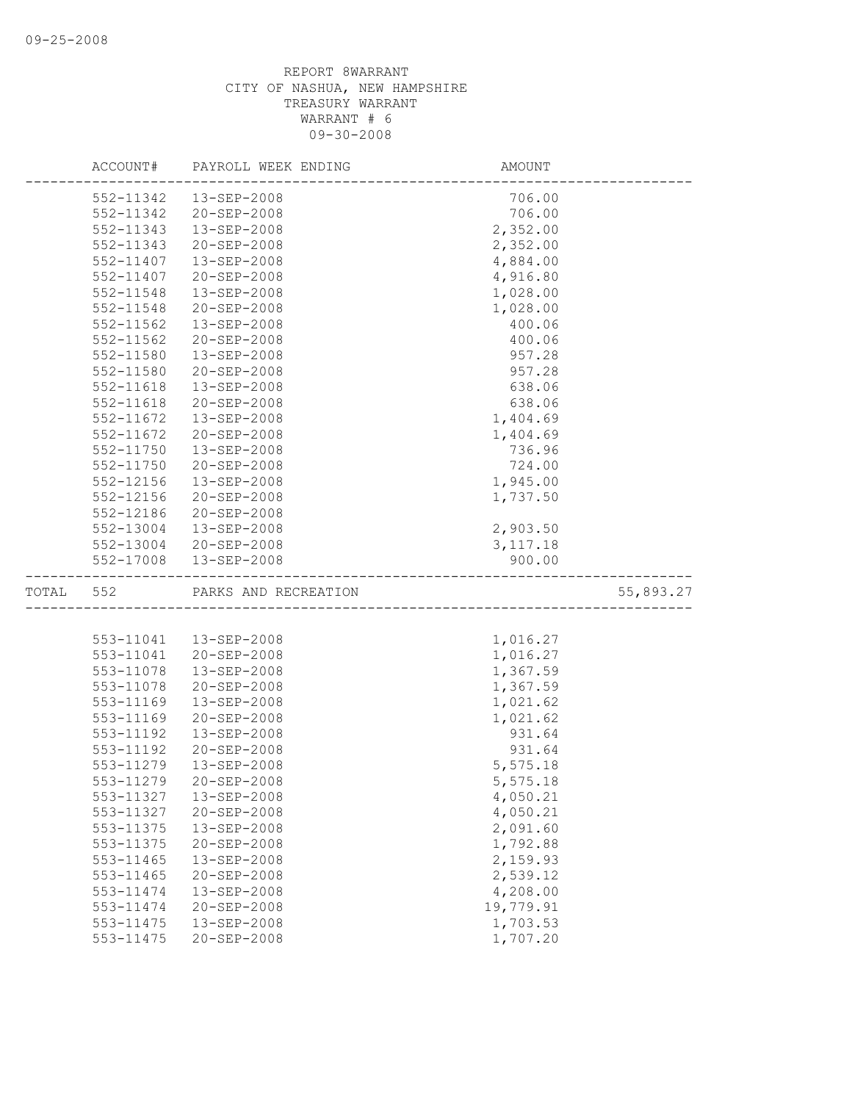|       | ACCOUNT#      | PAYROLL WEEK ENDING  | AMOUNT    |           |
|-------|---------------|----------------------|-----------|-----------|
|       | 552-11342     | 13-SEP-2008          | 706.00    |           |
|       | 552-11342     | 20-SEP-2008          | 706.00    |           |
|       | 552-11343     | 13-SEP-2008          | 2,352.00  |           |
|       | 552-11343     | 20-SEP-2008          | 2,352.00  |           |
|       | 552-11407     | 13-SEP-2008          | 4,884.00  |           |
|       | 552-11407     | 20-SEP-2008          | 4,916.80  |           |
|       | 552-11548     | 13-SEP-2008          | 1,028.00  |           |
|       | 552-11548     | 20-SEP-2008          | 1,028.00  |           |
|       | $552 - 11562$ | 13-SEP-2008          | 400.06    |           |
|       | 552-11562     | 20-SEP-2008          | 400.06    |           |
|       | 552-11580     | 13-SEP-2008          | 957.28    |           |
|       | 552-11580     | 20-SEP-2008          | 957.28    |           |
|       | 552-11618     | 13-SEP-2008          | 638.06    |           |
|       | 552-11618     | 20-SEP-2008          | 638.06    |           |
|       | 552-11672     | 13-SEP-2008          | 1,404.69  |           |
|       | 552-11672     | 20-SEP-2008          | 1,404.69  |           |
|       | 552-11750     | 13-SEP-2008          | 736.96    |           |
|       | 552-11750     | $20 - SEP - 2008$    | 724.00    |           |
|       | 552-12156     | 13-SEP-2008          | 1,945.00  |           |
|       | 552-12156     | 20-SEP-2008          | 1,737.50  |           |
|       | 552-12186     | $20 - SEP - 2008$    |           |           |
|       | 552-13004     | 13-SEP-2008          | 2,903.50  |           |
|       | 552-13004     | 20-SEP-2008          | 3, 117.18 |           |
|       | 552-17008     | 13-SEP-2008          | 900.00    |           |
| TOTAL | 552           | PARKS AND RECREATION |           | 55,893.27 |
|       |               |                      |           |           |
|       | 553-11041     | 13-SEP-2008          | 1,016.27  |           |
|       | 553-11041     | 20-SEP-2008          | 1,016.27  |           |
|       | 553-11078     | 13-SEP-2008          | 1,367.59  |           |
|       | 553-11078     | 20-SEP-2008          | 1,367.59  |           |
|       | 553-11169     | 13-SEP-2008          | 1,021.62  |           |
|       | 553-11169     | 20-SEP-2008          | 1,021.62  |           |
|       | 553-11192     | 13-SEP-2008          | 931.64    |           |
|       | 553-11192     | 20-SEP-2008          | 931.64    |           |
|       | 553-11279     | 13-SEP-2008          | 5,575.18  |           |
|       | 553-11279     | 20-SEP-2008          | 5,575.18  |           |
|       | 553-11327     | 13-SEP-2008          | 4,050.21  |           |
|       | 553-11327     | 20-SEP-2008          | 4,050.21  |           |
|       | 553-11375     | 13-SEP-2008          | 2,091.60  |           |
|       | 553-11375     | 20-SEP-2008          | 1,792.88  |           |
|       | 553-11465     | 13-SEP-2008          | 2,159.93  |           |
|       | 553-11465     | 20-SEP-2008          | 2,539.12  |           |
|       | 553-11474     | 13-SEP-2008          | 4,208.00  |           |
|       | 553-11474     | 20-SEP-2008          | 19,779.91 |           |
|       | 553-11475     | 13-SEP-2008          | 1,703.53  |           |
|       | 553-11475     | 20-SEP-2008          | 1,707.20  |           |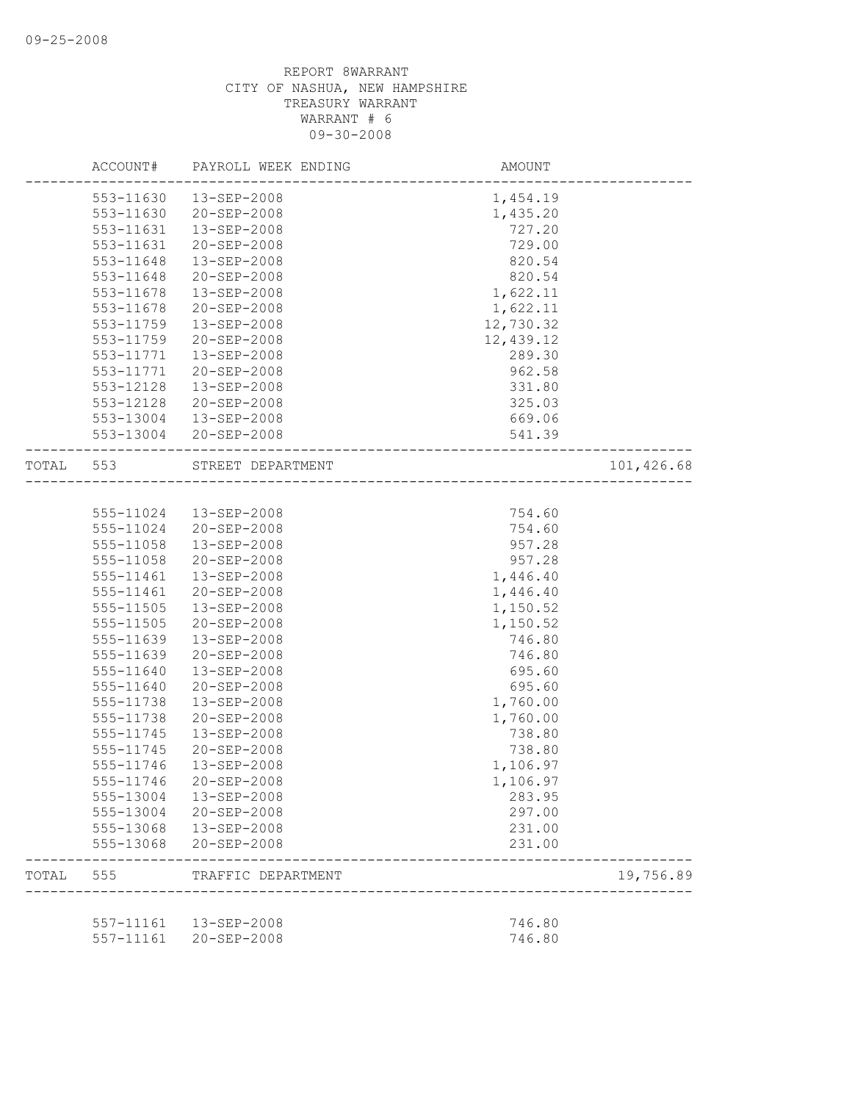|       | ACCOUNT#  | PAYROLL WEEK ENDING    | AMOUNT                     |            |
|-------|-----------|------------------------|----------------------------|------------|
|       |           | 553-11630  13-SEP-2008 | 1,454.19                   |            |
|       | 553-11630 | 20-SEP-2008            | 1,435.20                   |            |
|       | 553-11631 | 13-SEP-2008            | 727.20                     |            |
|       | 553-11631 | $20 - SEP - 2008$      | 729.00                     |            |
|       | 553-11648 | 13-SEP-2008            | 820.54                     |            |
|       | 553-11648 | 20-SEP-2008            | 820.54                     |            |
|       | 553-11678 | 13-SEP-2008            | 1,622.11                   |            |
|       | 553-11678 | $20 - SEP - 2008$      | 1,622.11                   |            |
|       | 553-11759 | 13-SEP-2008            | 12,730.32                  |            |
|       | 553-11759 | $20 - SEP - 2008$      | 12,439.12                  |            |
|       | 553-11771 | 13-SEP-2008            | 289.30                     |            |
|       | 553-11771 | 20-SEP-2008            | 962.58                     |            |
|       | 553-12128 | 13-SEP-2008            | 331.80                     |            |
|       | 553-12128 | 20-SEP-2008            | 325.03                     |            |
|       | 553-13004 | 13-SEP-2008            | 669.06                     |            |
|       | 553-13004 | 20-SEP-2008            | 541.39                     |            |
| TOTAL | 553       | STREET DEPARTMENT      | -------------------------- | 101,426.68 |
|       |           |                        |                            |            |
|       | 555-11024 | 13-SEP-2008            | 754.60                     |            |
|       | 555-11024 | $20 - SEP - 2008$      | 754.60                     |            |
|       | 555-11058 | 13-SEP-2008            | 957.28                     |            |
|       | 555-11058 | 20-SEP-2008            | 957.28                     |            |
|       | 555-11461 | 13-SEP-2008            | 1,446.40                   |            |
|       | 555-11461 | 20-SEP-2008            | 1,446.40                   |            |
|       | 555-11505 | 13-SEP-2008            | 1,150.52                   |            |
|       | 555-11505 | 20-SEP-2008            | 1,150.52                   |            |
|       | 555-11639 | 13-SEP-2008            | 746.80                     |            |
|       | 555-11639 | 20-SEP-2008            | 746.80                     |            |
|       | 555-11640 | 13-SEP-2008            | 695.60                     |            |
|       | 555-11640 | 20-SEP-2008            | 695.60                     |            |
|       | 555-11738 | 13-SEP-2008            | 1,760.00                   |            |
|       | 555-11738 | $20 - SEP - 2008$      | 1,760.00                   |            |
|       | 555-11745 | 13-SEP-2008            | 738.80                     |            |
|       | 555-11745 | $20 - SEP - 2008$      | 738.80                     |            |
|       | 555-11746 | $13 - SEP - 2008$      | 1,106.97                   |            |
|       | 555-11746 | 20-SEP-2008            | 1,106.97                   |            |
|       | 555-13004 | 13-SEP-2008            | 283.95                     |            |
|       | 555-13004 | 20-SEP-2008            | 297.00                     |            |
|       | 555-13068 | $13 - SEP - 2008$      | 231.00                     |            |
|       | 555-13068 | $20 - SEP - 2008$      | 231.00                     |            |
| TOTAL | 555       | TRAFFIC DEPARTMENT     |                            | 19,756.89  |
|       |           |                        |                            |            |
|       | 557-11161 | 13-SEP-2008            | 746.80                     |            |
|       | 557-11161 | 20-SEP-2008            | 746.80                     |            |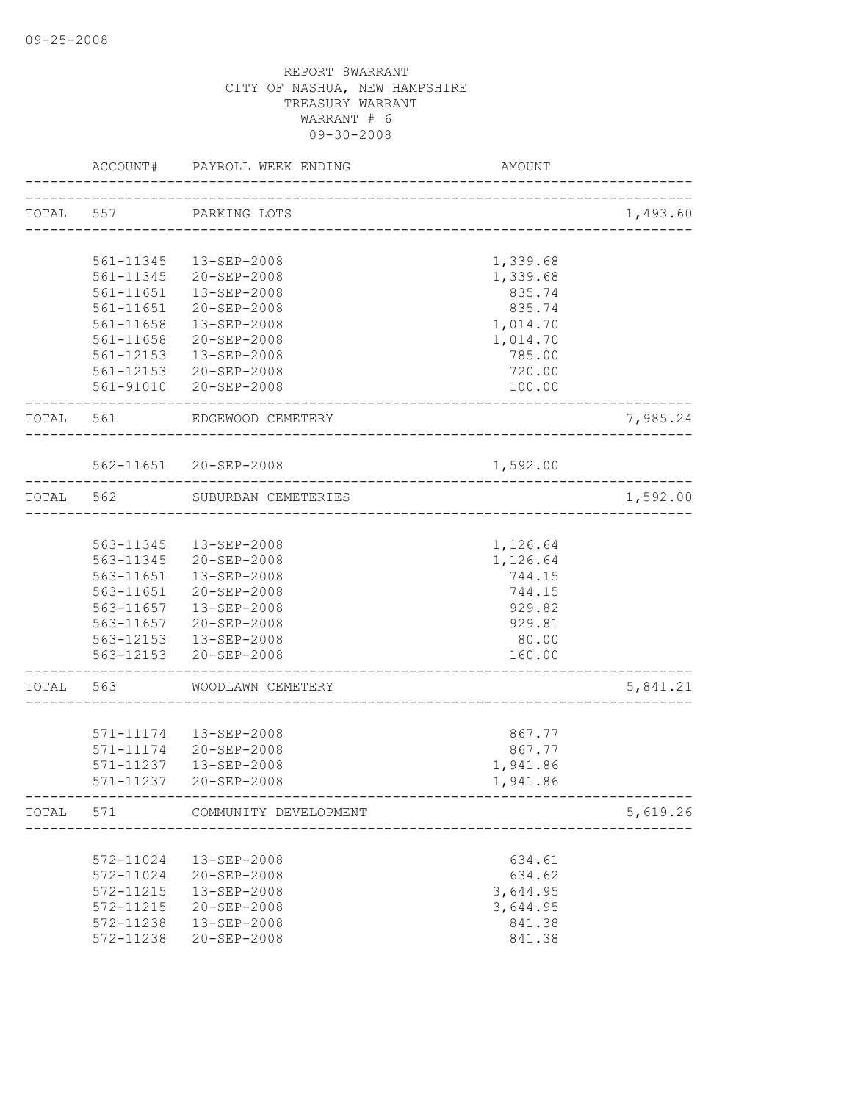|           | ACCOUNT#      | PAYROLL WEEK ENDING             | AMOUNT                              |          |
|-----------|---------------|---------------------------------|-------------------------------------|----------|
| TOTAL 557 |               | PARKING LOTS                    |                                     | 1,493.60 |
|           |               |                                 | ___________________________________ |          |
|           | 561-11345     | 13-SEP-2008                     | 1,339.68                            |          |
|           | 561-11345     | 20-SEP-2008                     | 1,339.68                            |          |
|           | $561 - 11651$ | 13-SEP-2008                     | 835.74                              |          |
|           | $561 - 11651$ | 20-SEP-2008                     | 835.74                              |          |
|           | 561-11658     | 13-SEP-2008                     | 1,014.70                            |          |
|           | 561-11658     | 20-SEP-2008                     | 1,014.70                            |          |
|           |               | 561-12153  13-SEP-2008          | 785.00                              |          |
|           |               | 561-12153 20-SEP-2008           | 720.00                              |          |
|           |               | 561-91010 20-SEP-2008           | 100.00                              |          |
|           |               |                                 |                                     |          |
| TOTAL 561 |               | EDGEWOOD CEMETERY               |                                     | 7,985.24 |
|           |               |                                 |                                     |          |
|           |               | 562-11651 20-SEP-2008           | 1,592.00                            |          |
| TOTAL     | 562           | SUBURBAN CEMETERIES             | ---------------------               | 1,592.00 |
|           |               |                                 |                                     |          |
|           | 563-11345     | 13-SEP-2008                     | 1,126.64                            |          |
|           | 563-11345     | 20-SEP-2008                     | 1,126.64                            |          |
|           | 563-11651     | 13-SEP-2008                     | 744.15                              |          |
|           | 563-11651     | 20-SEP-2008                     | 744.15                              |          |
|           | 563-11657     | 13-SEP-2008                     | 929.82                              |          |
|           |               | 563-11657 20-SEP-2008           | 929.81                              |          |
|           |               | 563-12153  13-SEP-2008          | 80.00                               |          |
|           |               | 563-12153 20-SEP-2008           | 160.00                              |          |
| TOTAL     | 563           | WOODLAWN CEMETERY               |                                     | 5,841.21 |
|           |               |                                 |                                     |          |
|           |               | 571-11174  13-SEP-2008          | 867.77                              |          |
|           | 571-11174     | 20-SEP-2008                     | 867.77                              |          |
|           | 571-11237     | $13 - SEP - 2008$               | 1,941.86                            |          |
|           | 571-11237     | 20-SEP-2008                     | 1,941.86                            |          |
|           |               | TOTAL 571 COMMUNITY DEVELOPMENT | --------------------------------    | 5,619.26 |
|           |               |                                 |                                     |          |
|           | 572-11024     | 13-SEP-2008                     | 634.61                              |          |
|           | 572-11024     | 20-SEP-2008                     | 634.62                              |          |
|           | 572-11215     | 13-SEP-2008                     | 3,644.95                            |          |
|           | 572-11215     | 20-SEP-2008                     | 3,644.95                            |          |
|           | 572-11238     | 13-SEP-2008                     | 841.38                              |          |
|           | 572-11238     | 20-SEP-2008                     | 841.38                              |          |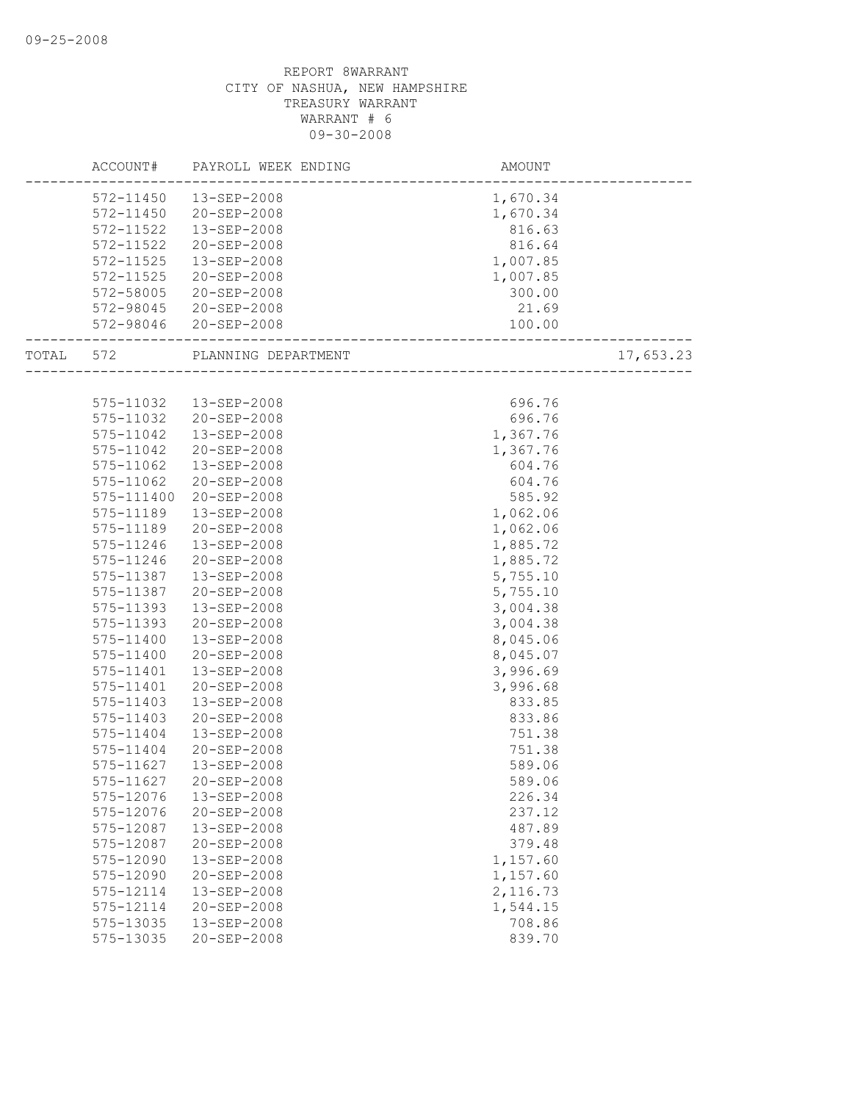|           | ACCOUNT# PAYROLL WEEK ENDING  | AMOUNT              |           |
|-----------|-------------------------------|---------------------|-----------|
|           | 572-11450  13-SEP-2008        | 1,670.34            |           |
|           | 572-11450 20-SEP-2008         | 1,670.34            |           |
| 572-11522 | 13-SEP-2008                   | 816.63              |           |
| 572-11522 | 20-SEP-2008                   | 816.64              |           |
| 572-11525 | 13-SEP-2008                   | 1,007.85            |           |
| 572-11525 | 20-SEP-2008                   | 1,007.85            |           |
| 572-58005 | 20-SEP-2008                   | 300.00              |           |
|           | 572-98045 20-SEP-2008         | 21.69               |           |
|           | 572-98046 20-SEP-2008         | 100.00              |           |
|           | TOTAL 572 PLANNING DEPARTMENT | ------------------- | 17,653.23 |
|           |                               |                     |           |
|           | 575-11032  13-SEP-2008        | 696.76              |           |
| 575-11032 | 20-SEP-2008                   | 696.76              |           |
| 575-11042 | 13-SEP-2008                   | 1,367.76            |           |
| 575-11042 | 20-SEP-2008                   | 1,367.76            |           |
| 575-11062 | 13-SEP-2008                   | 604.76              |           |
| 575-11062 | 20-SEP-2008                   | 604.76              |           |
|           | 575-111400 20-SEP-2008        | 585.92              |           |
| 575-11189 | 13-SEP-2008                   | 1,062.06            |           |
| 575-11189 | 20-SEP-2008                   | 1,062.06            |           |
| 575-11246 | 13-SEP-2008                   | 1,885.72            |           |
| 575-11246 | 20-SEP-2008                   | 1,885.72            |           |
| 575-11387 | 13-SEP-2008                   | 5,755.10            |           |
| 575-11387 | 20-SEP-2008                   | 5,755.10            |           |
| 575-11393 | 13-SEP-2008                   | 3,004.38            |           |
| 575-11393 | 20-SEP-2008                   | 3,004.38            |           |
| 575-11400 | 13-SEP-2008                   | 8,045.06            |           |
| 575-11400 | 20-SEP-2008                   | 8,045.07            |           |
| 575-11401 | 13-SEP-2008                   | 3,996.69            |           |
| 575-11401 | 20-SEP-2008                   | 3,996.68            |           |
| 575-11403 | 13-SEP-2008                   | 833.85              |           |
| 575-11403 | 20-SEP-2008                   | 833.86              |           |
| 575-11404 | 13-SEP-2008                   | 751.38              |           |
| 575-11404 | 20-SEP-2008                   | 751.38              |           |
| 575-11627 | 13-SEP-2008                   | 589.06              |           |
|           | 575-11627 20-SEP-2008         | 589.06              |           |
| 575-12076 | 13-SEP-2008                   | 226.34              |           |
| 575-12076 | 20-SEP-2008                   | 237.12              |           |
| 575-12087 | 13-SEP-2008                   | 487.89              |           |
| 575-12087 | 20-SEP-2008                   | 379.48              |           |
| 575-12090 | 13-SEP-2008                   | 1,157.60            |           |
| 575-12090 | 20-SEP-2008                   | 1,157.60            |           |
| 575-12114 | 13-SEP-2008                   | 2,116.73            |           |
| 575-12114 | 20-SEP-2008                   | 1,544.15            |           |
| 575-13035 | 13-SEP-2008                   | 708.86              |           |
| 575-13035 | 20-SEP-2008                   | 839.70              |           |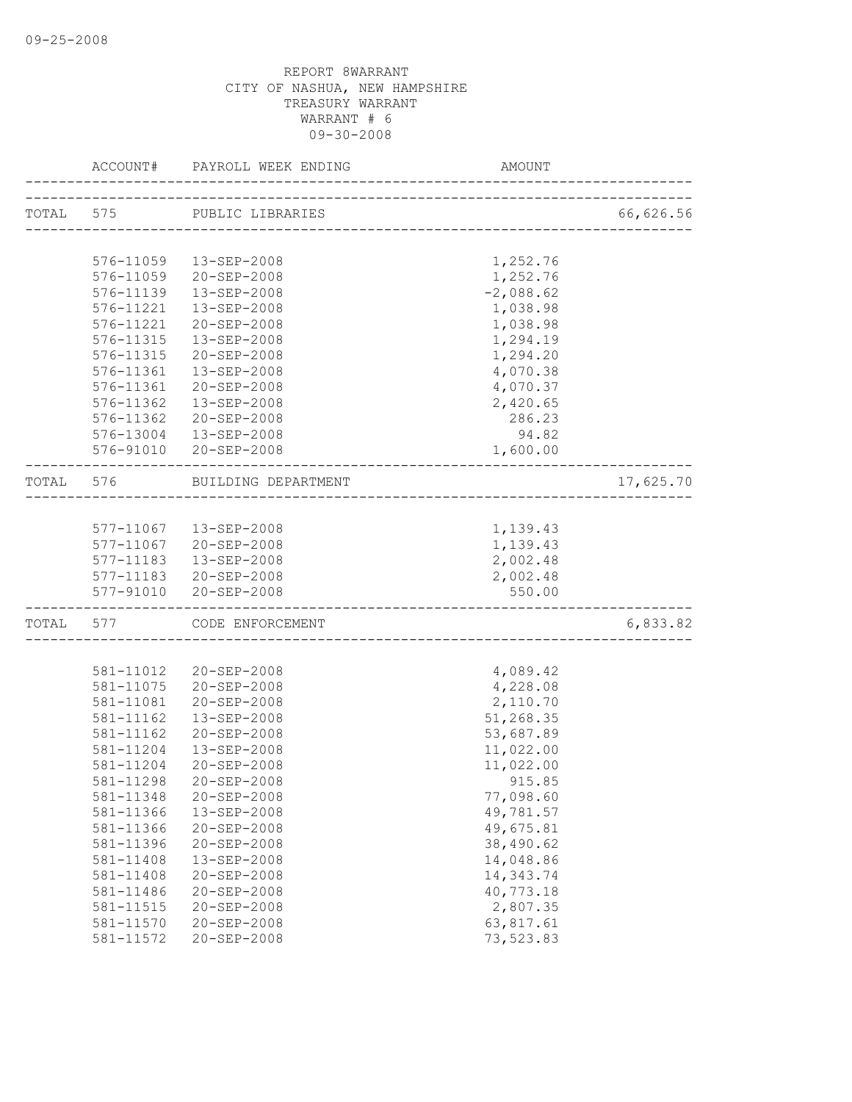|       |                        | ACCOUNT# PAYROLL WEEK ENDING | AMOUNT                     |           |
|-------|------------------------|------------------------------|----------------------------|-----------|
|       |                        | TOTAL 575 PUBLIC LIBRARIES   |                            | 66,626.56 |
|       |                        |                              | -------------------------- |           |
|       |                        | 576-11059  13-SEP-2008       | 1,252.76                   |           |
|       |                        | 576-11059 20-SEP-2008        | 1,252.76                   |           |
|       | 576-11139              | 13-SEP-2008                  | $-2,088.62$                |           |
|       | 576-11221              | 13-SEP-2008                  | 1,038.98                   |           |
|       | 576-11221              | 20-SEP-2008                  | 1,038.98                   |           |
|       | 576-11315              | 13-SEP-2008                  | 1,294.19                   |           |
|       | 576-11315              | 20-SEP-2008                  | 1,294.20                   |           |
|       | 576-11361              | 13-SEP-2008                  | 4,070.38                   |           |
|       | 576-11361              | 20-SEP-2008                  | 4,070.37                   |           |
|       | 576-11362              | 13-SEP-2008                  | 2,420.65                   |           |
|       | 576-11362              | 20-SEP-2008                  | 286.23                     |           |
|       |                        | 576-13004  13-SEP-2008       | 94.82                      |           |
|       |                        | 576-91010 20-SEP-2008        | 1,600.00                   |           |
|       | TOTAL 576              | BUILDING DEPARTMENT          |                            | 17,625.70 |
|       |                        |                              |                            |           |
|       |                        | 577-11067  13-SEP-2008       | 1,139.43                   |           |
|       |                        | 577-11067 20-SEP-2008        | 1,139.43                   |           |
|       |                        | 577-11183  13-SEP-2008       | 2,002.48                   |           |
|       |                        | 577-11183 20-SEP-2008        | 2,002.48                   |           |
|       |                        | 577-91010 20-SEP-2008        | 550.00                     |           |
| TOTAL | 577                    | CODE ENFORCEMENT             |                            | 6,833.82  |
|       |                        |                              |                            |           |
|       |                        | 581-11012 20-SEP-2008        | 4,089.42                   |           |
|       |                        | 581-11075 20-SEP-2008        | 4,228.08                   |           |
|       | 581-11081              | 20-SEP-2008                  | 2,110.70                   |           |
|       | 581-11162              | 13-SEP-2008                  | 51,268.35                  |           |
|       | 581-11162              | $20 - SEP - 2008$            | 53,687.89                  |           |
|       | 581-11204              | 13-SEP-2008                  | 11,022.00                  |           |
|       | 581-11204              | 20-SEP-2008                  | 11,022.00                  |           |
|       | 581-11298              | 20-SEP-2008                  | 915.85                     |           |
|       | 581-11348              | 20-SEP-2008                  | 77,098.60                  |           |
|       | 581-11366              | 13-SEP-2008                  | 49,781.57                  |           |
|       | 581-11366              | 20-SEP-2008                  | 49,675.81                  |           |
|       | 581-11396<br>581-11408 | 20-SEP-2008                  | 38,490.62                  |           |
|       |                        | 13-SEP-2008                  | 14,048.86                  |           |
|       | 581-11408              | 20-SEP-2008                  | 14,343.74                  |           |
|       | 581-11486<br>581-11515 | 20-SEP-2008<br>20-SEP-2008   | 40,773.18<br>2,807.35      |           |
|       | 581-11570              | 20-SEP-2008                  | 63,817.61                  |           |
|       | 581-11572              | 20-SEP-2008                  | 73,523.83                  |           |
|       |                        |                              |                            |           |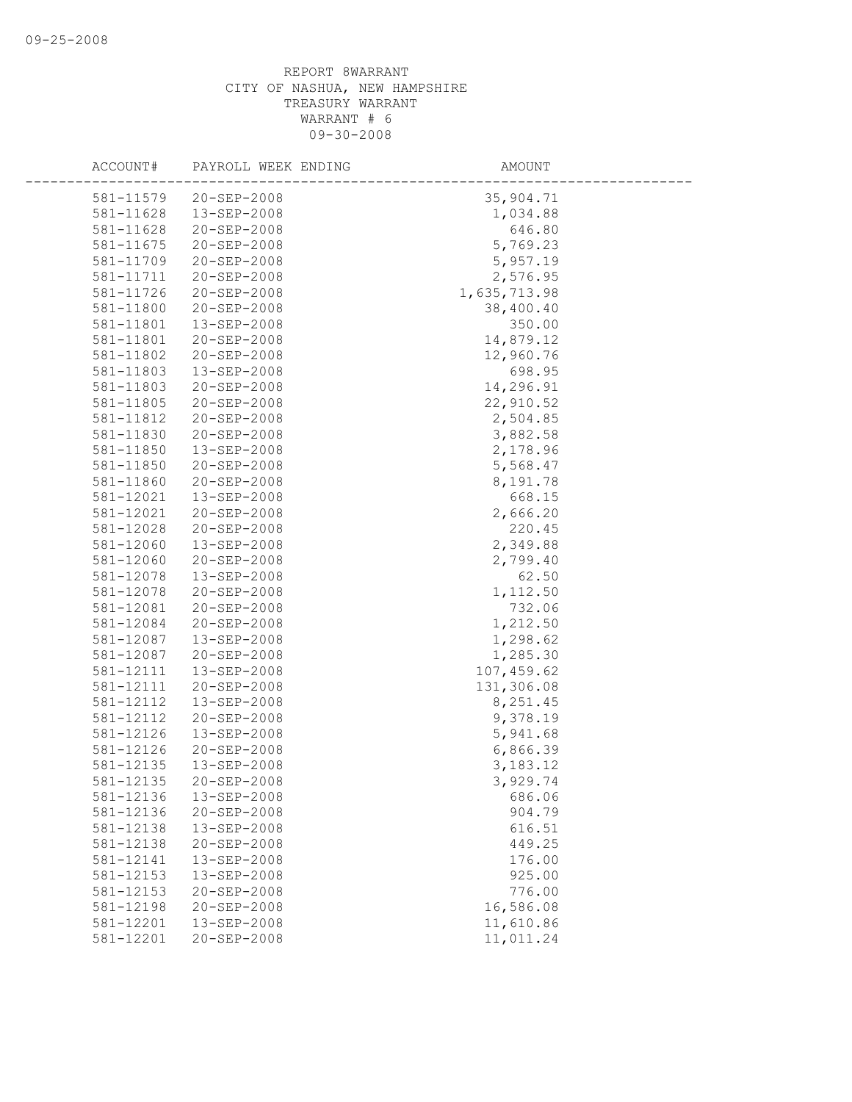| ACCOUNT#               | PAYROLL WEEK ENDING        | AMOUNT                    |
|------------------------|----------------------------|---------------------------|
| 581-11579              | 20-SEP-2008                |                           |
| 581-11628              | 13-SEP-2008                | 35,904.71<br>1,034.88     |
|                        | 20-SEP-2008                |                           |
| 581-11628              | 20-SEP-2008                | 646.80                    |
| 581-11675<br>581-11709 | 20-SEP-2008                | 5,769.23<br>5,957.19      |
|                        |                            |                           |
| 581-11711              | 20-SEP-2008                | 2,576.95                  |
| 581-11726              | 20-SEP-2008                | 1,635,713.98<br>38,400.40 |
| 581-11800<br>581-11801 | 20-SEP-2008<br>13-SEP-2008 | 350.00                    |
| 581-11801              | 20-SEP-2008                | 14,879.12                 |
| 581-11802              | 20-SEP-2008                | 12,960.76                 |
| 581-11803              | 13-SEP-2008                | 698.95                    |
| 581-11803              | 20-SEP-2008                | 14,296.91                 |
| 581-11805              | 20-SEP-2008                | 22,910.52                 |
| 581-11812              | 20-SEP-2008                | 2,504.85                  |
| 581-11830              | 20-SEP-2008                | 3,882.58                  |
| 581-11850              | 13-SEP-2008                | 2,178.96                  |
| 581-11850              | 20-SEP-2008                | 5,568.47                  |
| 581-11860              | 20-SEP-2008                | 8,191.78                  |
| 581-12021              | 13-SEP-2008                | 668.15                    |
| 581-12021              | $20 - SEP - 2008$          | 2,666.20                  |
| 581-12028              | 20-SEP-2008                | 220.45                    |
| 581-12060              | 13-SEP-2008                | 2,349.88                  |
| 581-12060              | 20-SEP-2008                | 2,799.40                  |
| 581-12078              | 13-SEP-2008                | 62.50                     |
| 581-12078              | 20-SEP-2008                | 1,112.50                  |
| 581-12081              | 20-SEP-2008                | 732.06                    |
| 581-12084              | 20-SEP-2008                | 1,212.50                  |
| 581-12087              | 13-SEP-2008                | 1,298.62                  |
| 581-12087              | 20-SEP-2008                | 1,285.30                  |
| 581-12111              | 13-SEP-2008                | 107,459.62                |
| 581-12111              | 20-SEP-2008                | 131,306.08                |
| 581-12112              | 13-SEP-2008                | 8,251.45                  |
| 581-12112              | 20-SEP-2008                | 9,378.19                  |
| 581-12126              | 13-SEP-2008                | 5,941.68                  |
| 581-12126              | 20-SEP-2008                | 6,866.39                  |
| 581-12135              | 13-SEP-2008                | 3,183.12                  |
| 581-12135              | 20-SEP-2008                | 3,929.74                  |
| 581-12136              | 13-SEP-2008                | 686.06                    |
| 581-12136              | 20-SEP-2008                | 904.79                    |
| 581-12138              | 13-SEP-2008                | 616.51                    |
| 581-12138              | 20-SEP-2008                | 449.25                    |
| 581-12141              | 13-SEP-2008                | 176.00                    |
| 581-12153              | 13-SEP-2008                | 925.00                    |
| 581-12153              | 20-SEP-2008                | 776.00                    |
| 581-12198              | 20-SEP-2008                | 16,586.08                 |
| 581-12201              | 13-SEP-2008                | 11,610.86                 |
| 581-12201              | 20-SEP-2008                | 11,011.24                 |
|                        |                            |                           |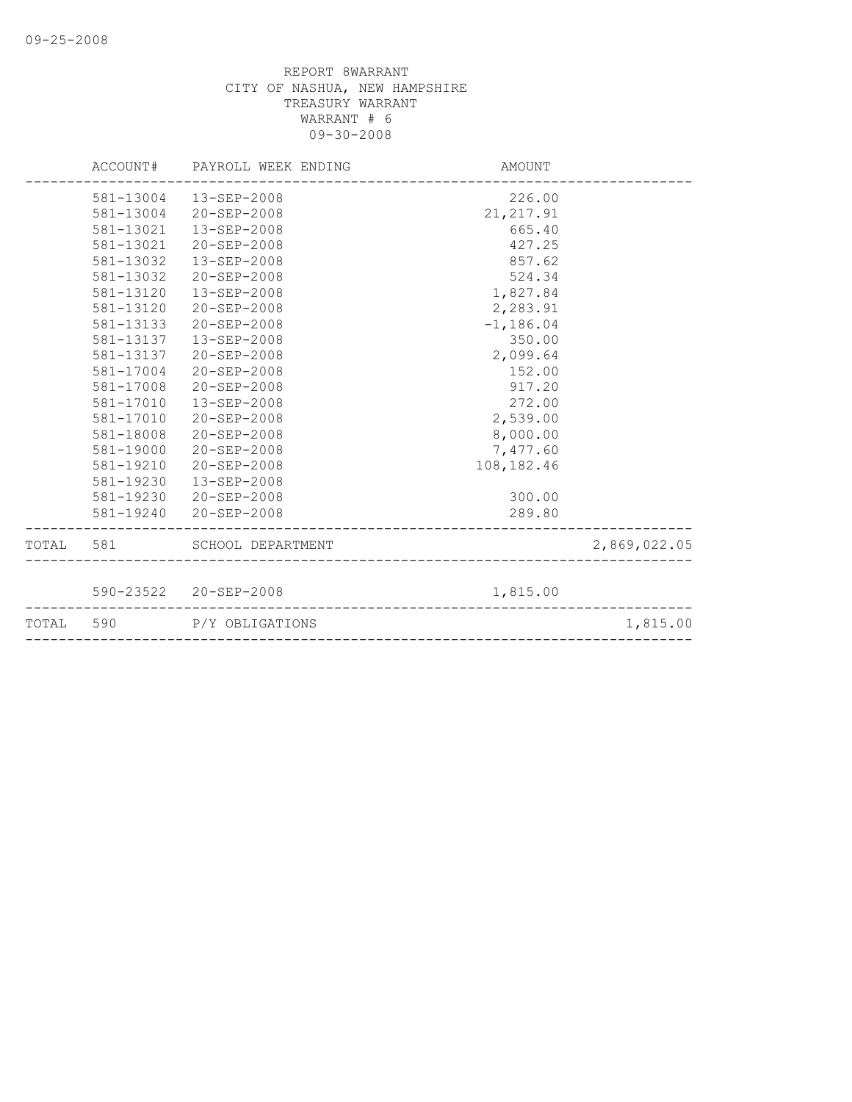|           | ACCOUNT# PAYROLL WEEK ENDING | AMOUNT       |              |
|-----------|------------------------------|--------------|--------------|
|           | 581-13004  13-SEP-2008       | 226.00       |              |
| 581-13004 | 20-SEP-2008                  | 21, 217.91   |              |
| 581-13021 | 13-SEP-2008                  | 665.40       |              |
| 581-13021 | 20-SEP-2008                  | 427.25       |              |
| 581-13032 | 13-SEP-2008                  | 857.62       |              |
| 581-13032 | $20 - SEP - 2008$            | 524.34       |              |
| 581-13120 | $13 - SEP - 2008$            | 1,827.84     |              |
| 581-13120 | $20 - SEP - 2008$            | 2,283.91     |              |
| 581-13133 | 20-SEP-2008                  | $-1, 186.04$ |              |
| 581-13137 | 13-SEP-2008                  | 350.00       |              |
| 581-13137 | $20 - SEP - 2008$            | 2,099.64     |              |
| 581-17004 | $20 - SEP - 2008$            | 152.00       |              |
| 581-17008 | $20 - SEP - 2008$            | 917.20       |              |
| 581-17010 | 13-SEP-2008                  | 272.00       |              |
| 581-17010 | 20-SEP-2008                  | 2,539.00     |              |
| 581-18008 | $20 - SEP - 2008$            | 8,000.00     |              |
| 581-19000 | $20 - SEP - 2008$            | 7,477.60     |              |
| 581-19210 | 20-SEP-2008                  | 108, 182.46  |              |
| 581-19230 | 13-SEP-2008                  |              |              |
|           | 581-19230 20-SEP-2008        | 300.00       |              |
|           | 581-19240 20-SEP-2008        | 289.80       |              |
|           | TOTAL 581 SCHOOL DEPARTMENT  |              | 2,869,022.05 |
|           |                              |              |              |
|           | 590-23522 20-SEP-2008        | 1,815.00     |              |
| TOTAL 590 | P/Y OBLIGATIONS              |              | 1,815.00     |
|           |                              |              |              |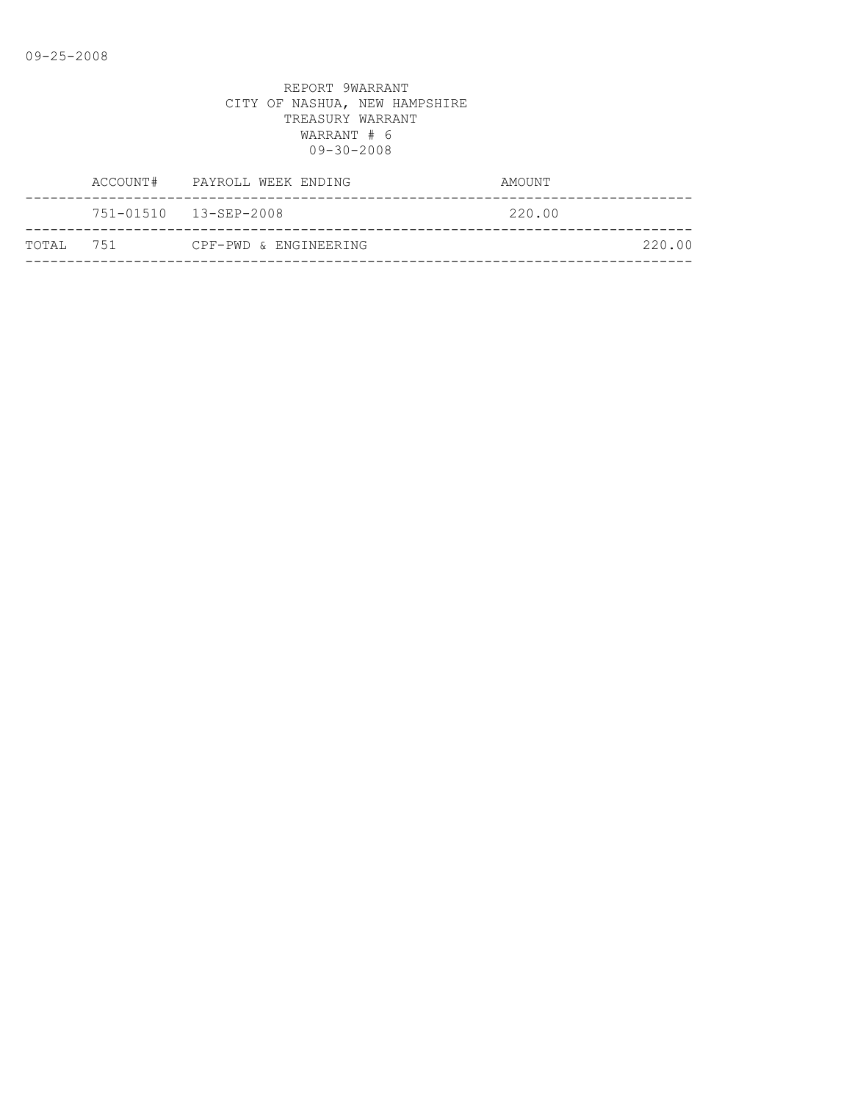|            | ACCOUNT# PAYROLL WEEK ENDING | AMOUNT |
|------------|------------------------------|--------|
|            | 751-01510 13-SEP-2008        | 220.00 |
| ТОТАІ. 751 | CPF-PWD & ENGINEERING        | 220.00 |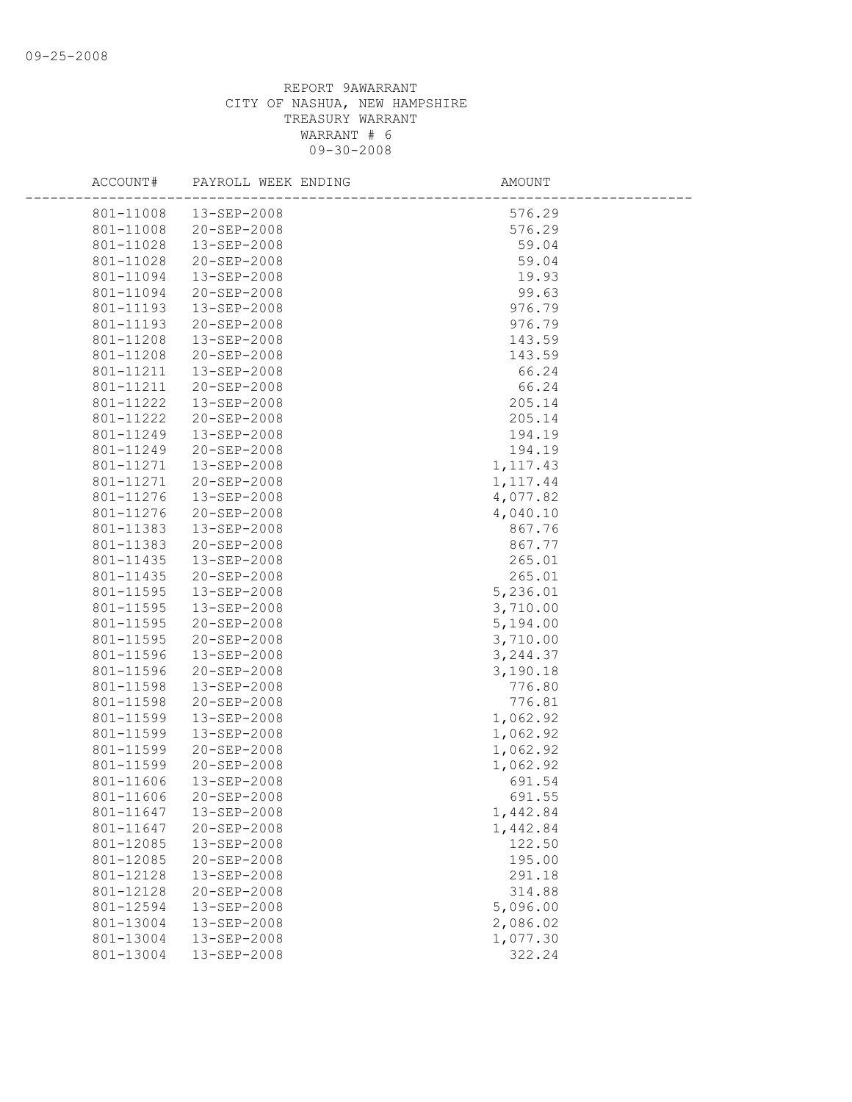| ACCOUNT#  | PAYROLL WEEK ENDING    | AMOUNT    |  |
|-----------|------------------------|-----------|--|
| 801-11008 | 13-SEP-2008            | 576.29    |  |
| 801-11008 | 20-SEP-2008            | 576.29    |  |
| 801-11028 | 13-SEP-2008            | 59.04     |  |
| 801-11028 | 20-SEP-2008            | 59.04     |  |
| 801-11094 | 13-SEP-2008            | 19.93     |  |
| 801-11094 | 20-SEP-2008            | 99.63     |  |
| 801-11193 | 13-SEP-2008            | 976.79    |  |
| 801-11193 | 20-SEP-2008            | 976.79    |  |
| 801-11208 | 13-SEP-2008            | 143.59    |  |
| 801-11208 | 20-SEP-2008            | 143.59    |  |
|           | 801-11211  13-SEP-2008 | 66.24     |  |
| 801-11211 | 20-SEP-2008            | 66.24     |  |
| 801-11222 | 13-SEP-2008            | 205.14    |  |
| 801-11222 | 20-SEP-2008            | 205.14    |  |
| 801-11249 | 13-SEP-2008            | 194.19    |  |
| 801-11249 | 20-SEP-2008            | 194.19    |  |
| 801-11271 | 13-SEP-2008            | 1,117.43  |  |
| 801-11271 | 20-SEP-2008            | 1, 117.44 |  |
| 801-11276 | 13-SEP-2008            | 4,077.82  |  |
| 801-11276 | 20-SEP-2008            | 4,040.10  |  |
| 801-11383 | 13-SEP-2008            | 867.76    |  |
| 801-11383 | 20-SEP-2008            | 867.77    |  |
| 801-11435 | 13-SEP-2008            | 265.01    |  |
| 801-11435 | 20-SEP-2008            | 265.01    |  |
| 801-11595 | 13-SEP-2008            | 5,236.01  |  |
| 801-11595 | 13-SEP-2008            | 3,710.00  |  |
| 801-11595 | 20-SEP-2008            | 5,194.00  |  |
| 801-11595 | 20-SEP-2008            | 3,710.00  |  |
| 801-11596 | 13-SEP-2008            | 3, 244.37 |  |
| 801-11596 | 20-SEP-2008            | 3,190.18  |  |
| 801-11598 | 13-SEP-2008            | 776.80    |  |
| 801-11598 | 20-SEP-2008            | 776.81    |  |
| 801-11599 | 13-SEP-2008            | 1,062.92  |  |
| 801-11599 | 13-SEP-2008            | 1,062.92  |  |
| 801-11599 | 20-SEP-2008            | 1,062.92  |  |
| 801-11599 | 20-SEP-2008            | 1,062.92  |  |
| 801-11606 | 13-SEP-2008            | 691.54    |  |
|           | 801-11606 20-SEP-2008  | 691.55    |  |
| 801-11647 | 13-SEP-2008            | 1,442.84  |  |
| 801-11647 | 20-SEP-2008            | 1,442.84  |  |
| 801-12085 | 13-SEP-2008            | 122.50    |  |
| 801-12085 | 20-SEP-2008            | 195.00    |  |
| 801-12128 | 13-SEP-2008            | 291.18    |  |
| 801-12128 | 20-SEP-2008            | 314.88    |  |
| 801-12594 | 13-SEP-2008            | 5,096.00  |  |
| 801-13004 | 13-SEP-2008            | 2,086.02  |  |
| 801-13004 | 13-SEP-2008            | 1,077.30  |  |
| 801-13004 | 13-SEP-2008            | 322.24    |  |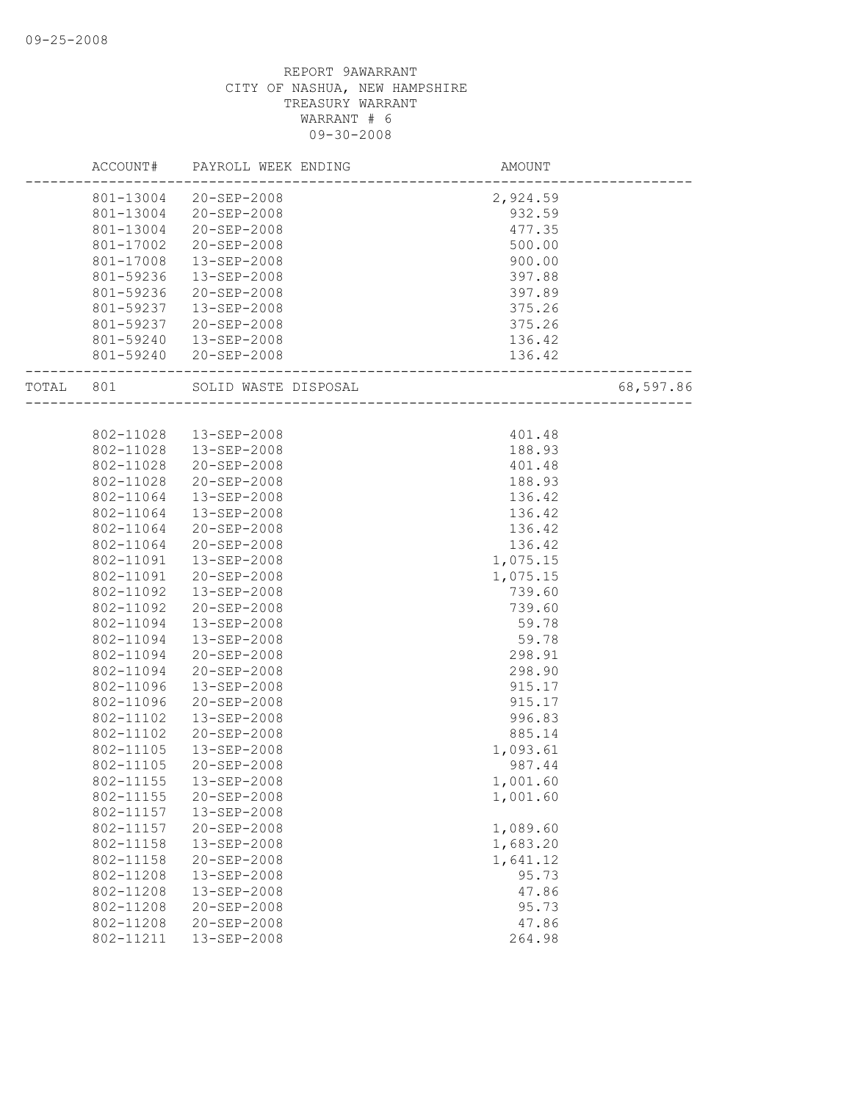|       | ACCOUNT#  | PAYROLL WEEK ENDING                                    | AMOUNT   |           |
|-------|-----------|--------------------------------------------------------|----------|-----------|
|       |           | 801-13004 20-SEP-2008                                  | 2,924.59 |           |
|       |           | 801-13004 20-SEP-2008                                  | 932.59   |           |
|       | 801-13004 | 20-SEP-2008                                            | 477.35   |           |
|       | 801-17002 | 20-SEP-2008                                            | 500.00   |           |
|       | 801-17008 | 13-SEP-2008                                            | 900.00   |           |
|       | 801-59236 | 13-SEP-2008                                            | 397.88   |           |
|       | 801-59236 | 20-SEP-2008                                            | 397.89   |           |
|       | 801-59237 | 13-SEP-2008                                            | 375.26   |           |
|       | 801-59237 | 20-SEP-2008                                            | 375.26   |           |
|       |           | 801-59240  13-SEP-2008                                 | 136.42   |           |
|       |           | 801-59240 20-SEP-2008                                  | 136.42   |           |
| TOTAL | 801       | SOLID WASTE DISPOSAL<br>------------------------------ |          | 68,597.86 |
|       |           |                                                        |          |           |
|       | 802-11028 | 13-SEP-2008                                            | 401.48   |           |
|       | 802-11028 | 13-SEP-2008                                            | 188.93   |           |
|       | 802-11028 | 20-SEP-2008                                            | 401.48   |           |
|       | 802-11028 | 20-SEP-2008                                            | 188.93   |           |
|       | 802-11064 | 13-SEP-2008                                            | 136.42   |           |
|       | 802-11064 | 13-SEP-2008                                            | 136.42   |           |
|       | 802-11064 | 20-SEP-2008                                            | 136.42   |           |
|       | 802-11064 | $20 - SEP - 2008$                                      | 136.42   |           |
|       | 802-11091 | 13-SEP-2008                                            | 1,075.15 |           |
|       | 802-11091 | 20-SEP-2008                                            | 1,075.15 |           |
|       | 802-11092 | 13-SEP-2008                                            | 739.60   |           |
|       | 802-11092 | 20-SEP-2008                                            | 739.60   |           |
|       | 802-11094 | 13-SEP-2008                                            | 59.78    |           |
|       | 802-11094 | $13 - SEP - 2008$                                      | 59.78    |           |
|       | 802-11094 | 20-SEP-2008                                            | 298.91   |           |
|       | 802-11094 | 20-SEP-2008                                            | 298.90   |           |
|       | 802-11096 | 13-SEP-2008                                            | 915.17   |           |
|       | 802-11096 | 20-SEP-2008                                            | 915.17   |           |
|       | 802-11102 | $13 - SEP - 2008$                                      | 996.83   |           |
|       | 802-11102 | $20 - SEP - 2008$                                      | 885.14   |           |
|       | 802-11105 | 13-SEP-2008                                            | 1,093.61 |           |
|       | 802-11105 | 20-SEP-2008                                            | 987.44   |           |
|       | 802-11155 | 13-SEP-2008                                            | 1,001.60 |           |
|       | 802-11155 | 20-SEP-2008                                            | 1,001.60 |           |
|       | 802-11157 | 13-SEP-2008                                            |          |           |
|       | 802-11157 | 20-SEP-2008                                            | 1,089.60 |           |
|       | 802-11158 | 13-SEP-2008                                            | 1,683.20 |           |
|       | 802-11158 | 20-SEP-2008                                            | 1,641.12 |           |
|       | 802-11208 | 13-SEP-2008                                            | 95.73    |           |
|       | 802-11208 | 13-SEP-2008                                            | 47.86    |           |
|       | 802-11208 | 20-SEP-2008                                            | 95.73    |           |
|       | 802-11208 | 20-SEP-2008                                            | 47.86    |           |
|       | 802-11211 | 13-SEP-2008                                            | 264.98   |           |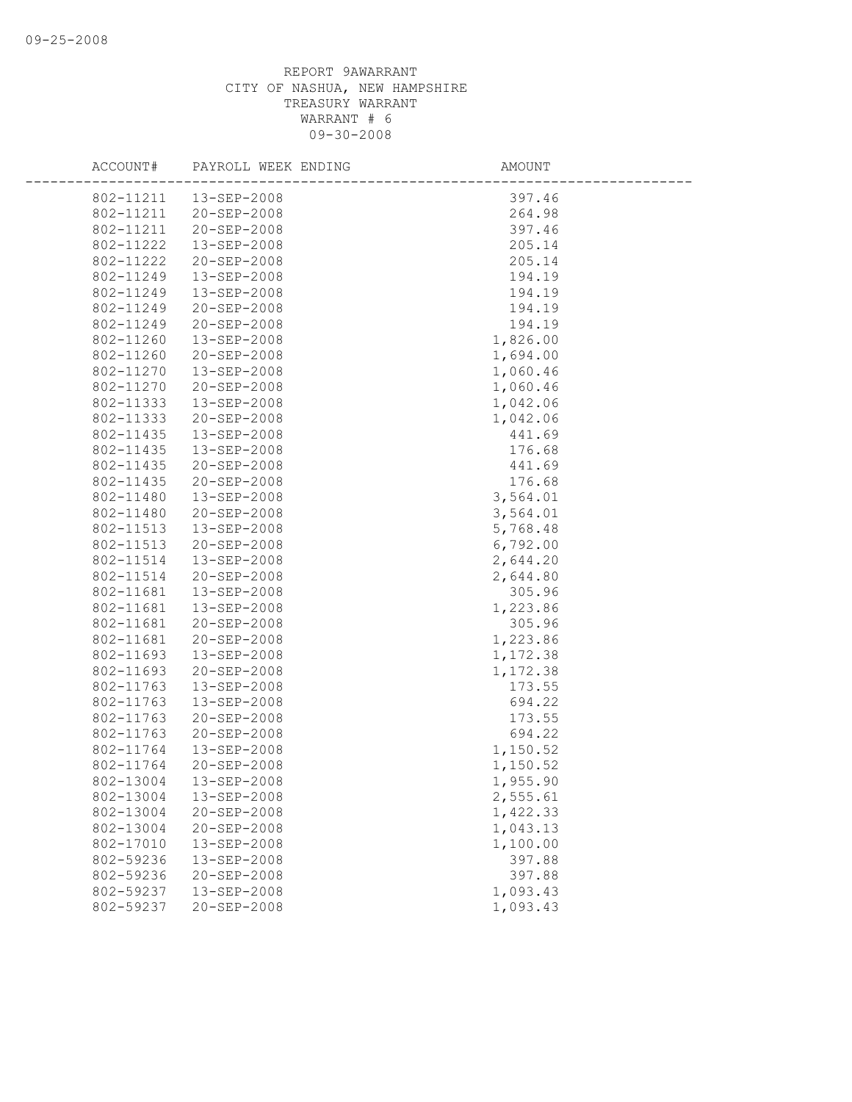| ACCOUNT#               | PAYROLL WEEK ENDING        | AMOUNT           |
|------------------------|----------------------------|------------------|
| 802-11211              | 13-SEP-2008                | 397.46           |
| 802-11211              | 20-SEP-2008                | 264.98           |
| 802-11211              | 20-SEP-2008                | 397.46           |
| 802-11222              | 13-SEP-2008                | 205.14           |
| 802-11222              | 20-SEP-2008                | 205.14           |
| 802-11249              | 13-SEP-2008                | 194.19           |
| 802-11249              | 13-SEP-2008                | 194.19           |
| 802-11249              | 20-SEP-2008                | 194.19           |
| 802-11249              | $20 - SEP - 2008$          | 194.19           |
| 802-11260              | 13-SEP-2008                | 1,826.00         |
| 802-11260              | 20-SEP-2008                | 1,694.00         |
| 802-11270              | 13-SEP-2008                | 1,060.46         |
| 802-11270              | 20-SEP-2008                | 1,060.46         |
| 802-11333              | 13-SEP-2008                | 1,042.06         |
| 802-11333              | 20-SEP-2008                | 1,042.06         |
| 802-11435              | 13-SEP-2008                | 441.69           |
| 802-11435              | 13-SEP-2008                | 176.68           |
| 802-11435              | 20-SEP-2008                | 441.69           |
| 802-11435              | 20-SEP-2008                | 176.68           |
| 802-11480              | 13-SEP-2008                | 3,564.01         |
| 802-11480              | 20-SEP-2008                | 3,564.01         |
| 802-11513              | 13-SEP-2008                | 5,768.48         |
| 802-11513              | 20-SEP-2008                | 6,792.00         |
| 802-11514              | 13-SEP-2008                | 2,644.20         |
| 802-11514              | 20-SEP-2008                | 2,644.80         |
| 802-11681              | 13-SEP-2008                | 305.96           |
| 802-11681              | 13-SEP-2008                | 1,223.86         |
| 802-11681              | 20-SEP-2008                | 305.96           |
| 802-11681              | 20-SEP-2008                | 1,223.86         |
| 802-11693              | 13-SEP-2008                | 1,172.38         |
| 802-11693              | 20-SEP-2008                | 1,172.38         |
| 802-11763<br>802-11763 | 13-SEP-2008<br>13-SEP-2008 | 173.55<br>694.22 |
| 802-11763              | 20-SEP-2008                | 173.55           |
| 802-11763              | 20-SEP-2008                | 694.22           |
| 802-11764              | 13-SEP-2008                | 1,150.52         |
| 802-11764              | 20-SEP-2008                | 1,150.52         |
| 802-13004              | 13-SEP-2008                | 1,955.90         |
| 802-13004              | 13-SEP-2008                | 2,555.61         |
| 802-13004              | 20-SEP-2008                | 1,422.33         |
| 802-13004              | 20-SEP-2008                | 1,043.13         |
| 802-17010              | 13-SEP-2008                | 1,100.00         |
| 802-59236              | 13-SEP-2008                | 397.88           |
| 802-59236              | 20-SEP-2008                | 397.88           |
| 802-59237              | 13-SEP-2008                | 1,093.43         |
| 802-59237              | 20-SEP-2008                | 1,093.43         |
|                        |                            |                  |